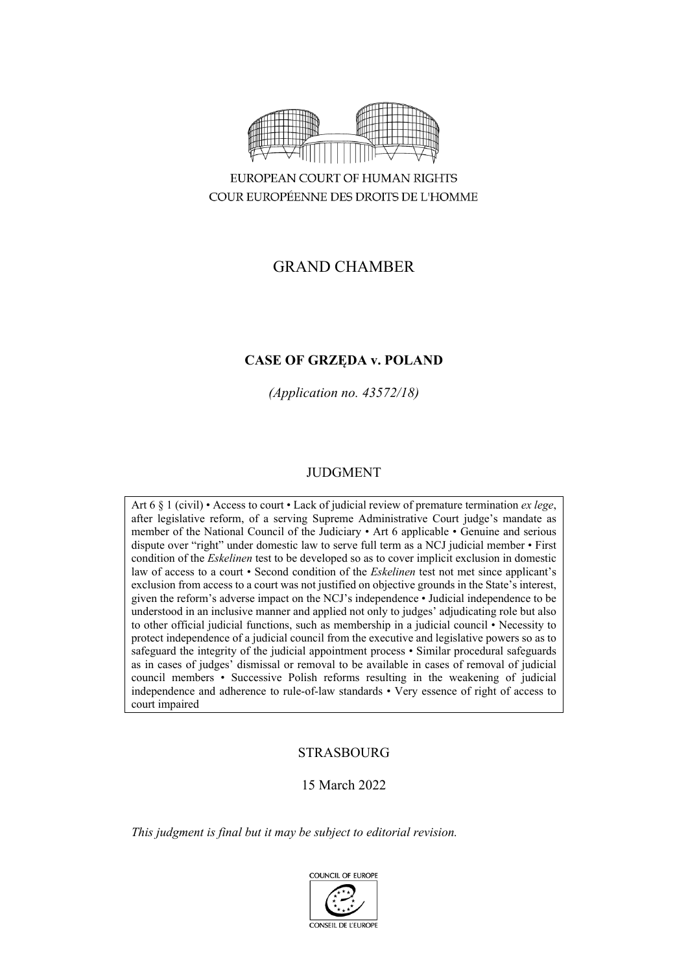

EUROPEAN COURT OF HUMAN RIGHTS COUR EUROPÉENNE DES DROITS DE L'HOMME

# GRAND CHAMBER

## **CASE OF GRZĘDA v. POLAND**

*(Application no. 43572/18)*

## JUDGMENT

Art 6 § 1 (civil) • Access to court • Lack of judicial review of premature termination *ex lege*, after legislative reform, of a serving Supreme Administrative Court judge's mandate as member of the National Council of the Judiciary • Art 6 applicable • Genuine and serious dispute over "right" under domestic law to serve full term as a NCJ judicial member • First condition of the *Eskelinen* test to be developed so as to cover implicit exclusion in domestic law of access to a court • Second condition of the *Eskelinen* test not met since applicant's exclusion from access to a court was not justified on objective grounds in the State's interest, given the reform's adverse impact on the NCJ's independence • Judicial independence to be understood in an inclusive manner and applied not only to judges' adjudicating role but also to other official judicial functions, such as membership in a judicial council • Necessity to protect independence of a judicial council from the executive and legislative powers so as to safeguard the integrity of the judicial appointment process • Similar procedural safeguards as in cases of judges' dismissal or removal to be available in cases of removal of judicial council members • Successive Polish reforms resulting in the weakening of judicial independence and adherence to rule-of-law standards • Very essence of right of access to court impaired

## **STRASBOURG**

15 March 2022

*This judgment is final but it may be subject to editorial revision.*

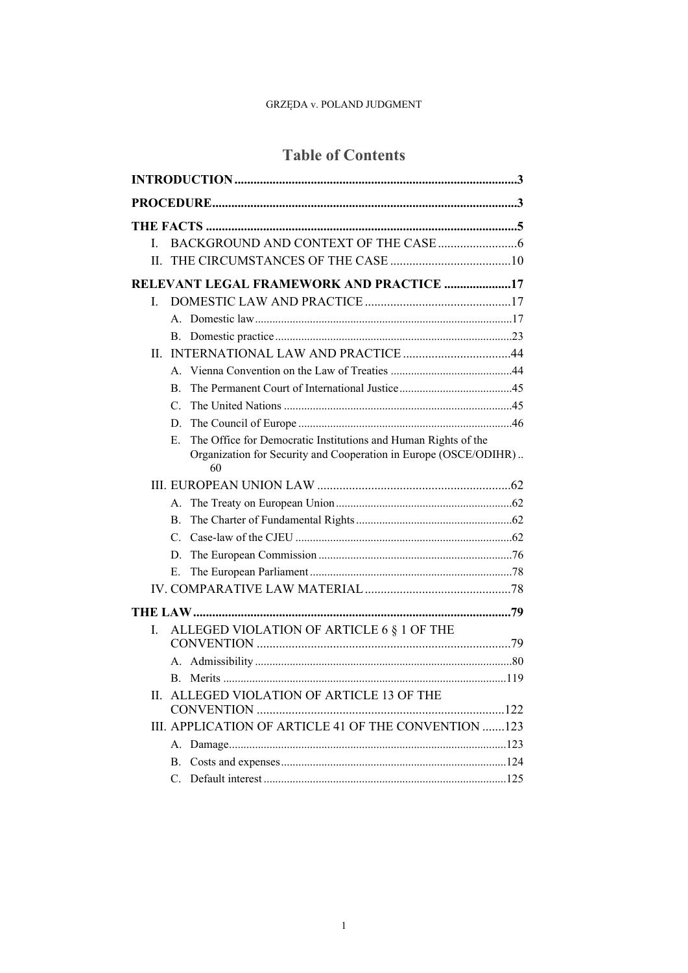# **Table of Contents**

| 1 |                                                                                                                                                |  |
|---|------------------------------------------------------------------------------------------------------------------------------------------------|--|
|   |                                                                                                                                                |  |
|   | RELEVANT LEGAL FRAMEWORK AND PRACTICE 17                                                                                                       |  |
| L |                                                                                                                                                |  |
|   |                                                                                                                                                |  |
|   |                                                                                                                                                |  |
|   |                                                                                                                                                |  |
|   |                                                                                                                                                |  |
|   | B.                                                                                                                                             |  |
|   | $\mathcal{C}$                                                                                                                                  |  |
|   | D.                                                                                                                                             |  |
|   | The Office for Democratic Institutions and Human Rights of the<br>E.<br>Organization for Security and Cooperation in Europe (OSCE/ODIHR)<br>60 |  |
|   |                                                                                                                                                |  |
|   | $A_{-}$                                                                                                                                        |  |
|   | B.                                                                                                                                             |  |
|   | $\mathcal{C}^-$                                                                                                                                |  |
|   | D.                                                                                                                                             |  |
|   | Е.                                                                                                                                             |  |
|   |                                                                                                                                                |  |
|   |                                                                                                                                                |  |
| L | ALLEGED VIOLATION OF ARTICLE 6 § 1 OF THE                                                                                                      |  |
|   |                                                                                                                                                |  |
|   |                                                                                                                                                |  |
|   | II. ALLEGED VIOLATION OF ARTICLE 13 OF THE                                                                                                     |  |
|   | III. APPLICATION OF ARTICLE 41 OF THE CONVENTION 123                                                                                           |  |
|   | $A_{-}$                                                                                                                                        |  |
|   | В.                                                                                                                                             |  |
|   |                                                                                                                                                |  |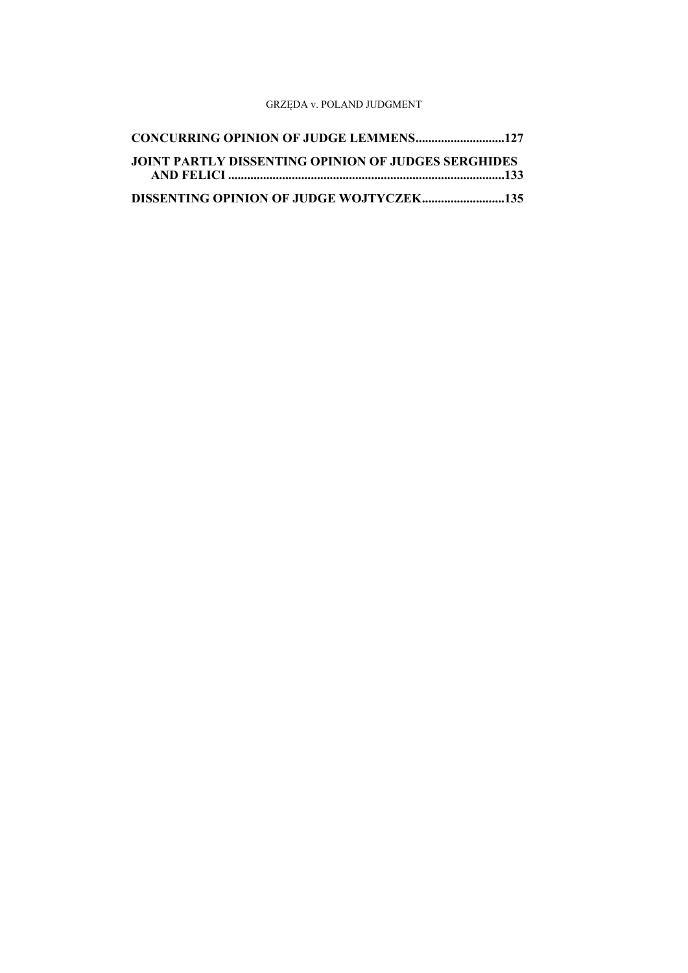| <b>CONCURRING OPINION OF JUDGE LEMMENS 127</b>             |  |
|------------------------------------------------------------|--|
| <b>JOINT PARTLY DISSENTING OPINION OF JUDGES SERGHIDES</b> |  |
| DISSENTING OPINION OF JUDGE WOJTYCZEK135                   |  |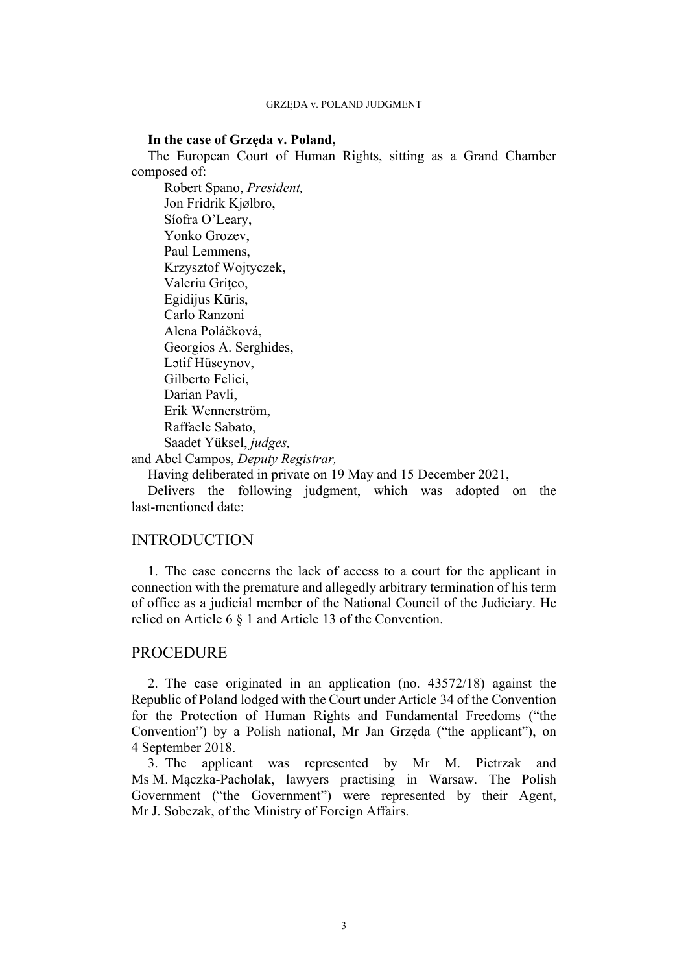## **In the case of Grzęda v. Poland,**

The European Court of Human Rights, sitting as a Grand Chamber composed of:

Robert Spano, *President,* Jon Fridrik Kjølbro, Síofra O'Leary, Yonko Grozev, Paul Lemmens, Krzysztof Wojtyczek, Valeriu Griţco, Egidijus Kūris, Carlo Ranzoni Alena Poláčková, Georgios A. Serghides, Lətif Hüseynov, Gilberto Felici, Darian Pavli, Erik Wennerström, Raffaele Sabato, Saadet Yüksel, *judges,*

and Abel Campos, *Deputy Registrar,*

Having deliberated in private on 19 May and 15 December 2021,

Delivers the following judgment, which was adopted on the last-mentioned date:

## <span id="page-4-0"></span>INTRODUCTION

1. The case concerns the lack of access to a court for the applicant in connection with the premature and allegedly arbitrary termination of his term of office as a judicial member of the National Council of the Judiciary. He relied on Article 6 § 1 and Article 13 of the Convention.

## <span id="page-4-1"></span>**PROCEDURE**

2. The case originated in an application (no. 43572/18) against the Republic of Poland lodged with the Court under Article 34 of the Convention for the Protection of Human Rights and Fundamental Freedoms ("the Convention") by a Polish national, Mr Jan Grzęda ("the applicant"), on 4 September 2018.

3. The applicant was represented by Mr M. Pietrzak and Ms M. Mączka-Pacholak, lawyers practising in Warsaw. The Polish Government ("the Government") were represented by their Agent, Mr J. Sobczak, of the Ministry of Foreign Affairs.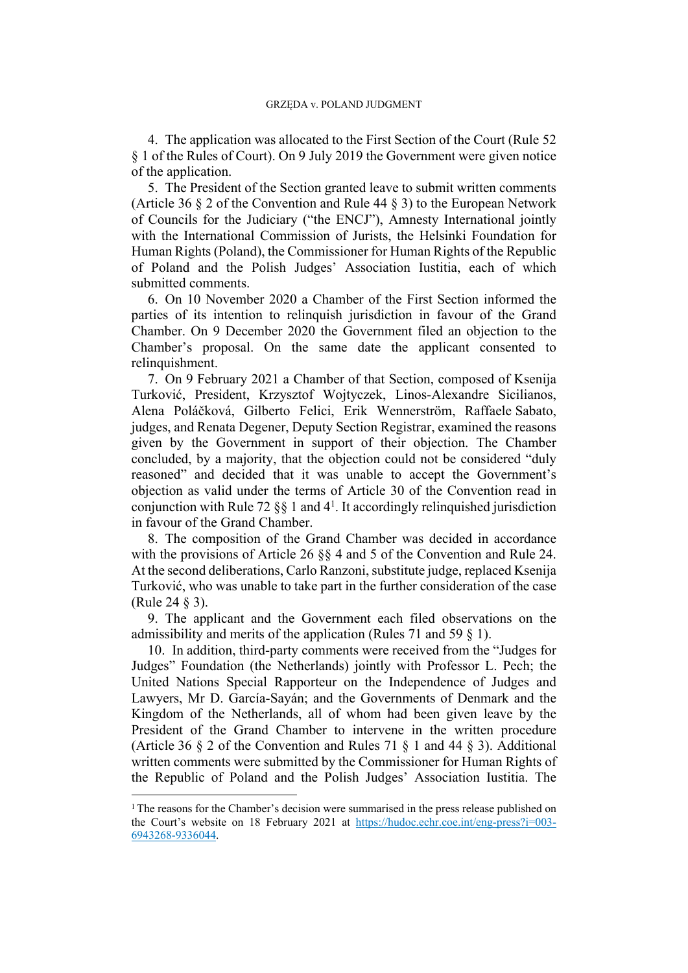4. The application was allocated to the First Section of the Court (Rule 52 § 1 of the Rules of Court). On 9 July 2019 the Government were given notice of the application.

5. The President of the Section granted leave to submit written comments (Article 36 § 2 of the Convention and Rule 44 § 3) to the European Network of Councils for the Judiciary ("the ENCJ"), Amnesty International jointly with the International Commission of Jurists, the Helsinki Foundation for Human Rights (Poland), the Commissioner for Human Rights of the Republic of Poland and the Polish Judges' Association Iustitia, each of which submitted comments.

6. On 10 November 2020 a Chamber of the First Section informed the parties of its intention to relinquish jurisdiction in favour of the Grand Chamber. On 9 December 2020 the Government filed an objection to the Chamber's proposal. On the same date the applicant consented to relinquishment.

7. On 9 February 2021 a Chamber of that Section, composed of Ksenija Turković, President, Krzysztof Wojtyczek, Linos-Alexandre Sicilianos, Alena Poláčková, Gilberto Felici, Erik Wennerström, Raffaele Sabato, judges, and Renata Degener, Deputy Section Registrar, examined the reasons given by the Government in support of their objection. The Chamber concluded, by a majority, that the objection could not be considered "duly reasoned" and decided that it was unable to accept the Government's objection as valid under the terms of Article 30 of the Convention read in conjunction with Rule 72  $\S$  1 and 4<sup>1</sup>. It accordingly relinquished jurisdiction in favour of the Grand Chamber.

8. The composition of the Grand Chamber was decided in accordance with the provisions of Article 26 §§ 4 and 5 of the Convention and Rule 24. At the second deliberations, Carlo Ranzoni, substitute judge, replaced Ksenija Turković, who was unable to take part in the further consideration of the case (Rule 24 § 3).

9. The applicant and the Government each filed observations on the admissibility and merits of the application (Rules 71 and 59 § 1).

10. In addition, third-party comments were received from the "Judges for Judges" Foundation (the Netherlands) jointly with Professor L. Pech; the United Nations Special Rapporteur on the Independence of Judges and Lawyers, Mr D. García-Sayán; and the Governments of Denmark and the Kingdom of the Netherlands, all of whom had been given leave by the President of the Grand Chamber to intervene in the written procedure (Article 36  $\S$  2 of the Convention and Rules 71  $\S$  1 and 44  $\S$  3). Additional written comments were submitted by the Commissioner for Human Rights of the Republic of Poland and the Polish Judges' Association Iustitia. The

<sup>&</sup>lt;sup>1</sup> The reasons for the Chamber's decision were summarised in the press release published on the Court's website on 18 February 2021 at [https://hudoc.echr.coe.int/eng-press?i=003-](https://hudoc.echr.coe.int/eng-press?i=003-6943268-9336044) [6943268-9336044](https://hudoc.echr.coe.int/eng-press?i=003-6943268-9336044).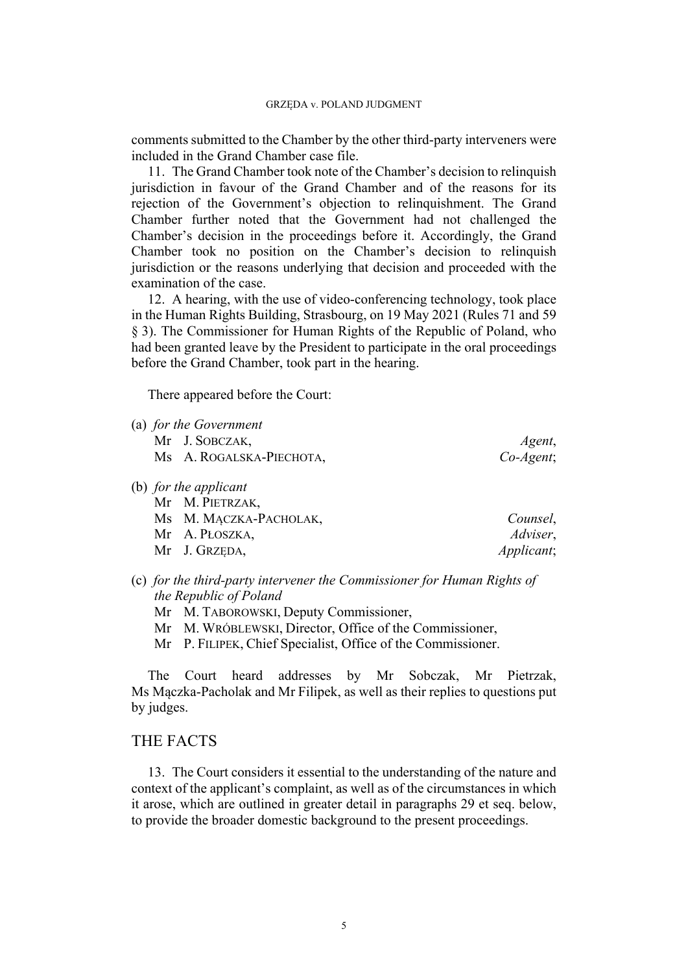comments submitted to the Chamber by the other third-party interveners were included in the Grand Chamber case file.

11. The Grand Chamber took note of the Chamber's decision to relinquish jurisdiction in favour of the Grand Chamber and of the reasons for its rejection of the Government's objection to relinquishment. The Grand Chamber further noted that the Government had not challenged the Chamber's decision in the proceedings before it. Accordingly, the Grand Chamber took no position on the Chamber's decision to relinquish jurisdiction or the reasons underlying that decision and proceeded with the examination of the case.

12. A hearing, with the use of video-conferencing technology, took place in the Human Rights Building, Strasbourg, on 19 May 2021 (Rules 71 and 59 § 3). The Commissioner for Human Rights of the Republic of Poland, who had been granted leave by the President to participate in the oral proceedings before the Grand Chamber, took part in the hearing.

There appeared before the Court:

| (a) for the Government   |             |
|--------------------------|-------------|
| Mr J. SOBCZAK,           | Agent,      |
| Ms A. ROGALSKA-PIECHOTA, | $Co-Agent;$ |
| (b) for the applicant    |             |
| Mr M. PIETRZAK,          |             |
| Ms M. MĄCZKA-PACHOLAK,   | Counsel,    |
| Mr A. PLOSZKA,           | Adviser,    |
| Mr J. GRZEDA,            | Applicant;  |

## (c) *for the third-party intervener the Commissioner for Human Rights of the Republic of Poland*

- Mr M. TABOROWSKI, Deputy Commissioner,
- Mr M. WRÓBLEWSKI, Director, Office of the Commissioner,
- Mr P. FILIPEK, Chief Specialist, Office of the Commissioner.

The Court heard addresses by Mr Sobczak, Mr Pietrzak, Ms Mączka-Pacholak and Mr Filipek, as well as their replies to questions put by judges.

## <span id="page-6-0"></span>THE FACTS

13. The Court considers it essential to the understanding of the nature and context of the applicant's complaint, as well as of the circumstances in which it arose, which are outlined in greater detail in paragraphs 29 et seq. below, to provide the broader domestic background to the present proceedings.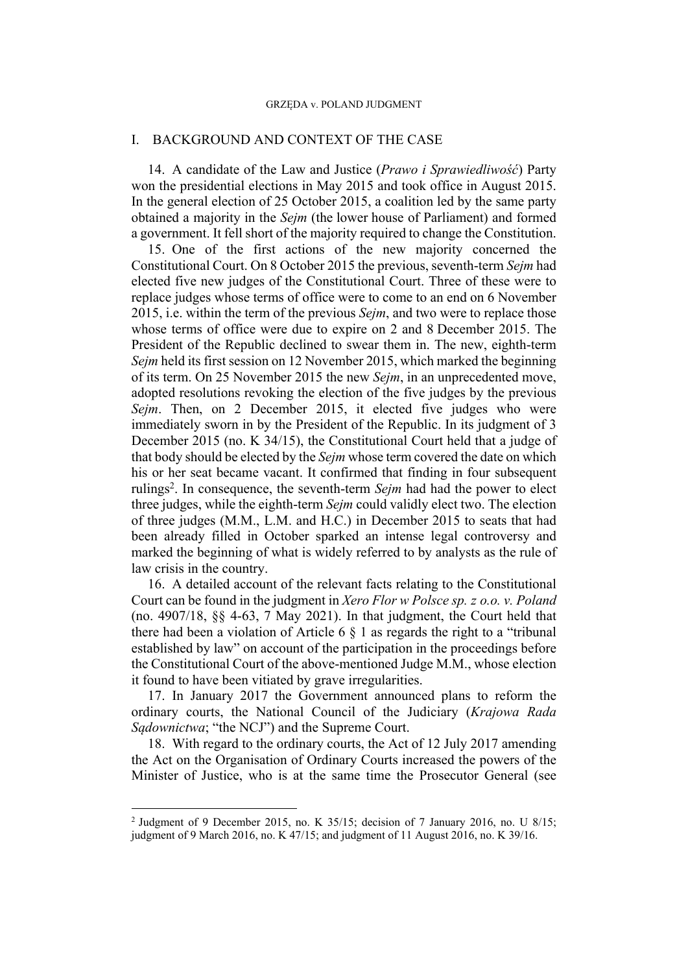## <span id="page-7-0"></span>I. BACKGROUND AND CONTEXT OF THE CASE

14. A candidate of the Law and Justice (*Prawo i Sprawiedliwość*) Party won the presidential elections in May 2015 and took office in August 2015. In the general election of 25 October 2015, a coalition led by the same party obtained a majority in the *Sejm* (the lower house of Parliament) and formed a government. It fell short of the majority required to change the Constitution.

15. One of the first actions of the new majority concerned the Constitutional Court. On 8 October 2015 the previous, seventh-term *Sejm* had elected five new judges of the Constitutional Court. Three of these were to replace judges whose terms of office were to come to an end on 6 November 2015, i.e. within the term of the previous *Sejm*, and two were to replace those whose terms of office were due to expire on 2 and 8 December 2015. The President of the Republic declined to swear them in. The new, eighth-term *Sejm* held its first session on 12 November 2015, which marked the beginning of its term. On 25 November 2015 the new *Sejm*, in an unprecedented move, adopted resolutions revoking the election of the five judges by the previous *Sejm*. Then, on 2 December 2015, it elected five judges who were immediately sworn in by the President of the Republic. In its judgment of 3 December 2015 (no. K 34/15), the Constitutional Court held that a judge of that body should be elected by the *Sejm* whose term covered the date on which his or her seat became vacant. It confirmed that finding in four subsequent rulings<sup>2</sup>. In consequence, the seventh-term *Sejm* had had the power to elect three judges, while the eighth-term *Sejm* could validly elect two. The election of three judges (M.M., L.M. and H.C.) in December 2015 to seats that had been already filled in October sparked an intense legal controversy and marked the beginning of what is widely referred to by analysts as the rule of law crisis in the country.

16. A detailed account of the relevant facts relating to the Constitutional Court can be found in the judgment in *Xero Flor w Polsce sp. z o.o. v. Poland* (no. 4907/18, §§ 4-63, 7 May 2021). In that judgment, the Court held that there had been a violation of Article  $6 \& 1$  as regards the right to a "tribunal" established by law" on account of the participation in the proceedings before the Constitutional Court of the above-mentioned Judge M.M., whose election it found to have been vitiated by grave irregularities.

17. In January 2017 the Government announced plans to reform the ordinary courts, the National Council of the Judiciary (*Krajowa Rada Sądownictwa*; "the NCJ") and the Supreme Court.

18. With regard to the ordinary courts, the Act of 12 July 2017 amending the Act on the Organisation of Ordinary Courts increased the powers of the Minister of Justice, who is at the same time the Prosecutor General (see

<sup>&</sup>lt;sup>2</sup> Judgment of 9 December 2015, no. K  $35/15$ ; decision of 7 January 2016, no. U 8/15; judgment of 9 March 2016, no. K 47/15; and judgment of 11 August 2016, no. K 39/16.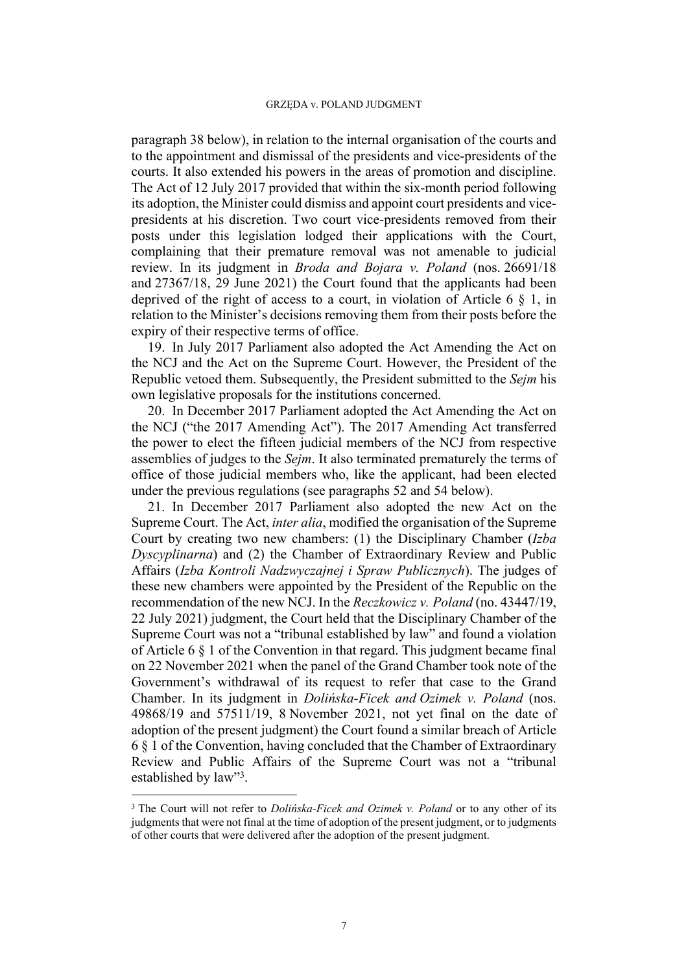paragraph 38 below), in relation to the internal organisation of the courts and to the appointment and dismissal of the presidents and vice-presidents of the courts. It also extended his powers in the areas of promotion and discipline. The Act of 12 July 2017 provided that within the six-month period following its adoption, the Minister could dismiss and appoint court presidents and vicepresidents at his discretion. Two court vice-presidents removed from their posts under this legislation lodged their applications with the Court, complaining that their premature removal was not amenable to judicial review. In its judgment in *Broda and Bojara v. Poland* (nos. 26691/18 and 27367/18, 29 June 2021) the Court found that the applicants had been deprived of the right of access to a court, in violation of Article 6 § 1, in relation to the Minister's decisions removing them from their posts before the expiry of their respective terms of office.

19. In July 2017 Parliament also adopted the Act Amending the Act on the NCJ and the Act on the Supreme Court. However, the President of the Republic vetoed them. Subsequently, the President submitted to the *Sejm* his own legislative proposals for the institutions concerned.

20. In December 2017 Parliament adopted the Act Amending the Act on the NCJ ("the 2017 Amending Act"). The 2017 Amending Act transferred the power to elect the fifteen judicial members of the NCJ from respective assemblies of judges to the *Sejm*. It also terminated prematurely the terms of office of those judicial members who, like the applicant, had been elected under the previous regulations (see paragraphs 52 and 54 below).

21. In December 2017 Parliament also adopted the new Act on the Supreme Court. The Act, *inter alia*, modified the organisation of the Supreme Court by creating two new chambers: (1) the Disciplinary Chamber (*Izba Dyscyplinarna*) and (2) the Chamber of Extraordinary Review and Public Affairs (*Izba Kontroli Nadzwyczajnej i Spraw Publicznych*). The judges of these new chambers were appointed by the President of the Republic on the recommendation of the new NCJ. In the *Reczkowicz v. Poland* (no. 43447/19, 22 July 2021) judgment, the Court held that the Disciplinary Chamber of the Supreme Court was not a "tribunal established by law" and found a violation of Article 6 § 1 of the Convention in that regard. This judgment became final on 22 November 2021 when the panel of the Grand Chamber took note of the Government's withdrawal of its request to refer that case to the Grand Chamber. In its judgment in *Dolińska-Ficek and Ozimek v. Poland* (nos. 49868/19 and 57511/19, 8 November 2021, not yet final on the date of adoption of the present judgment) the Court found a similar breach of Article 6 § 1 of the Convention, having concluded that the Chamber of Extraordinary Review and Public Affairs of the Supreme Court was not a "tribunal established by law"<sup>3</sup>.

<sup>3</sup>The Court will not refer to *Dolińska-Ficek and Ozimek v. Poland* or to any other of its judgments that were not final at the time of adoption of the present judgment, or to judgments of other courts that were delivered after the adoption of the present judgment.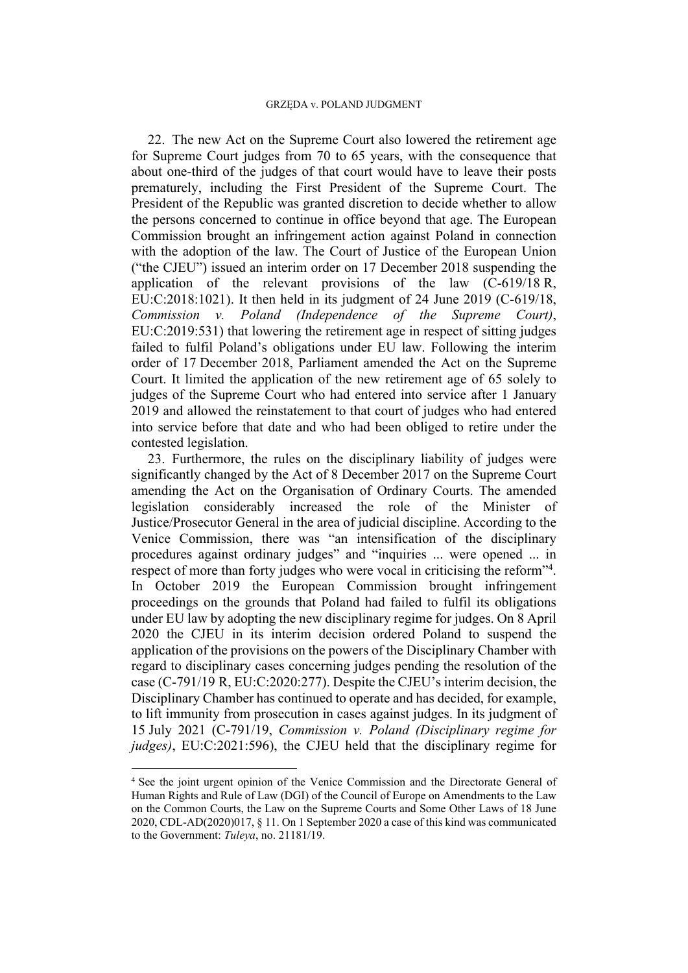22. The new Act on the Supreme Court also lowered the retirement age for Supreme Court judges from 70 to 65 years, with the consequence that about one-third of the judges of that court would have to leave their posts prematurely, including the First President of the Supreme Court. The President of the Republic was granted discretion to decide whether to allow the persons concerned to continue in office beyond that age. The European Commission brought an infringement action against Poland in connection with the adoption of the law. The Court of Justice of the European Union ("the CJEU") issued an interim order on 17 December 2018 suspending the application of the relevant provisions of the law (C-619/18 R, EU:C:2018:1021). It then held in its judgment of 24 June 2019 (C-619/18, *Commission v. Poland (Independence of the Supreme Court)*, EU:C:2019:531) that lowering the retirement age in respect of sitting judges failed to fulfil Poland's obligations under EU law. Following the interim order of 17 December 2018, Parliament amended the Act on the Supreme Court. It limited the application of the new retirement age of 65 solely to judges of the Supreme Court who had entered into service after 1 January 2019 and allowed the reinstatement to that court of judges who had entered into service before that date and who had been obliged to retire under the contested legislation.

23. Furthermore, the rules on the disciplinary liability of judges were significantly changed by the Act of 8 December 2017 on the Supreme Court amending the Act on the Organisation of Ordinary Courts. The amended legislation considerably increased the role of the Minister of Justice/Prosecutor General in the area of judicial discipline. According to the Venice Commission, there was "an intensification of the disciplinary procedures against ordinary judges" and "inquiries ... were opened ... in respect of more than forty judges who were vocal in criticising the reform"<sup>4</sup> . In October 2019 the European Commission brought infringement proceedings on the grounds that Poland had failed to fulfil its obligations under EU law by adopting the new disciplinary regime for judges. On 8 April 2020 the CJEU in its interim decision ordered Poland to suspend the application of the provisions on the powers of the Disciplinary Chamber with regard to disciplinary cases concerning judges pending the resolution of the case (C-791/19 R, EU:C:2020:277). Despite the CJEU's interim decision, the Disciplinary Chamber has continued to operate and has decided, for example, to lift immunity from prosecution in cases against judges. In its judgment of 15 July 2021 (C-791/19, *Commission v. Poland (Disciplinary regime for judges)*, EU:C:2021:596), the CJEU held that the disciplinary regime for

<sup>4</sup>See the joint urgent opinion of the Venice Commission and the Directorate General of Human Rights and Rule of Law (DGI) of the Council of Europe on Amendments to the Law on the Common Courts, the Law on the Supreme Courts and Some Other Laws of 18 June 2020, CDL-AD(2020)017, § 11. On 1 September 2020 a case of this kind was communicated to the Government: *Tuleya*, no. 21181/19.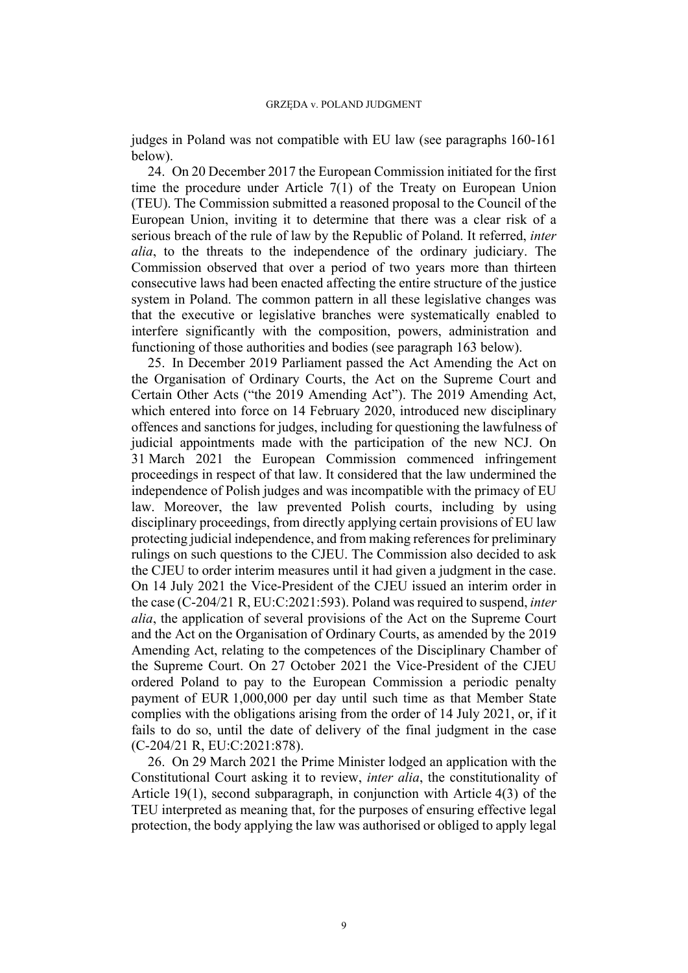judges in Poland was not compatible with EU law (see paragraphs 160-161 below).

24. On 20 December 2017 the European Commission initiated for the first time the procedure under Article 7(1) of the Treaty on European Union (TEU). The Commission submitted a reasoned proposal to the Council of the European Union, inviting it to determine that there was a clear risk of a serious breach of the rule of law by the Republic of Poland. It referred, *inter alia*, to the threats to the independence of the ordinary judiciary. The Commission observed that over a period of two years more than thirteen consecutive laws had been enacted affecting the entire structure of the justice system in Poland. The common pattern in all these legislative changes was that the executive or legislative branches were systematically enabled to interfere significantly with the composition, powers, administration and functioning of those authorities and bodies (see paragraph 163 below).

25. In December 2019 Parliament passed the Act Amending the Act on the Organisation of Ordinary Courts, the Act on the Supreme Court and Certain Other Acts ("the 2019 Amending Act"). The 2019 Amending Act, which entered into force on 14 February 2020, introduced new disciplinary offences and sanctions for judges, including for questioning the lawfulness of judicial appointments made with the participation of the new NCJ. On 31 March 2021 the European Commission commenced infringement proceedings in respect of that law. It considered that the law undermined the independence of Polish judges and was incompatible with the primacy of EU law. Moreover, the law prevented Polish courts, including by using disciplinary proceedings, from directly applying certain provisions of EU law protecting judicial independence, and from making references for preliminary rulings on such questions to the CJEU. The Commission also decided to ask the CJEU to order interim measures until it had given a judgment in the case. On 14 July 2021 the Vice-President of the CJEU issued an interim order in the case (C-204/21 R, EU:C:2021:593). Poland was required to suspend, *inter alia*, the application of several provisions of the Act on the Supreme Court and the Act on the Organisation of Ordinary Courts, as amended by the 2019 Amending Act, relating to the competences of the Disciplinary Chamber of the Supreme Court. On 27 October 2021 the Vice-President of the CJEU ordered Poland to pay to the European Commission a periodic penalty payment of EUR 1,000,000 per day until such time as that Member State complies with the obligations arising from the order of 14 July 2021, or, if it fails to do so, until the date of delivery of the final judgment in the case (C-204/21 R, EU:C:2021:878).

26. On 29 March 2021 the Prime Minister lodged an application with the Constitutional Court asking it to review, *inter alia*, the constitutionality of Article 19(1), second subparagraph, in conjunction with Article 4(3) of the TEU interpreted as meaning that, for the purposes of ensuring effective legal protection, the body applying the law was authorised or obliged to apply legal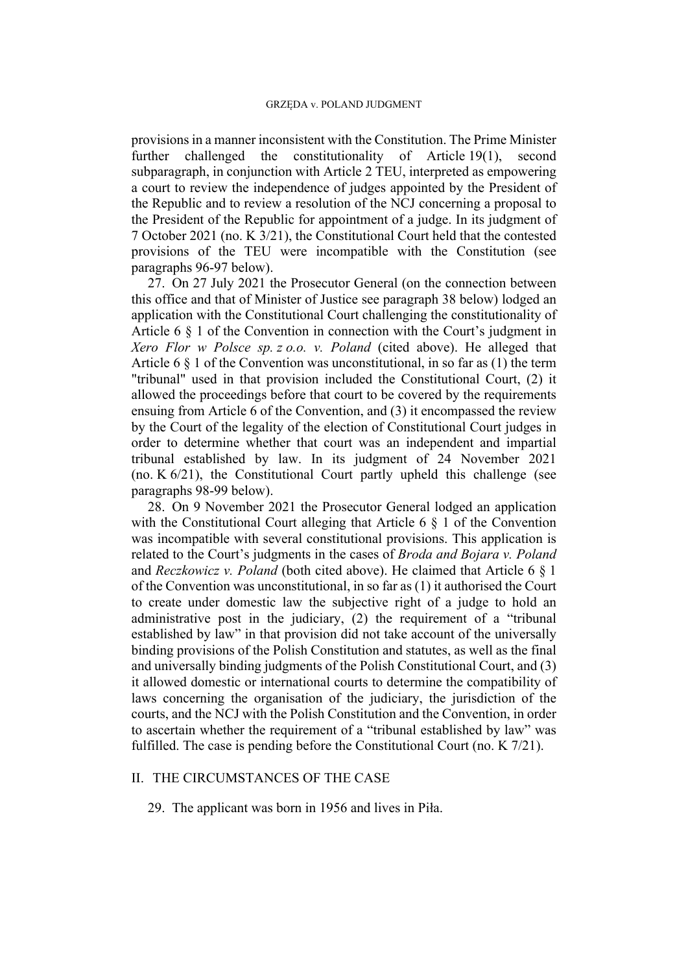provisions in a manner inconsistent with the Constitution. The Prime Minister further challenged the constitutionality of Article 19(1), second subparagraph, in conjunction with Article 2 TEU, interpreted as empowering a court to review the independence of judges appointed by the President of the Republic and to review a resolution of the NCJ concerning a proposal to the President of the Republic for appointment of a judge. In its judgment of 7 October 2021 (no. K 3/21), the Constitutional Court held that the contested provisions of the TEU were incompatible with the Constitution (see paragraphs 96-97 below).

27.On 27 July 2021 the Prosecutor General (on the connection between this office and that of Minister of Justice see paragraph 38 below) lodged an application with the Constitutional Court challenging the constitutionality of Article 6 § 1 of the Convention in connection with the Court's judgment in *Xero Flor w Polsce sp. z o.o. v. Poland* (cited above). He alleged that Article 6  $\S$  1 of the Convention was unconstitutional, in so far as (1) the term "tribunal" used in that provision included the Constitutional Court, (2) it allowed the proceedings before that court to be covered by the requirements ensuing from Article 6 of the Convention, and (3) it encompassed the review by the Court of the legality of the election of Constitutional Court judges in order to determine whether that court was an independent and impartial tribunal established by law. In its judgment of 24 November 2021 (no. K 6/21), the Constitutional Court partly upheld this challenge (see paragraphs 98-99 below).

28. On 9 November 2021 the Prosecutor General lodged an application with the Constitutional Court alleging that Article 6  $\S$  1 of the Convention was incompatible with several constitutional provisions. This application is related to the Court's judgments in the cases of *Broda and Bojara v. Poland*  and *Reczkowicz v. Poland* (both cited above). He claimed that Article 6 § 1 of the Convention was unconstitutional, in so far as (1) it authorised the Court to create under domestic law the subjective right of a judge to hold an administrative post in the judiciary, (2) the requirement of a "tribunal established by law" in that provision did not take account of the universally binding provisions of the Polish Constitution and statutes, as well as the final and universally binding judgments of the Polish Constitutional Court, and (3) it allowed domestic or international courts to determine the compatibility of laws concerning the organisation of the judiciary, the jurisdiction of the courts, and the NCJ with the Polish Constitution and the Convention, in order to ascertain whether the requirement of a "tribunal established by law" was fulfilled. The case is pending before the Constitutional Court (no. K 7/21).

## <span id="page-11-0"></span>II. THE CIRCUMSTANCES OF THE CASE

29. The applicant was born in 1956 and lives in Piła.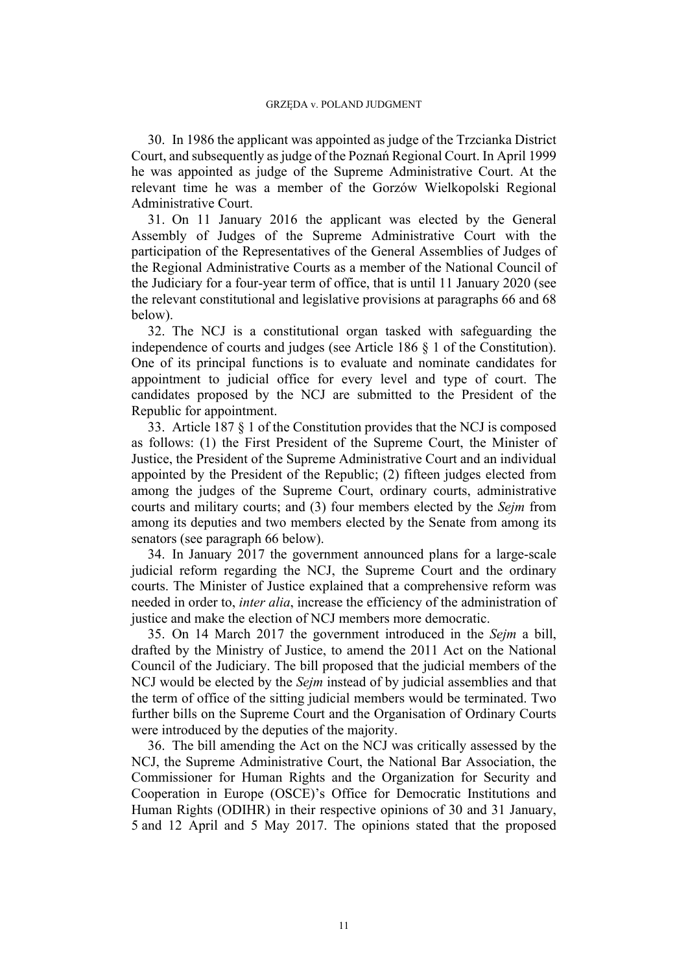30. In 1986 the applicant was appointed as judge of the Trzcianka District Court, and subsequently as judge of the Poznań Regional Court. In April 1999 he was appointed as judge of the Supreme Administrative Court. At the relevant time he was a member of the Gorzów Wielkopolski Regional Administrative Court.

31. On 11 January 2016 the applicant was elected by the General Assembly of Judges of the Supreme Administrative Court with the participation of the Representatives of the General Assemblies of Judges of the Regional Administrative Courts as a member of the National Council of the Judiciary for a four-year term of office, that is until 11 January 2020 (see the relevant constitutional and legislative provisions at paragraphs 66 and 68 below).

32. The NCJ is a constitutional organ tasked with safeguarding the independence of courts and judges (see Article 186 § 1 of the Constitution). One of its principal functions is to evaluate and nominate candidates for appointment to judicial office for every level and type of court. The candidates proposed by the NCJ are submitted to the President of the Republic for appointment.

33. Article 187 § 1 of the Constitution provides that the NCJ is composed as follows: (1) the First President of the Supreme Court, the Minister of Justice, the President of the Supreme Administrative Court and an individual appointed by the President of the Republic; (2) fifteen judges elected from among the judges of the Supreme Court, ordinary courts, administrative courts and military courts; and (3) four members elected by the *Sejm* from among its deputies and two members elected by the Senate from among its senators (see paragraph 66 below).

34. In January 2017 the government announced plans for a large-scale judicial reform regarding the NCJ, the Supreme Court and the ordinary courts. The Minister of Justice explained that a comprehensive reform was needed in order to, *inter alia*, increase the efficiency of the administration of justice and make the election of NCJ members more democratic.

35. On 14 March 2017 the government introduced in the *Sejm* a bill, drafted by the Ministry of Justice, to amend the 2011 Act on the National Council of the Judiciary. The bill proposed that the judicial members of the NCJ would be elected by the *Sejm* instead of by judicial assemblies and that the term of office of the sitting judicial members would be terminated. Two further bills on the Supreme Court and the Organisation of Ordinary Courts were introduced by the deputies of the majority.

36. The bill amending the Act on the NCJ was critically assessed by the NCJ, the Supreme Administrative Court, the National Bar Association, the Commissioner for Human Rights and the Organization for Security and Cooperation in Europe (OSCE)'s Office for Democratic Institutions and Human Rights (ODIHR) in their respective opinions of 30 and 31 January, 5 and 12 April and 5 May 2017. The opinions stated that the proposed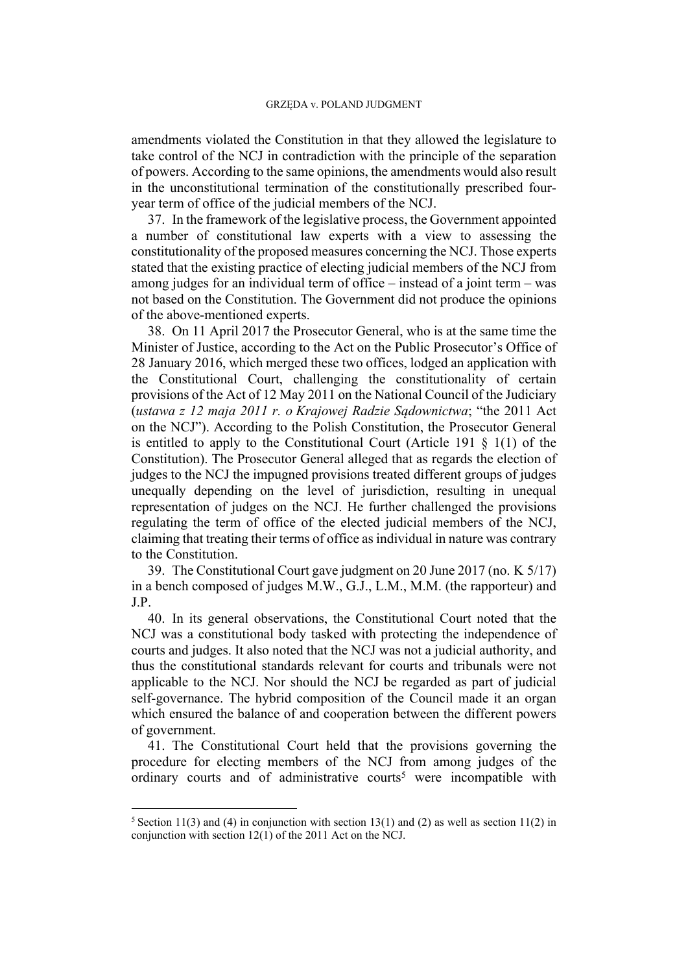amendments violated the Constitution in that they allowed the legislature to take control of the NCJ in contradiction with the principle of the separation of powers. According to the same opinions, the amendments would also result in the unconstitutional termination of the constitutionally prescribed fouryear term of office of the judicial members of the NCJ.

37. In the framework of the legislative process, the Government appointed a number of constitutional law experts with a view to assessing the constitutionality of the proposed measures concerning the NCJ. Those experts stated that the existing practice of electing judicial members of the NCJ from among judges for an individual term of office – instead of a joint term – was not based on the Constitution. The Government did not produce the opinions of the above-mentioned experts.

38. On 11 April 2017 the Prosecutor General, who is at the same time the Minister of Justice, according to the Act on the Public Prosecutor's Office of 28 January 2016, which merged these two offices, lodged an application with the Constitutional Court, challenging the constitutionality of certain provisions of the Act of 12 May 2011 on the National Council of the Judiciary (*ustawa z 12 maja 2011 r. o Krajowej Radzie Sądownictwa*; "the 2011 Act on the NCJ"). According to the Polish Constitution, the Prosecutor General is entitled to apply to the Constitutional Court (Article 191 § 1(1) of the Constitution). The Prosecutor General alleged that as regards the election of judges to the NCJ the impugned provisions treated different groups of judges unequally depending on the level of jurisdiction, resulting in unequal representation of judges on the NCJ. He further challenged the provisions regulating the term of office of the elected judicial members of the NCJ, claiming that treating their terms of office as individual in nature was contrary to the Constitution.

39. The Constitutional Court gave judgment on 20 June 2017 (no. K 5/17) in a bench composed of judges M.W., G.J., L.M., M.M. (the rapporteur) and J.P.

40. In its general observations, the Constitutional Court noted that the NCJ was a constitutional body tasked with protecting the independence of courts and judges. It also noted that the NCJ was not a judicial authority, and thus the constitutional standards relevant for courts and tribunals were not applicable to the NCJ. Nor should the NCJ be regarded as part of judicial self-governance. The hybrid composition of the Council made it an organ which ensured the balance of and cooperation between the different powers of government.

41. The Constitutional Court held that the provisions governing the procedure for electing members of the NCJ from among judges of the ordinary courts and of administrative courts<sup>5</sup> were incompatible with

<sup>&</sup>lt;sup>5</sup> Section 11(3) and (4) in conjunction with section 13(1) and (2) as well as section 11(2) in conjunction with section 12(1) of the 2011 Act on the NCJ.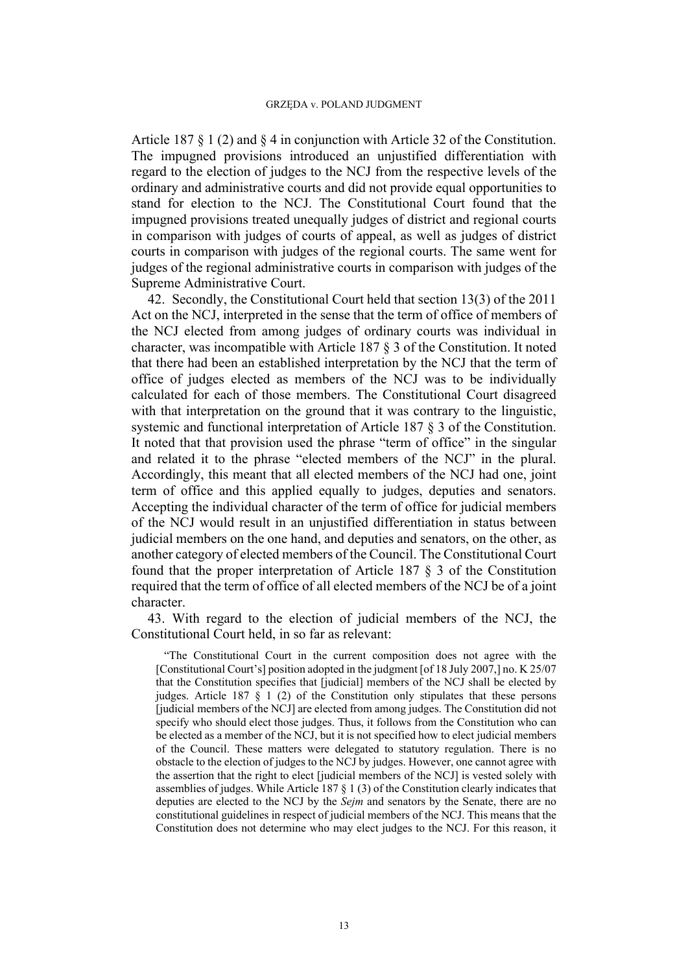Article 187 § 1 (2) and § 4 in conjunction with Article 32 of the Constitution. The impugned provisions introduced an unjustified differentiation with regard to the election of judges to the NCJ from the respective levels of the ordinary and administrative courts and did not provide equal opportunities to stand for election to the NCJ. The Constitutional Court found that the impugned provisions treated unequally judges of district and regional courts in comparison with judges of courts of appeal, as well as judges of district courts in comparison with judges of the regional courts. The same went for judges of the regional administrative courts in comparison with judges of the Supreme Administrative Court.

42. Secondly, the Constitutional Court held that section 13(3) of the 2011 Act on the NCJ, interpreted in the sense that the term of office of members of the NCJ elected from among judges of ordinary courts was individual in character, was incompatible with Article 187 § 3 of the Constitution. It noted that there had been an established interpretation by the NCJ that the term of office of judges elected as members of the NCJ was to be individually calculated for each of those members. The Constitutional Court disagreed with that interpretation on the ground that it was contrary to the linguistic, systemic and functional interpretation of Article 187 § 3 of the Constitution. It noted that that provision used the phrase "term of office" in the singular and related it to the phrase "elected members of the NCJ" in the plural. Accordingly, this meant that all elected members of the NCJ had one, joint term of office and this applied equally to judges, deputies and senators. Accepting the individual character of the term of office for judicial members of the NCJ would result in an unjustified differentiation in status between judicial members on the one hand, and deputies and senators, on the other, as another category of elected members of the Council. The Constitutional Court found that the proper interpretation of Article 187 § 3 of the Constitution required that the term of office of all elected members of the NCJ be of a joint character.

43. With regard to the election of judicial members of the NCJ, the Constitutional Court held, in so far as relevant:

"The Constitutional Court in the current composition does not agree with the [Constitutional Court's] position adopted in the judgment [of 18 July 2007,] no. K 25/07 that the Constitution specifies that [judicial] members of the NCJ shall be elected by judges. Article 187 § 1 (2) of the Constitution only stipulates that these persons [judicial members of the NCJ] are elected from among judges. The Constitution did not specify who should elect those judges. Thus, it follows from the Constitution who can be elected as a member of the NCJ, but it is not specified how to elect judicial members of the Council. These matters were delegated to statutory regulation. There is no obstacle to the election of judges to the NCJ by judges. However, one cannot agree with the assertion that the right to elect [judicial members of the NCJ] is vested solely with assemblies of judges. While Article 187 § 1 (3) of the Constitution clearly indicates that deputies are elected to the NCJ by the *Sejm* and senators by the Senate, there are no constitutional guidelines in respect of judicial members of the NCJ. This means that the Constitution does not determine who may elect judges to the NCJ. For this reason, it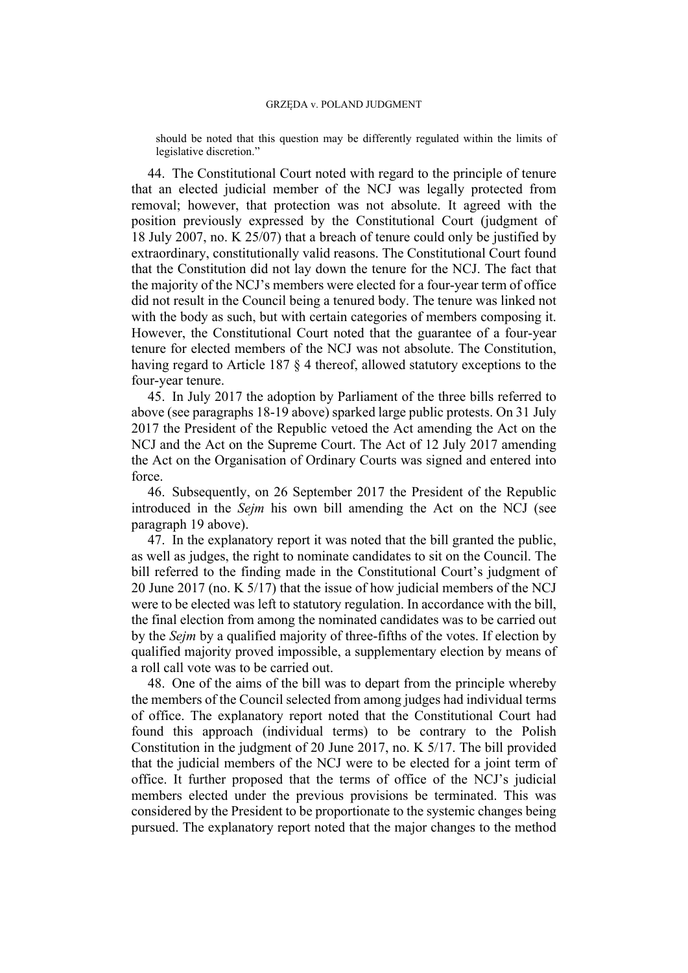should be noted that this question may be differently regulated within the limits of legislative discretion."

44. The Constitutional Court noted with regard to the principle of tenure that an elected judicial member of the NCJ was legally protected from removal; however, that protection was not absolute. It agreed with the position previously expressed by the Constitutional Court (judgment of 18 July 2007, no. K 25/07) that a breach of tenure could only be justified by extraordinary, constitutionally valid reasons. The Constitutional Court found that the Constitution did not lay down the tenure for the NCJ. The fact that the majority of the NCJ's members were elected for a four-year term of office did not result in the Council being a tenured body. The tenure was linked not with the body as such, but with certain categories of members composing it. However, the Constitutional Court noted that the guarantee of a four-year tenure for elected members of the NCJ was not absolute. The Constitution, having regard to Article 187 § 4 thereof, allowed statutory exceptions to the four-year tenure.

45. In July 2017 the adoption by Parliament of the three bills referred to above (see paragraphs 18-19 above) sparked large public protests. On 31 July 2017 the President of the Republic vetoed the Act amending the Act on the NCJ and the Act on the Supreme Court. The Act of 12 July 2017 amending the Act on the Organisation of Ordinary Courts was signed and entered into force.

46. Subsequently, on 26 September 2017 the President of the Republic introduced in the *Sejm* his own bill amending the Act on the NCJ (see paragraph 19 above).

47. In the explanatory report it was noted that the bill granted the public, as well as judges, the right to nominate candidates to sit on the Council. The bill referred to the finding made in the Constitutional Court's judgment of 20 June 2017 (no. K 5/17) that the issue of how judicial members of the NCJ were to be elected was left to statutory regulation. In accordance with the bill, the final election from among the nominated candidates was to be carried out by the *Sejm* by a qualified majority of three-fifths of the votes. If election by qualified majority proved impossible, a supplementary election by means of a roll call vote was to be carried out.

48. One of the aims of the bill was to depart from the principle whereby the members of the Council selected from among judges had individual terms of office. The explanatory report noted that the Constitutional Court had found this approach (individual terms) to be contrary to the Polish Constitution in the judgment of 20 June 2017, no. K 5/17. The bill provided that the judicial members of the NCJ were to be elected for a joint term of office. It further proposed that the terms of office of the NCJ's judicial members elected under the previous provisions be terminated. This was considered by the President to be proportionate to the systemic changes being pursued. The explanatory report noted that the major changes to the method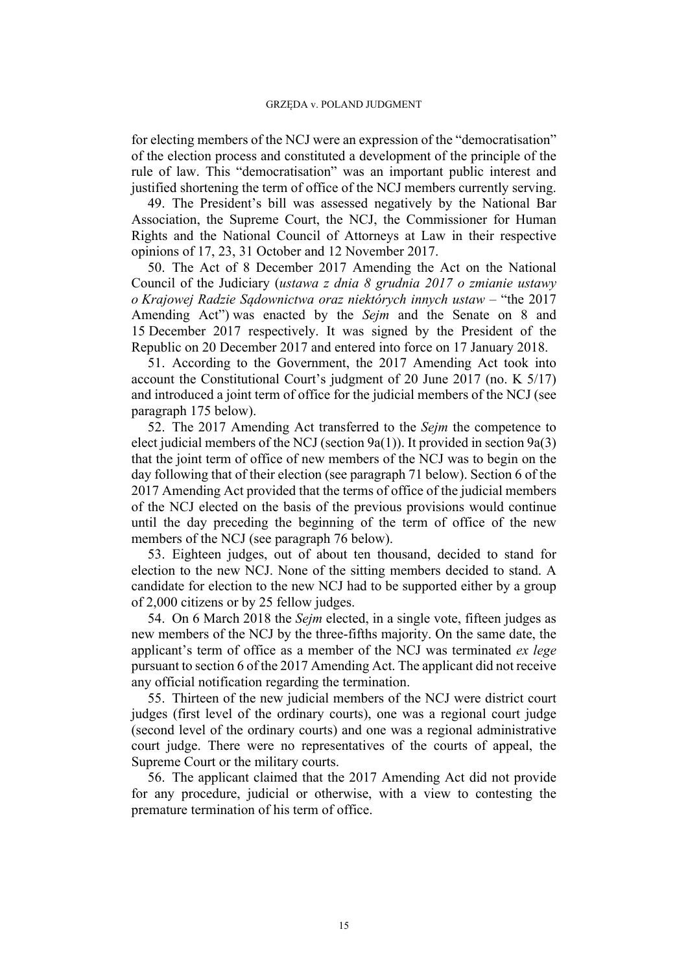for electing members of the NCJ were an expression of the "democratisation" of the election process and constituted a development of the principle of the rule of law. This "democratisation" was an important public interest and justified shortening the term of office of the NCJ members currently serving.

49. The President's bill was assessed negatively by the National Bar Association, the Supreme Court, the NCJ, the Commissioner for Human Rights and the National Council of Attorneys at Law in their respective opinions of 17, 23, 31 October and 12 November 2017.

50. The Act of 8 December 2017 Amending the Act on the National Council of the Judiciary (*ustawa z dnia 8 grudnia 2017 o zmianie ustawy o Krajowej Radzie Sądownictwa oraz niektórych innych ustaw* – "the 2017 Amending Act") was enacted by the *Sejm* and the Senate on 8 and 15 December 2017 respectively. It was signed by the President of the Republic on 20 December 2017 and entered into force on 17 January 2018.

51. According to the Government, the 2017 Amending Act took into account the Constitutional Court's judgment of 20 June 2017 (no. K 5/17) and introduced a joint term of office for the judicial members of the NCJ (see paragraph 175 below).

52. The 2017 Amending Act transferred to the *Sejm* the competence to elect judicial members of the NCJ (section 9a(1)). It provided in section 9a(3) that the joint term of office of new members of the NCJ was to begin on the day following that of their election (see paragraph 71 below). Section 6 of the 2017 Amending Act provided that the terms of office of the judicial members of the NCJ elected on the basis of the previous provisions would continue until the day preceding the beginning of the term of office of the new members of the NCJ (see paragraph 76 below).

53. Eighteen judges, out of about ten thousand, decided to stand for election to the new NCJ. None of the sitting members decided to stand. A candidate for election to the new NCJ had to be supported either by a group of 2,000 citizens or by 25 fellow judges.

54. On 6 March 2018 the *Sejm* elected, in a single vote, fifteen judges as new members of the NCJ by the three-fifths majority. On the same date, the applicant's term of office as a member of the NCJ was terminated *ex lege* pursuant to section 6 of the 2017 Amending Act. The applicant did not receive any official notification regarding the termination.

55. Thirteen of the new judicial members of the NCJ were district court judges (first level of the ordinary courts), one was a regional court judge (second level of the ordinary courts) and one was a regional administrative court judge. There were no representatives of the courts of appeal, the Supreme Court or the military courts.

56. The applicant claimed that the 2017 Amending Act did not provide for any procedure, judicial or otherwise, with a view to contesting the premature termination of his term of office.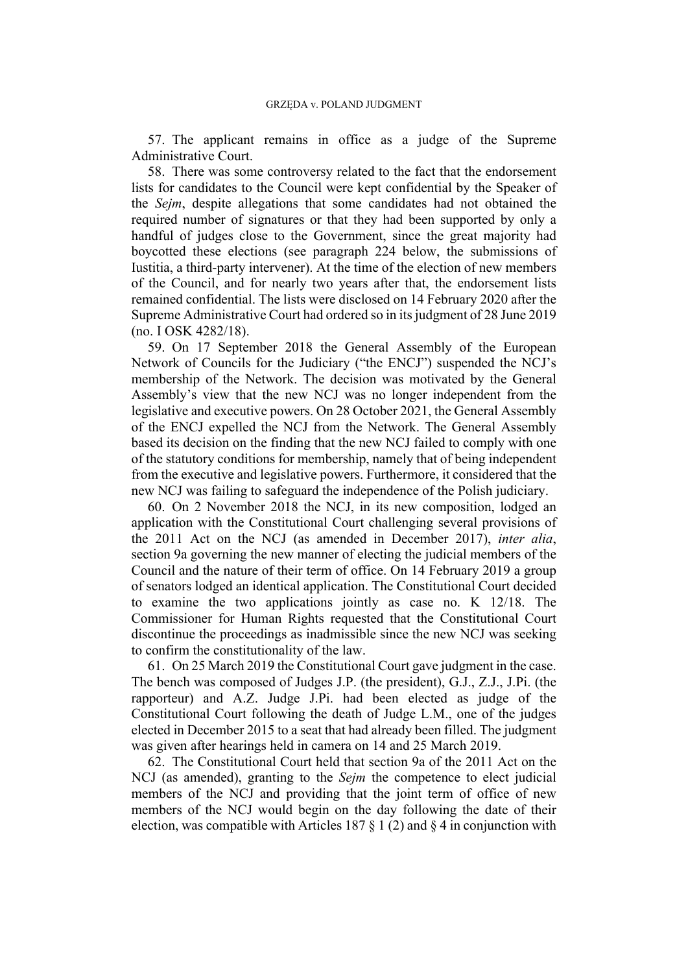57. The applicant remains in office as a judge of the Supreme Administrative Court.

58. There was some controversy related to the fact that the endorsement lists for candidates to the Council were kept confidential by the Speaker of the *Sejm*, despite allegations that some candidates had not obtained the required number of signatures or that they had been supported by only a handful of judges close to the Government, since the great majority had boycotted these elections (see paragraph 224 below, the submissions of Iustitia, a third-party intervener). At the time of the election of new members of the Council, and for nearly two years after that, the endorsement lists remained confidential. The lists were disclosed on 14 February 2020 after the Supreme Administrative Court had ordered so in its judgment of 28 June 2019 (no. I OSK 4282/18).

59. On 17 September 2018 the General Assembly of the European Network of Councils for the Judiciary ("the ENCJ") suspended the NCJ's membership of the Network. The decision was motivated by the General Assembly's view that the new NCJ was no longer independent from the legislative and executive powers. On 28 October 2021, the General Assembly of the ENCJ expelled the NCJ from the Network. The General Assembly based its decision on the finding that the new NCJ failed to comply with one of the statutory conditions for membership, namely that of being independent from the executive and legislative powers. Furthermore, it considered that the new NCJ was failing to safeguard the independence of the Polish judiciary.

60. On 2 November 2018 the NCJ, in its new composition, lodged an application with the Constitutional Court challenging several provisions of the 2011 Act on the NCJ (as amended in December 2017), *inter alia*, section 9a governing the new manner of electing the judicial members of the Council and the nature of their term of office. On 14 February 2019 a group of senators lodged an identical application. The Constitutional Court decided to examine the two applications jointly as case no. K 12/18. The Commissioner for Human Rights requested that the Constitutional Court discontinue the proceedings as inadmissible since the new NCJ was seeking to confirm the constitutionality of the law.

61. On 25 March 2019 the Constitutional Court gave judgment in the case. The bench was composed of Judges J.P. (the president), G.J., Z.J., J.Pi. (the rapporteur) and A.Z. Judge J.Pi. had been elected as judge of the Constitutional Court following the death of Judge L.M., one of the judges elected in December 2015 to a seat that had already been filled. The judgment was given after hearings held in camera on 14 and 25 March 2019.

62. The Constitutional Court held that section 9a of the 2011 Act on the NCJ (as amended), granting to the *Sejm* the competence to elect judicial members of the NCJ and providing that the joint term of office of new members of the NCJ would begin on the day following the date of their election, was compatible with Articles 187  $\S$  1 (2) and  $\S$  4 in conjunction with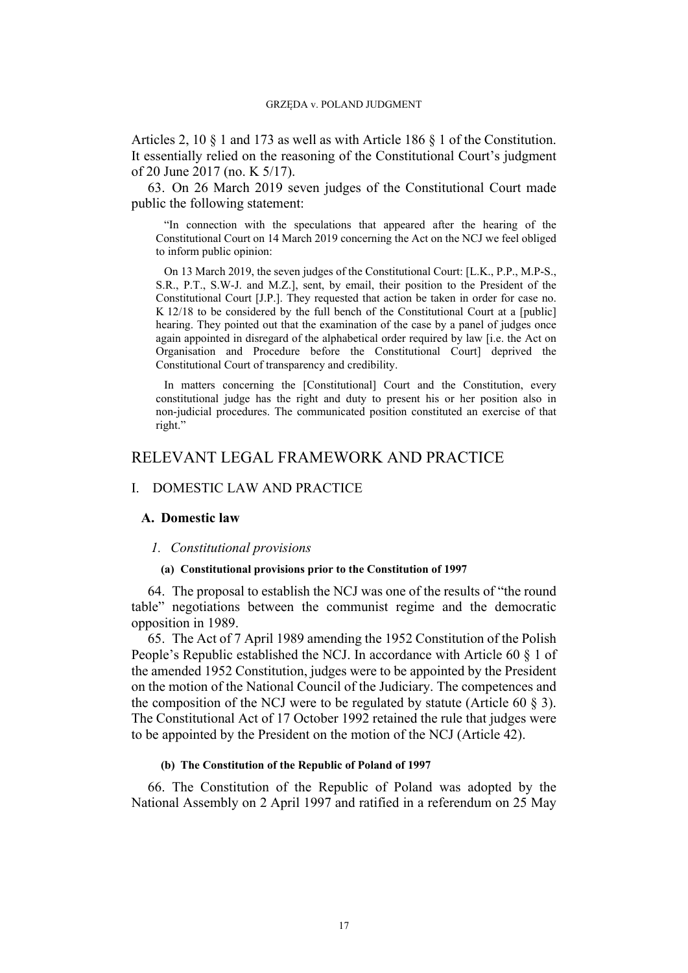Articles 2, 10 § 1 and 173 as well as with Article 186 § 1 of the Constitution. It essentially relied on the reasoning of the Constitutional Court's judgment of 20 June 2017 (no. K 5/17).

63. On 26 March 2019 seven judges of the Constitutional Court made public the following statement:

"In connection with the speculations that appeared after the hearing of the Constitutional Court on 14 March 2019 concerning the Act on the NCJ we feel obliged to inform public opinion:

On 13 March 2019, the seven judges of the Constitutional Court: [L.K., P.P., M.P-S., S.R., P.T., S.W-J. and M.Z.], sent, by email, their position to the President of the Constitutional Court [J.P.]. They requested that action be taken in order for case no. K 12/18 to be considered by the full bench of the Constitutional Court at a [public] hearing. They pointed out that the examination of the case by a panel of judges once again appointed in disregard of the alphabetical order required by law [i.e. the Act on Organisation and Procedure before the Constitutional Court] deprived the Constitutional Court of transparency and credibility.

In matters concerning the [Constitutional] Court and the Constitution, every constitutional judge has the right and duty to present his or her position also in non-judicial procedures. The communicated position constituted an exercise of that right."

## <span id="page-18-0"></span>RELEVANT LEGAL FRAMEWORK AND PRACTICE

## <span id="page-18-1"></span>I. DOMESTIC LAW AND PRACTICE

### <span id="page-18-2"></span>**A. Domestic law**

#### *1. Constitutional provisions*

#### **(a) Constitutional provisions prior to the Constitution of 1997**

64. The proposal to establish the NCJ was one of the results of "the round table" negotiations between the communist regime and the democratic opposition in 1989.

65. The Act of 7 April 1989 amending the 1952 Constitution of the Polish People's Republic established the NCJ. In accordance with Article 60 § 1 of the amended 1952 Constitution, judges were to be appointed by the President on the motion of the National Council of the Judiciary. The competences and the composition of the NCJ were to be regulated by statute (Article 60 § 3). The Constitutional Act of 17 October 1992 retained the rule that judges were to be appointed by the President on the motion of the NCJ (Article 42).

## **(b) The Constitution of the Republic of Poland of 1997**

66. The Constitution of the Republic of Poland was adopted by the National Assembly on 2 April 1997 and ratified in a referendum on 25 May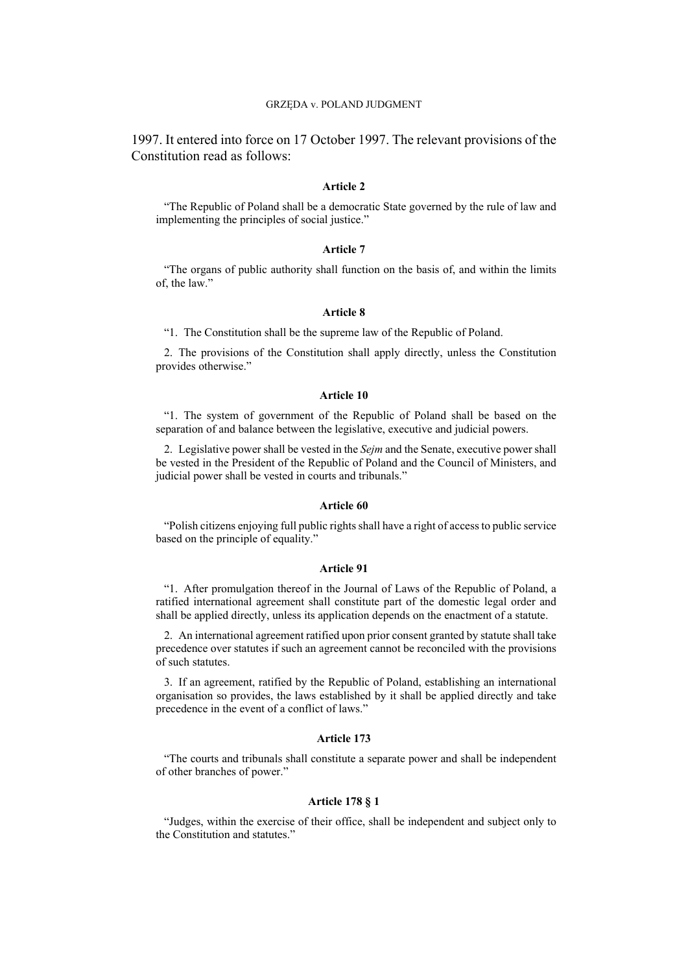1997. It entered into force on 17 October 1997. The relevant provisions of the Constitution read as follows:

#### **Article 2**

"The Republic of Poland shall be a democratic State governed by the rule of law and implementing the principles of social justice."

#### **Article 7**

"The organs of public authority shall function on the basis of, and within the limits of, the law."

#### **Article 8**

"1. The Constitution shall be the supreme law of the Republic of Poland.

2. The provisions of the Constitution shall apply directly, unless the Constitution provides otherwise."

#### **Article 10**

"1. The system of government of the Republic of Poland shall be based on the separation of and balance between the legislative, executive and judicial powers.

2. Legislative power shall be vested in the *Sejm* and the Senate, executive power shall be vested in the President of the Republic of Poland and the Council of Ministers, and judicial power shall be vested in courts and tribunals."

#### **Article 60**

"Polish citizens enjoying full public rights shall have a right of access to public service based on the principle of equality."

#### **Article 91**

"1. After promulgation thereof in the Journal of Laws of the Republic of Poland, a ratified international agreement shall constitute part of the domestic legal order and shall be applied directly, unless its application depends on the enactment of a statute.

2. An international agreement ratified upon prior consent granted by statute shall take precedence over statutes if such an agreement cannot be reconciled with the provisions of such statutes.

3. If an agreement, ratified by the Republic of Poland, establishing an international organisation so provides, the laws established by it shall be applied directly and take precedence in the event of a conflict of laws."

#### **Article 173**

"The courts and tribunals shall constitute a separate power and shall be independent of other branches of power."

#### **Article 178 § 1**

"Judges, within the exercise of their office, shall be independent and subject only to the Constitution and statutes."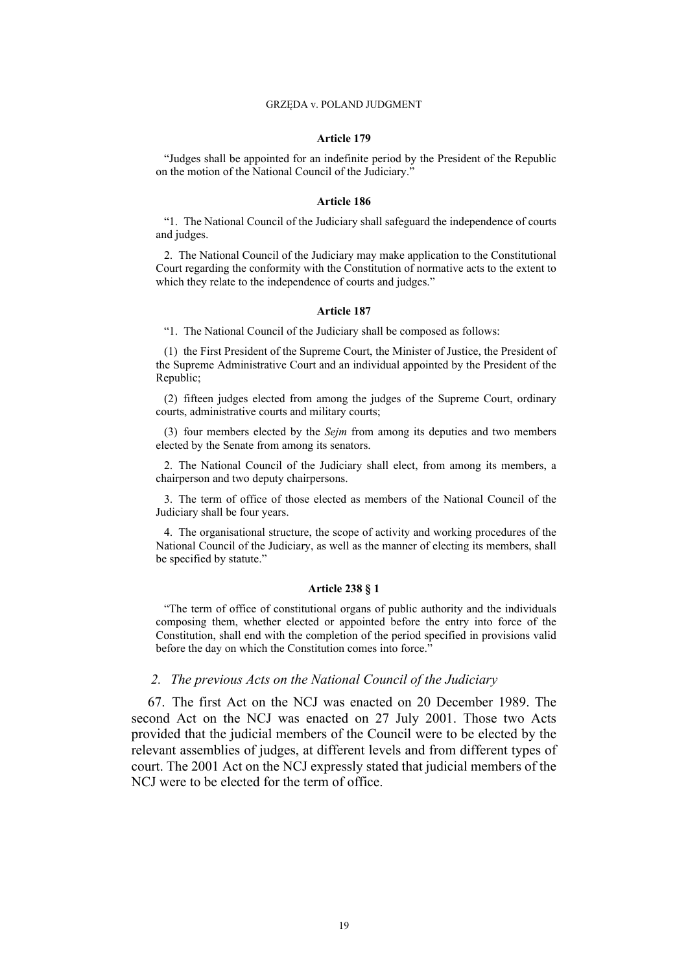#### **Article 179**

"Judges shall be appointed for an indefinite period by the President of the Republic on the motion of the National Council of the Judiciary."

#### **Article 186**

"1. The National Council of the Judiciary shall safeguard the independence of courts and judges.

2. The National Council of the Judiciary may make application to the Constitutional Court regarding the conformity with the Constitution of normative acts to the extent to which they relate to the independence of courts and judges."

#### **Article 187**

"1. The National Council of the Judiciary shall be composed as follows:

(1) the First President of the Supreme Court, the Minister of Justice, the President of the Supreme Administrative Court and an individual appointed by the President of the Republic;

(2) fifteen judges elected from among the judges of the Supreme Court, ordinary courts, administrative courts and military courts;

(3) four members elected by the *Sejm* from among its deputies and two members elected by the Senate from among its senators.

2. The National Council of the Judiciary shall elect, from among its members, a chairperson and two deputy chairpersons.

3. The term of office of those elected as members of the National Council of the Judiciary shall be four years.

4. The organisational structure, the scope of activity and working procedures of the National Council of the Judiciary, as well as the manner of electing its members, shall be specified by statute."

#### **Article 238 § 1**

"The term of office of constitutional organs of public authority and the individuals composing them, whether elected or appointed before the entry into force of the Constitution, shall end with the completion of the period specified in provisions valid before the day on which the Constitution comes into force."

## *2. The previous Acts on the National Council of the Judiciary*

67. The first Act on the NCJ was enacted on 20 December 1989. The second Act on the NCJ was enacted on 27 July 2001. Those two Acts provided that the judicial members of the Council were to be elected by the relevant assemblies of judges, at different levels and from different types of court. The 2001 Act on the NCJ expressly stated that judicial members of the NCJ were to be elected for the term of office.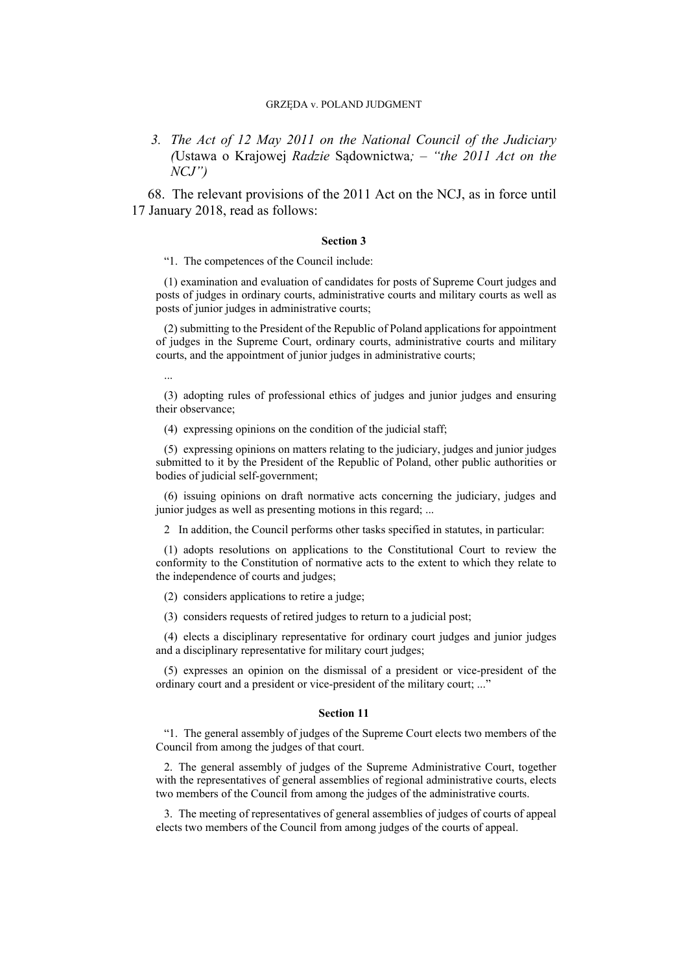## *3. The Act of 12 May 2011 on the National Council of the Judiciary (*Ustawa o Krajowej *Radzie* Sądownictwa*; – "the 2011 Act on the NCJ")*

68. The relevant provisions of the 2011 Act on the NCJ, as in force until 17 January 2018, read as follows:

### **Section 3**

"1. The competences of the Council include:

(1) examination and evaluation of candidates for posts of Supreme Court judges and posts of judges in ordinary courts, administrative courts and military courts as well as posts of junior judges in administrative courts;

(2) submitting to the President of the Republic of Poland applications for appointment of judges in the Supreme Court, ordinary courts, administrative courts and military courts, and the appointment of junior judges in administrative courts;

...

(3) adopting rules of professional ethics of judges and junior judges and ensuring their observance;

(4) expressing opinions on the condition of the judicial staff;

(5) expressing opinions on matters relating to the judiciary, judges and junior judges submitted to it by the President of the Republic of Poland, other public authorities or bodies of judicial self-government;

(6) issuing opinions on draft normative acts concerning the judiciary, judges and junior judges as well as presenting motions in this regard; ...

2 In addition, the Council performs other tasks specified in statutes, in particular:

(1) adopts resolutions on applications to the Constitutional Court to review the conformity to the Constitution of normative acts to the extent to which they relate to the independence of courts and judges;

(2) considers applications to retire a judge;

(3) considers requests of retired judges to return to a judicial post;

(4) elects a disciplinary representative for ordinary court judges and junior judges and a disciplinary representative for military court judges;

(5) expresses an opinion on the dismissal of a president or vice-president of the ordinary court and a president or vice-president of the military court; ..."

#### **Section 11**

"1. The general assembly of judges of the Supreme Court elects two members of the Council from among the judges of that court.

2. The general assembly of judges of the Supreme Administrative Court, together with the representatives of general assemblies of regional administrative courts, elects two members of the Council from among the judges of the administrative courts.

3. The meeting of representatives of general assemblies of judges of courts of appeal elects two members of the Council from among judges of the courts of appeal.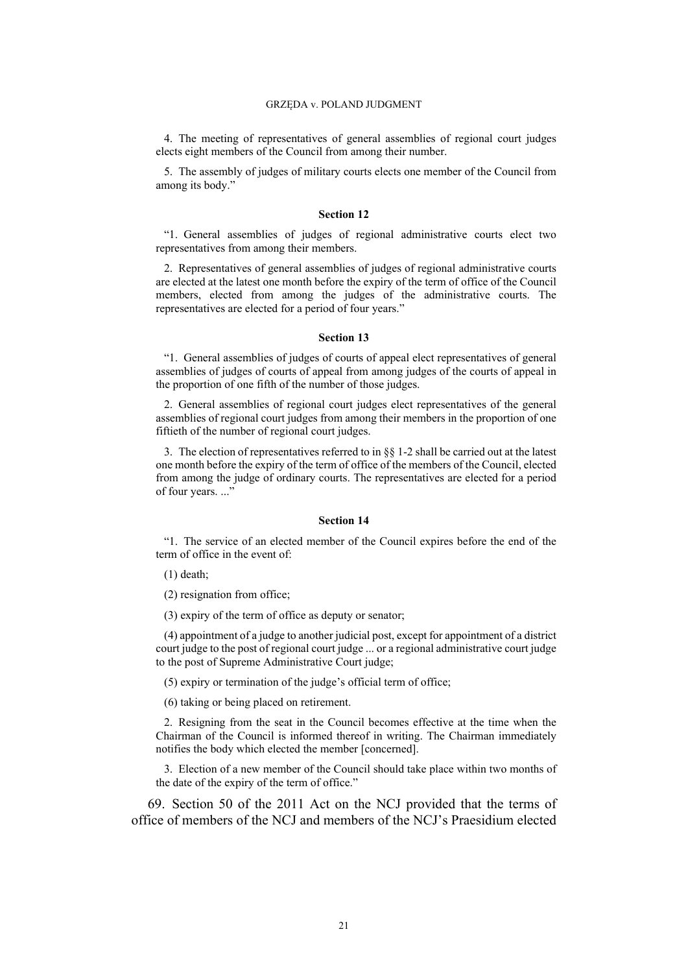4. The meeting of representatives of general assemblies of regional court judges elects eight members of the Council from among their number.

5. The assembly of judges of military courts elects one member of the Council from among its body."

#### **Section 12**

"1. General assemblies of judges of regional administrative courts elect two representatives from among their members.

2. Representatives of general assemblies of judges of regional administrative courts are elected at the latest one month before the expiry of the term of office of the Council members, elected from among the judges of the administrative courts. The representatives are elected for a period of four years."

#### **Section 13**

"1. General assemblies of judges of courts of appeal elect representatives of general assemblies of judges of courts of appeal from among judges of the courts of appeal in the proportion of one fifth of the number of those judges.

2. General assemblies of regional court judges elect representatives of the general assemblies of regional court judges from among their members in the proportion of one fiftieth of the number of regional court judges.

3. The election of representatives referred to in §§ 1-2 shall be carried out at the latest one month before the expiry of the term of office of the members of the Council, elected from among the judge of ordinary courts. The representatives are elected for a period of four years. ..."

#### **Section 14**

"1. The service of an elected member of the Council expires before the end of the term of office in the event of:

(1) death;

(2) resignation from office;

(3) expiry of the term of office as deputy or senator;

(4) appointment of a judge to another judicial post, except for appointment of a district court judge to the post of regional court judge ... or a regional administrative court judge to the post of Supreme Administrative Court judge;

(5) expiry or termination of the judge's official term of office;

(6) taking or being placed on retirement.

2. Resigning from the seat in the Council becomes effective at the time when the Chairman of the Council is informed thereof in writing. The Chairman immediately notifies the body which elected the member [concerned].

3. Election of a new member of the Council should take place within two months of the date of the expiry of the term of office."

69. Section 50 of the 2011 Act on the NCJ provided that the terms of office of members of the NCJ and members of the NCJ's Praesidium elected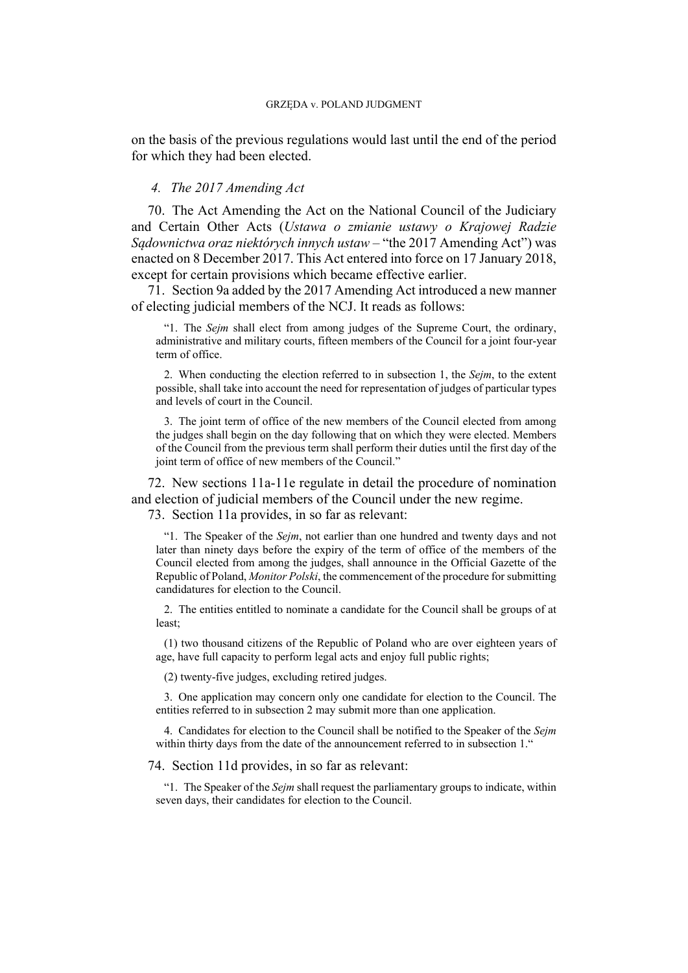on the basis of the previous regulations would last until the end of the period for which they had been elected.

## *4. The 2017 Amending Act*

70. The Act Amending the Act on the National Council of the Judiciary and Certain Other Acts (*Ustawa o zmianie ustawy o Krajowej Radzie Sądownictwa oraz niektórych innych ustaw* – "the 2017 Amending Act") was enacted on 8 December 2017. This Act entered into force on 17 January 2018, except for certain provisions which became effective earlier.

71. Section 9a added by the 2017 Amending Act introduced a new manner of electing judicial members of the NCJ. It reads as follows:

"1. The *Sejm* shall elect from among judges of the Supreme Court, the ordinary, administrative and military courts, fifteen members of the Council for a joint four-year term of office.

2. When conducting the election referred to in subsection 1, the *Sejm*, to the extent possible, shall take into account the need for representation of judges of particular types and levels of court in the Council.

3. The joint term of office of the new members of the Council elected from among the judges shall begin on the day following that on which they were elected. Members of the Council from the previous term shall perform their duties until the first day of the joint term of office of new members of the Council."

72. New sections 11a-11e regulate in detail the procedure of nomination and election of judicial members of the Council under the new regime.

73. Section 11a provides, in so far as relevant:

"1. The Speaker of the *Sejm*, not earlier than one hundred and twenty days and not later than ninety days before the expiry of the term of office of the members of the Council elected from among the judges, shall announce in the Official Gazette of the Republic of Poland, *Monitor Polski*, the commencement of the procedure for submitting candidatures for election to the Council.

2. The entities entitled to nominate a candidate for the Council shall be groups of at least;

(1) two thousand citizens of the Republic of Poland who are over eighteen years of age, have full capacity to perform legal acts and enjoy full public rights;

(2) twenty-five judges, excluding retired judges.

3. One application may concern only one candidate for election to the Council. The entities referred to in subsection 2 may submit more than one application.

4. Candidates for election to the Council shall be notified to the Speaker of the *Sejm* within thirty days from the date of the announcement referred to in subsection 1."

74. Section 11d provides, in so far as relevant:

"1. The Speaker of the *Sejm* shall request the parliamentary groups to indicate, within seven days, their candidates for election to the Council.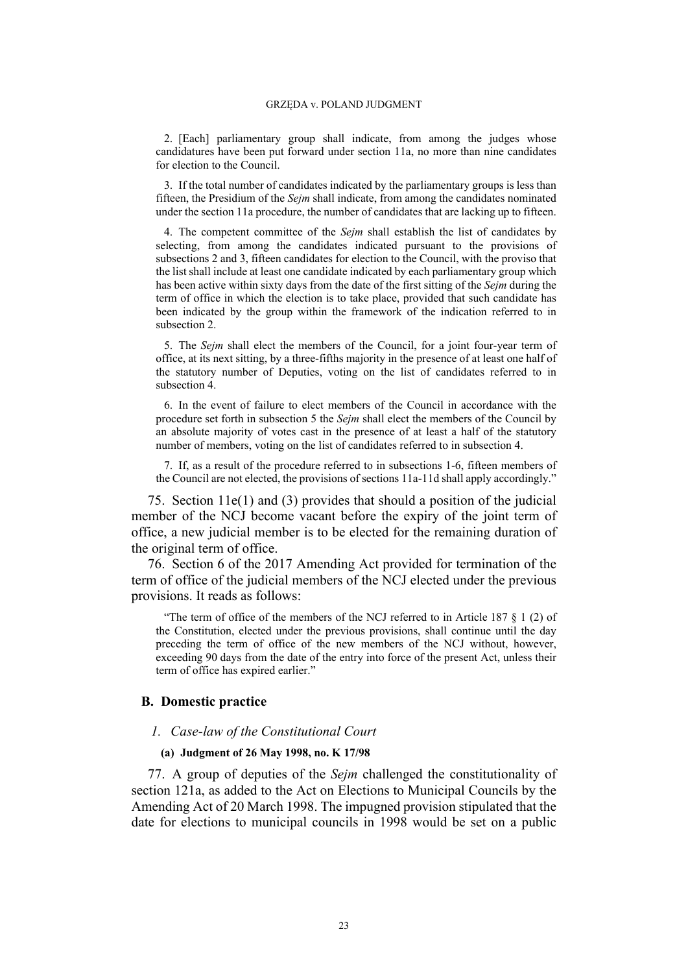2. [Each] parliamentary group shall indicate, from among the judges whose candidatures have been put forward under section 11a, no more than nine candidates for election to the Council.

3. If the total number of candidates indicated by the parliamentary groups is less than fifteen, the Presidium of the *Sejm* shall indicate, from among the candidates nominated under the section 11a procedure, the number of candidates that are lacking up to fifteen.

4. The competent committee of the *Sejm* shall establish the list of candidates by selecting, from among the candidates indicated pursuant to the provisions of subsections 2 and 3, fifteen candidates for election to the Council, with the proviso that the list shall include at least one candidate indicated by each parliamentary group which has been active within sixty days from the date of the first sitting of the *Sejm* during the term of office in which the election is to take place, provided that such candidate has been indicated by the group within the framework of the indication referred to in subsection 2.

5. The *Sejm* shall elect the members of the Council, for a joint four-year term of office, at its next sitting, by a three-fifths majority in the presence of at least one half of the statutory number of Deputies, voting on the list of candidates referred to in subsection 4.

6. In the event of failure to elect members of the Council in accordance with the procedure set forth in subsection 5 the *Sejm* shall elect the members of the Council by an absolute majority of votes cast in the presence of at least a half of the statutory number of members, voting on the list of candidates referred to in subsection 4.

7. If, as a result of the procedure referred to in subsections 1-6, fifteen members of the Council are not elected, the provisions of sections 11a-11d shall apply accordingly."

75. Section 11e(1) and (3) provides that should a position of the judicial member of the NCJ become vacant before the expiry of the joint term of office, a new judicial member is to be elected for the remaining duration of the original term of office.

76. Section 6 of the 2017 Amending Act provided for termination of the term of office of the judicial members of the NCJ elected under the previous provisions. It reads as follows:

"The term of office of the members of the NCJ referred to in Article 187  $\S$  1 (2) of the Constitution, elected under the previous provisions, shall continue until the day preceding the term of office of the new members of the NCJ without, however, exceeding 90 days from the date of the entry into force of the present Act, unless their term of office has expired earlier."

### <span id="page-24-0"></span>**B. Domestic practice**

## *1. Case-law of the Constitutional Court*

## **(a) Judgment of 26 May 1998, no. K 17/98**

77. A group of deputies of the *Sejm* challenged the constitutionality of section 121a, as added to the Act on Elections to Municipal Councils by the Amending Act of 20 March 1998. The impugned provision stipulated that the date for elections to municipal councils in 1998 would be set on a public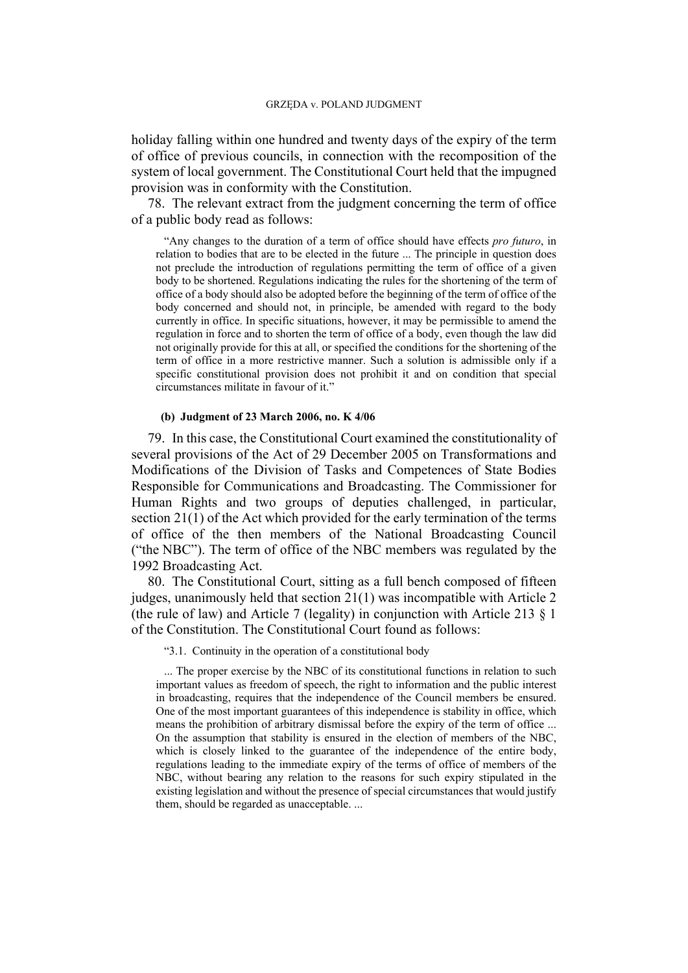holiday falling within one hundred and twenty days of the expiry of the term of office of previous councils, in connection with the recomposition of the system of local government. The Constitutional Court held that the impugned provision was in conformity with the Constitution.

78. The relevant extract from the judgment concerning the term of office of a public body read as follows:

"Any changes to the duration of a term of office should have effects *pro futuro*, in relation to bodies that are to be elected in the future ... The principle in question does not preclude the introduction of regulations permitting the term of office of a given body to be shortened. Regulations indicating the rules for the shortening of the term of office of a body should also be adopted before the beginning of the term of office of the body concerned and should not, in principle, be amended with regard to the body currently in office. In specific situations, however, it may be permissible to amend the regulation in force and to shorten the term of office of a body, even though the law did not originally provide for this at all, or specified the conditions for the shortening of the term of office in a more restrictive manner. Such a solution is admissible only if a specific constitutional provision does not prohibit it and on condition that special circumstances militate in favour of it."

### **(b) Judgment of 23 March 2006, no. K 4/06**

79. In this case, the Constitutional Court examined the constitutionality of several provisions of the Act of 29 December 2005 on Transformations and Modifications of the Division of Tasks and Competences of State Bodies Responsible for Communications and Broadcasting. The Commissioner for Human Rights and two groups of deputies challenged, in particular, section 21(1) of the Act which provided for the early termination of the terms of office of the then members of the National Broadcasting Council ("the NBC"). The term of office of the NBC members was regulated by the 1992 Broadcasting Act.

80. The Constitutional Court, sitting as a full bench composed of fifteen judges, unanimously held that section 21(1) was incompatible with Article 2 (the rule of law) and Article 7 (legality) in conjunction with Article 213 § 1 of the Constitution. The Constitutional Court found as follows:

"3.1. Continuity in the operation of a constitutional body

... The proper exercise by the NBC of its constitutional functions in relation to such important values as freedom of speech, the right to information and the public interest in broadcasting, requires that the independence of the Council members be ensured. One of the most important guarantees of this independence is stability in office, which means the prohibition of arbitrary dismissal before the expiry of the term of office ... On the assumption that stability is ensured in the election of members of the NBC, which is closely linked to the guarantee of the independence of the entire body, regulations leading to the immediate expiry of the terms of office of members of the NBC, without bearing any relation to the reasons for such expiry stipulated in the existing legislation and without the presence of special circumstances that would justify them, should be regarded as unacceptable. ...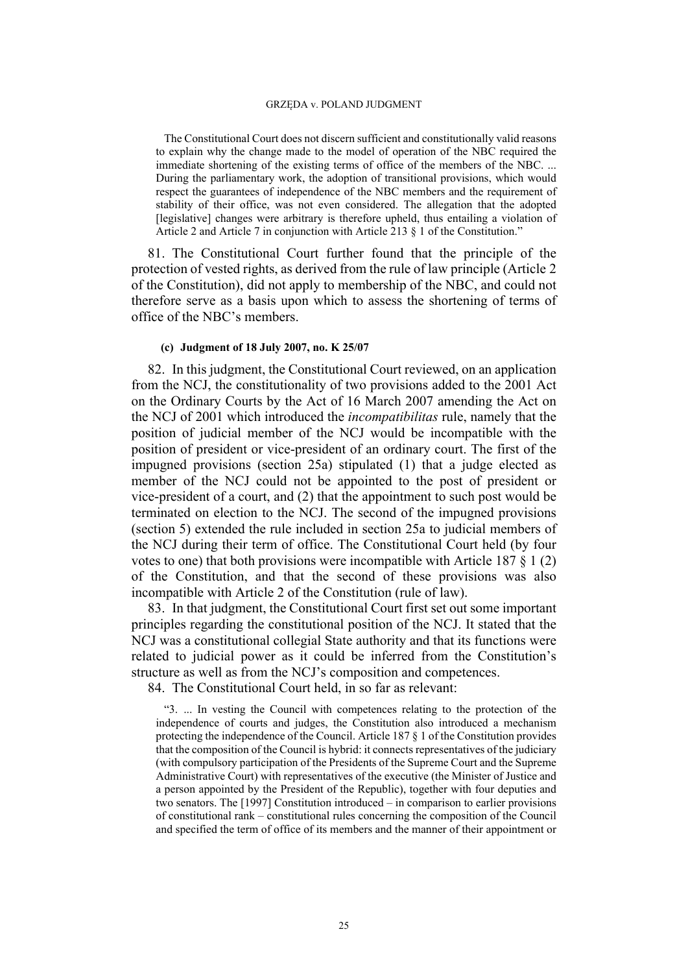The Constitutional Court does not discern sufficient and constitutionally valid reasons to explain why the change made to the model of operation of the NBC required the immediate shortening of the existing terms of office of the members of the NBC. ... During the parliamentary work, the adoption of transitional provisions, which would respect the guarantees of independence of the NBC members and the requirement of stability of their office, was not even considered. The allegation that the adopted [legislative] changes were arbitrary is therefore upheld, thus entailing a violation of Article 2 and Article 7 in conjunction with Article 213 § 1 of the Constitution."

81. The Constitutional Court further found that the principle of the protection of vested rights, as derived from the rule of law principle (Article 2 of the Constitution), did not apply to membership of the NBC, and could not therefore serve as a basis upon which to assess the shortening of terms of office of the NBC's members.

## **(c) Judgment of 18 July 2007, no. K 25/07**

82. In this judgment, the Constitutional Court reviewed, on an application from the NCJ, the constitutionality of two provisions added to the 2001 Act on the Ordinary Courts by the Act of 16 March 2007 amending the Act on the NCJ of 2001 which introduced the *incompatibilitas* rule, namely that the position of judicial member of the NCJ would be incompatible with the position of president or vice-president of an ordinary court. The first of the impugned provisions (section 25a) stipulated (1) that a judge elected as member of the NCJ could not be appointed to the post of president or vice-president of a court, and (2) that the appointment to such post would be terminated on election to the NCJ. The second of the impugned provisions (section 5) extended the rule included in section 25a to judicial members of the NCJ during their term of office. The Constitutional Court held (by four votes to one) that both provisions were incompatible with Article 187 § 1 (2) of the Constitution, and that the second of these provisions was also incompatible with Article 2 of the Constitution (rule of law).

83. In that judgment, the Constitutional Court first set out some important principles regarding the constitutional position of the NCJ. It stated that the NCJ was a constitutional collegial State authority and that its functions were related to judicial power as it could be inferred from the Constitution's structure as well as from the NCJ's composition and competences.

84. The Constitutional Court held, in so far as relevant:

"3. ... In vesting the Council with competences relating to the protection of the independence of courts and judges, the Constitution also introduced a mechanism protecting the independence of the Council. Article 187 § 1 of the Constitution provides that the composition of the Council is hybrid: it connects representatives of the judiciary (with compulsory participation of the Presidents of the Supreme Court and the Supreme Administrative Court) with representatives of the executive (the Minister of Justice and a person appointed by the President of the Republic), together with four deputies and two senators. The [1997] Constitution introduced – in comparison to earlier provisions of constitutional rank – constitutional rules concerning the composition of the Council and specified the term of office of its members and the manner of their appointment or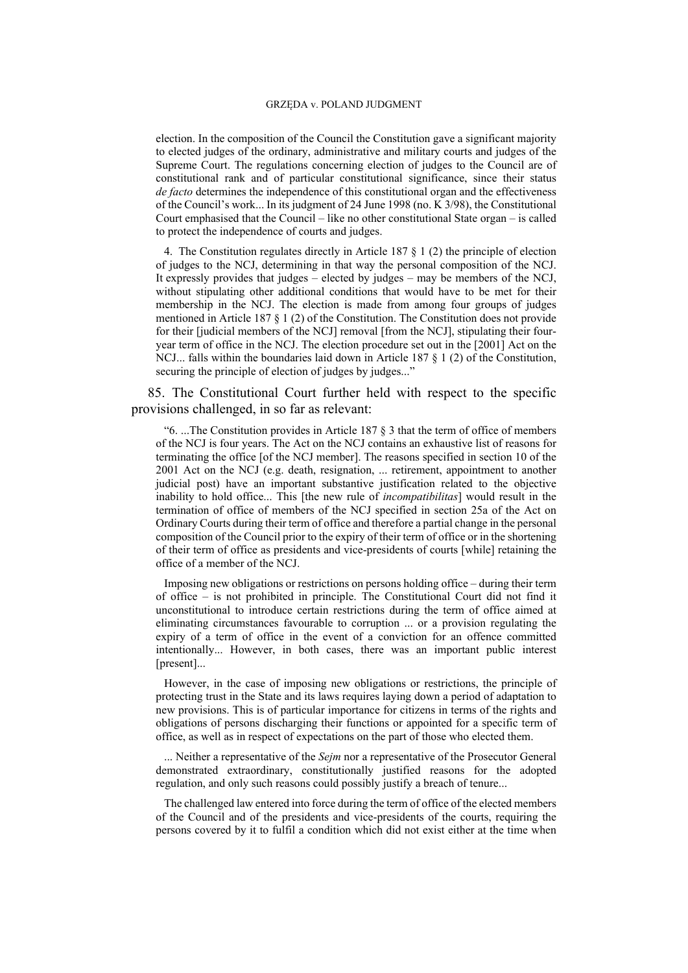election. In the composition of the Council the Constitution gave a significant majority to elected judges of the ordinary, administrative and military courts and judges of the Supreme Court. The regulations concerning election of judges to the Council are of constitutional rank and of particular constitutional significance, since their status *de facto* determines the independence of this constitutional organ and the effectiveness of the Council's work... In its judgment of 24 June 1998 (no. K 3/98), the Constitutional Court emphasised that the Council – like no other constitutional State organ – is called to protect the independence of courts and judges.

4. The Constitution regulates directly in Article 187 § 1 (2) the principle of election of judges to the NCJ, determining in that way the personal composition of the NCJ. It expressly provides that judges – elected by judges – may be members of the NCJ, without stipulating other additional conditions that would have to be met for their membership in the NCJ. The election is made from among four groups of judges mentioned in Article 187 § 1 (2) of the Constitution. The Constitution does not provide for their [judicial members of the NCJ] removal [from the NCJ], stipulating their fouryear term of office in the NCJ. The election procedure set out in the [2001] Act on the NCJ... falls within the boundaries laid down in Article 187 § 1 (2) of the Constitution, securing the principle of election of judges by judges..."

85. The Constitutional Court further held with respect to the specific provisions challenged, in so far as relevant:

"6. ...The Constitution provides in Article 187 § 3 that the term of office of members of the NCJ is four years. The Act on the NCJ contains an exhaustive list of reasons for terminating the office [of the NCJ member]. The reasons specified in section 10 of the 2001 Act on the NCJ (e.g. death, resignation, ... retirement, appointment to another judicial post) have an important substantive justification related to the objective inability to hold office... This [the new rule of *incompatibilitas*] would result in the termination of office of members of the NCJ specified in section 25a of the Act on Ordinary Courts during their term of office and therefore a partial change in the personal composition of the Council prior to the expiry of their term of office or in the shortening of their term of office as presidents and vice-presidents of courts [while] retaining the office of a member of the NCJ.

Imposing new obligations or restrictions on persons holding office – during their term of office – is not prohibited in principle. The Constitutional Court did not find it unconstitutional to introduce certain restrictions during the term of office aimed at eliminating circumstances favourable to corruption ... or a provision regulating the expiry of a term of office in the event of a conviction for an offence committed intentionally... However, in both cases, there was an important public interest [present]...

However, in the case of imposing new obligations or restrictions, the principle of protecting trust in the State and its laws requires laying down a period of adaptation to new provisions. This is of particular importance for citizens in terms of the rights and obligations of persons discharging their functions or appointed for a specific term of office, as well as in respect of expectations on the part of those who elected them.

... Neither a representative of the *Sejm* nor a representative of the Prosecutor General demonstrated extraordinary, constitutionally justified reasons for the adopted regulation, and only such reasons could possibly justify a breach of tenure...

The challenged law entered into force during the term of office of the elected members of the Council and of the presidents and vice-presidents of the courts, requiring the persons covered by it to fulfil a condition which did not exist either at the time when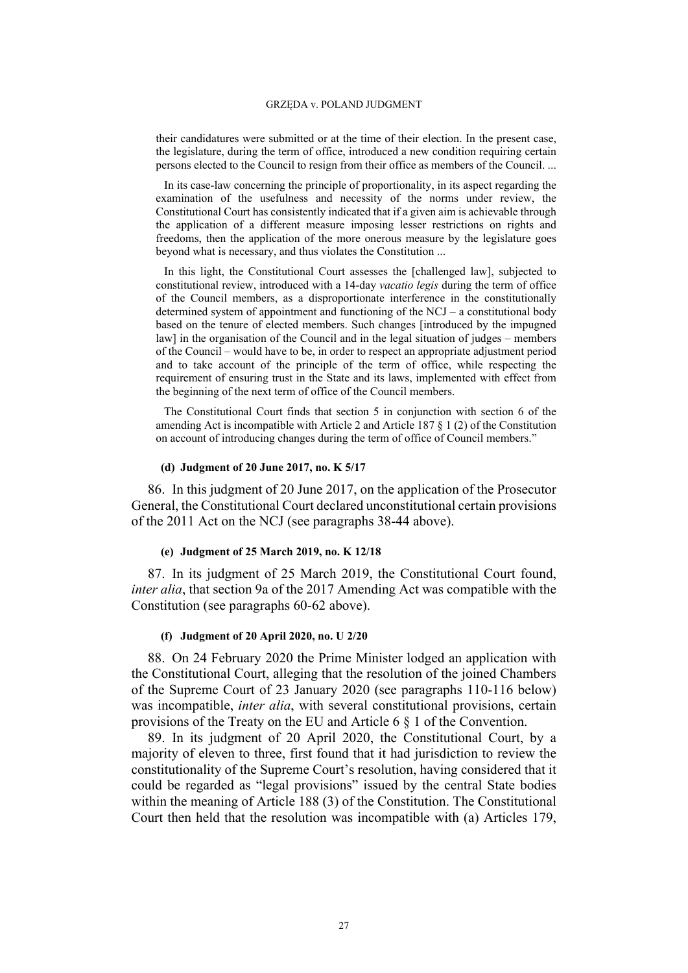their candidatures were submitted or at the time of their election. In the present case, the legislature, during the term of office, introduced a new condition requiring certain persons elected to the Council to resign from their office as members of the Council. ...

In its case-law concerning the principle of proportionality, in its aspect regarding the examination of the usefulness and necessity of the norms under review, the Constitutional Court has consistently indicated that if a given aim is achievable through the application of a different measure imposing lesser restrictions on rights and freedoms, then the application of the more onerous measure by the legislature goes beyond what is necessary, and thus violates the Constitution ...

In this light, the Constitutional Court assesses the [challenged law], subjected to constitutional review, introduced with a 14-day *vacatio legis* during the term of office of the Council members, as a disproportionate interference in the constitutionally determined system of appointment and functioning of the NCJ – a constitutional body based on the tenure of elected members. Such changes [introduced by the impugned law] in the organisation of the Council and in the legal situation of judges – members of the Council – would have to be, in order to respect an appropriate adjustment period and to take account of the principle of the term of office, while respecting the requirement of ensuring trust in the State and its laws, implemented with effect from the beginning of the next term of office of the Council members.

The Constitutional Court finds that section 5 in conjunction with section 6 of the amending Act is incompatible with Article 2 and Article 187 § 1 (2) of the Constitution on account of introducing changes during the term of office of Council members."

#### **(d) Judgment of 20 June 2017, no. K 5/17**

86. In this judgment of 20 June 2017, on the application of the Prosecutor General, the Constitutional Court declared unconstitutional certain provisions of the 2011 Act on the NCJ (see paragraphs 38-44 above).

### **(e) Judgment of 25 March 2019, no. K 12/18**

87. In its judgment of 25 March 2019, the Constitutional Court found, *inter alia*, that section 9a of the 2017 Amending Act was compatible with the Constitution (see paragraphs 60-62 above).

### **(f) Judgment of 20 April 2020, no. U 2/20**

88. On 24 February 2020 the Prime Minister lodged an application with the Constitutional Court, alleging that the resolution of the joined Chambers of the Supreme Court of 23 January 2020 (see paragraphs 110-116 below) was incompatible, *inter alia*, with several constitutional provisions, certain provisions of the Treaty on the EU and Article 6 § 1 of the Convention.

89. In its judgment of 20 April 2020, the Constitutional Court, by a majority of eleven to three, first found that it had jurisdiction to review the constitutionality of the Supreme Court's resolution, having considered that it could be regarded as "legal provisions" issued by the central State bodies within the meaning of Article 188 (3) of the Constitution. The Constitutional Court then held that the resolution was incompatible with (a) Articles 179,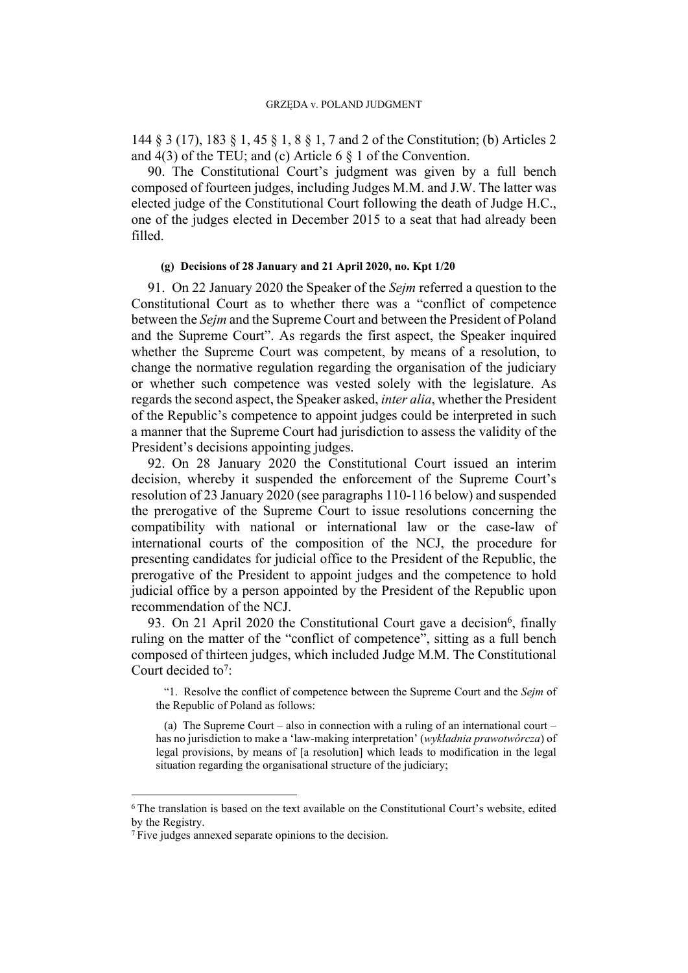144 § 3 (17), 183 § 1, 45 § 1, 8 § 1, 7 and 2 of the Constitution; (b) Articles 2 and 4(3) of the TEU; and (c) Article 6 § 1 of the Convention.

90. The Constitutional Court's judgment was given by a full bench composed of fourteen judges, including Judges M.M. and J.W. The latter was elected judge of the Constitutional Court following the death of Judge H.C., one of the judges elected in December 2015 to a seat that had already been filled.

### **(g) Decisions of 28 January and 21 April 2020, no. Kpt 1/20**

91. On 22 January 2020 the Speaker of the *Sejm* referred a question to the Constitutional Court as to whether there was a "conflict of competence between the *Sejm* and the Supreme Court and between the President of Poland and the Supreme Court". As regards the first aspect, the Speaker inquired whether the Supreme Court was competent, by means of a resolution, to change the normative regulation regarding the organisation of the judiciary or whether such competence was vested solely with the legislature. As regards the second aspect, the Speaker asked, *inter alia*, whether the President of the Republic's competence to appoint judges could be interpreted in such a manner that the Supreme Court had jurisdiction to assess the validity of the President's decisions appointing judges.

92. On 28 January 2020 the Constitutional Court issued an interim decision, whereby it suspended the enforcement of the Supreme Court's resolution of 23 January 2020 (see paragraphs 110-116 below) and suspended the prerogative of the Supreme Court to issue resolutions concerning the compatibility with national or international law or the case-law of international courts of the composition of the NCJ, the procedure for presenting candidates for judicial office to the President of the Republic, the prerogative of the President to appoint judges and the competence to hold judicial office by a person appointed by the President of the Republic upon recommendation of the NCJ.

93. On 21 April 2020 the Constitutional Court gave a decision<sup>6</sup>, finally ruling on the matter of the "conflict of competence", sitting as a full bench composed of thirteen judges, which included Judge M.M. The Constitutional Court decided to<sup>7</sup>:

"1. Resolve the conflict of competence between the Supreme Court and the *Sejm* of the Republic of Poland as follows:

(a) The Supreme Court – also in connection with a ruling of an international court – has no jurisdiction to make a 'law-making interpretation' (*wykładnia prawotwórcza*) of legal provisions, by means of [a resolution] which leads to modification in the legal situation regarding the organisational structure of the judiciary;

 $6$  The translation is based on the text available on the Constitutional Court's website, edited by the Registry.

<sup>7</sup> Five judges annexed separate opinions to the decision.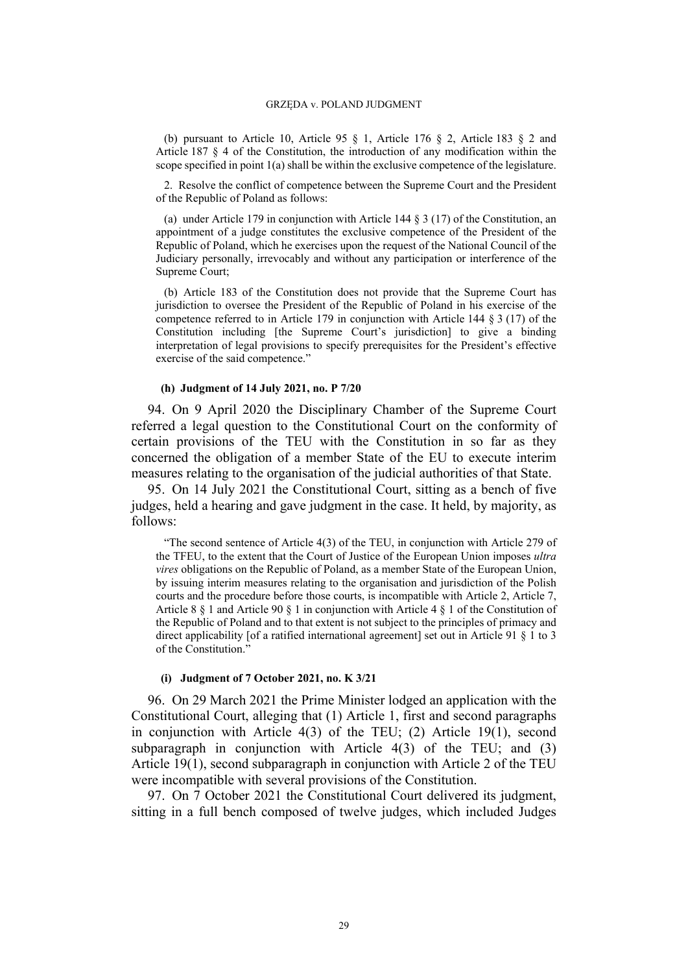(b) pursuant to Article 10, Article 95 § 1, Article 176 § 2, Article 183 § 2 and Article 187 § 4 of the Constitution, the introduction of any modification within the scope specified in point 1(a) shall be within the exclusive competence of the legislature.

2. Resolve the conflict of competence between the Supreme Court and the President of the Republic of Poland as follows:

(a) under Article 179 in conjunction with Article 144 § 3 (17) of the Constitution, an appointment of a judge constitutes the exclusive competence of the President of the Republic of Poland, which he exercises upon the request of the National Council of the Judiciary personally, irrevocably and without any participation or interference of the Supreme Court;

(b) Article 183 of the Constitution does not provide that the Supreme Court has jurisdiction to oversee the President of the Republic of Poland in his exercise of the competence referred to in Article 179 in conjunction with Article 144 § 3 (17) of the Constitution including [the Supreme Court's jurisdiction] to give a binding interpretation of legal provisions to specify prerequisites for the President's effective exercise of the said competence."

### **(h) Judgment of 14 July 2021, no. P 7/20**

94. On 9 April 2020 the Disciplinary Chamber of the Supreme Court referred a legal question to the Constitutional Court on the conformity of certain provisions of the TEU with the Constitution in so far as they concerned the obligation of a member State of the EU to execute interim measures relating to the organisation of the judicial authorities of that State.

95. On 14 July 2021 the Constitutional Court, sitting as a bench of five judges, held a hearing and gave judgment in the case. It held, by majority, as follows:

"The second sentence of Article 4(3) of the TEU, in conjunction with Article 279 of the TFEU, to the extent that the Court of Justice of the European Union imposes *ultra vires* obligations on the Republic of Poland, as a member State of the European Union, by issuing interim measures relating to the organisation and jurisdiction of the Polish courts and the procedure before those courts, is incompatible with Article 2, Article 7, Article 8 § 1 and Article 90 § 1 in conjunction with Article 4 § 1 of the Constitution of the Republic of Poland and to that extent is not subject to the principles of primacy and direct applicability [of a ratified international agreement] set out in Article 91 § 1 to 3 of the Constitution."

#### **(i) Judgment of 7 October 2021, no. K 3/21**

96. On 29 March 2021 the Prime Minister lodged an application with the Constitutional Court, alleging that (1) Article 1, first and second paragraphs in conjunction with Article 4(3) of the TEU; (2) Article 19(1), second subparagraph in conjunction with Article  $4(3)$  of the TEU; and  $(3)$ Article 19(1), second subparagraph in conjunction with Article 2 of the TEU were incompatible with several provisions of the Constitution.

97. On 7 October 2021 the Constitutional Court delivered its judgment, sitting in a full bench composed of twelve judges, which included Judges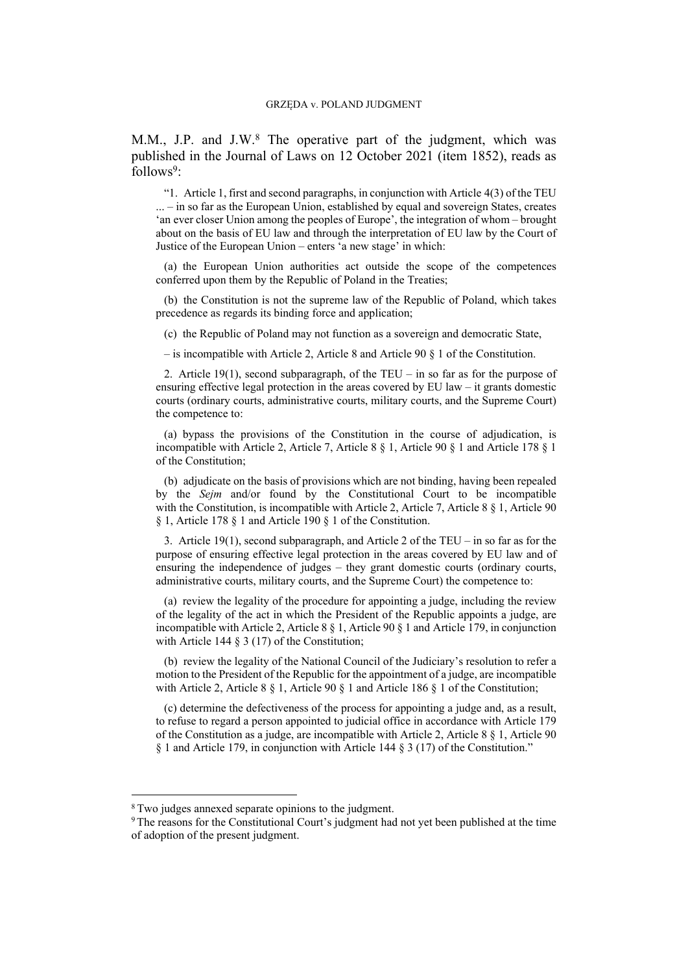M.M., J.P. and J.W.<sup>8</sup> The operative part of the judgment, which was published in the Journal of Laws on 12 October 2021 (item 1852), reads as follows<sup>9</sup>:

"1. Article 1, first and second paragraphs, in conjunction with Article 4(3) of the TEU ... – in so far as the European Union, established by equal and sovereign States, creates 'an ever closer Union among the peoples of Europe', the integration of whom – brought about on the basis of EU law and through the interpretation of EU law by the Court of Justice of the European Union – enters 'a new stage' in which:

(a) the European Union authorities act outside the scope of the competences conferred upon them by the Republic of Poland in the Treaties;

(b) the Constitution is not the supreme law of the Republic of Poland, which takes precedence as regards its binding force and application;

(c) the Republic of Poland may not function as a sovereign and democratic State,

– is incompatible with Article 2, Article 8 and Article 90 § 1 of the Constitution.

2. Article 19(1), second subparagraph, of the TEU – in so far as for the purpose of ensuring effective legal protection in the areas covered by EU law – it grants domestic courts (ordinary courts, administrative courts, military courts, and the Supreme Court) the competence to:

(a) bypass the provisions of the Constitution in the course of adjudication, is incompatible with Article 2, Article 7, Article 8 § 1, Article 90 § 1 and Article 178 § 1 of the Constitution;

(b) adjudicate on the basis of provisions which are not binding, having been repealed by the *Sejm* and/or found by the Constitutional Court to be incompatible with the Constitution, is incompatible with Article 2, Article 7, Article 8  $\S$  1, Article 90 § 1, Article 178 § 1 and Article 190 § 1 of the Constitution.

3. Article 19(1), second subparagraph, and Article 2 of the TEU – in so far as for the purpose of ensuring effective legal protection in the areas covered by EU law and of ensuring the independence of judges – they grant domestic courts (ordinary courts, administrative courts, military courts, and the Supreme Court) the competence to:

(a) review the legality of the procedure for appointing a judge, including the review of the legality of the act in which the President of the Republic appoints a judge, are incompatible with Article 2, Article 8 § 1, Article 90 § 1 and Article 179, in conjunction with Article 144 § 3 (17) of the Constitution;

(b) review the legality of the National Council of the Judiciary's resolution to refer a motion to the President of the Republic for the appointment of a judge, are incompatible with Article 2, Article 8 § 1, Article 90 § 1 and Article 186 § 1 of the Constitution;

(c) determine the defectiveness of the process for appointing a judge and, as a result, to refuse to regard a person appointed to judicial office in accordance with Article 179 of the Constitution as a judge, are incompatible with Article 2, Article 8 § 1, Article 90 § 1 and Article 179, in conjunction with Article 144 § 3 (17) of the Constitution."

<sup>8</sup>Two judges annexed separate opinions to the judgment.

<sup>&</sup>lt;sup>9</sup>The reasons for the Constitutional Court's judgment had not yet been published at the time of adoption of the present judgment.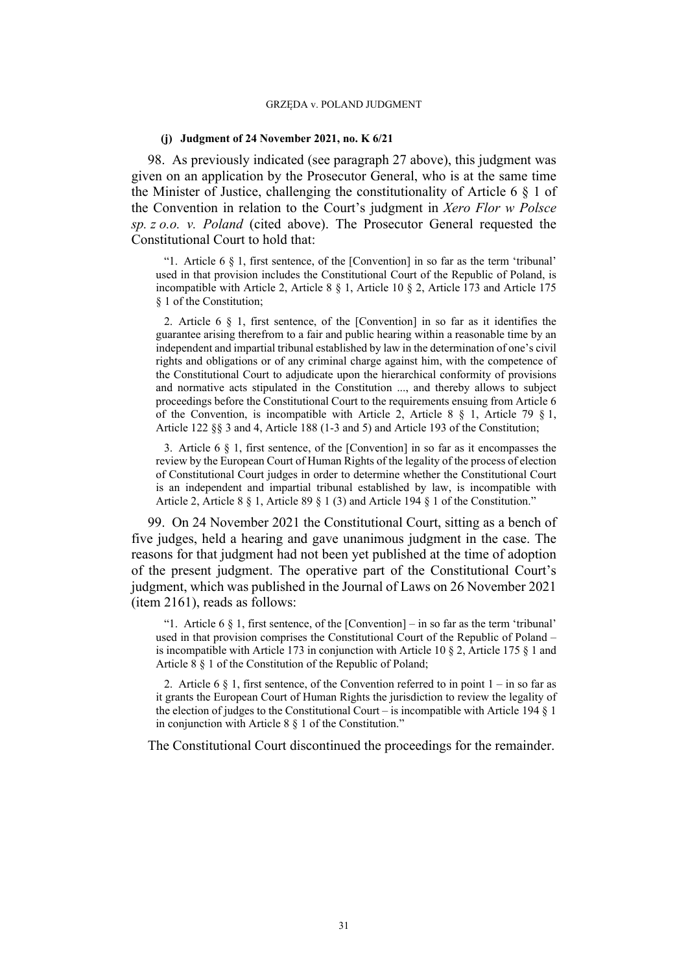### **(j) Judgment of 24 November 2021, no. K 6/21**

98. As previously indicated (see paragraph 27 above), this judgment was given on an application by the Prosecutor General, who is at the same time the Minister of Justice, challenging the constitutionality of Article 6 § 1 of the Convention in relation to the Court's judgment in *Xero Flor w Polsce sp. z o.o. v. Poland* (cited above). The Prosecutor General requested the Constitutional Court to hold that:

"1. Article 6 § 1, first sentence, of the [Convention] in so far as the term 'tribunal' used in that provision includes the Constitutional Court of the Republic of Poland, is incompatible with Article 2, Article 8 § 1, Article 10 § 2, Article 173 and Article 175 § 1 of the Constitution;

2. Article 6 § 1, first sentence, of the [Convention] in so far as it identifies the guarantee arising therefrom to a fair and public hearing within a reasonable time by an independent and impartial tribunal established by law in the determination of one's civil rights and obligations or of any criminal charge against him, with the competence of the Constitutional Court to adjudicate upon the hierarchical conformity of provisions and normative acts stipulated in the Constitution ..., and thereby allows to subject proceedings before the Constitutional Court to the requirements ensuing from Article 6 of the Convention, is incompatible with Article 2, Article 8 § 1, Article 79 § 1, Article 122 §§ 3 and 4, Article 188 (1-3 and 5) and Article 193 of the Constitution;

3. Article 6 § 1, first sentence, of the [Convention] in so far as it encompasses the review by the European Court of Human Rights of the legality of the process of election of Constitutional Court judges in order to determine whether the Constitutional Court is an independent and impartial tribunal established by law, is incompatible with Article 2, Article 8 § 1, Article 89 § 1 (3) and Article 194 § 1 of the Constitution."

99. On 24 November 2021 the Constitutional Court, sitting as a bench of five judges, held a hearing and gave unanimous judgment in the case. The reasons for that judgment had not been yet published at the time of adoption of the present judgment. The operative part of the Constitutional Court's judgment, which was published in the Journal of Laws on 26 November 2021 (item 2161), reads as follows:

"1. Article 6  $\S$  1, first sentence, of the [Convention] – in so far as the term 'tribunal' used in that provision comprises the Constitutional Court of the Republic of Poland – is incompatible with Article 173 in conjunction with Article 10 § 2, Article 175 § 1 and Article 8 § 1 of the Constitution of the Republic of Poland;

2. Article 6  $\S$  1, first sentence, of the Convention referred to in point  $1 -$  in so far as it grants the European Court of Human Rights the jurisdiction to review the legality of the election of judges to the Constitutional Court – is incompatible with Article 194  $\S$  1 in conjunction with Article 8 § 1 of the Constitution."

The Constitutional Court discontinued the proceedings for the remainder.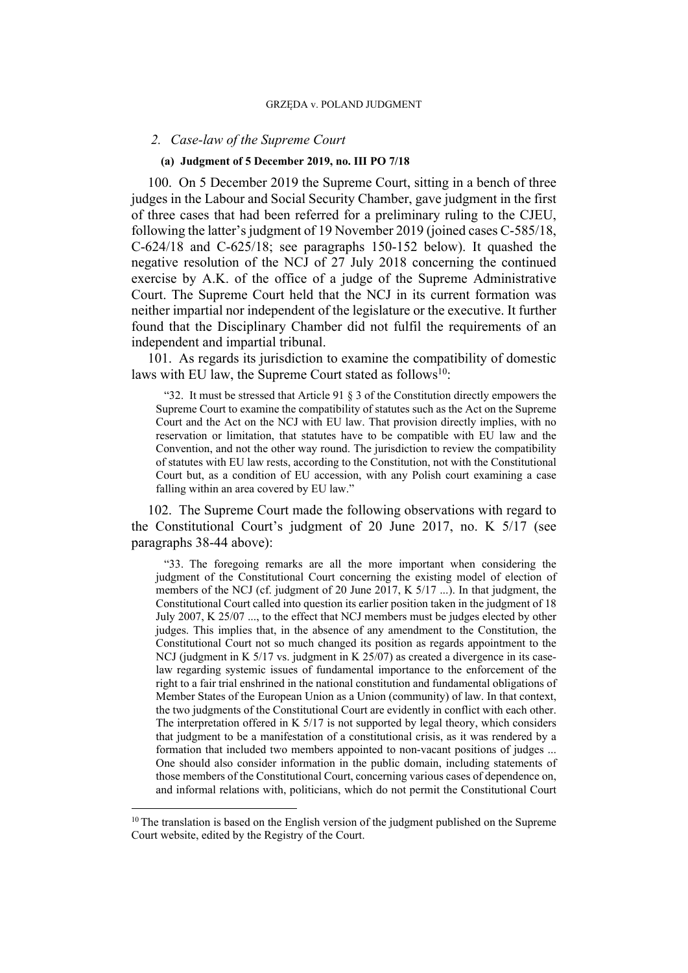### *2. Case-law of the Supreme Court*

### **(a) Judgment of 5 December 2019, no. III PO 7/18**

100. On 5 December 2019 the Supreme Court, sitting in a bench of three judges in the Labour and Social Security Chamber, gave judgment in the first of three cases that had been referred for a preliminary ruling to the CJEU, following the latter's judgment of 19 November 2019 (joined cases C-585/18, C-624/18 and C-625/18; see paragraphs 150-152 below). It quashed the negative resolution of the NCJ of 27 July 2018 concerning the continued exercise by A.K. of the office of a judge of the Supreme Administrative Court. The Supreme Court held that the NCJ in its current formation was neither impartial nor independent of the legislature or the executive. It further found that the Disciplinary Chamber did not fulfil the requirements of an independent and impartial tribunal.

101. As regards its jurisdiction to examine the compatibility of domestic laws with EU law, the Supreme Court stated as follows<sup>10</sup>:

"32. It must be stressed that Article 91  $\S$  3 of the Constitution directly empowers the Supreme Court to examine the compatibility of statutes such as the Act on the Supreme Court and the Act on the NCJ with EU law. That provision directly implies, with no reservation or limitation, that statutes have to be compatible with EU law and the Convention, and not the other way round. The jurisdiction to review the compatibility of statutes with EU law rests, according to the Constitution, not with the Constitutional Court but, as a condition of EU accession, with any Polish court examining a case falling within an area covered by EU law."

102. The Supreme Court made the following observations with regard to the Constitutional Court's judgment of 20 June 2017, no. K 5/17 (see paragraphs 38-44 above):

"33. The foregoing remarks are all the more important when considering the judgment of the Constitutional Court concerning the existing model of election of members of the NCJ (cf. judgment of 20 June 2017, K 5/17 ...). In that judgment, the Constitutional Court called into question its earlier position taken in the judgment of 18 July 2007, K 25/07 ..., to the effect that NCJ members must be judges elected by other judges. This implies that, in the absence of any amendment to the Constitution, the Constitutional Court not so much changed its position as regards appointment to the NCJ (judgment in K 5/17 vs. judgment in K 25/07) as created a divergence in its caselaw regarding systemic issues of fundamental importance to the enforcement of the right to a fair trial enshrined in the national constitution and fundamental obligations of Member States of the European Union as a Union (community) of law. In that context, the two judgments of the Constitutional Court are evidently in conflict with each other. The interpretation offered in K 5/17 is not supported by legal theory, which considers that judgment to be a manifestation of a constitutional crisis, as it was rendered by a formation that included two members appointed to non-vacant positions of judges ... One should also consider information in the public domain, including statements of those members of the Constitutional Court, concerning various cases of dependence on, and informal relations with, politicians, which do not permit the Constitutional Court

<sup>&</sup>lt;sup>10</sup>The translation is based on the English version of the judgment published on the Supreme Court website, edited by the Registry of the Court.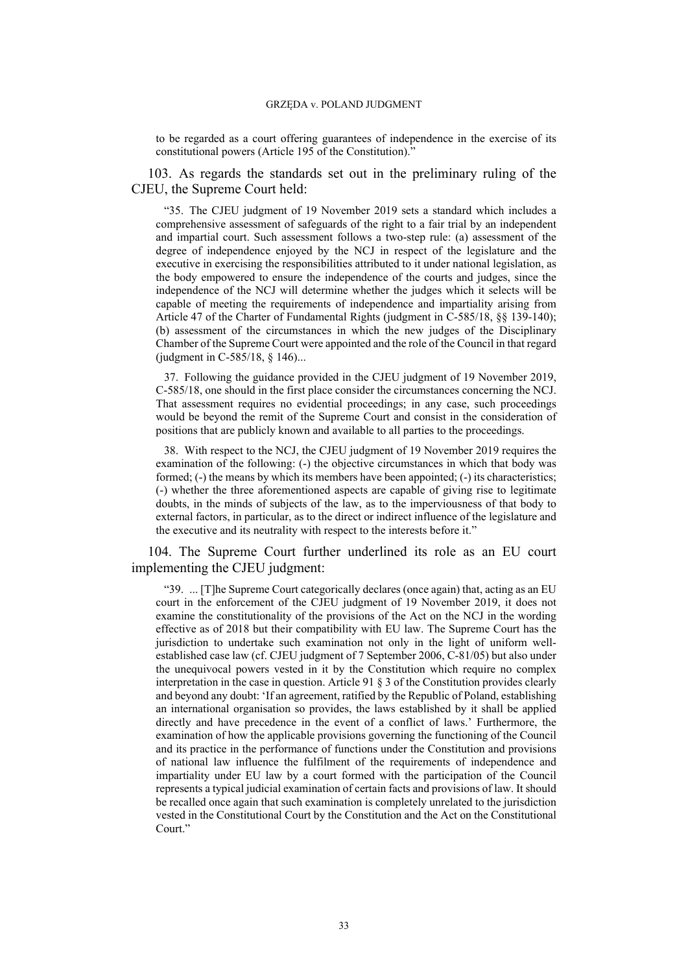to be regarded as a court offering guarantees of independence in the exercise of its constitutional powers (Article 195 of the Constitution)."

103. As regards the standards set out in the preliminary ruling of the CJEU, the Supreme Court held:

"35. The CJEU judgment of 19 November 2019 sets a standard which includes a comprehensive assessment of safeguards of the right to a fair trial by an independent and impartial court. Such assessment follows a two-step rule: (a) assessment of the degree of independence enjoyed by the NCJ in respect of the legislature and the executive in exercising the responsibilities attributed to it under national legislation, as the body empowered to ensure the independence of the courts and judges, since the independence of the NCJ will determine whether the judges which it selects will be capable of meeting the requirements of independence and impartiality arising from Article 47 of the Charter of Fundamental Rights (judgment in C-585/18, §§ 139-140); (b) assessment of the circumstances in which the new judges of the Disciplinary Chamber of the Supreme Court were appointed and the role of the Council in that regard (judgment in C-585/18, § 146)...

37. Following the guidance provided in the CJEU judgment of 19 November 2019, C-585/18, one should in the first place consider the circumstances concerning the NCJ. That assessment requires no evidential proceedings; in any case, such proceedings would be beyond the remit of the Supreme Court and consist in the consideration of positions that are publicly known and available to all parties to the proceedings.

38. With respect to the NCJ, the CJEU judgment of 19 November 2019 requires the examination of the following: (-) the objective circumstances in which that body was formed; (-) the means by which its members have been appointed; (-) its characteristics; (-) whether the three aforementioned aspects are capable of giving rise to legitimate doubts, in the minds of subjects of the law, as to the imperviousness of that body to external factors, in particular, as to the direct or indirect influence of the legislature and the executive and its neutrality with respect to the interests before it."

104. The Supreme Court further underlined its role as an EU court implementing the CJEU judgment:

"39. ... [T]he Supreme Court categorically declares (once again) that, acting as an EU court in the enforcement of the CJEU judgment of 19 November 2019, it does not examine the constitutionality of the provisions of the Act on the NCJ in the wording effective as of 2018 but their compatibility with EU law. The Supreme Court has the jurisdiction to undertake such examination not only in the light of uniform wellestablished case law (cf. CJEU judgment of 7 September 2006, C-81/05) but also under the unequivocal powers vested in it by the Constitution which require no complex interpretation in the case in question. Article 91 § 3 of the Constitution provides clearly and beyond any doubt: 'If an agreement, ratified by the Republic of Poland, establishing an international organisation so provides, the laws established by it shall be applied directly and have precedence in the event of a conflict of laws.' Furthermore, the examination of how the applicable provisions governing the functioning of the Council and its practice in the performance of functions under the Constitution and provisions of national law influence the fulfilment of the requirements of independence and impartiality under EU law by a court formed with the participation of the Council represents a typical judicial examination of certain facts and provisions of law. It should be recalled once again that such examination is completely unrelated to the jurisdiction vested in the Constitutional Court by the Constitution and the Act on the Constitutional Court."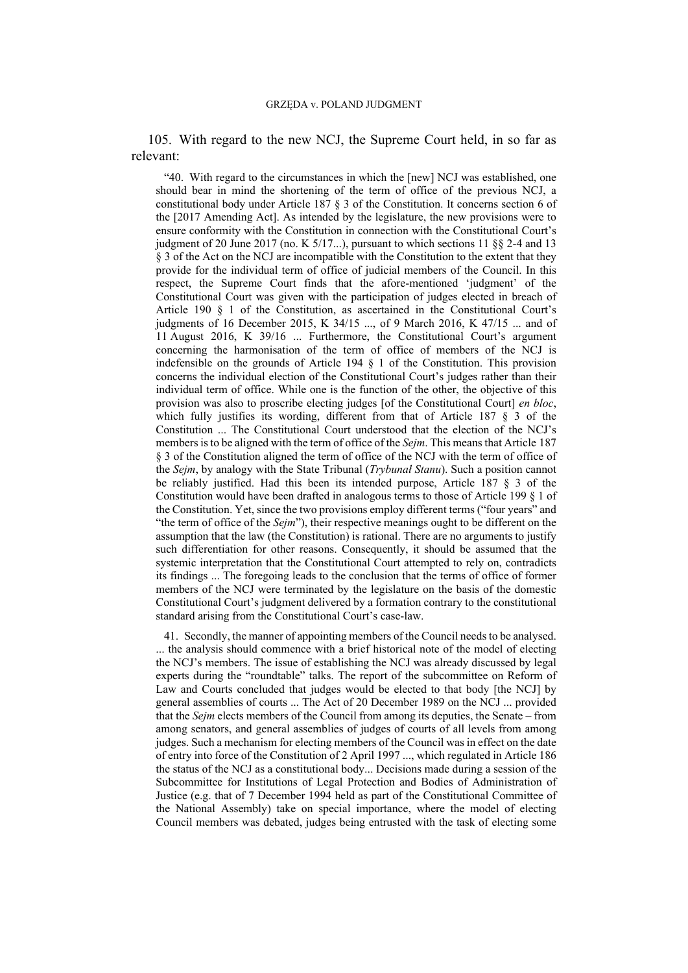105. With regard to the new NCJ, the Supreme Court held, in so far as relevant:

"40. With regard to the circumstances in which the [new] NCJ was established, one should bear in mind the shortening of the term of office of the previous NCJ, a constitutional body under Article 187 § 3 of the Constitution. It concerns section 6 of the [2017 Amending Act]. As intended by the legislature, the new provisions were to ensure conformity with the Constitution in connection with the Constitutional Court's judgment of 20 June 2017 (no. K 5/17...), pursuant to which sections 11 §§ 2-4 and 13 § 3 of the Act on the NCJ are incompatible with the Constitution to the extent that they provide for the individual term of office of judicial members of the Council. In this respect, the Supreme Court finds that the afore-mentioned 'judgment' of the Constitutional Court was given with the participation of judges elected in breach of Article 190 § 1 of the Constitution, as ascertained in the Constitutional Court's judgments of 16 December 2015, K 34/15 ..., of 9 March 2016, K 47/15 ... and of 11 August 2016, K 39/16 ... Furthermore, the Constitutional Court's argument concerning the harmonisation of the term of office of members of the NCJ is indefensible on the grounds of Article 194 § 1 of the Constitution. This provision concerns the individual election of the Constitutional Court's judges rather than their individual term of office. While one is the function of the other, the objective of this provision was also to proscribe electing judges [of the Constitutional Court] *en bloc*, which fully justifies its wording, different from that of Article 187 § 3 of the Constitution ... The Constitutional Court understood that the election of the NCJ's members is to be aligned with the term of office of the *Sejm*. This means that Article 187 § 3 of the Constitution aligned the term of office of the NCJ with the term of office of the *Sejm*, by analogy with the State Tribunal (*Trybunał Stanu*). Such a position cannot be reliably justified. Had this been its intended purpose, Article 187 § 3 of the Constitution would have been drafted in analogous terms to those of Article 199 § 1 of the Constitution. Yet, since the two provisions employ different terms ("four years" and "the term of office of the *Sejm*"), their respective meanings ought to be different on the assumption that the law (the Constitution) is rational. There are no arguments to justify such differentiation for other reasons. Consequently, it should be assumed that the systemic interpretation that the Constitutional Court attempted to rely on, contradicts its findings ... The foregoing leads to the conclusion that the terms of office of former members of the NCJ were terminated by the legislature on the basis of the domestic Constitutional Court's judgment delivered by a formation contrary to the constitutional standard arising from the Constitutional Court's case-law.

41. Secondly, the manner of appointing members of the Council needs to be analysed. ... the analysis should commence with a brief historical note of the model of electing the NCJ's members. The issue of establishing the NCJ was already discussed by legal experts during the "roundtable" talks. The report of the subcommittee on Reform of Law and Courts concluded that judges would be elected to that body [the NCJ] by general assemblies of courts ... The Act of 20 December 1989 on the NCJ ... provided that the *Sejm* elects members of the Council from among its deputies, the Senate – from among senators, and general assemblies of judges of courts of all levels from among judges. Such a mechanism for electing members of the Council was in effect on the date of entry into force of the Constitution of 2 April 1997 ..., which regulated in Article 186 the status of the NCJ as a constitutional body... Decisions made during a session of the Subcommittee for Institutions of Legal Protection and Bodies of Administration of Justice (e.g. that of 7 December 1994 held as part of the Constitutional Committee of the National Assembly) take on special importance, where the model of electing Council members was debated, judges being entrusted with the task of electing some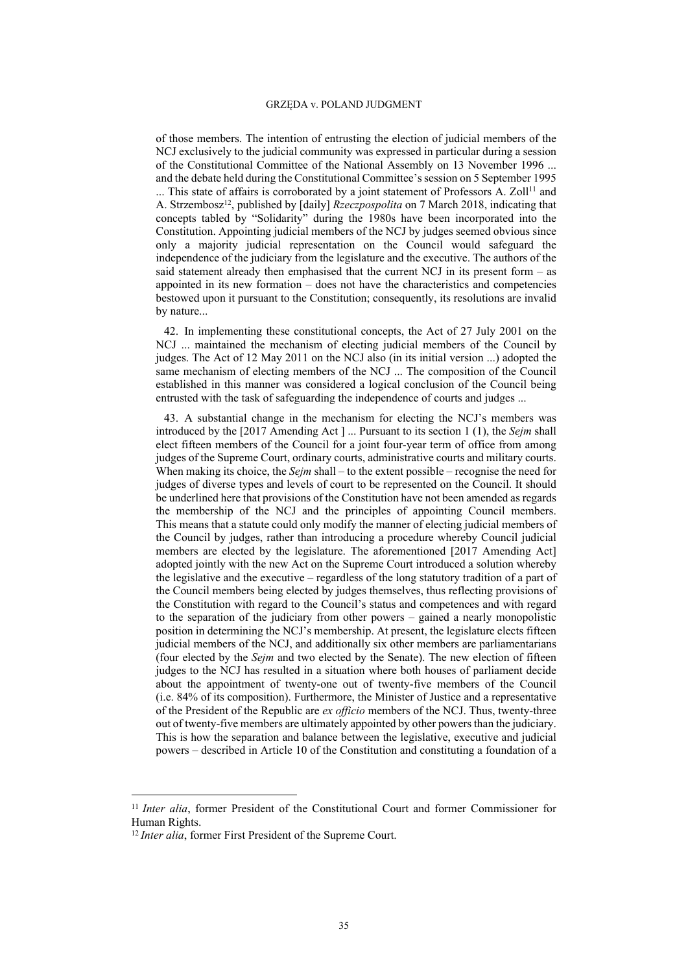of those members. The intention of entrusting the election of judicial members of the NCJ exclusively to the judicial community was expressed in particular during a session of the Constitutional Committee of the National Assembly on 13 November 1996 ... and the debate held during the Constitutional Committee's session on 5 September 1995 ... This state of affairs is corroborated by a joint statement of Professors A. Zoll<sup>11</sup> and A. Strzembosz<sup>12</sup>, published by [daily] *Rzeczpospolita* on 7 March 2018, indicating that concepts tabled by "Solidarity" during the 1980s have been incorporated into the Constitution. Appointing judicial members of the NCJ by judges seemed obvious since only a majority judicial representation on the Council would safeguard the independence of the judiciary from the legislature and the executive. The authors of the said statement already then emphasised that the current NCJ in its present form – as appointed in its new formation – does not have the characteristics and competencies bestowed upon it pursuant to the Constitution; consequently, its resolutions are invalid by nature...

42. In implementing these constitutional concepts, the Act of 27 July 2001 on the NCJ ... maintained the mechanism of electing judicial members of the Council by judges. The Act of 12 May 2011 on the NCJ also (in its initial version ...) adopted the same mechanism of electing members of the NCJ ... The composition of the Council established in this manner was considered a logical conclusion of the Council being entrusted with the task of safeguarding the independence of courts and judges ...

43. A substantial change in the mechanism for electing the NCJ's members was introduced by the [2017 Amending Act ] ... Pursuant to its section 1 (1), the *Sejm* shall elect fifteen members of the Council for a joint four-year term of office from among judges of the Supreme Court, ordinary courts, administrative courts and military courts. When making its choice, the *Sejm* shall – to the extent possible – recognise the need for judges of diverse types and levels of court to be represented on the Council. It should be underlined here that provisions of the Constitution have not been amended as regards the membership of the NCJ and the principles of appointing Council members. This means that a statute could only modify the manner of electing judicial members of the Council by judges, rather than introducing a procedure whereby Council judicial members are elected by the legislature. The aforementioned [2017 Amending Act] adopted jointly with the new Act on the Supreme Court introduced a solution whereby the legislative and the executive – regardless of the long statutory tradition of a part of the Council members being elected by judges themselves, thus reflecting provisions of the Constitution with regard to the Council's status and competences and with regard to the separation of the judiciary from other powers – gained a nearly monopolistic position in determining the NCJ's membership. At present, the legislature elects fifteen judicial members of the NCJ, and additionally six other members are parliamentarians (four elected by the *Sejm* and two elected by the Senate). The new election of fifteen judges to the NCJ has resulted in a situation where both houses of parliament decide about the appointment of twenty-one out of twenty-five members of the Council (i.e. 84% of its composition). Furthermore, the Minister of Justice and a representative of the President of the Republic are *ex officio* members of the NCJ. Thus, twenty-three out of twenty-five members are ultimately appointed by other powers than the judiciary. This is how the separation and balance between the legislative, executive and judicial powers – described in Article 10 of the Constitution and constituting a foundation of a

<sup>11</sup>*Inter alia*, former President of the Constitutional Court and former Commissioner for Human Rights.

<sup>&</sup>lt;sup>12</sup> *Inter alia*, former First President of the Supreme Court.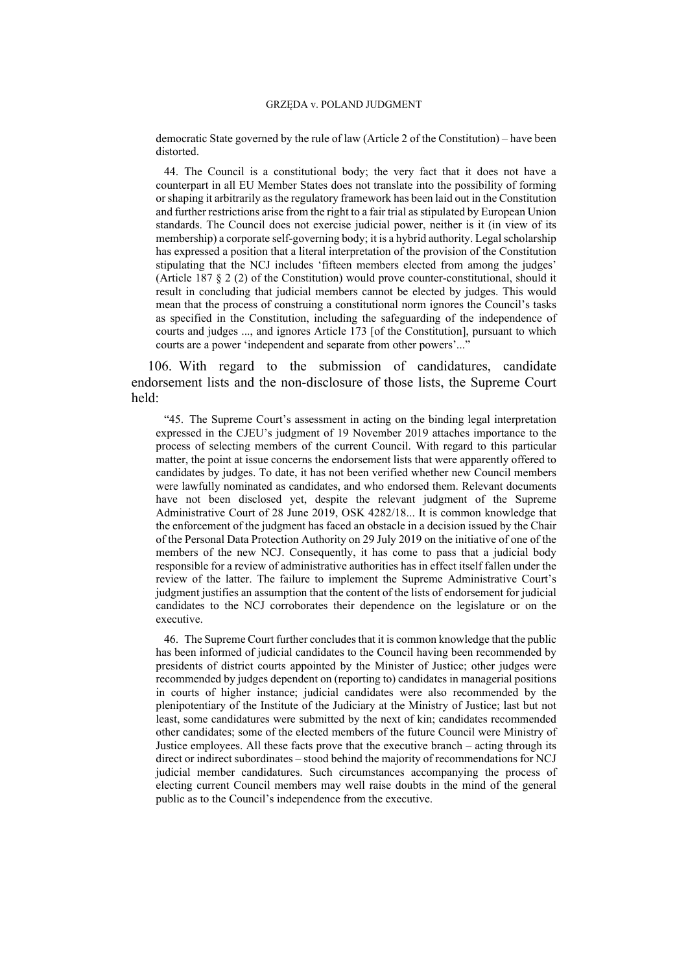democratic State governed by the rule of law (Article 2 of the Constitution) – have been distorted.

44. The Council is a constitutional body; the very fact that it does not have a counterpart in all EU Member States does not translate into the possibility of forming or shaping it arbitrarily as the regulatory framework has been laid out in the Constitution and further restrictions arise from the right to a fair trial as stipulated by European Union standards. The Council does not exercise judicial power, neither is it (in view of its membership) a corporate self-governing body; it is a hybrid authority. Legal scholarship has expressed a position that a literal interpretation of the provision of the Constitution stipulating that the NCJ includes 'fifteen members elected from among the judges' (Article 187 § 2 (2) of the Constitution) would prove counter-constitutional, should it result in concluding that judicial members cannot be elected by judges. This would mean that the process of construing a constitutional norm ignores the Council's tasks as specified in the Constitution, including the safeguarding of the independence of courts and judges ..., and ignores Article 173 [of the Constitution], pursuant to which courts are a power 'independent and separate from other powers'..."

106. With regard to the submission of candidatures, candidate endorsement lists and the non-disclosure of those lists, the Supreme Court held:

"45. The Supreme Court's assessment in acting on the binding legal interpretation expressed in the CJEU's judgment of 19 November 2019 attaches importance to the process of selecting members of the current Council. With regard to this particular matter, the point at issue concerns the endorsement lists that were apparently offered to candidates by judges. To date, it has not been verified whether new Council members were lawfully nominated as candidates, and who endorsed them. Relevant documents have not been disclosed yet, despite the relevant judgment of the Supreme Administrative Court of 28 June 2019, OSK 4282/18... It is common knowledge that the enforcement of the judgment has faced an obstacle in a decision issued by the Chair of the Personal Data Protection Authority on 29 July 2019 on the initiative of one of the members of the new NCJ. Consequently, it has come to pass that a judicial body responsible for a review of administrative authorities has in effect itself fallen under the review of the latter. The failure to implement the Supreme Administrative Court's judgment justifies an assumption that the content of the lists of endorsement for judicial candidates to the NCJ corroborates their dependence on the legislature or on the executive.

46. The Supreme Court further concludes that it is common knowledge that the public has been informed of judicial candidates to the Council having been recommended by presidents of district courts appointed by the Minister of Justice; other judges were recommended by judges dependent on (reporting to) candidates in managerial positions in courts of higher instance; judicial candidates were also recommended by the plenipotentiary of the Institute of the Judiciary at the Ministry of Justice; last but not least, some candidatures were submitted by the next of kin; candidates recommended other candidates; some of the elected members of the future Council were Ministry of Justice employees. All these facts prove that the executive branch – acting through its direct or indirect subordinates – stood behind the majority of recommendations for NCJ judicial member candidatures. Such circumstances accompanying the process of electing current Council members may well raise doubts in the mind of the general public as to the Council's independence from the executive.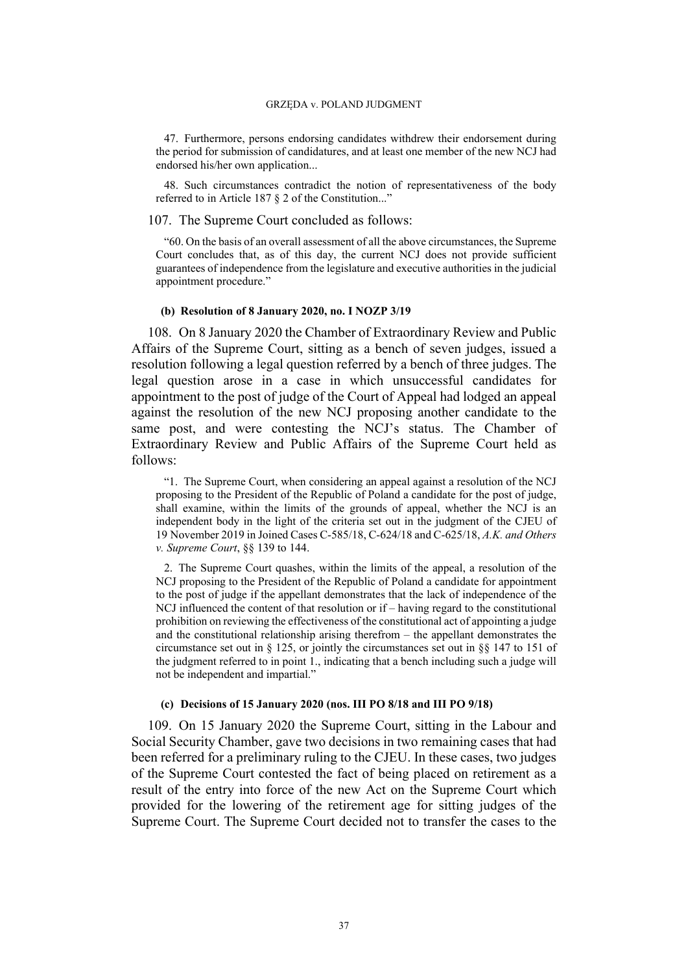47. Furthermore, persons endorsing candidates withdrew their endorsement during the period for submission of candidatures, and at least one member of the new NCJ had endorsed his/her own application...

48. Such circumstances contradict the notion of representativeness of the body referred to in Article 187 § 2 of the Constitution..."

#### 107. The Supreme Court concluded as follows:

"60. On the basis of an overall assessment of all the above circumstances, the Supreme Court concludes that, as of this day, the current NCJ does not provide sufficient guarantees of independence from the legislature and executive authorities in the judicial appointment procedure."

## **(b) Resolution of 8 January 2020, no. I NOZP 3/19**

108. On 8 January 2020 the Chamber of Extraordinary Review and Public Affairs of the Supreme Court, sitting as a bench of seven judges, issued a resolution following a legal question referred by a bench of three judges. The legal question arose in a case in which unsuccessful candidates for appointment to the post of judge of the Court of Appeal had lodged an appeal against the resolution of the new NCJ proposing another candidate to the same post, and were contesting the NCJ's status. The Chamber of Extraordinary Review and Public Affairs of the Supreme Court held as follows:

"1. The Supreme Court, when considering an appeal against a resolution of the NCJ proposing to the President of the Republic of Poland a candidate for the post of judge, shall examine, within the limits of the grounds of appeal, whether the NCJ is an independent body in the light of the criteria set out in the judgment of the CJEU of 19 November 2019 in Joined Cases C-585/18, C-624/18 and C-625/18, *A.K. and Others v. Supreme Court*, §§ 139 to 144.

2. The Supreme Court quashes, within the limits of the appeal, a resolution of the NCJ proposing to the President of the Republic of Poland a candidate for appointment to the post of judge if the appellant demonstrates that the lack of independence of the NCJ influenced the content of that resolution or if – having regard to the constitutional prohibition on reviewing the effectiveness of the constitutional act of appointing a judge and the constitutional relationship arising therefrom – the appellant demonstrates the circumstance set out in § 125, or jointly the circumstances set out in §§ 147 to 151 of the judgment referred to in point 1., indicating that a bench including such a judge will not be independent and impartial."

## **(c) Decisions of 15 January 2020 (nos. III PO 8/18 and III PO 9/18)**

109. On 15 January 2020 the Supreme Court, sitting in the Labour and Social Security Chamber, gave two decisions in two remaining cases that had been referred for a preliminary ruling to the CJEU. In these cases, two judges of the Supreme Court contested the fact of being placed on retirement as a result of the entry into force of the new Act on the Supreme Court which provided for the lowering of the retirement age for sitting judges of the Supreme Court. The Supreme Court decided not to transfer the cases to the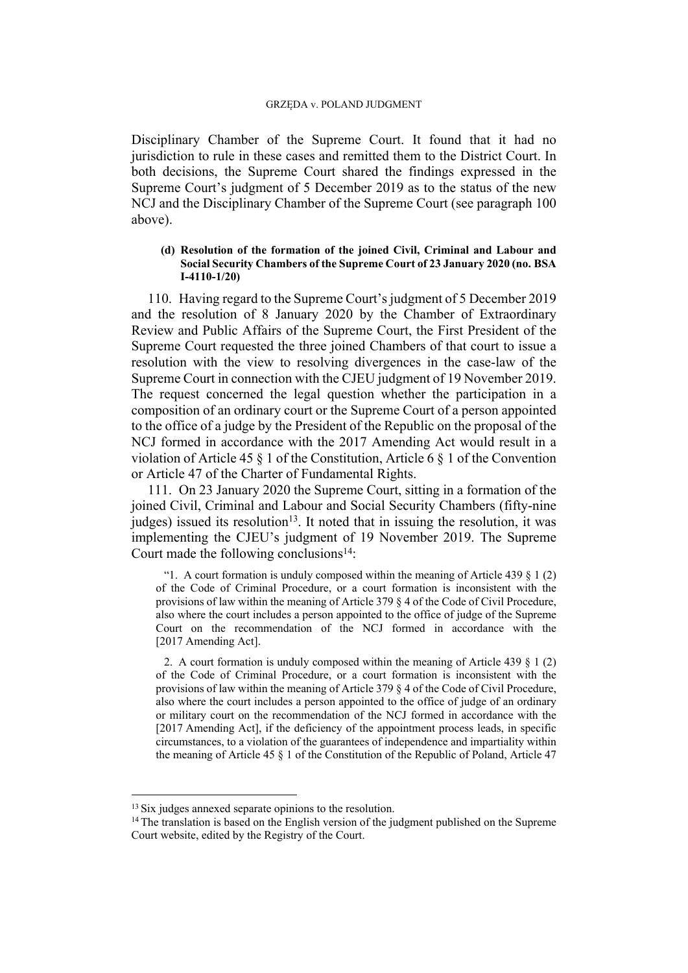Disciplinary Chamber of the Supreme Court. It found that it had no jurisdiction to rule in these cases and remitted them to the District Court. In both decisions, the Supreme Court shared the findings expressed in the Supreme Court's judgment of 5 December 2019 as to the status of the new NCJ and the Disciplinary Chamber of the Supreme Court (see paragraph 100 above).

## **(d) Resolution of the formation of the joined Civil, Criminal and Labour and Social Security Chambers of the Supreme Court of 23 January 2020 (no. BSA I-4110-1/20)**

110. Having regard to the Supreme Court's judgment of 5 December 2019 and the resolution of 8 January 2020 by the Chamber of Extraordinary Review and Public Affairs of the Supreme Court, the First President of the Supreme Court requested the three joined Chambers of that court to issue a resolution with the view to resolving divergences in the case-law of the Supreme Court in connection with the CJEU judgment of 19 November 2019. The request concerned the legal question whether the participation in a composition of an ordinary court or the Supreme Court of a person appointed to the office of a judge by the President of the Republic on the proposal of the NCJ formed in accordance with the 2017 Amending Act would result in a violation of Article 45 § 1 of the Constitution, Article 6 § 1 of the Convention or Article 47 of the Charter of Fundamental Rights.

111. On 23 January 2020 the Supreme Court, sitting in a formation of the joined Civil, Criminal and Labour and Social Security Chambers (fifty-nine judges) issued its resolution<sup>13</sup>. It noted that in issuing the resolution, it was implementing the CJEU's judgment of 19 November 2019. The Supreme Court made the following conclusions $14$ :

"1. A court formation is unduly composed within the meaning of Article 439  $\S$  1 (2) of the Code of Criminal Procedure, or a court formation is inconsistent with the provisions of law within the meaning of Article 379 § 4 of the Code of Civil Procedure, also where the court includes a person appointed to the office of judge of the Supreme Court on the recommendation of the NCJ formed in accordance with the [2017 Amending Act].

2. A court formation is unduly composed within the meaning of Article 439 § 1 (2) of the Code of Criminal Procedure, or a court formation is inconsistent with the provisions of law within the meaning of Article 379 § 4 of the Code of Civil Procedure, also where the court includes a person appointed to the office of judge of an ordinary or military court on the recommendation of the NCJ formed in accordance with the [2017 Amending Act], if the deficiency of the appointment process leads, in specific circumstances, to a violation of the guarantees of independence and impartiality within the meaning of Article 45 § 1 of the Constitution of the Republic of Poland, Article 47

<sup>&</sup>lt;sup>13</sup> Six judges annexed separate opinions to the resolution.

<sup>&</sup>lt;sup>14</sup> The translation is based on the English version of the judgment published on the Supreme Court website, edited by the Registry of the Court.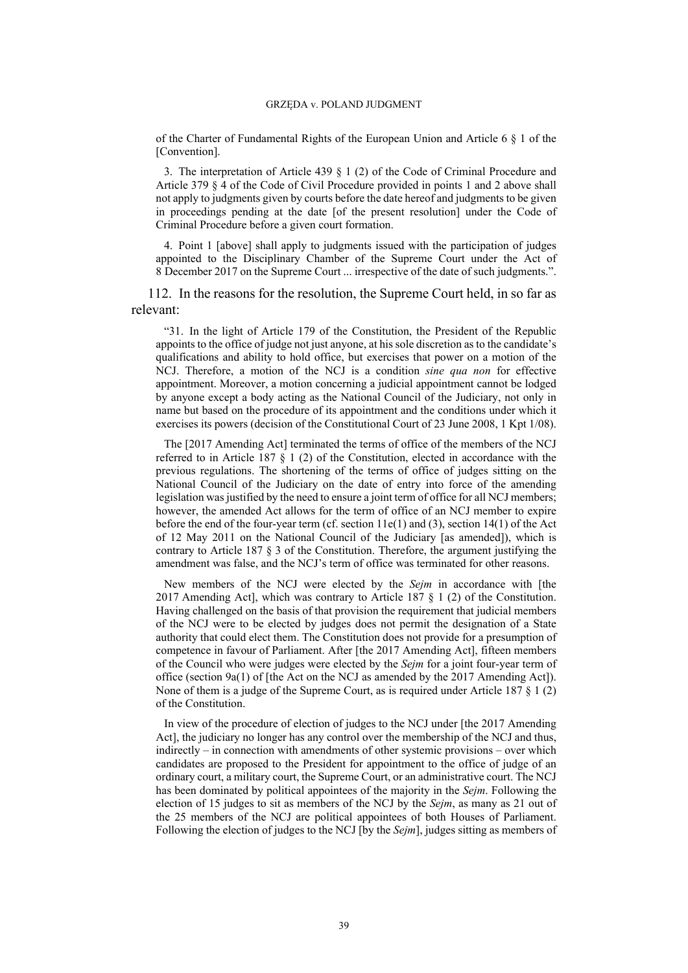of the Charter of Fundamental Rights of the European Union and Article 6 § 1 of the [Convention].

3. The interpretation of Article 439 § 1 (2) of the Code of Criminal Procedure and Article 379 § 4 of the Code of Civil Procedure provided in points 1 and 2 above shall not apply to judgments given by courts before the date hereof and judgments to be given in proceedings pending at the date [of the present resolution] under the Code of Criminal Procedure before a given court formation.

4. Point 1 [above] shall apply to judgments issued with the participation of judges appointed to the Disciplinary Chamber of the Supreme Court under the Act of 8 December 2017 on the Supreme Court ... irrespective of the date of such judgments.".

112. In the reasons for the resolution, the Supreme Court held, in so far as relevant:

"31. In the light of Article 179 of the Constitution, the President of the Republic appoints to the office of judge not just anyone, at his sole discretion as to the candidate's qualifications and ability to hold office, but exercises that power on a motion of the NCJ. Therefore, a motion of the NCJ is a condition *sine qua non* for effective appointment. Moreover, a motion concerning a judicial appointment cannot be lodged by anyone except a body acting as the National Council of the Judiciary, not only in name but based on the procedure of its appointment and the conditions under which it exercises its powers (decision of the Constitutional Court of 23 June 2008, 1 Kpt 1/08).

The [2017 Amending Act] terminated the terms of office of the members of the NCJ referred to in Article 187 § 1 (2) of the Constitution, elected in accordance with the previous regulations. The shortening of the terms of office of judges sitting on the National Council of the Judiciary on the date of entry into force of the amending legislation was justified by the need to ensure a joint term of office for all NCJ members; however, the amended Act allows for the term of office of an NCJ member to expire before the end of the four-year term (cf. section 11e(1) and (3), section 14(1) of the Act of 12 May 2011 on the National Council of the Judiciary [as amended]), which is contrary to Article 187 § 3 of the Constitution. Therefore, the argument justifying the amendment was false, and the NCJ's term of office was terminated for other reasons.

New members of the NCJ were elected by the *Sejm* in accordance with [the 2017 Amending Act], which was contrary to Article 187 § 1 (2) of the Constitution. Having challenged on the basis of that provision the requirement that judicial members of the NCJ were to be elected by judges does not permit the designation of a State authority that could elect them. The Constitution does not provide for a presumption of competence in favour of Parliament. After [the 2017 Amending Act], fifteen members of the Council who were judges were elected by the *Sejm* for a joint four-year term of office (section 9a(1) of [the Act on the NCJ as amended by the 2017 Amending Act]). None of them is a judge of the Supreme Court, as is required under Article 187  $\S$  1 (2) of the Constitution.

In view of the procedure of election of judges to the NCJ under [the 2017 Amending Act], the judiciary no longer has any control over the membership of the NCJ and thus, indirectly – in connection with amendments of other systemic provisions – over which candidates are proposed to the President for appointment to the office of judge of an ordinary court, a military court, the Supreme Court, or an administrative court. The NCJ has been dominated by political appointees of the majority in the *Sejm*. Following the election of 15 judges to sit as members of the NCJ by the *Sejm*, as many as 21 out of the 25 members of the NCJ are political appointees of both Houses of Parliament. Following the election of judges to the NCJ [by the *Sejm*], judges sitting as members of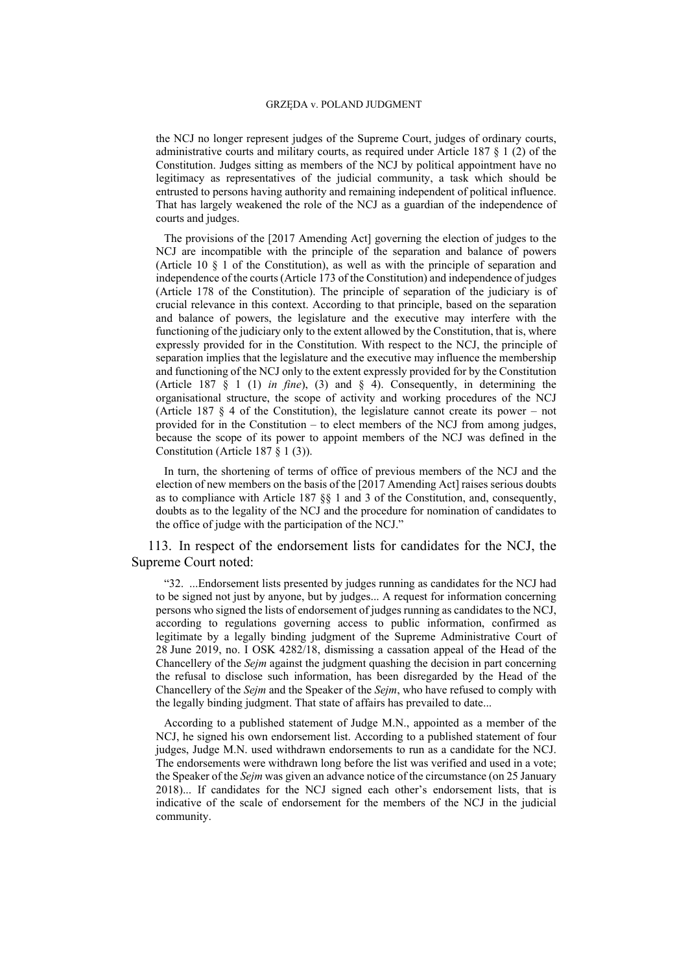the NCJ no longer represent judges of the Supreme Court, judges of ordinary courts, administrative courts and military courts, as required under Article 187  $\S$  1 (2) of the Constitution. Judges sitting as members of the NCJ by political appointment have no legitimacy as representatives of the judicial community, a task which should be entrusted to persons having authority and remaining independent of political influence. That has largely weakened the role of the NCJ as a guardian of the independence of courts and judges.

The provisions of the [2017 Amending Act] governing the election of judges to the NCJ are incompatible with the principle of the separation and balance of powers (Article 10 § 1 of the Constitution), as well as with the principle of separation and independence of the courts (Article 173 of the Constitution) and independence of judges (Article 178 of the Constitution). The principle of separation of the judiciary is of crucial relevance in this context. According to that principle, based on the separation and balance of powers, the legislature and the executive may interfere with the functioning of the judiciary only to the extent allowed by the Constitution, that is, where expressly provided for in the Constitution. With respect to the NCJ, the principle of separation implies that the legislature and the executive may influence the membership and functioning of the NCJ only to the extent expressly provided for by the Constitution (Article 187 § 1 (1) *in fine*), (3) and § 4). Consequently, in determining the organisational structure, the scope of activity and working procedures of the NCJ (Article 187 § 4 of the Constitution), the legislature cannot create its power – not provided for in the Constitution – to elect members of the NCJ from among judges, because the scope of its power to appoint members of the NCJ was defined in the Constitution (Article 187 § 1 (3)).

In turn, the shortening of terms of office of previous members of the NCJ and the election of new members on the basis of the [2017 Amending Act] raises serious doubts as to compliance with Article 187 §§ 1 and 3 of the Constitution, and, consequently, doubts as to the legality of the NCJ and the procedure for nomination of candidates to the office of judge with the participation of the NCJ."

113. In respect of the endorsement lists for candidates for the NCJ, the Supreme Court noted:

"32. ...Endorsement lists presented by judges running as candidates for the NCJ had to be signed not just by anyone, but by judges... A request for information concerning persons who signed the lists of endorsement of judges running as candidates to the NCJ, according to regulations governing access to public information, confirmed as legitimate by a legally binding judgment of the Supreme Administrative Court of 28 June 2019, no. I OSK 4282/18, dismissing a cassation appeal of the Head of the Chancellery of the *Sejm* against the judgment quashing the decision in part concerning the refusal to disclose such information, has been disregarded by the Head of the Chancellery of the *Sejm* and the Speaker of the *Sejm*, who have refused to comply with the legally binding judgment. That state of affairs has prevailed to date...

According to a published statement of Judge M.N., appointed as a member of the NCJ, he signed his own endorsement list. According to a published statement of four judges, Judge M.N. used withdrawn endorsements to run as a candidate for the NCJ. The endorsements were withdrawn long before the list was verified and used in a vote; the Speaker of the *Sejm* was given an advance notice of the circumstance (on 25 January 2018)... If candidates for the NCJ signed each other's endorsement lists, that is indicative of the scale of endorsement for the members of the NCJ in the judicial community.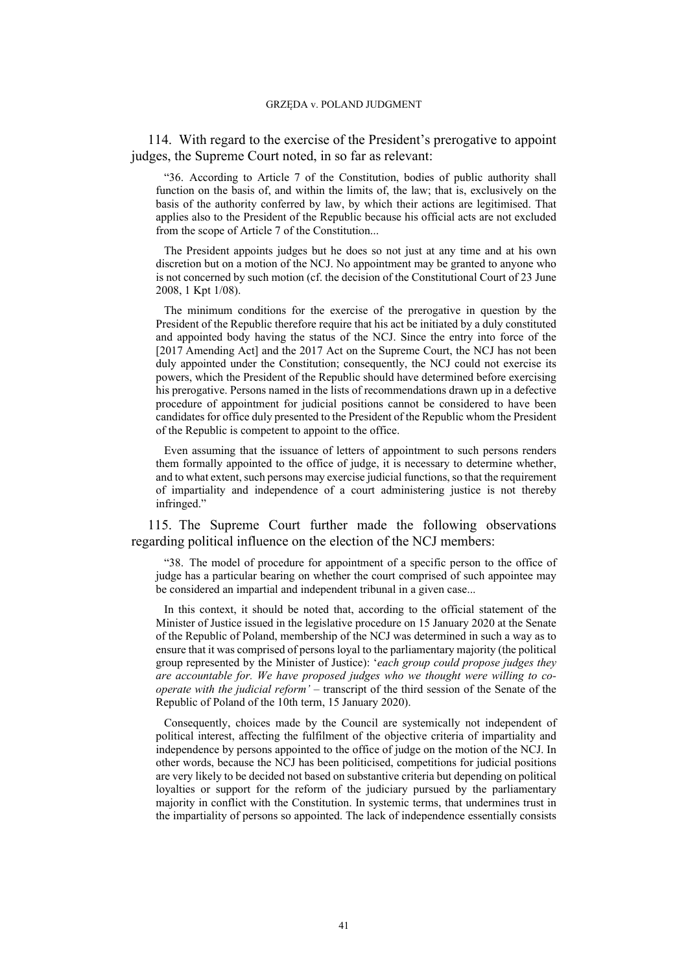114. With regard to the exercise of the President's prerogative to appoint judges, the Supreme Court noted, in so far as relevant:

"36. According to Article 7 of the Constitution, bodies of public authority shall function on the basis of, and within the limits of, the law; that is, exclusively on the basis of the authority conferred by law, by which their actions are legitimised. That applies also to the President of the Republic because his official acts are not excluded from the scope of Article 7 of the Constitution...

The President appoints judges but he does so not just at any time and at his own discretion but on a motion of the NCJ. No appointment may be granted to anyone who is not concerned by such motion (cf. the decision of the Constitutional Court of 23 June 2008, 1 Kpt 1/08).

The minimum conditions for the exercise of the prerogative in question by the President of the Republic therefore require that his act be initiated by a duly constituted and appointed body having the status of the NCJ. Since the entry into force of the [2017 Amending Act] and the 2017 Act on the Supreme Court, the NCJ has not been duly appointed under the Constitution; consequently, the NCJ could not exercise its powers, which the President of the Republic should have determined before exercising his prerogative. Persons named in the lists of recommendations drawn up in a defective procedure of appointment for judicial positions cannot be considered to have been candidates for office duly presented to the President of the Republic whom the President of the Republic is competent to appoint to the office.

Even assuming that the issuance of letters of appointment to such persons renders them formally appointed to the office of judge, it is necessary to determine whether, and to what extent, such persons may exercise judicial functions, so that the requirement of impartiality and independence of a court administering justice is not thereby infringed."

115. The Supreme Court further made the following observations regarding political influence on the election of the NCJ members:

"38. The model of procedure for appointment of a specific person to the office of judge has a particular bearing on whether the court comprised of such appointee may be considered an impartial and independent tribunal in a given case...

In this context, it should be noted that, according to the official statement of the Minister of Justice issued in the legislative procedure on 15 January 2020 at the Senate of the Republic of Poland, membership of the NCJ was determined in such a way as to ensure that it was comprised of persons loyal to the parliamentary majority (the political group represented by the Minister of Justice): '*each group could propose judges they are accountable for. We have proposed judges who we thought were willing to cooperate with the judicial reform'* – transcript of the third session of the Senate of the Republic of Poland of the 10th term, 15 January 2020).

Consequently, choices made by the Council are systemically not independent of political interest, affecting the fulfilment of the objective criteria of impartiality and independence by persons appointed to the office of judge on the motion of the NCJ. In other words, because the NCJ has been politicised, competitions for judicial positions are very likely to be decided not based on substantive criteria but depending on political loyalties or support for the reform of the judiciary pursued by the parliamentary majority in conflict with the Constitution. In systemic terms, that undermines trust in the impartiality of persons so appointed. The lack of independence essentially consists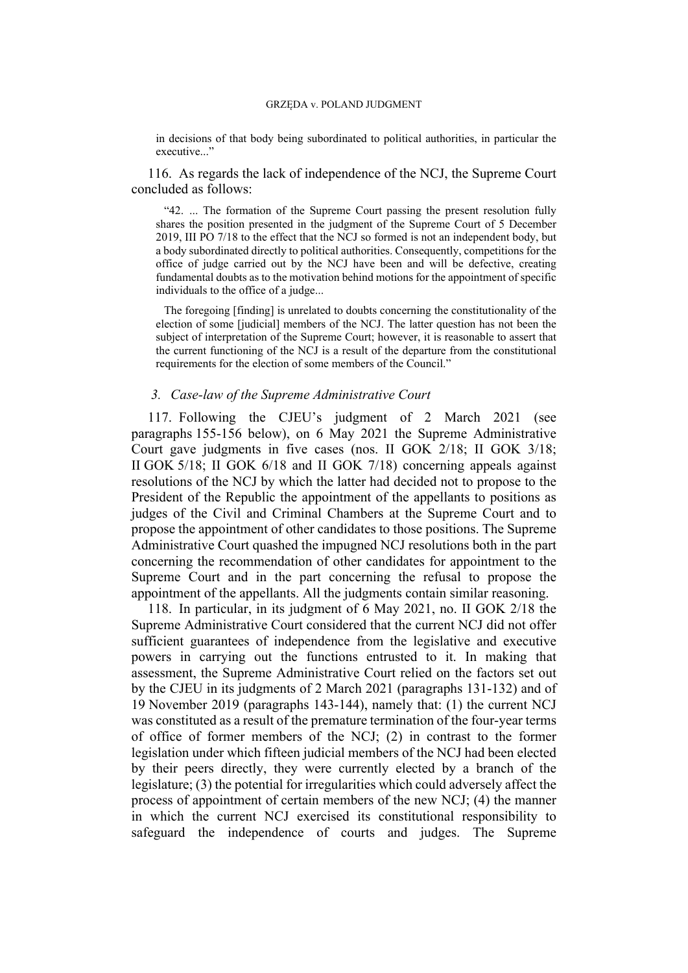in decisions of that body being subordinated to political authorities, in particular the executive..."

116. As regards the lack of independence of the NCJ, the Supreme Court concluded as follows:

"42. ... The formation of the Supreme Court passing the present resolution fully shares the position presented in the judgment of the Supreme Court of 5 December 2019, III PO 7/18 to the effect that the NCJ so formed is not an independent body, but a body subordinated directly to political authorities. Consequently, competitions for the office of judge carried out by the NCJ have been and will be defective, creating fundamental doubts as to the motivation behind motions for the appointment of specific individuals to the office of a judge...

The foregoing [finding] is unrelated to doubts concerning the constitutionality of the election of some [judicial] members of the NCJ. The latter question has not been the subject of interpretation of the Supreme Court; however, it is reasonable to assert that the current functioning of the NCJ is a result of the departure from the constitutional requirements for the election of some members of the Council."

### *3. Case-law of the Supreme Administrative Court*

117. Following the CJEU's judgment of 2 March 2021 (see paragraphs 155-156 below), on 6 May 2021 the Supreme Administrative Court gave judgments in five cases (nos. II GOK 2/18; II GOK 3/18; II GOK 5/18; II GOK 6/18 and II GOK 7/18) concerning appeals against resolutions of the NCJ by which the latter had decided not to propose to the President of the Republic the appointment of the appellants to positions as judges of the Civil and Criminal Chambers at the Supreme Court and to propose the appointment of other candidates to those positions. The Supreme Administrative Court quashed the impugned NCJ resolutions both in the part concerning the recommendation of other candidates for appointment to the Supreme Court and in the part concerning the refusal to propose the appointment of the appellants. All the judgments contain similar reasoning.

118. In particular, in its judgment of 6 May 2021, no. II GOK 2/18 the Supreme Administrative Court considered that the current NCJ did not offer sufficient guarantees of independence from the legislative and executive powers in carrying out the functions entrusted to it. In making that assessment, the Supreme Administrative Court relied on the factors set out by the CJEU in its judgments of 2 March 2021 (paragraphs 131-132) and of 19 November 2019 (paragraphs 143-144), namely that: (1) the current NCJ was constituted as a result of the premature termination of the four-year terms of office of former members of the NCJ; (2) in contrast to the former legislation under which fifteen judicial members of the NCJ had been elected by their peers directly, they were currently elected by a branch of the legislature; (3) the potential for irregularities which could adversely affect the process of appointment of certain members of the new NCJ; (4) the manner in which the current NCJ exercised its constitutional responsibility to safeguard the independence of courts and judges. The Supreme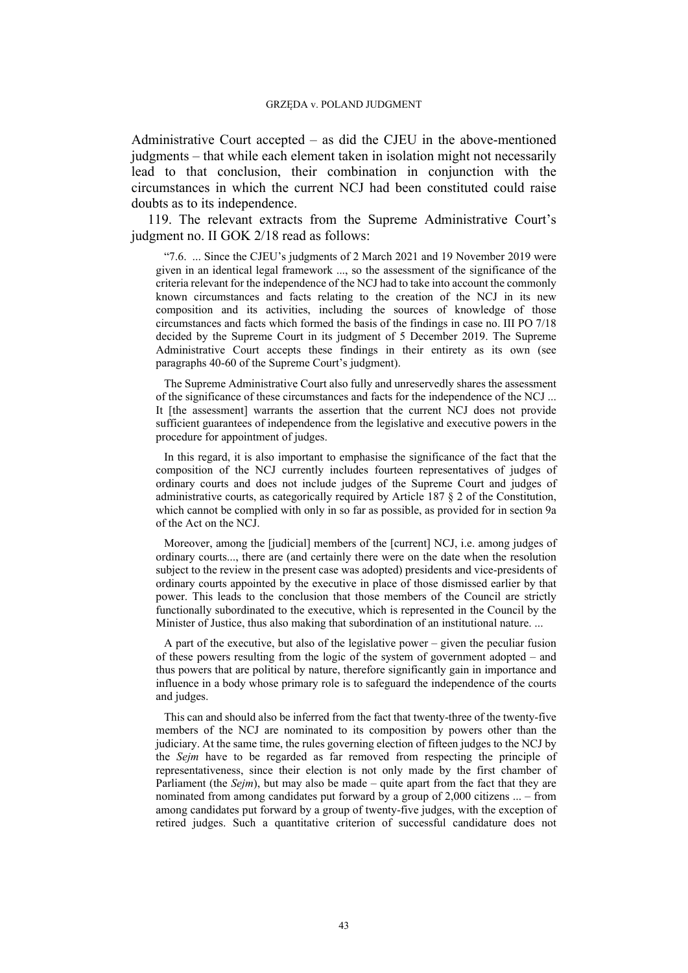Administrative Court accepted – as did the CJEU in the above-mentioned judgments – that while each element taken in isolation might not necessarily lead to that conclusion, their combination in conjunction with the circumstances in which the current NCJ had been constituted could raise doubts as to its independence.

119. The relevant extracts from the Supreme Administrative Court's judgment no. II GOK 2/18 read as follows:

"7.6. ... Since the CJEU's judgments of 2 March 2021 and 19 November 2019 were given in an identical legal framework ..., so the assessment of the significance of the criteria relevant for the independence of the NCJ had to take into account the commonly known circumstances and facts relating to the creation of the NCJ in its new composition and its activities, including the sources of knowledge of those circumstances and facts which formed the basis of the findings in case no. III PO 7/18 decided by the Supreme Court in its judgment of 5 December 2019. The Supreme Administrative Court accepts these findings in their entirety as its own (see paragraphs 40-60 of the Supreme Court's judgment).

The Supreme Administrative Court also fully and unreservedly shares the assessment of the significance of these circumstances and facts for the independence of the NCJ ... It [the assessment] warrants the assertion that the current NCJ does not provide sufficient guarantees of independence from the legislative and executive powers in the procedure for appointment of judges.

In this regard, it is also important to emphasise the significance of the fact that the composition of the NCJ currently includes fourteen representatives of judges of ordinary courts and does not include judges of the Supreme Court and judges of administrative courts, as categorically required by Article 187 § 2 of the Constitution, which cannot be complied with only in so far as possible, as provided for in section 9a of the Act on the NCJ.

Moreover, among the [judicial] members of the [current] NCJ, i.e. among judges of ordinary courts..., there are (and certainly there were on the date when the resolution subject to the review in the present case was adopted) presidents and vice-presidents of ordinary courts appointed by the executive in place of those dismissed earlier by that power. This leads to the conclusion that those members of the Council are strictly functionally subordinated to the executive, which is represented in the Council by the Minister of Justice, thus also making that subordination of an institutional nature. ...

A part of the executive, but also of the legislative power – given the peculiar fusion of these powers resulting from the logic of the system of government adopted – and thus powers that are political by nature, therefore significantly gain in importance and influence in a body whose primary role is to safeguard the independence of the courts and judges.

This can and should also be inferred from the fact that twenty-three of the twenty-five members of the NCJ are nominated to its composition by powers other than the judiciary. At the same time, the rules governing election of fifteen judges to the NCJ by the *Sejm* have to be regarded as far removed from respecting the principle of representativeness, since their election is not only made by the first chamber of Parliament (the *Sejm*), but may also be made – quite apart from the fact that they are nominated from among candidates put forward by a group of 2,000 citizens ... – from among candidates put forward by a group of twenty-five judges, with the exception of retired judges. Such a quantitative criterion of successful candidature does not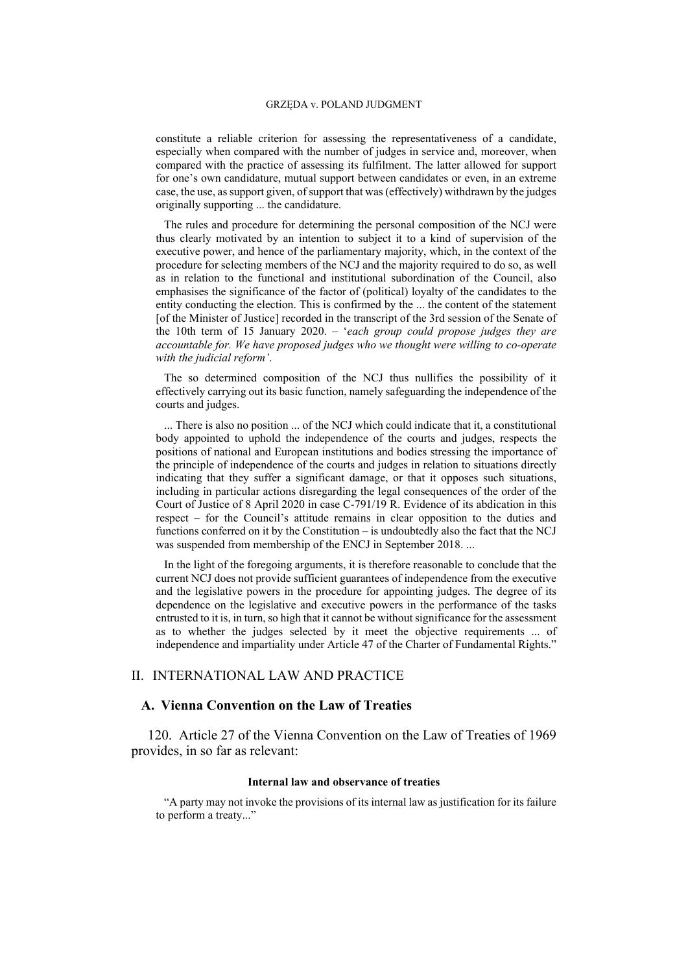constitute a reliable criterion for assessing the representativeness of a candidate, especially when compared with the number of judges in service and, moreover, when compared with the practice of assessing its fulfilment. The latter allowed for support for one's own candidature, mutual support between candidates or even, in an extreme case, the use, as support given, of support that was (effectively) withdrawn by the judges originally supporting ... the candidature.

The rules and procedure for determining the personal composition of the NCJ were thus clearly motivated by an intention to subject it to a kind of supervision of the executive power, and hence of the parliamentary majority, which, in the context of the procedure for selecting members of the NCJ and the majority required to do so, as well as in relation to the functional and institutional subordination of the Council, also emphasises the significance of the factor of (political) loyalty of the candidates to the entity conducting the election. This is confirmed by the ... the content of the statement [of the Minister of Justice] recorded in the transcript of the 3rd session of the Senate of the 10th term of 15 January 2020. – '*each group could propose judges they are accountable for. We have proposed judges who we thought were willing to co-operate with the judicial reform'*.

The so determined composition of the NCJ thus nullifies the possibility of it effectively carrying out its basic function, namely safeguarding the independence of the courts and judges.

... There is also no position ... of the NCJ which could indicate that it, a constitutional body appointed to uphold the independence of the courts and judges, respects the positions of national and European institutions and bodies stressing the importance of the principle of independence of the courts and judges in relation to situations directly indicating that they suffer a significant damage, or that it opposes such situations, including in particular actions disregarding the legal consequences of the order of the Court of Justice of 8 April 2020 in case C-791/19 R. Evidence of its abdication in this respect – for the Council's attitude remains in clear opposition to the duties and functions conferred on it by the Constitution – is undoubtedly also the fact that the NCJ was suspended from membership of the ENCJ in September 2018. ...

In the light of the foregoing arguments, it is therefore reasonable to conclude that the current NCJ does not provide sufficient guarantees of independence from the executive and the legislative powers in the procedure for appointing judges. The degree of its dependence on the legislative and executive powers in the performance of the tasks entrusted to it is, in turn, so high that it cannot be without significance for the assessment as to whether the judges selected by it meet the objective requirements ... of independence and impartiality under Article 47 of the Charter of Fundamental Rights."

## II. INTERNATIONAL LAW AND PRACTICE

## **A. Vienna Convention on the Law of Treaties**

120. Article 27 of the Vienna Convention on the Law of Treaties of 1969 provides, in so far as relevant:

#### **Internal law and observance of treaties**

"A party may not invoke the provisions of its internal law as justification for its failure to perform a treaty..."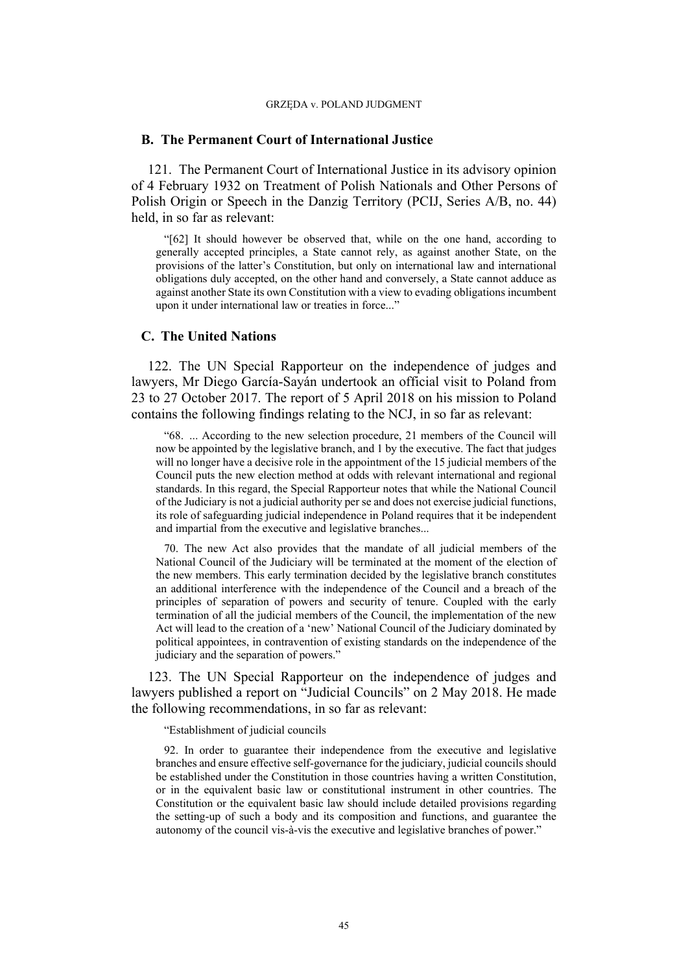## **B. The Permanent Court of International Justice**

121. The Permanent Court of International Justice in its advisory opinion of 4 February 1932 on Treatment of Polish Nationals and Other Persons of Polish Origin or Speech in the Danzig Territory (PCIJ, Series A/B, no. 44) held, in so far as relevant:

"[62] It should however be observed that, while on the one hand, according to generally accepted principles, a State cannot rely, as against another State, on the provisions of the latter's Constitution, but only on international law and international obligations duly accepted, on the other hand and conversely, a State cannot adduce as against another State its own Constitution with a view to evading obligations incumbent upon it under international law or treaties in force..."

## **C. The United Nations**

122. The UN Special Rapporteur on the independence of judges and lawyers, Mr Diego García-Sayán undertook an official visit to Poland from 23 to 27 October 2017. The report of 5 April 2018 on his mission to Poland contains the following findings relating to the NCJ, in so far as relevant:

"68. ... According to the new selection procedure, 21 members of the Council will now be appointed by the legislative branch, and 1 by the executive. The fact that judges will no longer have a decisive role in the appointment of the 15 judicial members of the Council puts the new election method at odds with relevant international and regional standards. In this regard, the Special Rapporteur notes that while the National Council of the Judiciary is not a judicial authority per se and does not exercise judicial functions, its role of safeguarding judicial independence in Poland requires that it be independent and impartial from the executive and legislative branches...

70. The new Act also provides that the mandate of all judicial members of the National Council of the Judiciary will be terminated at the moment of the election of the new members. This early termination decided by the legislative branch constitutes an additional interference with the independence of the Council and a breach of the principles of separation of powers and security of tenure. Coupled with the early termination of all the judicial members of the Council, the implementation of the new Act will lead to the creation of a 'new' National Council of the Judiciary dominated by political appointees, in contravention of existing standards on the independence of the judiciary and the separation of powers."

123. The UN Special Rapporteur on the independence of judges and lawyers published a report on "Judicial Councils" on 2 May 2018. He made the following recommendations, in so far as relevant:

"Establishment of judicial councils

92. In order to guarantee their independence from the executive and legislative branches and ensure effective self-governance for the judiciary, judicial councils should be established under the Constitution in those countries having a written Constitution, or in the equivalent basic law or constitutional instrument in other countries. The Constitution or the equivalent basic law should include detailed provisions regarding the setting-up of such a body and its composition and functions, and guarantee the autonomy of the council vis-à-vis the executive and legislative branches of power."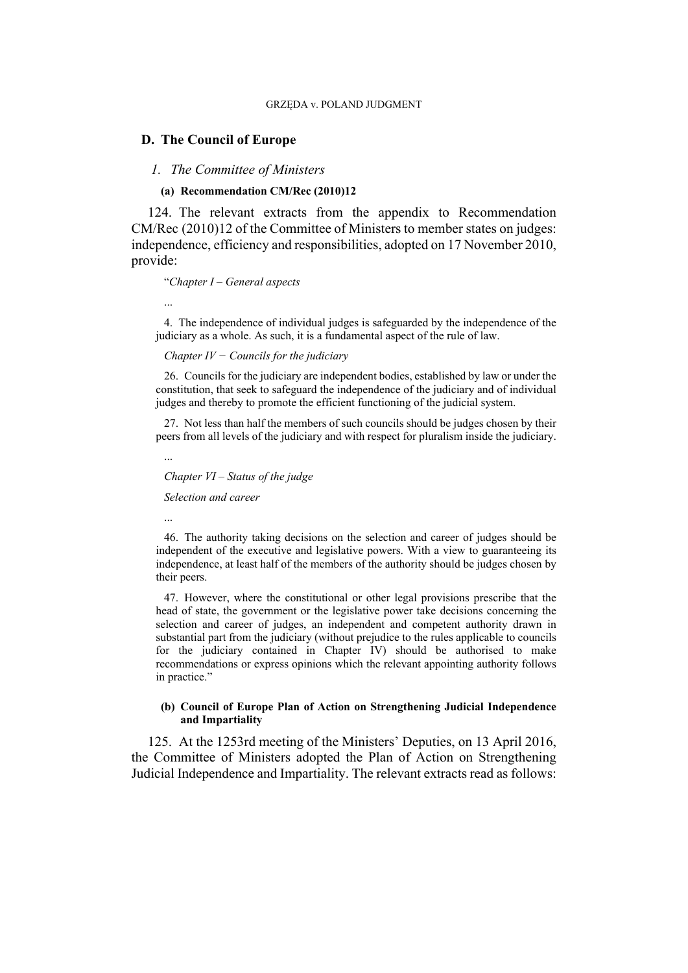### **D. The Council of Europe**

## *1. The Committee of Ministers*

## **(a) Recommendation CM/Rec (2010)12**

124. The relevant extracts from the appendix to Recommendation CM/Rec (2010)12 of the Committee of Ministers to member states on judges: independence, efficiency and responsibilities, adopted on 17 November 2010, provide:

"*Chapter I – General aspects*

...

4. The independence of individual judges is safeguarded by the independence of the judiciary as a whole. As such, it is a fundamental aspect of the rule of law.

*Chapter IV − Councils for the judiciary*

26. Councils for the judiciary are independent bodies, established by law or under the constitution, that seek to safeguard the independence of the judiciary and of individual judges and thereby to promote the efficient functioning of the judicial system.

27. Not less than half the members of such councils should be judges chosen by their peers from all levels of the judiciary and with respect for pluralism inside the judiciary.

...

*Chapter VI – Status of the judge*

*Selection and career*

...

46. The authority taking decisions on the selection and career of judges should be independent of the executive and legislative powers. With a view to guaranteeing its independence, at least half of the members of the authority should be judges chosen by their peers.

47. However, where the constitutional or other legal provisions prescribe that the head of state, the government or the legislative power take decisions concerning the selection and career of judges, an independent and competent authority drawn in substantial part from the judiciary (without prejudice to the rules applicable to councils for the judiciary contained in Chapter IV) should be authorised to make recommendations or express opinions which the relevant appointing authority follows in practice."

### **(b) Council of Europe Plan of Action on Strengthening Judicial Independence and Impartiality**

125. At the 1253rd meeting of the Ministers' Deputies, on 13 April 2016, the Committee of Ministers adopted the Plan of Action on Strengthening Judicial Independence and Impartiality. The relevant extracts read as follows: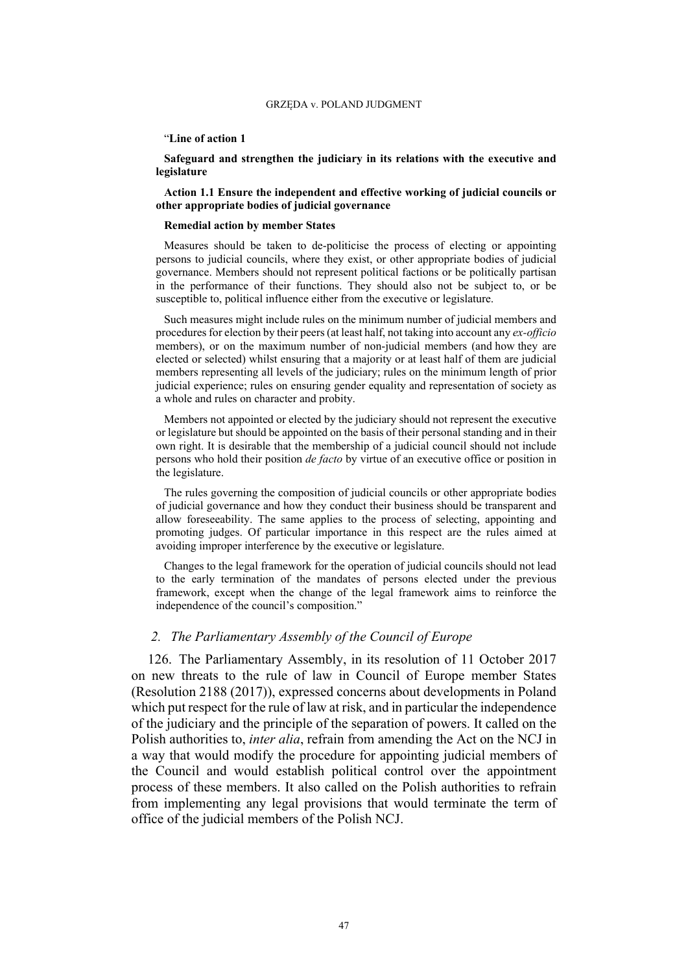#### "**Line of action 1**

**Safeguard and strengthen the judiciary in its relations with the executive and legislature**

**Action 1.1 Ensure the independent and effective working of judicial councils or other appropriate bodies of judicial governance**

#### **Remedial action by member States**

Measures should be taken to de-politicise the process of electing or appointing persons to judicial councils, where they exist, or other appropriate bodies of judicial governance. Members should not represent political factions or be politically partisan in the performance of their functions. They should also not be subject to, or be susceptible to, political influence either from the executive or legislature.

Such measures might include rules on the minimum number of judicial members and procedures for election by their peers (at least half, not taking into account any *ex-officio* members), or on the maximum number of non-judicial members (and how they are elected or selected) whilst ensuring that a majority or at least half of them are judicial members representing all levels of the judiciary; rules on the minimum length of prior judicial experience; rules on ensuring gender equality and representation of society as a whole and rules on character and probity.

Members not appointed or elected by the judiciary should not represent the executive or legislature but should be appointed on the basis of their personal standing and in their own right. It is desirable that the membership of a judicial council should not include persons who hold their position *de facto* by virtue of an executive office or position in the legislature.

The rules governing the composition of judicial councils or other appropriate bodies of judicial governance and how they conduct their business should be transparent and allow foreseeability. The same applies to the process of selecting, appointing and promoting judges. Of particular importance in this respect are the rules aimed at avoiding improper interference by the executive or legislature.

Changes to the legal framework for the operation of judicial councils should not lead to the early termination of the mandates of persons elected under the previous framework, except when the change of the legal framework aims to reinforce the independence of the council's composition."

## *2. The Parliamentary Assembly of the Council of Europe*

126. The Parliamentary Assembly, in its resolution of 11 October 2017 on new threats to the rule of law in Council of Europe member States (Resolution 2188 (2017)), expressed concerns about developments in Poland which put respect for the rule of law at risk, and in particular the independence of the judiciary and the principle of the separation of powers. It called on the Polish authorities to, *inter alia*, refrain from amending the Act on the NCJ in a way that would modify the procedure for appointing judicial members of the Council and would establish political control over the appointment process of these members. It also called on the Polish authorities to refrain from implementing any legal provisions that would terminate the term of office of the judicial members of the Polish NCJ.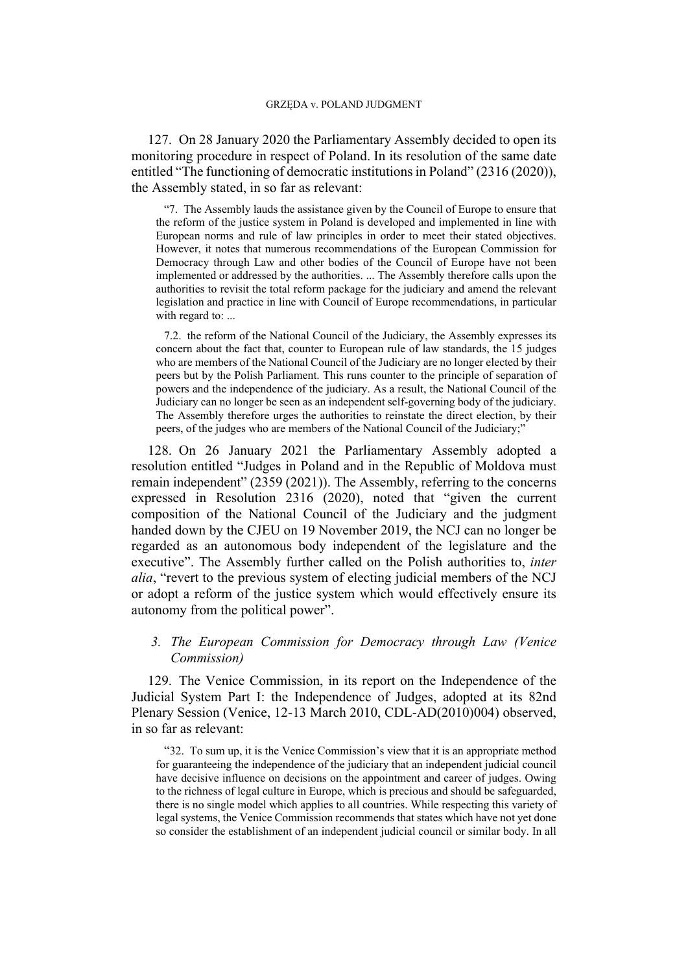127. On 28 January 2020 the Parliamentary Assembly decided to open its monitoring procedure in respect of Poland. In its resolution of the same date entitled "The functioning of democratic institutions in Poland" (2316 (2020)), the Assembly stated, in so far as relevant:

"7. The Assembly lauds the assistance given by the Council of Europe to ensure that the reform of the justice system in Poland is developed and implemented in line with European norms and rule of law principles in order to meet their stated objectives. However, it notes that numerous recommendations of the European Commission for Democracy through Law and other bodies of the Council of Europe have not been implemented or addressed by the authorities. ... The Assembly therefore calls upon the authorities to revisit the total reform package for the judiciary and amend the relevant legislation and practice in line with Council of Europe recommendations, in particular with regard to: ...

7.2. the reform of the National Council of the Judiciary, the Assembly expresses its concern about the fact that, counter to European rule of law standards, the 15 judges who are members of the National Council of the Judiciary are no longer elected by their peers but by the Polish Parliament. This runs counter to the principle of separation of powers and the independence of the judiciary. As a result, the National Council of the Judiciary can no longer be seen as an independent self-governing body of the judiciary. The Assembly therefore urges the authorities to reinstate the direct election, by their peers, of the judges who are members of the National Council of the Judiciary;"

128. On 26 January 2021 the Parliamentary Assembly adopted a resolution entitled "Judges in Poland and in the Republic of Moldova must remain independent" (2359 (2021)). The Assembly, referring to the concerns expressed in Resolution 2316 (2020), noted that "given the current composition of the National Council of the Judiciary and the judgment handed down by the CJEU on 19 November 2019, the NCJ can no longer be regarded as an autonomous body independent of the legislature and the executive". The Assembly further called on the Polish authorities to, *inter alia*, "revert to the previous system of electing judicial members of the NCJ or adopt a reform of the justice system which would effectively ensure its autonomy from the political power".

# *3. The European Commission for Democracy through Law (Venice Commission)*

129. The Venice Commission, in its report on the Independence of the Judicial System Part I: the Independence of Judges, adopted at its 82nd Plenary Session (Venice, 12-13 March 2010, CDL-AD(2010)004) observed, in so far as relevant:

"32. To sum up, it is the Venice Commission's view that it is an appropriate method for guaranteeing the independence of the judiciary that an independent judicial council have decisive influence on decisions on the appointment and career of judges. Owing to the richness of legal culture in Europe, which is precious and should be safeguarded, there is no single model which applies to all countries. While respecting this variety of legal systems, the Venice Commission recommends that states which have not yet done so consider the establishment of an independent judicial council or similar body. In all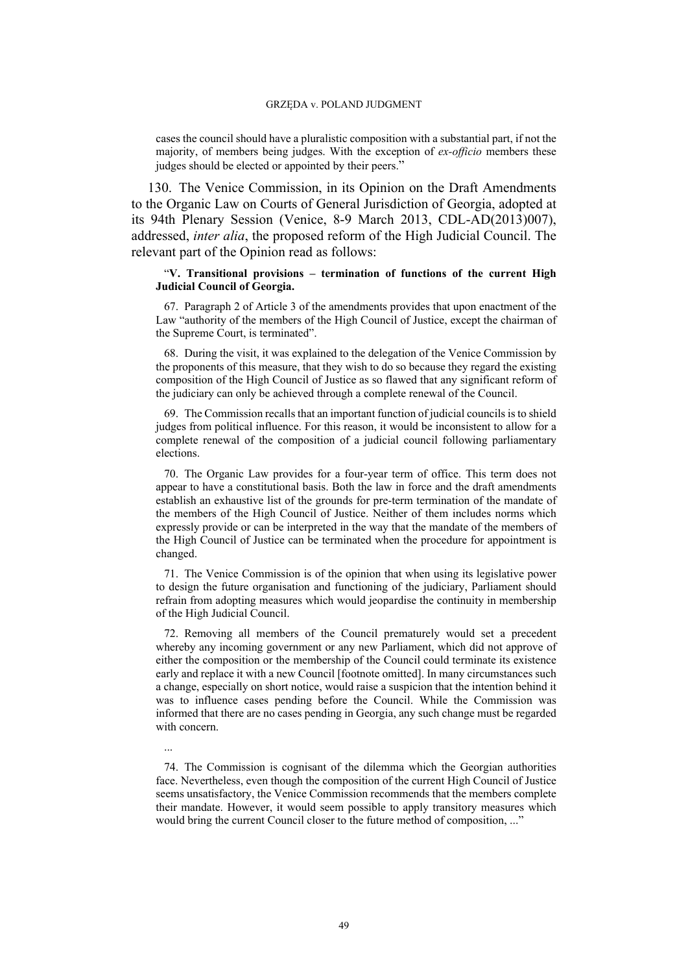cases the council should have a pluralistic composition with a substantial part, if not the majority, of members being judges. With the exception of *ex-officio* members these judges should be elected or appointed by their peers."

130. The Venice Commission, in its Opinion on the Draft Amendments to the Organic Law on Courts of General Jurisdiction of Georgia, adopted at its 94th Plenary Session (Venice, 8-9 March 2013, CDL-AD(2013)007), addressed, *inter alia*, the proposed reform of the High Judicial Council. The relevant part of the Opinion read as follows:

## "**V. Transitional provisions – termination of functions of the current High Judicial Council of Georgia.**

67. Paragraph 2 of Article 3 of the amendments provides that upon enactment of the Law "authority of the members of the High Council of Justice, except the chairman of the Supreme Court, is terminated".

68. During the visit, it was explained to the delegation of the Venice Commission by the proponents of this measure, that they wish to do so because they regard the existing composition of the High Council of Justice as so flawed that any significant reform of the judiciary can only be achieved through a complete renewal of the Council.

69. The Commission recalls that an important function of judicial councils is to shield judges from political influence. For this reason, it would be inconsistent to allow for a complete renewal of the composition of a judicial council following parliamentary elections.

70. The Organic Law provides for a four-year term of office. This term does not appear to have a constitutional basis. Both the law in force and the draft amendments establish an exhaustive list of the grounds for pre-term termination of the mandate of the members of the High Council of Justice. Neither of them includes norms which expressly provide or can be interpreted in the way that the mandate of the members of the High Council of Justice can be terminated when the procedure for appointment is changed.

71. The Venice Commission is of the opinion that when using its legislative power to design the future organisation and functioning of the judiciary, Parliament should refrain from adopting measures which would jeopardise the continuity in membership of the High Judicial Council.

72. Removing all members of the Council prematurely would set a precedent whereby any incoming government or any new Parliament, which did not approve of either the composition or the membership of the Council could terminate its existence early and replace it with a new Council [footnote omitted]. In many circumstances such a change, especially on short notice, would raise a suspicion that the intention behind it was to influence cases pending before the Council. While the Commission was informed that there are no cases pending in Georgia, any such change must be regarded with concern.

<sup>...</sup>

<sup>74.</sup> The Commission is cognisant of the dilemma which the Georgian authorities face. Nevertheless, even though the composition of the current High Council of Justice seems unsatisfactory, the Venice Commission recommends that the members complete their mandate. However, it would seem possible to apply transitory measures which would bring the current Council closer to the future method of composition, ..."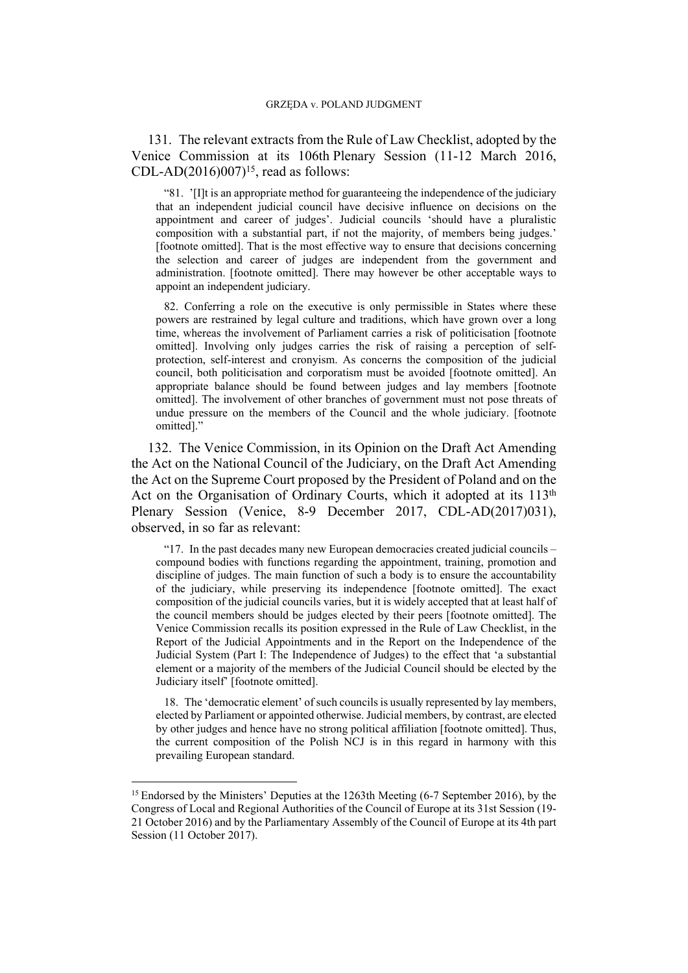131. The relevant extracts from the Rule of Law Checklist, adopted by the Venice Commission at its 106th Plenary Session (11-12 March 2016, CDL-AD $(2016)007$ <sup>15</sup>, read as follows:

"81. '[I]t is an appropriate method for guaranteeing the independence of the judiciary that an independent judicial council have decisive influence on decisions on the appointment and career of judges'. Judicial councils 'should have a pluralistic composition with a substantial part, if not the majority, of members being judges.' [footnote omitted]. That is the most effective way to ensure that decisions concerning the selection and career of judges are independent from the government and administration. [footnote omitted]. There may however be other acceptable ways to appoint an independent judiciary.

82. Conferring a role on the executive is only permissible in States where these powers are restrained by legal culture and traditions, which have grown over a long time, whereas the involvement of Parliament carries a risk of politicisation [footnote omitted]. Involving only judges carries the risk of raising a perception of selfprotection, self-interest and cronyism. As concerns the composition of the judicial council, both politicisation and corporatism must be avoided [footnote omitted]. An appropriate balance should be found between judges and lay members [footnote omitted]. The involvement of other branches of government must not pose threats of undue pressure on the members of the Council and the whole judiciary. [footnote omitted]."

132. The Venice Commission, in its Opinion on the Draft Act Amending the Act on the National Council of the Judiciary, on the Draft Act Amending the Act on the Supreme Court proposed by the President of Poland and on the Act on the Organisation of Ordinary Courts, which it adopted at its 113<sup>th</sup> Plenary Session (Venice, 8-9 December 2017, CDL-AD(2017)031), observed, in so far as relevant:

"17. In the past decades many new European democracies created judicial councils – compound bodies with functions regarding the appointment, training, promotion and discipline of judges. The main function of such a body is to ensure the accountability of the judiciary, while preserving its independence [footnote omitted]. The exact composition of the judicial councils varies, but it is widely accepted that at least half of the council members should be judges elected by their peers [footnote omitted]. The Venice Commission recalls its position expressed in the Rule of Law Checklist, in the Report of the Judicial Appointments and in the Report on the Independence of the Judicial System (Part I: The Independence of Judges) to the effect that 'a substantial element or a majority of the members of the Judicial Council should be elected by the Judiciary itself' [footnote omitted].

18. The 'democratic element' of such councils is usually represented by lay members, elected by Parliament or appointed otherwise. Judicial members, by contrast, are elected by other judges and hence have no strong political affiliation [footnote omitted]. Thus, the current composition of the Polish NCJ is in this regard in harmony with this prevailing European standard.

<sup>&</sup>lt;sup>15</sup> Endorsed by the Ministers' Deputies at the 1263th Meeting (6-7 September 2016), by the Congress of Local and Regional Authorities of the Council of Europe at its 31st Session (19- 21 October 2016) and by the Parliamentary Assembly of the Council of Europe at its 4th part Session (11 October 2017).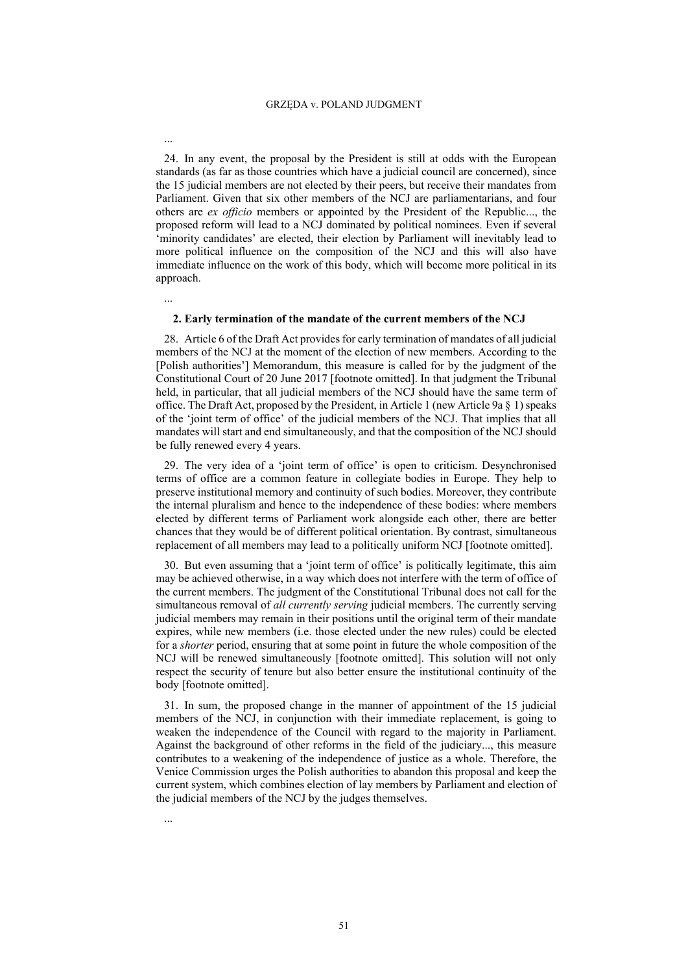24. In any event, the proposal by the President is still at odds with the European standards (as far as those countries which have a judicial council are concerned), since the 15 judicial members are not elected by their peers, but receive their mandates from Parliament. Given that six other members of the NCJ are parliamentarians, and four others are *ex officio* members or appointed by the President of the Republic..., the proposed reform will lead to a NCJ dominated by political nominees. Even if several 'minority candidates' are elected, their election by Parliament will inevitably lead to more political influence on the composition of the NCJ and this will also have immediate influence on the work of this body, which will become more political in its approach.

#### **2. Early termination of the mandate of the current members of the NCJ**

28. Article 6 of the Draft Act provides for early termination of mandates of all judicial members of the NCJ at the moment of the election of new members. According to the [Polish authorities'] Memorandum, this measure is called for by the judgment of the Constitutional Court of 20 June 2017 [footnote omitted]. In that judgment the Tribunal held, in particular, that all judicial members of the NCJ should have the same term of office. The Draft Act, proposed by the President, in Article 1 (new Article 9a  $\S$  1) speaks of the 'joint term of office' of the judicial members of the NCJ. That implies that all mandates will start and end simultaneously, and that the composition of the NCJ should be fully renewed every 4 years.

29. The very idea of a 'joint term of office' is open to criticism. Desynchronised terms of office are a common feature in collegiate bodies in Europe. They help to preserve institutional memory and continuity of such bodies. Moreover, they contribute the internal pluralism and hence to the independence of these bodies: where members elected by different terms of Parliament work alongside each other, there are better chances that they would be of different political orientation. By contrast, simultaneous replacement of all members may lead to a politically uniform NCJ [footnote omitted].

30. But even assuming that a 'joint term of office' is politically legitimate, this aim may be achieved otherwise, in a way which does not interfere with the term of office of the current members. The judgment of the Constitutional Tribunal does not call for the simultaneous removal of *all currently serving* judicial members. The currently serving judicial members may remain in their positions until the original term of their mandate expires, while new members (i.e. those elected under the new rules) could be elected for a *shorter* period, ensuring that at some point in future the whole composition of the NCJ will be renewed simultaneously [footnote omitted]. This solution will not only respect the security of tenure but also better ensure the institutional continuity of the body [footnote omitted].

31. In sum, the proposed change in the manner of appointment of the 15 judicial members of the NCJ, in conjunction with their immediate replacement, is going to weaken the independence of the Council with regard to the majority in Parliament. Against the background of other reforms in the field of the judiciary..., this measure contributes to a weakening of the independence of justice as a whole. Therefore, the Venice Commission urges the Polish authorities to abandon this proposal and keep the current system, which combines election of lay members by Parliament and election of the judicial members of the NCJ by the judges themselves.

...

...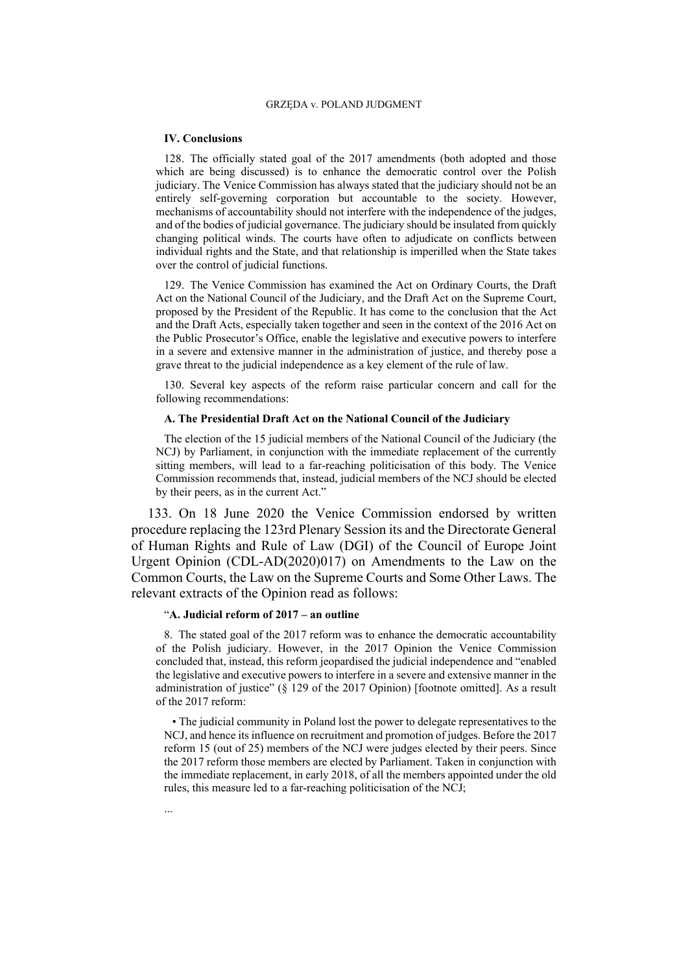#### **IV. Conclusions**

128. The officially stated goal of the 2017 amendments (both adopted and those which are being discussed) is to enhance the democratic control over the Polish judiciary. The Venice Commission has always stated that the judiciary should not be an entirely self-governing corporation but accountable to the society. However, mechanisms of accountability should not interfere with the independence of the judges, and of the bodies of judicial governance. The judiciary should be insulated from quickly changing political winds. The courts have often to adjudicate on conflicts between individual rights and the State, and that relationship is imperilled when the State takes over the control of judicial functions.

129. The Venice Commission has examined the Act on Ordinary Courts, the Draft Act on the National Council of the Judiciary, and the Draft Act on the Supreme Court, proposed by the President of the Republic. It has come to the conclusion that the Act and the Draft Acts, especially taken together and seen in the context of the 2016 Act on the Public Prosecutor's Office, enable the legislative and executive powers to interfere in a severe and extensive manner in the administration of justice, and thereby pose a grave threat to the judicial independence as a key element of the rule of law.

130. Several key aspects of the reform raise particular concern and call for the following recommendations:

#### **A. The Presidential Draft Act on the National Council of the Judiciary**

The election of the 15 judicial members of the National Council of the Judiciary (the NCJ) by Parliament, in conjunction with the immediate replacement of the currently sitting members, will lead to a far-reaching politicisation of this body. The Venice Commission recommends that, instead, judicial members of the NCJ should be elected by their peers, as in the current Act."

133. On 18 June 2020 the Venice Commission endorsed by written procedure replacing the 123rd Plenary Session its and the Directorate General of Human Rights and Rule of Law (DGI) of the Council of Europe Joint Urgent Opinion (CDL-AD(2020)017) on Amendments to the Law on the Common Courts, the Law on the Supreme Courts and Some Other Laws. The relevant extracts of the Opinion read as follows:

### "**A. Judicial reform of 2017 – an outline**

8. The stated goal of the 2017 reform was to enhance the democratic accountability of the Polish judiciary. However, in the 2017 Opinion the Venice Commission concluded that, instead, this reform jeopardised the judicial independence and "enabled the legislative and executive powers to interfere in a severe and extensive manner in the administration of justice" (§ 129 of the 2017 Opinion) [footnote omitted]. As a result of the 2017 reform:

• The judicial community in Poland lost the power to delegate representatives to the NCJ, and hence its influence on recruitment and promotion of judges. Before the 2017 reform 15 (out of 25) members of the NCJ were judges elected by their peers. Since the 2017 reform those members are elected by Parliament. Taken in conjunction with the immediate replacement, in early 2018, of all the members appointed under the old rules, this measure led to a far-reaching politicisation of the NCJ;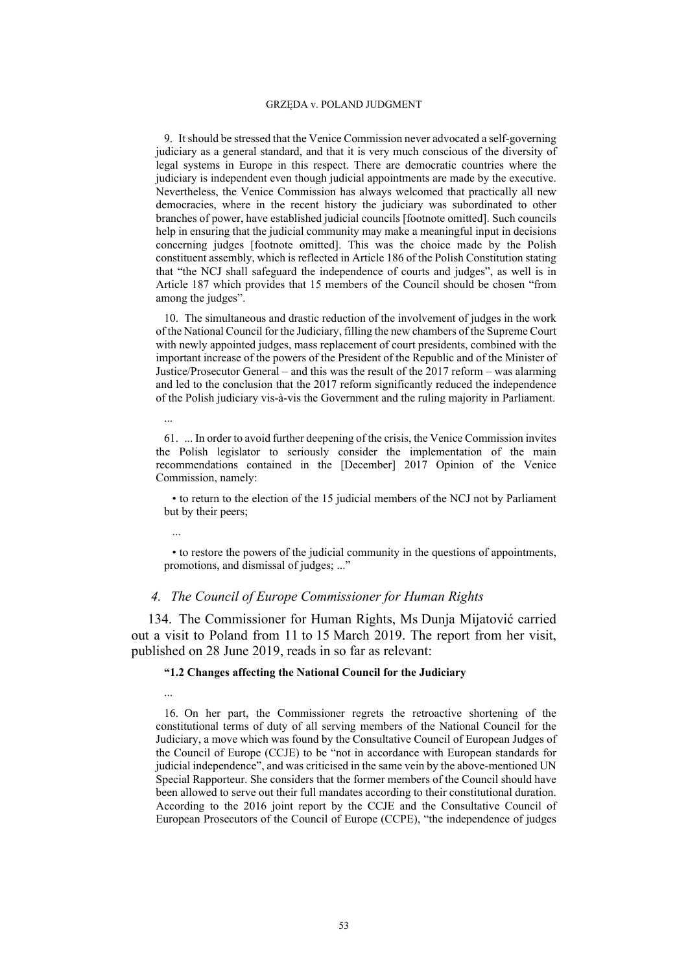9. It should be stressed that the Venice Commission never advocated a self-governing judiciary as a general standard, and that it is very much conscious of the diversity of legal systems in Europe in this respect. There are democratic countries where the judiciary is independent even though judicial appointments are made by the executive. Nevertheless, the Venice Commission has always welcomed that practically all new democracies, where in the recent history the judiciary was subordinated to other branches of power, have established judicial councils [footnote omitted]. Such councils help in ensuring that the judicial community may make a meaningful input in decisions concerning judges [footnote omitted]. This was the choice made by the Polish constituent assembly, which is reflected in Article 186 of the Polish Constitution stating that "the NCJ shall safeguard the independence of courts and judges", as well is in Article 187 which provides that 15 members of the Council should be chosen "from among the judges".

10. The simultaneous and drastic reduction of the involvement of judges in the work of the National Council for the Judiciary, filling the new chambers of the Supreme Court with newly appointed judges, mass replacement of court presidents, combined with the important increase of the powers of the President of the Republic and of the Minister of Justice/Prosecutor General – and this was the result of the 2017 reform – was alarming and led to the conclusion that the 2017 reform significantly reduced the independence of the Polish judiciary vis-à-vis the Government and the ruling majority in Parliament.

61. ... In order to avoid further deepening of the crisis, the Venice Commission invites the Polish legislator to seriously consider the implementation of the main recommendations contained in the [December] 2017 Opinion of the Venice Commission, namely:

• to return to the election of the 15 judicial members of the NCJ not by Parliament but by their peers;

• to restore the powers of the judicial community in the questions of appointments, promotions, and dismissal of judges; ..."

### *4. The Council of Europe Commissioner for Human Rights*

...

...

...

134. The Commissioner for Human Rights, Ms Dunja Mijatović carried out a visit to Poland from 11 to 15 March 2019. The report from her visit, published on 28 June 2019, reads in so far as relevant:

### **"1.2 Changes affecting the National Council for the Judiciary**

16. On her part, the Commissioner regrets the retroactive shortening of the constitutional terms of duty of all serving members of the National Council for the Judiciary, a move which was found by the Consultative Council of European Judges of the Council of Europe (CCJE) to be "not in accordance with European standards for judicial independence", and was criticised in the same vein by the above-mentioned UN Special Rapporteur. She considers that the former members of the Council should have been allowed to serve out their full mandates according to their constitutional duration. According to the 2016 joint report by the CCJE and the Consultative Council of European Prosecutors of the Council of Europe (CCPE), "the independence of judges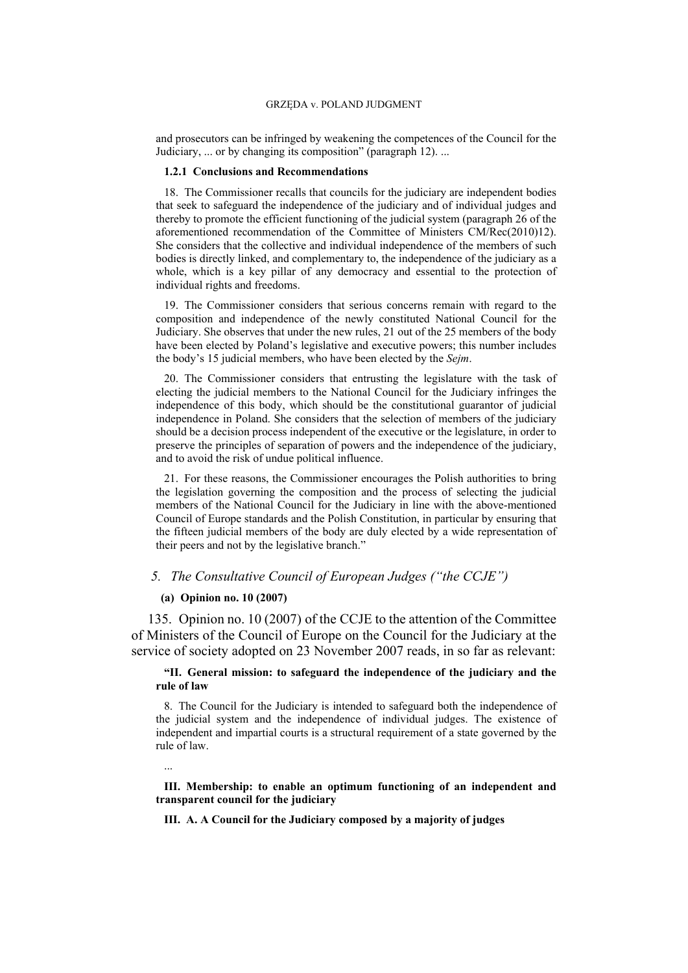and prosecutors can be infringed by weakening the competences of the Council for the Judiciary, ... or by changing its composition" (paragraph 12). ...

### **1.2.1 Conclusions and Recommendations**

18. The Commissioner recalls that councils for the judiciary are independent bodies that seek to safeguard the independence of the judiciary and of individual judges and thereby to promote the efficient functioning of the judicial system (paragraph 26 of the aforementioned recommendation of the Committee of Ministers CM/Rec(2010)12). She considers that the collective and individual independence of the members of such bodies is directly linked, and complementary to, the independence of the judiciary as a whole, which is a key pillar of any democracy and essential to the protection of individual rights and freedoms.

19. The Commissioner considers that serious concerns remain with regard to the composition and independence of the newly constituted National Council for the Judiciary. She observes that under the new rules, 21 out of the 25 members of the body have been elected by Poland's legislative and executive powers; this number includes the body's 15 judicial members, who have been elected by the *Sejm*.

20. The Commissioner considers that entrusting the legislature with the task of electing the judicial members to the National Council for the Judiciary infringes the independence of this body, which should be the constitutional guarantor of judicial independence in Poland. She considers that the selection of members of the judiciary should be a decision process independent of the executive or the legislature, in order to preserve the principles of separation of powers and the independence of the judiciary, and to avoid the risk of undue political influence.

21. For these reasons, the Commissioner encourages the Polish authorities to bring the legislation governing the composition and the process of selecting the judicial members of the National Council for the Judiciary in line with the above-mentioned Council of Europe standards and the Polish Constitution, in particular by ensuring that the fifteen judicial members of the body are duly elected by a wide representation of their peers and not by the legislative branch."

## *5. The Consultative Council of European Judges ("the CCJE")*

### **(a) Opinion no. 10 (2007)**

...

135. Opinion no. 10 (2007) of the CCJE to the attention of the Committee of Ministers of the Council of Europe on the Council for the Judiciary at the service of society adopted on 23 November 2007 reads, in so far as relevant:

**"II. General mission: to safeguard the independence of the judiciary and the rule of law**

8. The Council for the Judiciary is intended to safeguard both the independence of the judicial system and the independence of individual judges. The existence of independent and impartial courts is a structural requirement of a state governed by the rule of law.

**III. Membership: to enable an optimum functioning of an independent and transparent council for the judiciary**

**III. A. A Council for the Judiciary composed by a majority of judges**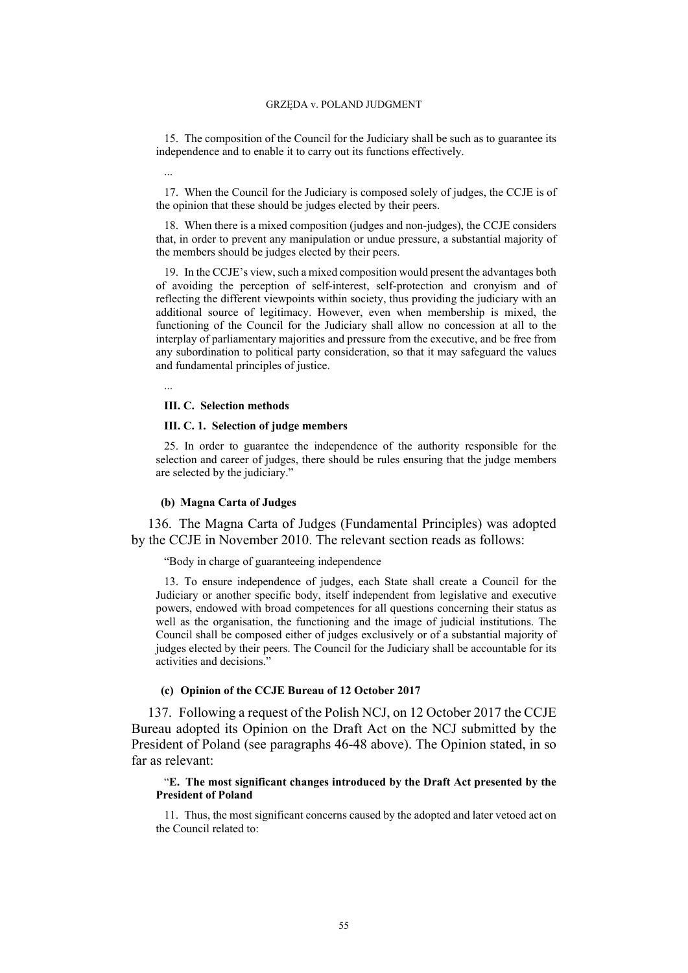15. The composition of the Council for the Judiciary shall be such as to guarantee its independence and to enable it to carry out its functions effectively.

17. When the Council for the Judiciary is composed solely of judges, the CCJE is of the opinion that these should be judges elected by their peers.

18. When there is a mixed composition (judges and non-judges), the CCJE considers that, in order to prevent any manipulation or undue pressure, a substantial majority of the members should be judges elected by their peers.

19. In the CCJE's view, such a mixed composition would present the advantages both of avoiding the perception of self-interest, self-protection and cronyism and of reflecting the different viewpoints within society, thus providing the judiciary with an additional source of legitimacy. However, even when membership is mixed, the functioning of the Council for the Judiciary shall allow no concession at all to the interplay of parliamentary majorities and pressure from the executive, and be free from any subordination to political party consideration, so that it may safeguard the values and fundamental principles of justice.

...

...

#### **III. C. Selection methods**

## **III. C. 1. Selection of judge members**

25. In order to guarantee the independence of the authority responsible for the selection and career of judges, there should be rules ensuring that the judge members are selected by the judiciary."

#### **(b) Magna Carta of Judges**

136. The Magna Carta of Judges (Fundamental Principles) was adopted by the CCJE in November 2010. The relevant section reads as follows:

"Body in charge of guaranteeing independence

13. To ensure independence of judges, each State shall create a Council for the Judiciary or another specific body, itself independent from legislative and executive powers, endowed with broad competences for all questions concerning their status as well as the organisation, the functioning and the image of judicial institutions. The Council shall be composed either of judges exclusively or of a substantial majority of judges elected by their peers. The Council for the Judiciary shall be accountable for its activities and decisions."

### **(c) Opinion of the CCJE Bureau of 12 October 2017**

137. Following a request of the Polish NCJ, on 12 October 2017 the CCJE Bureau adopted its Opinion on the Draft Act on the NCJ submitted by the President of Poland (see paragraphs 46-48 above). The Opinion stated, in so far as relevant:

## "**E. The most significant changes introduced by the Draft Act presented by the President of Poland**

11. Thus, the most significant concerns caused by the adopted and later vetoed act on the Council related to: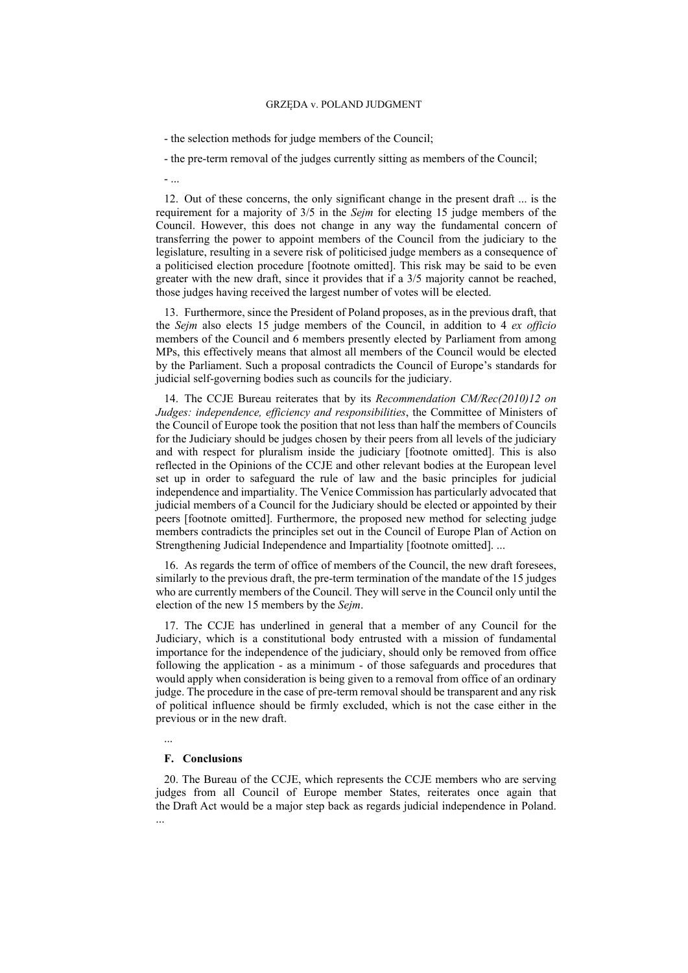- the selection methods for judge members of the Council;

- the pre-term removal of the judges currently sitting as members of the Council;

- ...

12. Out of these concerns, the only significant change in the present draft ... is the requirement for a majority of 3/5 in the *Sejm* for electing 15 judge members of the Council. However, this does not change in any way the fundamental concern of transferring the power to appoint members of the Council from the judiciary to the legislature, resulting in a severe risk of politicised judge members as a consequence of a politicised election procedure [footnote omitted]. This risk may be said to be even greater with the new draft, since it provides that if a 3/5 majority cannot be reached, those judges having received the largest number of votes will be elected.

13. Furthermore, since the President of Poland proposes, as in the previous draft, that the *Sejm* also elects 15 judge members of the Council, in addition to 4 *ex officio* members of the Council and 6 members presently elected by Parliament from among MPs, this effectively means that almost all members of the Council would be elected by the Parliament. Such a proposal contradicts the Council of Europe's standards for judicial self-governing bodies such as councils for the judiciary.

14. The CCJE Bureau reiterates that by its *Recommendation CM/Rec(2010)12 on Judges: independence, efficiency and responsibilities*, the Committee of Ministers of the Council of Europe took the position that not less than half the members of Councils for the Judiciary should be judges chosen by their peers from all levels of the judiciary and with respect for pluralism inside the judiciary [footnote omitted]. This is also reflected in the Opinions of the CCJE and other relevant bodies at the European level set up in order to safeguard the rule of law and the basic principles for judicial independence and impartiality. The Venice Commission has particularly advocated that judicial members of a Council for the Judiciary should be elected or appointed by their peers [footnote omitted]. Furthermore, the proposed new method for selecting judge members contradicts the principles set out in the Council of Europe Plan of Action on Strengthening Judicial Independence and Impartiality [footnote omitted]. ...

16. As regards the term of office of members of the Council, the new draft foresees, similarly to the previous draft, the pre-term termination of the mandate of the 15 judges who are currently members of the Council. They will serve in the Council only until the election of the new 15 members by the *Sejm*.

17. The CCJE has underlined in general that a member of any Council for the Judiciary, which is a constitutional body entrusted with a mission of fundamental importance for the independence of the judiciary, should only be removed from office following the application - as a minimum - of those safeguards and procedures that would apply when consideration is being given to a removal from office of an ordinary judge. The procedure in the case of pre-term removal should be transparent and any risk of political influence should be firmly excluded, which is not the case either in the previous or in the new draft.

...

#### **F. Conclusions**

20. The Bureau of the CCJE, which represents the CCJE members who are serving judges from all Council of Europe member States, reiterates once again that the Draft Act would be a major step back as regards judicial independence in Poland. ...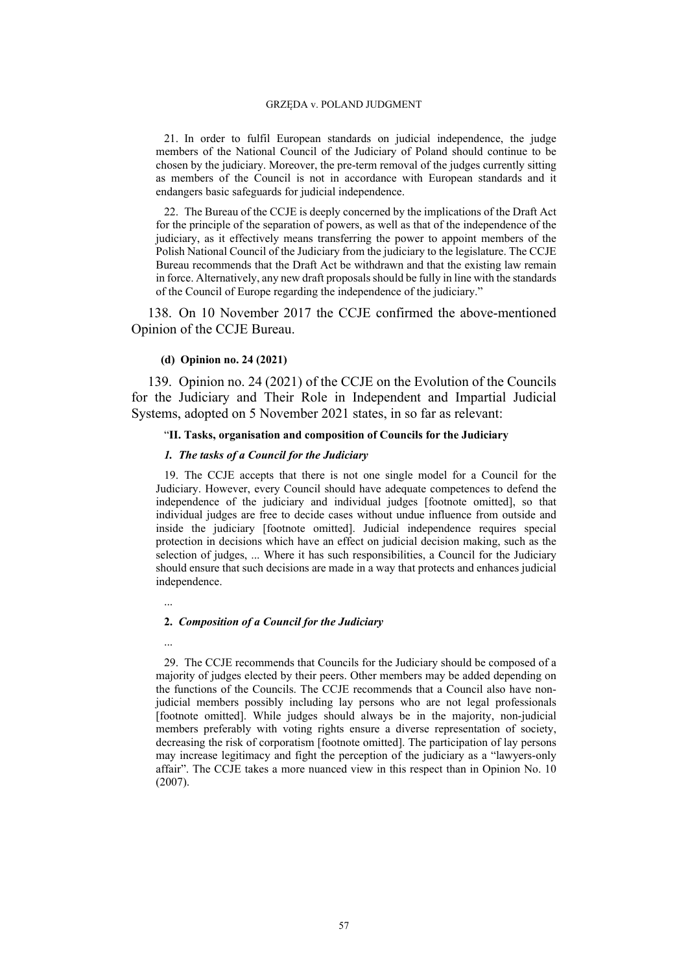21. In order to fulfil European standards on judicial independence, the judge members of the National Council of the Judiciary of Poland should continue to be chosen by the judiciary. Moreover, the pre-term removal of the judges currently sitting as members of the Council is not in accordance with European standards and it endangers basic safeguards for judicial independence.

22. The Bureau of the CCJE is deeply concerned by the implications of the Draft Act for the principle of the separation of powers, as well as that of the independence of the judiciary, as it effectively means transferring the power to appoint members of the Polish National Council of the Judiciary from the judiciary to the legislature. The CCJE Bureau recommends that the Draft Act be withdrawn and that the existing law remain in force. Alternatively, any new draft proposals should be fully in line with the standards of the Council of Europe regarding the independence of the judiciary."

138. On 10 November 2017 the CCJE confirmed the above-mentioned Opinion of the CCJE Bureau.

## **(d) Opinion no. 24 (2021)**

...

...

139. Opinion no. 24 (2021) of the CCJE on the Evolution of the Councils for the Judiciary and Their Role in Independent and Impartial Judicial Systems, adopted on 5 November 2021 states, in so far as relevant:

## "**II. Tasks, organisation and composition of Councils for the Judiciary**

## *1. The tasks of a Council for the Judiciary*

19. The CCJE accepts that there is not one single model for a Council for the Judiciary. However, every Council should have adequate competences to defend the independence of the judiciary and individual judges [footnote omitted], so that individual judges are free to decide cases without undue influence from outside and inside the judiciary [footnote omitted]. Judicial independence requires special protection in decisions which have an effect on judicial decision making, such as the selection of judges, ... Where it has such responsibilities, a Council for the Judiciary should ensure that such decisions are made in a way that protects and enhances judicial independence.

#### **2.** *Composition of a Council for the Judiciary*

29. The CCJE recommends that Councils for the Judiciary should be composed of a majority of judges elected by their peers. Other members may be added depending on the functions of the Councils. The CCJE recommends that a Council also have nonjudicial members possibly including lay persons who are not legal professionals [footnote omitted]. While judges should always be in the majority, non-judicial members preferably with voting rights ensure a diverse representation of society, decreasing the risk of corporatism [footnote omitted]. The participation of lay persons may increase legitimacy and fight the perception of the judiciary as a "lawyers-only affair". The CCJE takes a more nuanced view in this respect than in Opinion No. 10 (2007).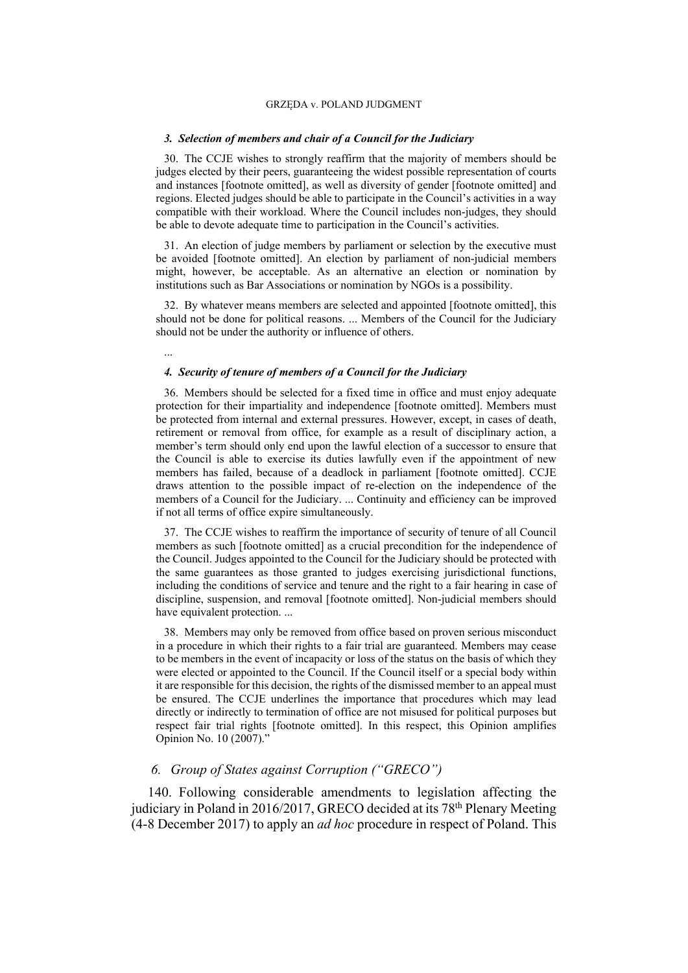#### *3. Selection of members and chair of a Council for the Judiciary*

30. The CCJE wishes to strongly reaffirm that the majority of members should be judges elected by their peers, guaranteeing the widest possible representation of courts and instances [footnote omitted], as well as diversity of gender [footnote omitted] and regions. Elected judges should be able to participate in the Council's activities in a way compatible with their workload. Where the Council includes non-judges, they should be able to devote adequate time to participation in the Council's activities.

31. An election of judge members by parliament or selection by the executive must be avoided [footnote omitted]. An election by parliament of non-judicial members might, however, be acceptable. As an alternative an election or nomination by institutions such as Bar Associations or nomination by NGOs is a possibility.

32. By whatever means members are selected and appointed [footnote omitted], this should not be done for political reasons. ... Members of the Council for the Judiciary should not be under the authority or influence of others.

...

## *4. Security of tenure of members of a Council for the Judiciary*

36. Members should be selected for a fixed time in office and must enjoy adequate protection for their impartiality and independence [footnote omitted]. Members must be protected from internal and external pressures. However, except, in cases of death, retirement or removal from office, for example as a result of disciplinary action, a member's term should only end upon the lawful election of a successor to ensure that the Council is able to exercise its duties lawfully even if the appointment of new members has failed, because of a deadlock in parliament [footnote omitted]. CCJE draws attention to the possible impact of re-election on the independence of the members of a Council for the Judiciary. ... Continuity and efficiency can be improved if not all terms of office expire simultaneously.

37. The CCJE wishes to reaffirm the importance of security of tenure of all Council members as such [footnote omitted] as a crucial precondition for the independence of the Council. Judges appointed to the Council for the Judiciary should be protected with the same guarantees as those granted to judges exercising jurisdictional functions, including the conditions of service and tenure and the right to a fair hearing in case of discipline, suspension, and removal [footnote omitted]. Non-judicial members should have equivalent protection. ...

38. Members may only be removed from office based on proven serious misconduct in a procedure in which their rights to a fair trial are guaranteed. Members may cease to be members in the event of incapacity or loss of the status on the basis of which they were elected or appointed to the Council. If the Council itself or a special body within it are responsible for this decision, the rights of the dismissed member to an appeal must be ensured. The CCJE underlines the importance that procedures which may lead directly or indirectly to termination of office are not misused for political purposes but respect fair trial rights [footnote omitted]. In this respect, this Opinion amplifies Opinion No. 10 (2007).'

## *6. Group of States against Corruption ("GRECO")*

140. Following considerable amendments to legislation affecting the judiciary in Poland in 2016/2017, GRECO decided at its 78<sup>th</sup> Plenary Meeting (4-8 December 2017) to apply an *ad hoc* procedure in respect of Poland. This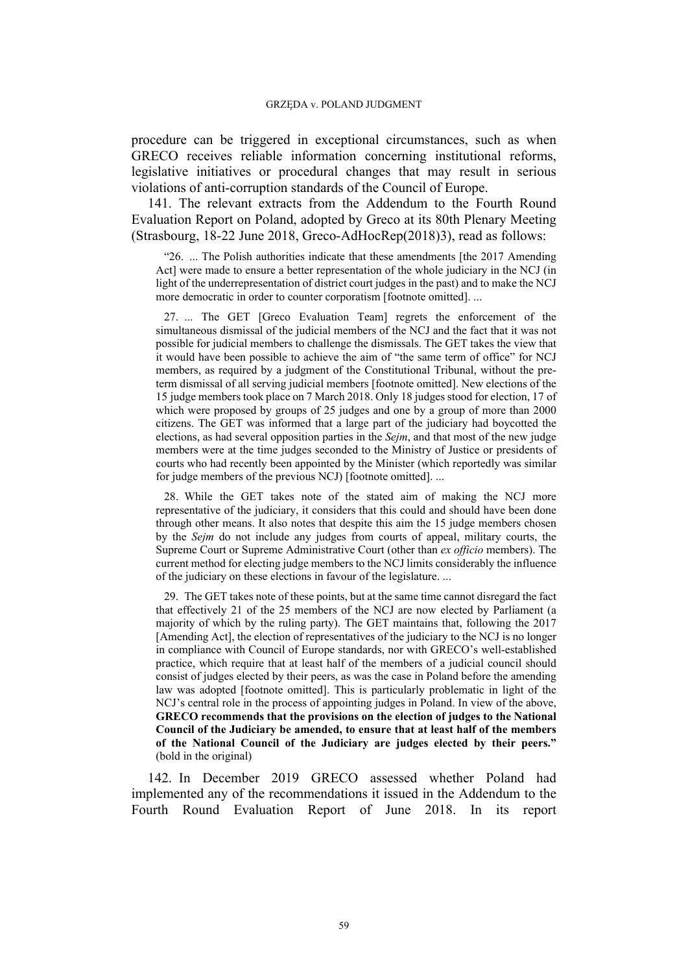procedure can be triggered in exceptional circumstances, such as when GRECO receives reliable information concerning institutional reforms, legislative initiatives or procedural changes that may result in serious violations of anti-corruption standards of the Council of Europe.

141. The relevant extracts from the Addendum to the Fourth Round Evaluation Report on Poland, adopted by Greco at its 80th Plenary Meeting (Strasbourg, 18-22 June 2018, Greco-AdHocRep(2018)3), read as follows:

"26. ... The Polish authorities indicate that these amendments [the 2017 Amending Act] were made to ensure a better representation of the whole judiciary in the NCJ (in light of the underrepresentation of district court judges in the past) and to make the NCJ more democratic in order to counter corporatism [footnote omitted]. ...

27. ... The GET [Greco Evaluation Team] regrets the enforcement of the simultaneous dismissal of the judicial members of the NCJ and the fact that it was not possible for judicial members to challenge the dismissals. The GET takes the view that it would have been possible to achieve the aim of "the same term of office" for NCJ members, as required by a judgment of the Constitutional Tribunal, without the preterm dismissal of all serving judicial members [footnote omitted]. New elections of the 15 judge members took place on 7 March 2018. Only 18 judges stood for election, 17 of which were proposed by groups of 25 judges and one by a group of more than 2000 citizens. The GET was informed that a large part of the judiciary had boycotted the elections, as had several opposition parties in the *Sejm*, and that most of the new judge members were at the time judges seconded to the Ministry of Justice or presidents of courts who had recently been appointed by the Minister (which reportedly was similar for judge members of the previous NCJ) [footnote omitted]. ...

28. While the GET takes note of the stated aim of making the NCJ more representative of the judiciary, it considers that this could and should have been done through other means. It also notes that despite this aim the 15 judge members chosen by the *Sejm* do not include any judges from courts of appeal, military courts, the Supreme Court or Supreme Administrative Court (other than *ex officio* members). The current method for electing judge members to the NCJ limits considerably the influence of the judiciary on these elections in favour of the legislature. ...

29. The GET takes note of these points, but at the same time cannot disregard the fact that effectively 21 of the 25 members of the NCJ are now elected by Parliament (a majority of which by the ruling party). The GET maintains that, following the 2017 [Amending Act], the election of representatives of the judiciary to the NCJ is no longer in compliance with Council of Europe standards, nor with GRECO's well-established practice, which require that at least half of the members of a judicial council should consist of judges elected by their peers, as was the case in Poland before the amending law was adopted [footnote omitted]. This is particularly problematic in light of the NCJ's central role in the process of appointing judges in Poland. In view of the above, **GRECO recommends that the provisions on the election of judges to the National Council of the Judiciary be amended, to ensure that at least half of the members of the National Council of the Judiciary are judges elected by their peers."**  (bold in the original)

142. In December 2019 GRECO assessed whether Poland had implemented any of the recommendations it issued in the Addendum to the Fourth Round Evaluation Report of June 2018. In its report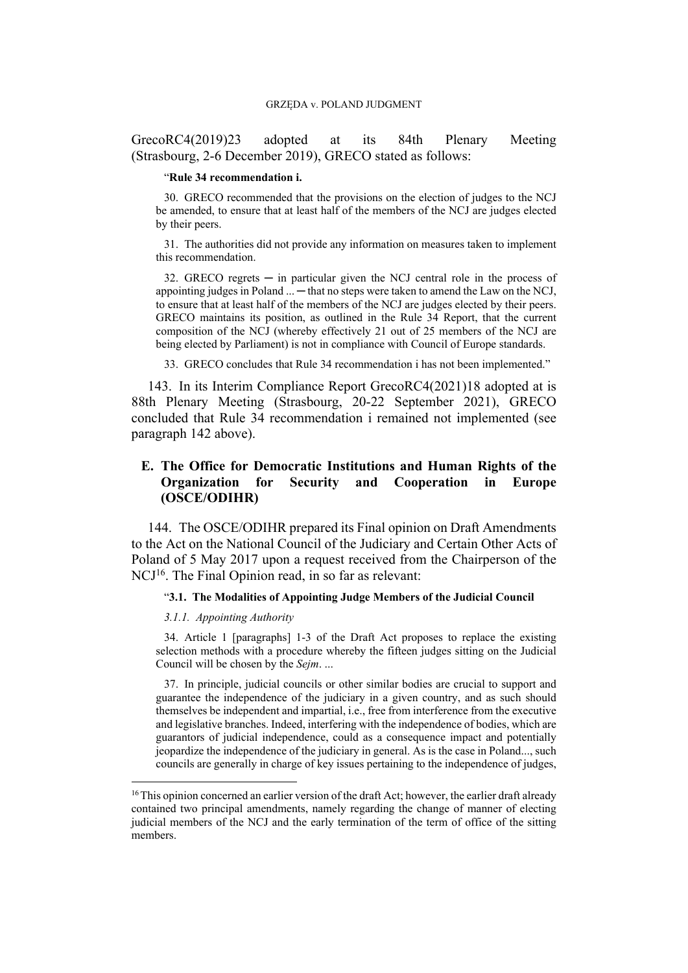GrecoRC4(2019)23 adopted at its 84th Plenary Meeting (Strasbourg, 2-6 December 2019), GRECO stated as follows:

### "**Rule 34 recommendation i.**

30. GRECO recommended that the provisions on the election of judges to the NCJ be amended, to ensure that at least half of the members of the NCJ are judges elected by their peers.

31. The authorities did not provide any information on measures taken to implement this recommendation.

32. GRECO regrets  $-$  in particular given the NCJ central role in the process of appointing judges in Poland  $\dots$  — that no steps were taken to amend the Law on the NCJ, to ensure that at least half of the members of the NCJ are judges elected by their peers. GRECO maintains its position, as outlined in the Rule 34 Report, that the current composition of the NCJ (whereby effectively 21 out of 25 members of the NCJ are being elected by Parliament) is not in compliance with Council of Europe standards.

33. GRECO concludes that Rule 34 recommendation i has not been implemented."

143. In its Interim Compliance Report GrecoRC4(2021)18 adopted at is 88th Plenary Meeting (Strasbourg, 20-22 September 2021), GRECO concluded that Rule 34 recommendation i remained not implemented (see paragraph 142 above).

# **E. The Office for Democratic Institutions and Human Rights of the Organization for Security and Cooperation in Europe (OSCE/ODIHR)**

144. The OSCE/ODIHR prepared its Final opinion on Draft Amendments to the Act on the National Council of the Judiciary and Certain Other Acts of Poland of 5 May 2017 upon a request received from the Chairperson of the NCJ<sup>16</sup>. The Final Opinion read, in so far as relevant:

### "**3.1. The Modalities of Appointing Judge Members of the Judicial Council**

#### *3.1.1. Appointing Authority*

34. Article 1 [paragraphs] 1-3 of the Draft Act proposes to replace the existing selection methods with a procedure whereby the fifteen judges sitting on the Judicial Council will be chosen by the *Sejm*. ...

37. In principle, judicial councils or other similar bodies are crucial to support and guarantee the independence of the judiciary in a given country, and as such should themselves be independent and impartial, i.e., free from interference from the executive and legislative branches. Indeed, interfering with the independence of bodies, which are guarantors of judicial independence, could as a consequence impact and potentially jeopardize the independence of the judiciary in general. As is the case in Poland..., such councils are generally in charge of key issues pertaining to the independence of judges,

<sup>&</sup>lt;sup>16</sup>This opinion concerned an earlier version of the draft Act; however, the earlier draft already contained two principal amendments, namely regarding the change of manner of electing judicial members of the NCJ and the early termination of the term of office of the sitting members.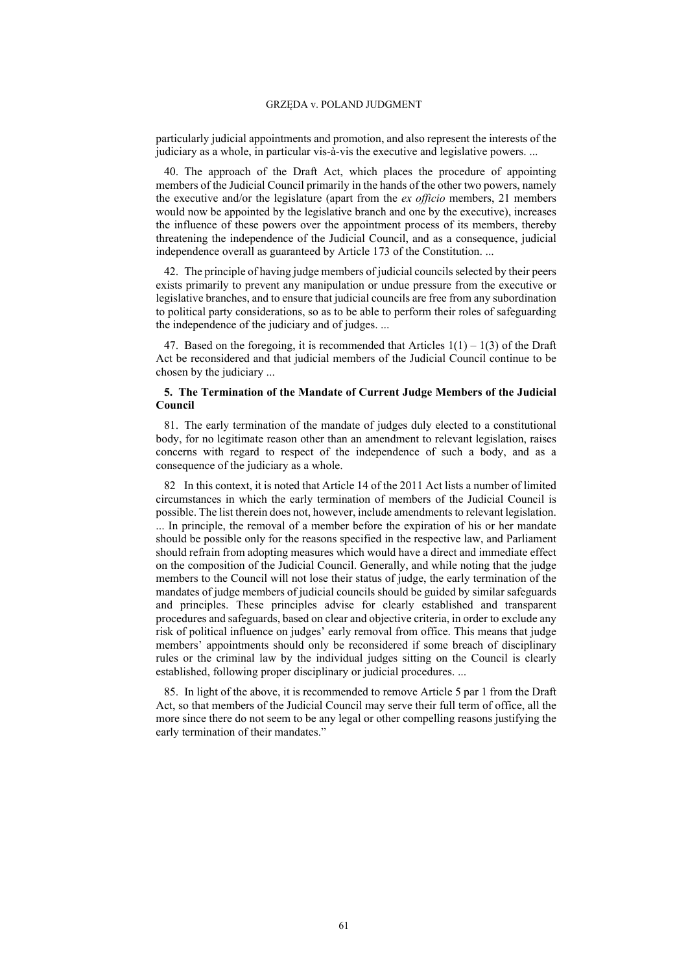particularly judicial appointments and promotion, and also represent the interests of the judiciary as a whole, in particular vis-à-vis the executive and legislative powers. ...

40. The approach of the Draft Act, which places the procedure of appointing members of the Judicial Council primarily in the hands of the other two powers, namely the executive and/or the legislature (apart from the *ex officio* members, 21 members would now be appointed by the legislative branch and one by the executive), increases the influence of these powers over the appointment process of its members, thereby threatening the independence of the Judicial Council, and as a consequence, judicial independence overall as guaranteed by Article 173 of the Constitution. ...

42. The principle of having judge members of judicial councils selected by their peers exists primarily to prevent any manipulation or undue pressure from the executive or legislative branches, and to ensure that judicial councils are free from any subordination to political party considerations, so as to be able to perform their roles of safeguarding the independence of the judiciary and of judges. ...

47. Based on the foregoing, it is recommended that Articles  $1(1) - 1(3)$  of the Draft Act be reconsidered and that judicial members of the Judicial Council continue to be chosen by the judiciary ...

### **5. The Termination of the Mandate of Current Judge Members of the Judicial Council**

81. The early termination of the mandate of judges duly elected to a constitutional body, for no legitimate reason other than an amendment to relevant legislation, raises concerns with regard to respect of the independence of such a body, and as a consequence of the judiciary as a whole.

82 In this context, it is noted that Article 14 of the 2011 Act lists a number of limited circumstances in which the early termination of members of the Judicial Council is possible. The list therein does not, however, include amendments to relevant legislation. ... In principle, the removal of a member before the expiration of his or her mandate should be possible only for the reasons specified in the respective law, and Parliament should refrain from adopting measures which would have a direct and immediate effect on the composition of the Judicial Council. Generally, and while noting that the judge members to the Council will not lose their status of judge, the early termination of the mandates of judge members of judicial councils should be guided by similar safeguards and principles. These principles advise for clearly established and transparent procedures and safeguards, based on clear and objective criteria, in order to exclude any risk of political influence on judges' early removal from office. This means that judge members' appointments should only be reconsidered if some breach of disciplinary rules or the criminal law by the individual judges sitting on the Council is clearly established, following proper disciplinary or judicial procedures. ...

85. In light of the above, it is recommended to remove Article 5 par 1 from the Draft Act, so that members of the Judicial Council may serve their full term of office, all the more since there do not seem to be any legal or other compelling reasons justifying the early termination of their mandates."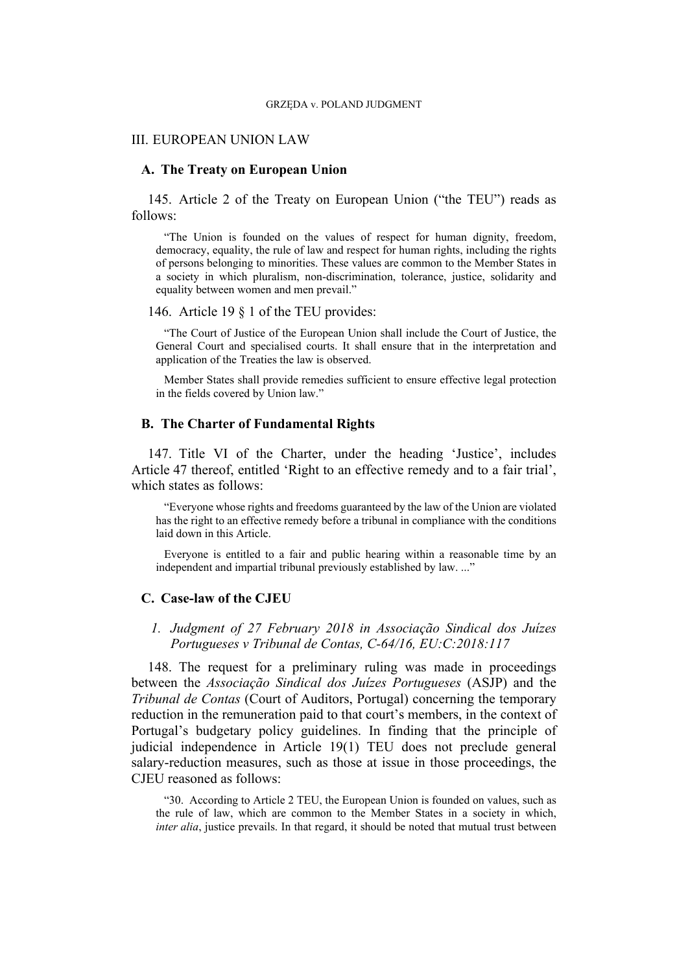## III. EUROPEAN UNION LAW

## **A. The Treaty on European Union**

145. Article 2 of the Treaty on European Union ("the TEU") reads as follows:

"The Union is founded on the values of respect for human dignity, freedom, democracy, equality, the rule of law and respect for human rights, including the rights of persons belonging to minorities. These values are common to the Member States in a society in which pluralism, non-discrimination, tolerance, justice, solidarity and equality between women and men prevail."

## 146. Article 19 § 1 of the TEU provides:

"The Court of Justice of the European Union shall include the Court of Justice, the General Court and specialised courts. It shall ensure that in the interpretation and application of the Treaties the law is observed.

Member States shall provide remedies sufficient to ensure effective legal protection in the fields covered by Union law."

## **B. The Charter of Fundamental Rights**

147. Title VI of the Charter, under the heading 'Justice', includes Article 47 thereof, entitled 'Right to an effective remedy and to a fair trial', which states as follows:

"Everyone whose rights and freedoms guaranteed by the law of the Union are violated has the right to an effective remedy before a tribunal in compliance with the conditions laid down in this Article.

Everyone is entitled to a fair and public hearing within a reasonable time by an independent and impartial tribunal previously established by law. ..."

## **C. Case-law of the CJEU**

*1. Judgment of 27 February 2018 in Associação Sindical dos Juízes Portugueses v Tribunal de Contas, C-64/16, EU:C:2018:117*

148. The request for a preliminary ruling was made in proceedings between the *Associação Sindical dos Juízes Portugueses* (ASJP) and the *Tribunal de Contas* (Court of Auditors, Portugal) concerning the temporary reduction in the remuneration paid to that court's members, in the context of Portugal's budgetary policy guidelines. In finding that the principle of judicial independence in Article 19(1) TEU does not preclude general salary-reduction measures, such as those at issue in those proceedings, the CJEU reasoned as follows:

"30. According to Article 2 TEU, the European Union is founded on values, such as the rule of law, which are common to the Member States in a society in which, *inter alia*, justice prevails. In that regard, it should be noted that mutual trust between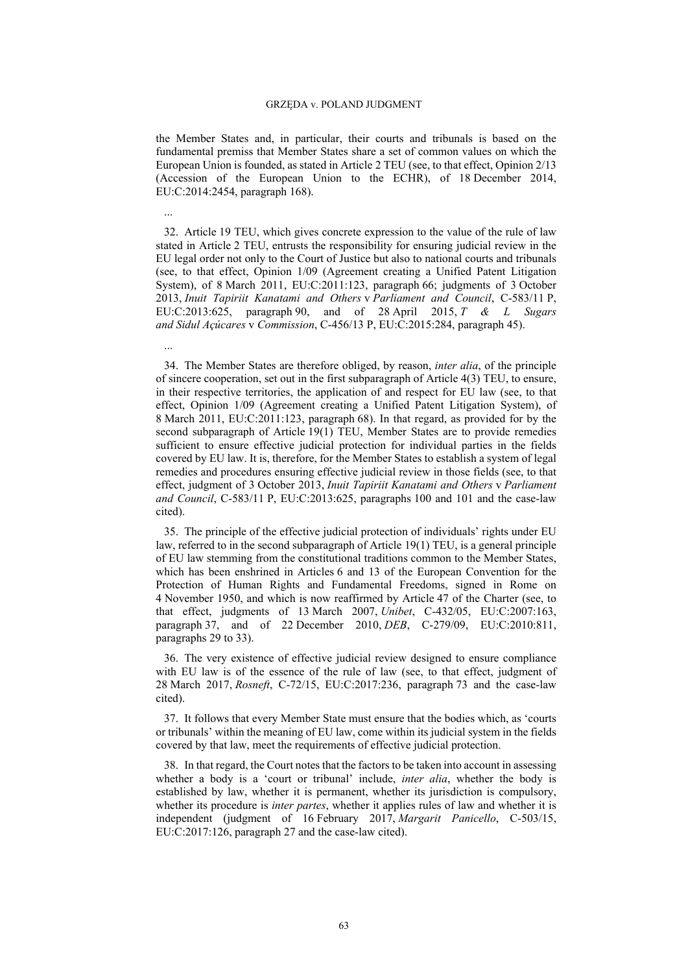the Member States and, in particular, their courts and tribunals is based on the fundamental premiss that Member States share a set of common values on which the European Union is founded, as stated in Article 2 TEU (see, to that effect, Opinion 2/13 (Accession of the European Union to the ECHR), of 18 December 2014, EU:C:2014:2454, paragraph 168).

...

...

32. Article 19 TEU, which gives concrete expression to the value of the rule of law stated in Article 2 TEU, entrusts the responsibility for ensuring judicial review in the EU legal order not only to the Court of Justice but also to national courts and tribunals (see, to that effect, Opinion 1/09 (Agreement creating a Unified Patent Litigation System), of 8 March 2011, EU:C:2011:123, paragraph 66; judgments of 3 October 2013, *Inuit Tapiriit Kanatami and Others* v *Parliament and Council*, C-583/11 P, EU:C:2013:625, paragraph 90, and of 28 April 2015, *T & L Sugars and Sidul Açúcares* v *Commission*, C-456/13 P, EU:C:2015:284, paragraph 45).

34. The Member States are therefore obliged, by reason, *inter alia*, of the principle of sincere cooperation, set out in the first subparagraph of Article 4(3) TEU, to ensure, in their respective territories, the application of and respect for EU law (see, to that effect, Opinion 1/09 (Agreement creating a Unified Patent Litigation System), of 8 March 2011, EU:C:2011:123, paragraph 68). In that regard, as provided for by the second subparagraph of Article 19(1) TEU, Member States are to provide remedies sufficient to ensure effective judicial protection for individual parties in the fields covered by EU law. It is, therefore, for the Member States to establish a system of legal remedies and procedures ensuring effective judicial review in those fields (see, to that effect, judgment of 3 October 2013, *Inuit Tapiriit Kanatami and Others* v *Parliament and Council*, C-583/11 P, EU:C:2013:625, paragraphs 100 and 101 and the case-law cited).

35. The principle of the effective judicial protection of individuals' rights under EU law, referred to in the second subparagraph of Article 19(1) TEU, is a general principle of EU law stemming from the constitutional traditions common to the Member States, which has been enshrined in Articles 6 and 13 of the European Convention for the Protection of Human Rights and Fundamental Freedoms, signed in Rome on 4 November 1950, and which is now reaffirmed by Article 47 of the Charter (see, to that effect, judgments of 13 March 2007, *Unibet*, C-432/05, EU:C:2007:163, paragraph 37, and of 22 December 2010, *DEB*, C-279/09, EU:C:2010:811, paragraphs 29 to 33).

36. The very existence of effective judicial review designed to ensure compliance with EU law is of the essence of the rule of law (see, to that effect, judgment of 28 March 2017, *Rosneft*, C-72/15, EU:C:2017:236, paragraph 73 and the case-law cited).

37. It follows that every Member State must ensure that the bodies which, as 'courts or tribunals' within the meaning of EU law, come within its judicial system in the fields covered by that law, meet the requirements of effective judicial protection.

38. In that regard, the Court notes that the factors to be taken into account in assessing whether a body is a 'court or tribunal' include, *inter alia*, whether the body is established by law, whether it is permanent, whether its jurisdiction is compulsory, whether its procedure is *inter partes*, whether it applies rules of law and whether it is independent (judgment of 16 February 2017, *Margarit Panicello*, C-503/15, EU:C:2017:126, paragraph 27 and the case-law cited).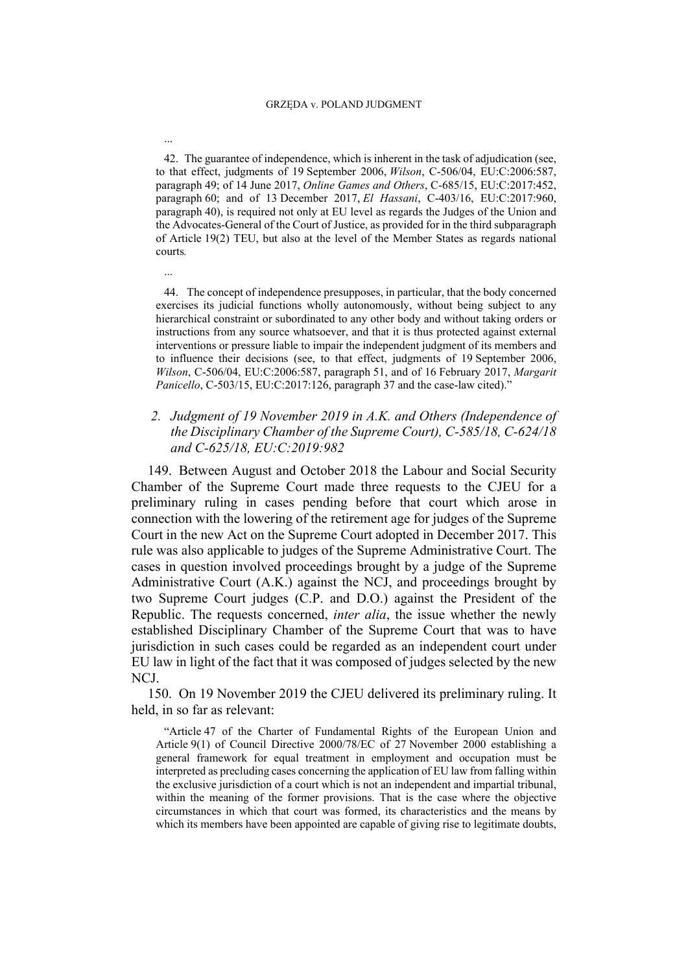...

...

42. The guarantee of independence, which is inherent in the task of adjudication (see, to that effect, judgments of 19 September 2006, *Wilson*, C-506/04, EU:C:2006:587, paragraph 49; of 14 June 2017, *Online Games and Others*, C-685/15, EU:C:2017:452, paragraph 60; and of 13 December 2017, *El Hassani*, C-403/16, EU:C:2017:960, paragraph 40), is required not only at EU level as regards the Judges of the Union and the Advocates-General of the Court of Justice, as provided for in the third subparagraph of Article 19(2) TEU, but also at the level of the Member States as regards national courts*.*

44. The concept of independence presupposes, in particular, that the body concerned exercises its judicial functions wholly autonomously, without being subject to any hierarchical constraint or subordinated to any other body and without taking orders or instructions from any source whatsoever, and that it is thus protected against external interventions or pressure liable to impair the independent judgment of its members and to influence their decisions (see, to that effect, judgments of 19 September 2006, *Wilson*, C-506/04, EU:C:2006:587, paragraph 51, and of 16 February 2017, *Margarit Panicello*, C-503/15, EU:C:2017:126, paragraph 37 and the case-law cited)."

*2. Judgment of 19 November 2019 in A.K. and Others (Independence of the Disciplinary Chamber of the Supreme Court), C-585/18, C-624/18 and C-625/18, EU:C:2019:982*

149. Between August and October 2018 the Labour and Social Security Chamber of the Supreme Court made three requests to the CJEU for a preliminary ruling in cases pending before that court which arose in connection with the lowering of the retirement age for judges of the Supreme Court in the new Act on the Supreme Court adopted in December 2017. This rule was also applicable to judges of the Supreme Administrative Court. The cases in question involved proceedings brought by a judge of the Supreme Administrative Court (A.K.) against the NCJ, and proceedings brought by two Supreme Court judges (C.P. and D.O.) against the President of the Republic. The requests concerned, *inter alia*, the issue whether the newly established Disciplinary Chamber of the Supreme Court that was to have jurisdiction in such cases could be regarded as an independent court under EU law in light of the fact that it was composed of judges selected by the new NCJ.

150. On 19 November 2019 the CJEU delivered its preliminary ruling. It held, in so far as relevant:

"Article 47 of the Charter of Fundamental Rights of the European Union and Article 9(1) of Council Directive 2000/78/EC of 27 November 2000 establishing a general framework for equal treatment in employment and occupation must be interpreted as precluding cases concerning the application of EU law from falling within the exclusive jurisdiction of a court which is not an independent and impartial tribunal, within the meaning of the former provisions. That is the case where the objective circumstances in which that court was formed, its characteristics and the means by which its members have been appointed are capable of giving rise to legitimate doubts,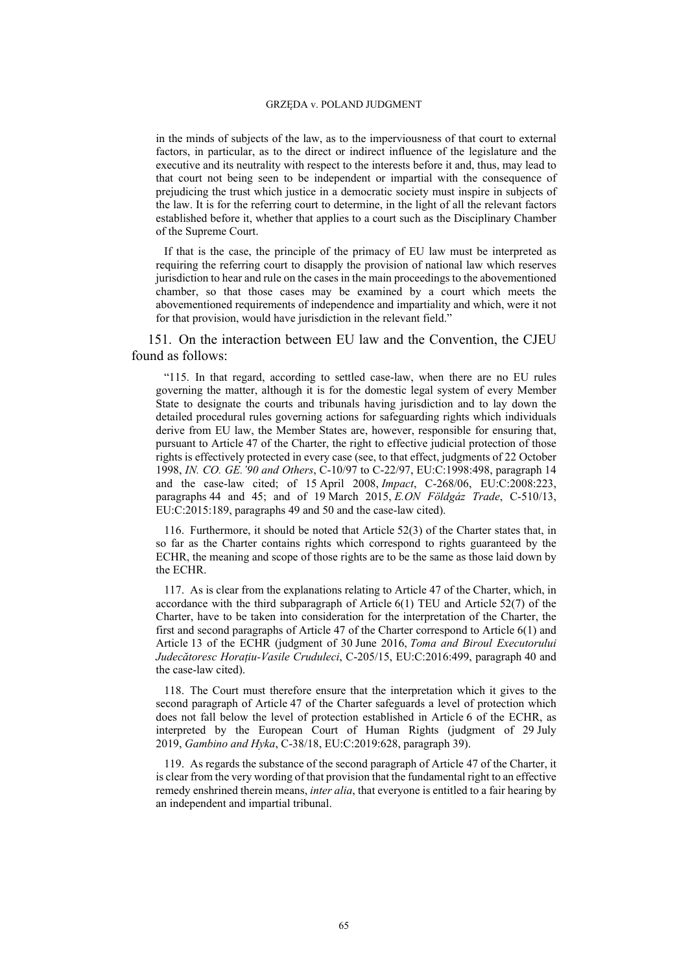in the minds of subjects of the law, as to the imperviousness of that court to external factors, in particular, as to the direct or indirect influence of the legislature and the executive and its neutrality with respect to the interests before it and, thus, may lead to that court not being seen to be independent or impartial with the consequence of prejudicing the trust which justice in a democratic society must inspire in subjects of the law. It is for the referring court to determine, in the light of all the relevant factors established before it, whether that applies to a court such as the Disciplinary Chamber of the Supreme Court.

If that is the case, the principle of the primacy of EU law must be interpreted as requiring the referring court to disapply the provision of national law which reserves jurisdiction to hear and rule on the cases in the main proceedings to the abovementioned chamber, so that those cases may be examined by a court which meets the abovementioned requirements of independence and impartiality and which, were it not for that provision, would have jurisdiction in the relevant field."

151. On the interaction between EU law and the Convention, the CJEU found as follows:

"115. In that regard, according to settled case-law, when there are no EU rules governing the matter, although it is for the domestic legal system of every Member State to designate the courts and tribunals having jurisdiction and to lay down the detailed procedural rules governing actions for safeguarding rights which individuals derive from EU law, the Member States are, however, responsible for ensuring that, pursuant to Article 47 of the Charter, the right to effective judicial protection of those rights is effectively protected in every case (see, to that effect, judgments of 22 October 1998, *IN. CO. GE.'90 and Others*, C-10/97 to C-22/97, EU:C:1998:498, paragraph 14 and the case-law cited; of 15 April 2008, *Impact*, C-268/06, EU:C:2008:223, paragraphs 44 and 45; and of 19 March 2015, *E.ON Földgáz Trade*, C-510/13, EU:C:2015:189, paragraphs 49 and 50 and the case-law cited).

116. Furthermore, it should be noted that Article 52(3) of the Charter states that, in so far as the Charter contains rights which correspond to rights guaranteed by the ECHR, the meaning and scope of those rights are to be the same as those laid down by the ECHR.

117. As is clear from the explanations relating to Article 47 of the Charter, which, in accordance with the third subparagraph of Article 6(1) TEU and Article 52(7) of the Charter, have to be taken into consideration for the interpretation of the Charter, the first and second paragraphs of Article 47 of the Charter correspond to Article 6(1) and Article 13 of the ECHR (judgment of 30 June 2016, *Toma and Biroul Executorului Judecătoresc Horațiu-Vasile Cruduleci*, C-205/15, EU:C:2016:499, paragraph 40 and the case-law cited).

118. The Court must therefore ensure that the interpretation which it gives to the second paragraph of Article 47 of the Charter safeguards a level of protection which does not fall below the level of protection established in Article 6 of the ECHR, as interpreted by the European Court of Human Rights (judgment of 29 July 2019, *Gambino and Hyka*, C-38/18, EU:C:2019:628, paragraph 39).

119. As regards the substance of the second paragraph of Article 47 of the Charter, it is clear from the very wording of that provision that the fundamental right to an effective remedy enshrined therein means, *inter alia*, that everyone is entitled to a fair hearing by an independent and impartial tribunal.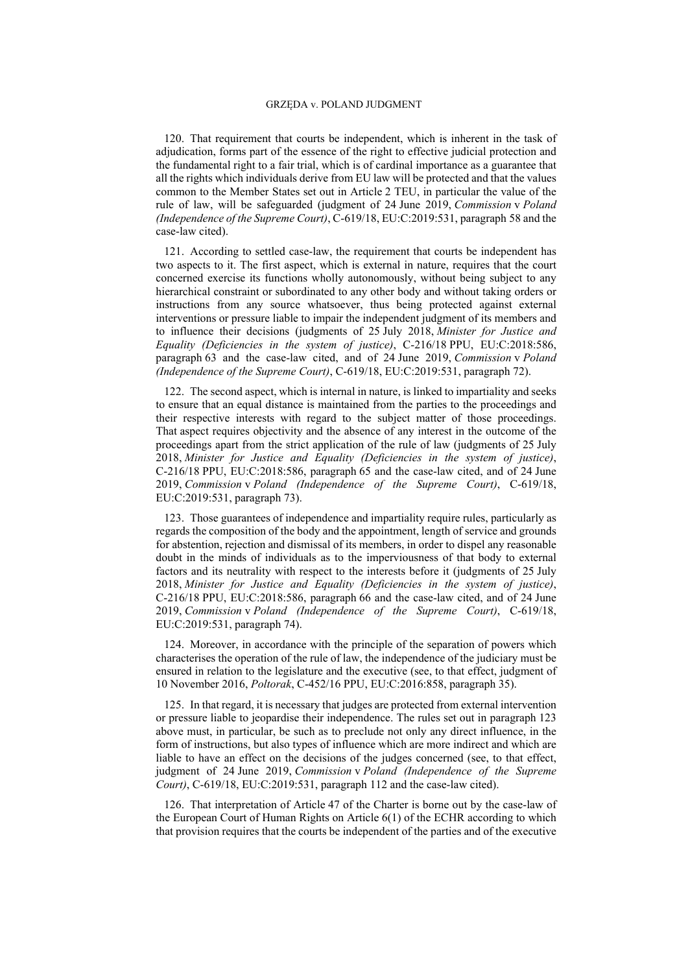120. That requirement that courts be independent, which is inherent in the task of adjudication, forms part of the essence of the right to effective judicial protection and the fundamental right to a fair trial, which is of cardinal importance as a guarantee that all the rights which individuals derive from EU law will be protected and that the values common to the Member States set out in Article 2 TEU, in particular the value of the rule of law, will be safeguarded (judgment of 24 June 2019, *Commission* v *Poland (Independence of the Supreme Court)*, C-619/18, EU:C:2019:531, paragraph 58 and the case-law cited).

121. According to settled case-law, the requirement that courts be independent has two aspects to it. The first aspect, which is external in nature, requires that the court concerned exercise its functions wholly autonomously, without being subject to any hierarchical constraint or subordinated to any other body and without taking orders or instructions from any source whatsoever, thus being protected against external interventions or pressure liable to impair the independent judgment of its members and to influence their decisions (judgments of 25 July 2018, *Minister for Justice and Equality (Deficiencies in the system of justice)*, C-216/18 PPU, EU:C:2018:586, paragraph 63 and the case-law cited, and of 24 June 2019, *Commission* v *Poland (Independence of the Supreme Court)*, C-619/18, EU:C:2019:531, paragraph 72).

122. The second aspect, which is internal in nature, is linked to impartiality and seeks to ensure that an equal distance is maintained from the parties to the proceedings and their respective interests with regard to the subject matter of those proceedings. That aspect requires objectivity and the absence of any interest in the outcome of the proceedings apart from the strict application of the rule of law (judgments of 25 July 2018, *Minister for Justice and Equality (Deficiencies in the system of justice)*, C-216/18 PPU, EU:C:2018:586, paragraph 65 and the case-law cited, and of 24 June 2019, *Commission* v *Poland (Independence of the Supreme Court)*, C-619/18, EU:C:2019:531, paragraph 73).

123. Those guarantees of independence and impartiality require rules, particularly as regards the composition of the body and the appointment, length of service and grounds for abstention, rejection and dismissal of its members, in order to dispel any reasonable doubt in the minds of individuals as to the imperviousness of that body to external factors and its neutrality with respect to the interests before it (judgments of 25 July 2018, *Minister for Justice and Equality (Deficiencies in the system of justice)*, C-216/18 PPU, EU:C:2018:586, paragraph 66 and the case-law cited, and of 24 June 2019, *Commission* v *Poland (Independence of the Supreme Court)*, C-619/18, EU:C:2019:531, paragraph 74).

124. Moreover, in accordance with the principle of the separation of powers which characterises the operation of the rule of law, the independence of the judiciary must be ensured in relation to the legislature and the executive (see, to that effect, judgment of 10 November 2016, *Poltorak*, C-452/16 PPU, EU:C:2016:858, paragraph 35).

125. In that regard, it is necessary that judges are protected from external intervention or pressure liable to jeopardise their independence. The rules set out in paragraph 123 above must, in particular, be such as to preclude not only any direct influence, in the form of instructions, but also types of influence which are more indirect and which are liable to have an effect on the decisions of the judges concerned (see, to that effect, judgment of 24 June 2019, *Commission* v *Poland (Independence of the Supreme Court)*, C-619/18, EU:C:2019:531, paragraph 112 and the case-law cited).

126. That interpretation of Article 47 of the Charter is borne out by the case-law of the European Court of Human Rights on Article 6(1) of the ECHR according to which that provision requires that the courts be independent of the parties and of the executive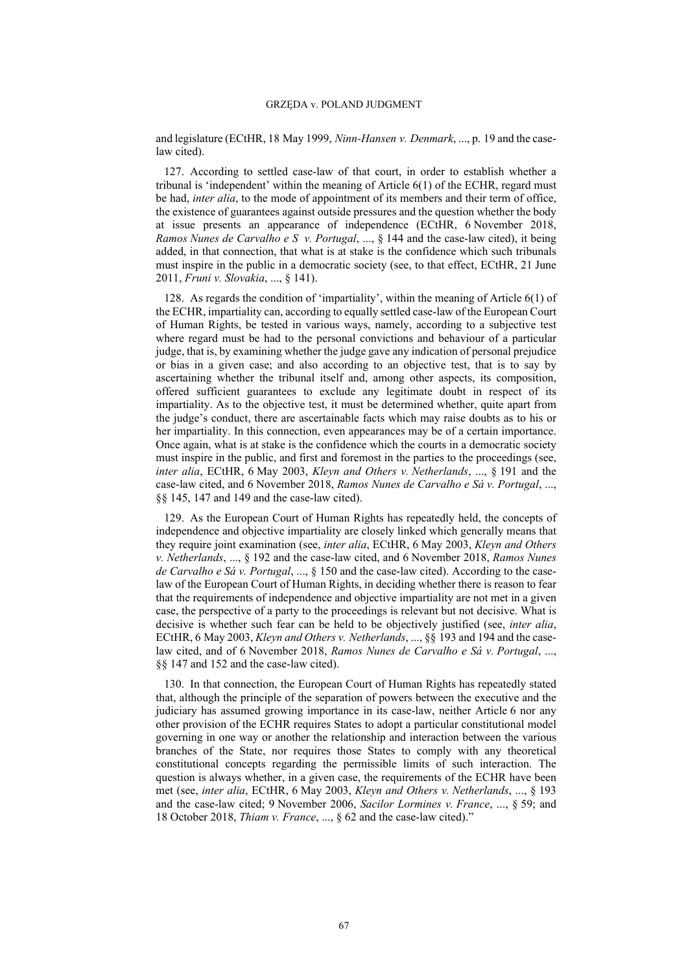and legislature (ECtHR, 18 May 1999, *Ninn-Hansen v. Denmark*, ..., p. 19 and the caselaw cited).

127. According to settled case-law of that court, in order to establish whether a tribunal is 'independent' within the meaning of Article 6(1) of the ECHR, regard must be had, *inter alia*, to the mode of appointment of its members and their term of office, the existence of guarantees against outside pressures and the question whether the body at issue presents an appearance of independence (ECtHR, 6 November 2018, *Ramos Nunes de Carvalho e S v. Portugal*, ..., § 144 and the case-law cited), it being added, in that connection, that what is at stake is the confidence which such tribunals must inspire in the public in a democratic society (see, to that effect, ECtHR, 21 June 2011, *Fruni v. Slovakia*, ..., § 141).

128. As regards the condition of 'impartiality', within the meaning of Article 6(1) of the ECHR, impartiality can, according to equally settled case-law of the European Court of Human Rights, be tested in various ways, namely, according to a subjective test where regard must be had to the personal convictions and behaviour of a particular judge, that is, by examining whether the judge gave any indication of personal prejudice or bias in a given case; and also according to an objective test, that is to say by ascertaining whether the tribunal itself and, among other aspects, its composition, offered sufficient guarantees to exclude any legitimate doubt in respect of its impartiality. As to the objective test, it must be determined whether, quite apart from the judge's conduct, there are ascertainable facts which may raise doubts as to his or her impartiality. In this connection, even appearances may be of a certain importance. Once again, what is at stake is the confidence which the courts in a democratic society must inspire in the public, and first and foremost in the parties to the proceedings (see, *inter alia*, ECtHR, 6 May 2003, *Kleyn and Others v. Netherlands*, ..., § 191 and the case-law cited, and 6 November 2018, *Ramos Nunes de Carvalho e Sá v. Portugal*, ..., §§ 145, 147 and 149 and the case-law cited).

129. As the European Court of Human Rights has repeatedly held, the concepts of independence and objective impartiality are closely linked which generally means that they require joint examination (see, *inter alia*, ECtHR, 6 May 2003, *Kleyn and Others v. Netherlands*, ..., § 192 and the case-law cited, and 6 November 2018, *Ramos Nunes de Carvalho e Sá v. Portugal*, ..., § 150 and the case-law cited). According to the caselaw of the European Court of Human Rights, in deciding whether there is reason to fear that the requirements of independence and objective impartiality are not met in a given case, the perspective of a party to the proceedings is relevant but not decisive. What is decisive is whether such fear can be held to be objectively justified (see, *inter alia*, ECtHR, 6 May 2003, *Kleyn and Others v. Netherlands*, ..., §§ 193 and 194 and the caselaw cited, and of 6 November 2018, *Ramos Nunes de Carvalho e Sá v. Portugal*, ..., §§ 147 and 152 and the case-law cited).

130. In that connection, the European Court of Human Rights has repeatedly stated that, although the principle of the separation of powers between the executive and the judiciary has assumed growing importance in its case-law, neither Article 6 nor any other provision of the ECHR requires States to adopt a particular constitutional model governing in one way or another the relationship and interaction between the various branches of the State, nor requires those States to comply with any theoretical constitutional concepts regarding the permissible limits of such interaction. The question is always whether, in a given case, the requirements of the ECHR have been met (see, *inter alia*, ECtHR, 6 May 2003, *Kleyn and Others v. Netherlands*, ..., § 193 and the case-law cited; 9 November 2006, *Sacilor Lormines v. France*, ..., § 59; and 18 October 2018, *Thiam v. France*, ..., § 62 and the case-law cited)."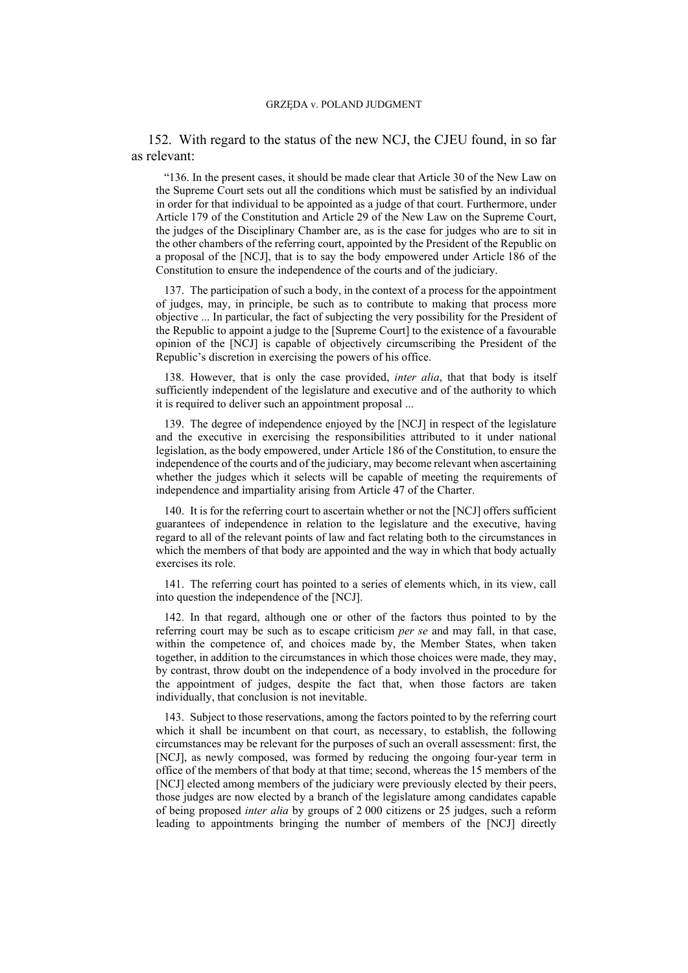152. With regard to the status of the new NCJ, the CJEU found, in so far as relevant:

"136. In the present cases, it should be made clear that Article 30 of the New Law on the Supreme Court sets out all the conditions which must be satisfied by an individual in order for that individual to be appointed as a judge of that court. Furthermore, under Article 179 of the Constitution and Article 29 of the New Law on the Supreme Court, the judges of the Disciplinary Chamber are, as is the case for judges who are to sit in the other chambers of the referring court, appointed by the President of the Republic on a proposal of the [NCJ], that is to say the body empowered under Article 186 of the Constitution to ensure the independence of the courts and of the judiciary.

137. The participation of such a body, in the context of a process for the appointment of judges, may, in principle, be such as to contribute to making that process more objective ... In particular, the fact of subjecting the very possibility for the President of the Republic to appoint a judge to the [Supreme Court] to the existence of a favourable opinion of the [NCJ] is capable of objectively circumscribing the President of the Republic's discretion in exercising the powers of his office.

138. However, that is only the case provided, *inter alia*, that that body is itself sufficiently independent of the legislature and executive and of the authority to which it is required to deliver such an appointment proposal ...

139. The degree of independence enjoyed by the [NCJ] in respect of the legislature and the executive in exercising the responsibilities attributed to it under national legislation, as the body empowered, under Article 186 of the Constitution, to ensure the independence of the courts and of the judiciary, may become relevant when ascertaining whether the judges which it selects will be capable of meeting the requirements of independence and impartiality arising from Article 47 of the Charter.

140. It is for the referring court to ascertain whether or not the [NCJ] offers sufficient guarantees of independence in relation to the legislature and the executive, having regard to all of the relevant points of law and fact relating both to the circumstances in which the members of that body are appointed and the way in which that body actually exercises its role.

141. The referring court has pointed to a series of elements which, in its view, call into question the independence of the [NCJ].

142. In that regard, although one or other of the factors thus pointed to by the referring court may be such as to escape criticism *per se* and may fall, in that case, within the competence of, and choices made by, the Member States, when taken together, in addition to the circumstances in which those choices were made, they may, by contrast, throw doubt on the independence of a body involved in the procedure for the appointment of judges, despite the fact that, when those factors are taken individually, that conclusion is not inevitable.

143. Subject to those reservations, among the factors pointed to by the referring court which it shall be incumbent on that court, as necessary, to establish, the following circumstances may be relevant for the purposes of such an overall assessment: first, the [NCJ], as newly composed, was formed by reducing the ongoing four-year term in office of the members of that body at that time; second, whereas the 15 members of the [NCJ] elected among members of the judiciary were previously elected by their peers, those judges are now elected by a branch of the legislature among candidates capable of being proposed *inter alia* by groups of 2 000 citizens or 25 judges, such a reform leading to appointments bringing the number of members of the [NCJ] directly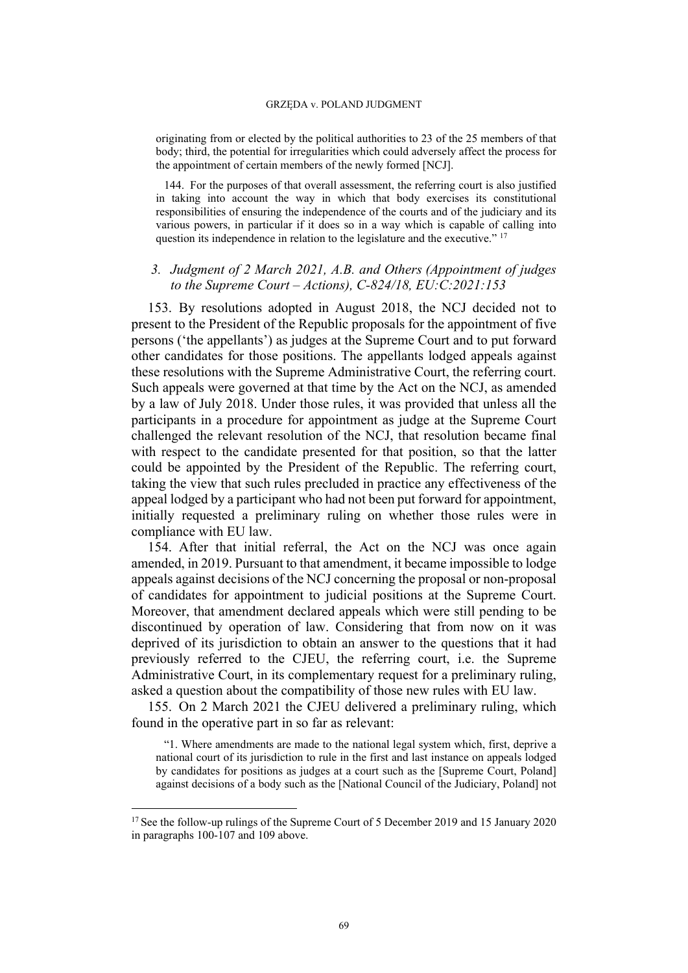originating from or elected by the political authorities to 23 of the 25 members of that body; third, the potential for irregularities which could adversely affect the process for the appointment of certain members of the newly formed [NCJ].

144. For the purposes of that overall assessment, the referring court is also justified in taking into account the way in which that body exercises its constitutional responsibilities of ensuring the independence of the courts and of the judiciary and its various powers, in particular if it does so in a way which is capable of calling into question its independence in relation to the legislature and the executive." <sup>17</sup>

## *3. Judgment of 2 March 2021, A.B. and Others (Appointment of judges to the Supreme Court – Actions), C-824/18, EU:C:2021:153*

153. By resolutions adopted in August 2018, the NCJ decided not to present to the President of the Republic proposals for the appointment of five persons ('the appellants') as judges at the Supreme Court and to put forward other candidates for those positions. The appellants lodged appeals against these resolutions with the Supreme Administrative Court, the referring court. Such appeals were governed at that time by the Act on the NCJ, as amended by a law of July 2018. Under those rules, it was provided that unless all the participants in a procedure for appointment as judge at the Supreme Court challenged the relevant resolution of the NCJ, that resolution became final with respect to the candidate presented for that position, so that the latter could be appointed by the President of the Republic. The referring court, taking the view that such rules precluded in practice any effectiveness of the appeal lodged by a participant who had not been put forward for appointment, initially requested a preliminary ruling on whether those rules were in compliance with EU law.

154. After that initial referral, the Act on the NCJ was once again amended, in 2019. Pursuant to that amendment, it became impossible to lodge appeals against decisions of the NCJ concerning the proposal or non-proposal of candidates for appointment to judicial positions at the Supreme Court. Moreover, that amendment declared appeals which were still pending to be discontinued by operation of law. Considering that from now on it was deprived of its jurisdiction to obtain an answer to the questions that it had previously referred to the CJEU, the referring court, i.e. the Supreme Administrative Court, in its complementary request for a preliminary ruling, asked a question about the compatibility of those new rules with EU law.

155. On 2 March 2021 the CJEU delivered a preliminary ruling, which found in the operative part in so far as relevant:

"1. Where amendments are made to the national legal system which, first, deprive a national court of its jurisdiction to rule in the first and last instance on appeals lodged by candidates for positions as judges at a court such as the [Supreme Court, Poland] against decisions of a body such as the [National Council of the Judiciary, Poland] not

<sup>&</sup>lt;sup>17</sup> See the follow-up rulings of the Supreme Court of 5 December 2019 and 15 January 2020 in paragraphs 100-107 and 109 above.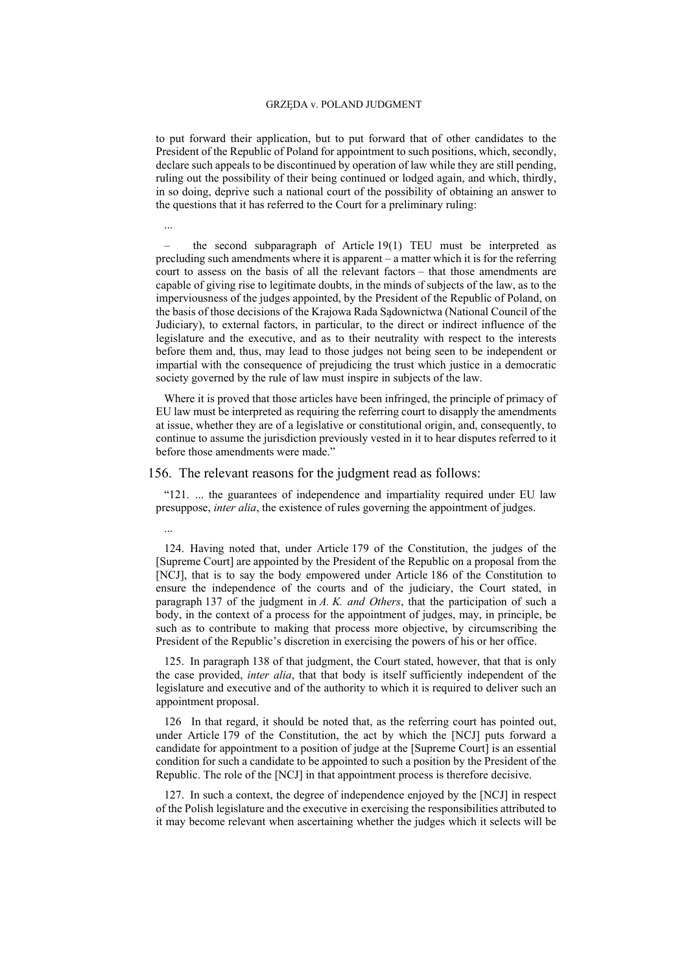to put forward their application, but to put forward that of other candidates to the President of the Republic of Poland for appointment to such positions, which, secondly, declare such appeals to be discontinued by operation of law while they are still pending, ruling out the possibility of their being continued or lodged again, and which, thirdly, in so doing, deprive such a national court of the possibility of obtaining an answer to the questions that it has referred to the Court for a preliminary ruling:

...

...

– the second subparagraph of Article 19(1) TEU must be interpreted as precluding such amendments where it is apparent – a matter which it is for the referring court to assess on the basis of all the relevant factors – that those amendments are capable of giving rise to legitimate doubts, in the minds of subjects of the law, as to the imperviousness of the judges appointed, by the President of the Republic of Poland, on the basis of those decisions of the Krajowa Rada Sądownictwa (National Council of the Judiciary), to external factors, in particular, to the direct or indirect influence of the legislature and the executive, and as to their neutrality with respect to the interests before them and, thus, may lead to those judges not being seen to be independent or impartial with the consequence of prejudicing the trust which justice in a democratic society governed by the rule of law must inspire in subjects of the law.

Where it is proved that those articles have been infringed, the principle of primacy of EU law must be interpreted as requiring the referring court to disapply the amendments at issue, whether they are of a legislative or constitutional origin, and, consequently, to continue to assume the jurisdiction previously vested in it to hear disputes referred to it before those amendments were made."

## 156. The relevant reasons for the judgment read as follows:

"121. ... the guarantees of independence and impartiality required under EU law presuppose, *inter alia*, the existence of rules governing the appointment of judges.

124. Having noted that, under Article 179 of the Constitution, the judges of the [Supreme Court] are appointed by the President of the Republic on a proposal from the [NCJ], that is to say the body empowered under Article 186 of the Constitution to ensure the independence of the courts and of the judiciary, the Court stated, in paragraph 137 of the judgment in *A. K. and Others*, that the participation of such a body, in the context of a process for the appointment of judges, may, in principle, be such as to contribute to making that process more objective, by circumscribing the President of the Republic's discretion in exercising the powers of his or her office.

125. In paragraph 138 of that judgment, the Court stated, however, that that is only the case provided, *inter alia*, that that body is itself sufficiently independent of the legislature and executive and of the authority to which it is required to deliver such an appointment proposal.

126 In that regard, it should be noted that, as the referring court has pointed out, under Article 179 of the Constitution, the act by which the [NCJ] puts forward a candidate for appointment to a position of judge at the [Supreme Court] is an essential condition for such a candidate to be appointed to such a position by the President of the Republic. The role of the [NCJ] in that appointment process is therefore decisive.

127. In such a context, the degree of independence enjoyed by the [NCJ] in respect of the Polish legislature and the executive in exercising the responsibilities attributed to it may become relevant when ascertaining whether the judges which it selects will be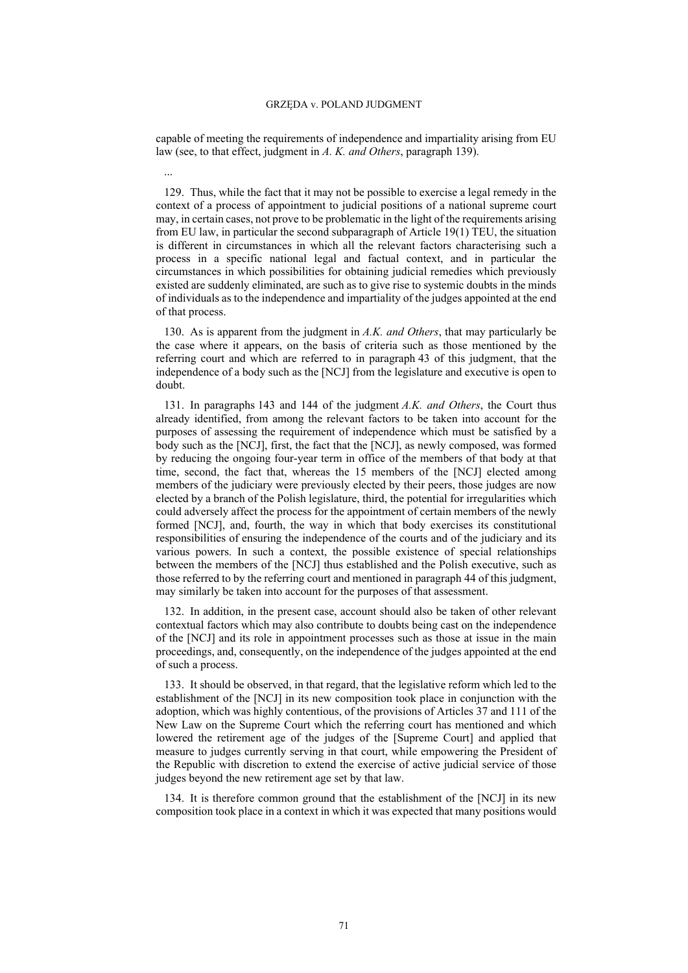...

capable of meeting the requirements of independence and impartiality arising from EU law (see, to that effect, judgment in *A. K. and Others*, paragraph 139).

129. Thus, while the fact that it may not be possible to exercise a legal remedy in the context of a process of appointment to judicial positions of a national supreme court may, in certain cases, not prove to be problematic in the light of the requirements arising from EU law, in particular the second subparagraph of Article 19(1) TEU, the situation is different in circumstances in which all the relevant factors characterising such a process in a specific national legal and factual context, and in particular the circumstances in which possibilities for obtaining judicial remedies which previously existed are suddenly eliminated, are such as to give rise to systemic doubts in the minds of individuals as to the independence and impartiality of the judges appointed at the end of that process.

130. As is apparent from the judgment in *A.K. and Others*, that may particularly be the case where it appears, on the basis of criteria such as those mentioned by the referring court and which are referred to in paragraph 43 of this judgment, that the independence of a body such as the [NCJ] from the legislature and executive is open to doubt.

131. In paragraphs 143 and 144 of the judgment *A.K. and Others*, the Court thus already identified, from among the relevant factors to be taken into account for the purposes of assessing the requirement of independence which must be satisfied by a body such as the [NCJ], first, the fact that the [NCJ], as newly composed, was formed by reducing the ongoing four-year term in office of the members of that body at that time, second, the fact that, whereas the 15 members of the [NCJ] elected among members of the judiciary were previously elected by their peers, those judges are now elected by a branch of the Polish legislature, third, the potential for irregularities which could adversely affect the process for the appointment of certain members of the newly formed [NCJ], and, fourth, the way in which that body exercises its constitutional responsibilities of ensuring the independence of the courts and of the judiciary and its various powers. In such a context, the possible existence of special relationships between the members of the [NCJ] thus established and the Polish executive, such as those referred to by the referring court and mentioned in paragraph 44 of this judgment, may similarly be taken into account for the purposes of that assessment.

132. In addition, in the present case, account should also be taken of other relevant contextual factors which may also contribute to doubts being cast on the independence of the [NCJ] and its role in appointment processes such as those at issue in the main proceedings, and, consequently, on the independence of the judges appointed at the end of such a process.

133. It should be observed, in that regard, that the legislative reform which led to the establishment of the [NCJ] in its new composition took place in conjunction with the adoption, which was highly contentious, of the provisions of Articles 37 and 111 of the New Law on the Supreme Court which the referring court has mentioned and which lowered the retirement age of the judges of the [Supreme Court] and applied that measure to judges currently serving in that court, while empowering the President of the Republic with discretion to extend the exercise of active judicial service of those judges beyond the new retirement age set by that law.

134. It is therefore common ground that the establishment of the [NCJ] in its new composition took place in a context in which it was expected that many positions would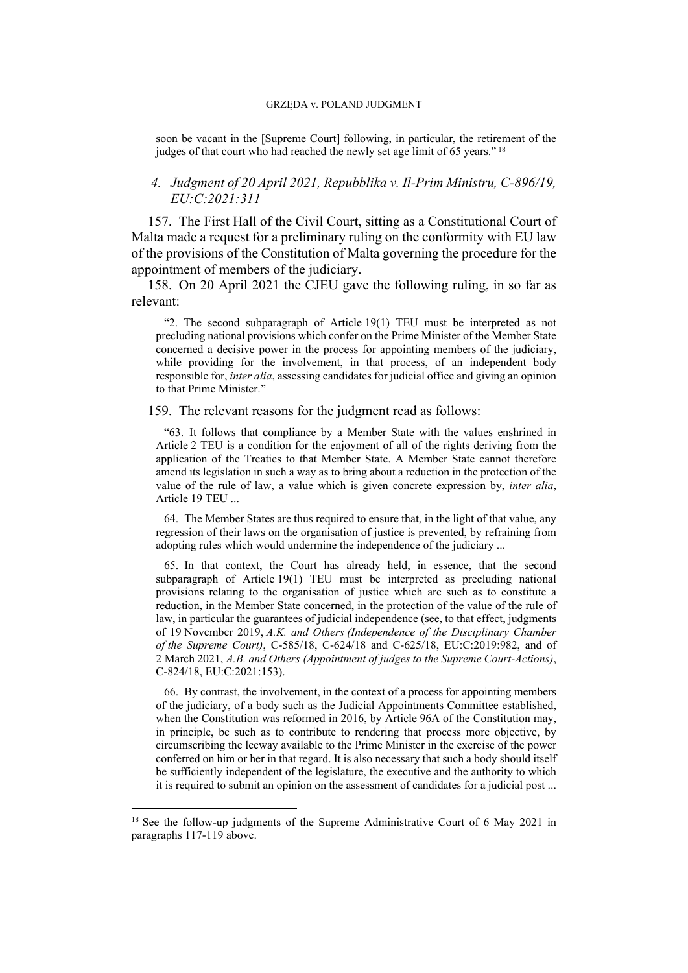soon be vacant in the [Supreme Court] following, in particular, the retirement of the judges of that court who had reached the newly set age limit of 65 years."<sup>18</sup>

# *4. Judgment of 20 April 2021, Repubblika v. Il-Prim Ministru, C-896/19, EU:C:2021:311*

157. The First Hall of the Civil Court, sitting as a Constitutional Court of Malta made a request for a preliminary ruling on the conformity with EU law of the provisions of the Constitution of Malta governing the procedure for the appointment of members of the judiciary.

158. On 20 April 2021 the CJEU gave the following ruling, in so far as relevant:

"2. The second subparagraph of Article 19(1) TEU must be interpreted as not precluding national provisions which confer on the Prime Minister of the Member State concerned a decisive power in the process for appointing members of the judiciary, while providing for the involvement, in that process, of an independent body responsible for, *inter alia*, assessing candidates for judicial office and giving an opinion to that Prime Minister."

# 159. The relevant reasons for the judgment read as follows:

"63. It follows that compliance by a Member State with the values enshrined in Article 2 TEU is a condition for the enjoyment of all of the rights deriving from the application of the Treaties to that Member State. A Member State cannot therefore amend its legislation in such a way as to bring about a reduction in the protection of the value of the rule of law, a value which is given concrete expression by, *inter alia*, Article 19 TEU ...

64. The Member States are thus required to ensure that, in the light of that value, any regression of their laws on the organisation of justice is prevented, by refraining from adopting rules which would undermine the independence of the judiciary ...

65. In that context, the Court has already held, in essence, that the second subparagraph of Article 19(1) TEU must be interpreted as precluding national provisions relating to the organisation of justice which are such as to constitute a reduction, in the Member State concerned, in the protection of the value of the rule of law, in particular the guarantees of judicial independence (see, to that effect, judgments of 19 November 2019, *A.K. and Others (Independence of the Disciplinary Chamber of the Supreme Court)*, C-585/18, C-624/18 and C-625/18, EU:C:2019:982, and of 2 March 2021, *A.B. and Others (Appointment of judges to the Supreme Court-Actions)*, C-824/18, EU:C:2021:153).

66. By contrast, the involvement, in the context of a process for appointing members of the judiciary, of a body such as the Judicial Appointments Committee established, when the Constitution was reformed in 2016, by Article 96A of the Constitution may, in principle, be such as to contribute to rendering that process more objective, by circumscribing the leeway available to the Prime Minister in the exercise of the power conferred on him or her in that regard. It is also necessary that such a body should itself be sufficiently independent of the legislature, the executive and the authority to which it is required to submit an opinion on the assessment of candidates for a judicial post ...

<sup>&</sup>lt;sup>18</sup> See the follow-up judgments of the Supreme Administrative Court of 6 May 2021 in paragraphs 117-119 above.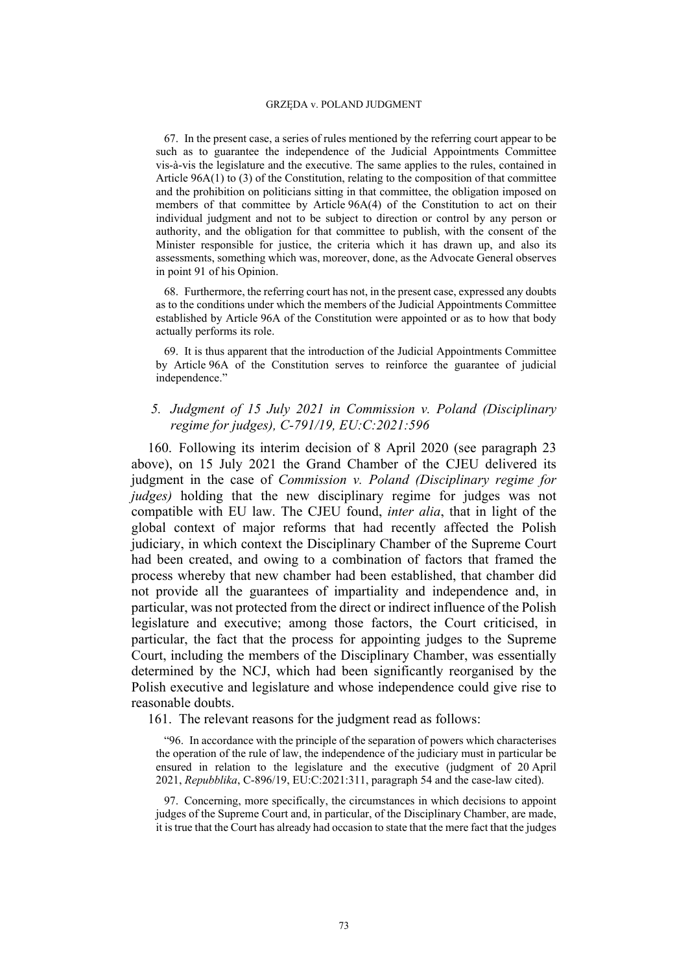67. In the present case, a series of rules mentioned by the referring court appear to be such as to guarantee the independence of the Judicial Appointments Committee vis-à-vis the legislature and the executive. The same applies to the rules, contained in Article 96A(1) to (3) of the Constitution, relating to the composition of that committee and the prohibition on politicians sitting in that committee, the obligation imposed on members of that committee by Article 96A(4) of the Constitution to act on their individual judgment and not to be subject to direction or control by any person or authority, and the obligation for that committee to publish, with the consent of the Minister responsible for justice, the criteria which it has drawn up, and also its assessments, something which was, moreover, done, as the Advocate General observes in point 91 of his Opinion.

68. Furthermore, the referring court has not, in the present case, expressed any doubts as to the conditions under which the members of the Judicial Appointments Committee established by Article 96A of the Constitution were appointed or as to how that body actually performs its role.

69. It is thus apparent that the introduction of the Judicial Appointments Committee by Article 96A of the Constitution serves to reinforce the guarantee of judicial independence."

# *5. Judgment of 15 July 2021 in Commission v. Poland (Disciplinary regime for judges), C-791/19, EU:C:2021:596*

160. Following its interim decision of 8 April 2020 (see paragraph 23 above), on 15 July 2021 the Grand Chamber of the CJEU delivered its judgment in the case of *Commission v. Poland (Disciplinary regime for judges)* holding that the new disciplinary regime for judges was not compatible with EU law. The CJEU found, *inter alia*, that in light of the global context of major reforms that had recently affected the Polish judiciary, in which context the Disciplinary Chamber of the Supreme Court had been created, and owing to a combination of factors that framed the process whereby that new chamber had been established, that chamber did not provide all the guarantees of impartiality and independence and, in particular, was not protected from the direct or indirect influence of the Polish legislature and executive; among those factors, the Court criticised, in particular, the fact that the process for appointing judges to the Supreme Court, including the members of the Disciplinary Chamber, was essentially determined by the NCJ, which had been significantly reorganised by the Polish executive and legislature and whose independence could give rise to reasonable doubts.

161. The relevant reasons for the judgment read as follows:

"96. In accordance with the principle of the separation of powers which characterises the operation of the rule of law, the independence of the judiciary must in particular be ensured in relation to the legislature and the executive (judgment of 20 April 2021, *Repubblika*, C-896/19, EU:C:2021:311, paragraph 54 and the case-law cited).

97. Concerning, more specifically, the circumstances in which decisions to appoint judges of the Supreme Court and, in particular, of the Disciplinary Chamber, are made, it is true that the Court has already had occasion to state that the mere fact that the judges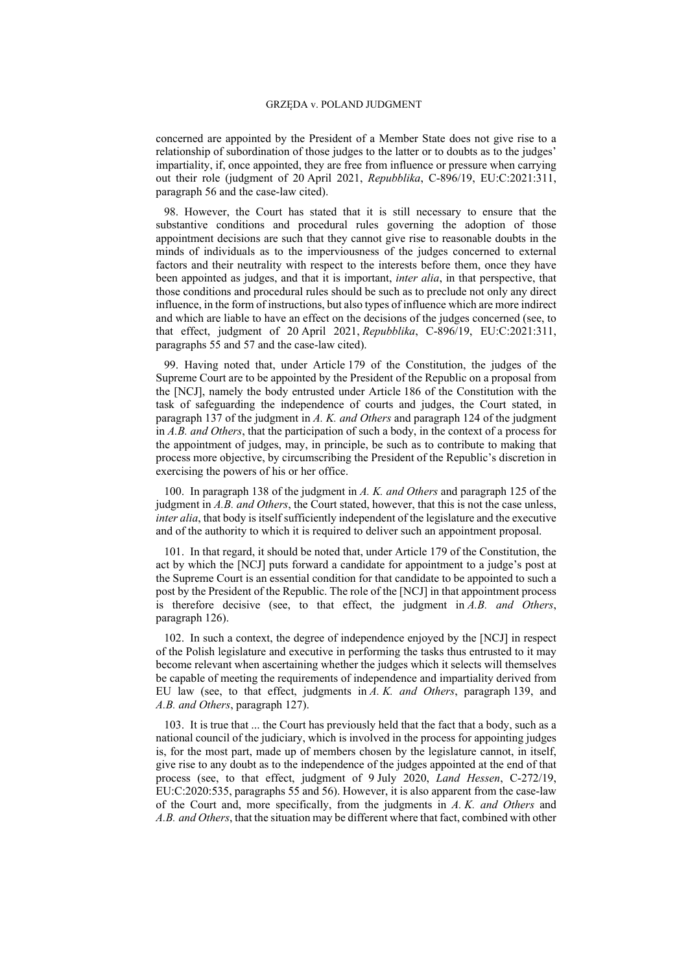concerned are appointed by the President of a Member State does not give rise to a relationship of subordination of those judges to the latter or to doubts as to the judges' impartiality, if, once appointed, they are free from influence or pressure when carrying out their role (judgment of 20 April 2021, *Repubblika*, C-896/19, EU:C:2021:311, paragraph 56 and the case-law cited).

98. However, the Court has stated that it is still necessary to ensure that the substantive conditions and procedural rules governing the adoption of those appointment decisions are such that they cannot give rise to reasonable doubts in the minds of individuals as to the imperviousness of the judges concerned to external factors and their neutrality with respect to the interests before them, once they have been appointed as judges, and that it is important, *inter alia*, in that perspective, that those conditions and procedural rules should be such as to preclude not only any direct influence, in the form of instructions, but also types of influence which are more indirect and which are liable to have an effect on the decisions of the judges concerned (see, to that effect, judgment of 20 April 2021, *Repubblika*, C-896/19, EU:C:2021:311, paragraphs 55 and 57 and the case-law cited).

99. Having noted that, under Article 179 of the Constitution, the judges of the Supreme Court are to be appointed by the President of the Republic on a proposal from the [NCJ], namely the body entrusted under Article 186 of the Constitution with the task of safeguarding the independence of courts and judges, the Court stated, in paragraph 137 of the judgment in *A. K. and Others* and paragraph 124 of the judgment in *A.B. and Others*, that the participation of such a body, in the context of a process for the appointment of judges, may, in principle, be such as to contribute to making that process more objective, by circumscribing the President of the Republic's discretion in exercising the powers of his or her office.

100. In paragraph 138 of the judgment in *A. K. and Others* and paragraph 125 of the judgment in *A.B. and Others*, the Court stated, however, that this is not the case unless, *inter alia*, that body is itself sufficiently independent of the legislature and the executive and of the authority to which it is required to deliver such an appointment proposal.

101. In that regard, it should be noted that, under Article 179 of the Constitution, the act by which the [NCJ] puts forward a candidate for appointment to a judge's post at the Supreme Court is an essential condition for that candidate to be appointed to such a post by the President of the Republic. The role of the [NCJ] in that appointment process is therefore decisive (see, to that effect, the judgment in *A.B. and Others*, paragraph 126).

102. In such a context, the degree of independence enjoyed by the [NCJ] in respect of the Polish legislature and executive in performing the tasks thus entrusted to it may become relevant when ascertaining whether the judges which it selects will themselves be capable of meeting the requirements of independence and impartiality derived from EU law (see, to that effect, judgments in *A. K. and Others*, paragraph 139, and *A.B. and Others*, paragraph 127).

103. It is true that ... the Court has previously held that the fact that a body, such as a national council of the judiciary, which is involved in the process for appointing judges is, for the most part, made up of members chosen by the legislature cannot, in itself, give rise to any doubt as to the independence of the judges appointed at the end of that process (see, to that effect, judgment of 9 July 2020, *Land Hessen*, C-272/19, EU:C:2020:535, paragraphs 55 and 56). However, it is also apparent from the case-law of the Court and, more specifically, from the judgments in *A. K. and Others* and *A.B. and Others*, that the situation may be different where that fact, combined with other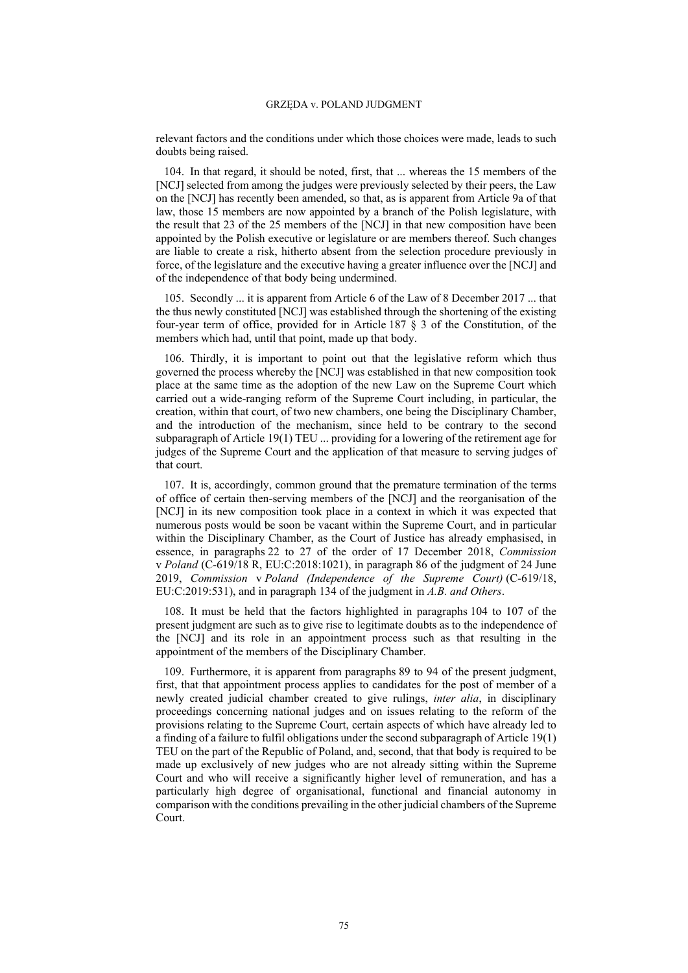relevant factors and the conditions under which those choices were made, leads to such doubts being raised.

104. In that regard, it should be noted, first, that ... whereas the 15 members of the [NCJ] selected from among the judges were previously selected by their peers, the Law on the [NCJ] has recently been amended, so that, as is apparent from Article 9a of that law, those 15 members are now appointed by a branch of the Polish legislature, with the result that 23 of the 25 members of the [NCJ] in that new composition have been appointed by the Polish executive or legislature or are members thereof. Such changes are liable to create a risk, hitherto absent from the selection procedure previously in force, of the legislature and the executive having a greater influence over the [NCJ] and of the independence of that body being undermined.

105. Secondly ... it is apparent from Article 6 of the Law of 8 December 2017 ... that the thus newly constituted [NCJ] was established through the shortening of the existing four-year term of office, provided for in Article 187 § 3 of the Constitution, of the members which had, until that point, made up that body.

106. Thirdly, it is important to point out that the legislative reform which thus governed the process whereby the [NCJ] was established in that new composition took place at the same time as the adoption of the new Law on the Supreme Court which carried out a wide-ranging reform of the Supreme Court including, in particular, the creation, within that court, of two new chambers, one being the Disciplinary Chamber, and the introduction of the mechanism, since held to be contrary to the second subparagraph of Article 19(1) TEU ... providing for a lowering of the retirement age for judges of the Supreme Court and the application of that measure to serving judges of that court.

107. It is, accordingly, common ground that the premature termination of the terms of office of certain then-serving members of the [NCJ] and the reorganisation of the [NCJ] in its new composition took place in a context in which it was expected that numerous posts would be soon be vacant within the Supreme Court, and in particular within the Disciplinary Chamber, as the Court of Justice has already emphasised, in essence, in paragraphs 22 to 27 of the order of 17 December 2018, *Commission* v *Poland* (C-619/18 R, EU:C:2018:1021), in paragraph 86 of the judgment of 24 June 2019, *Commission* v *Poland (Independence of the Supreme Court)* (C-619/18, EU:C:2019:531), and in paragraph 134 of the judgment in *A.B. and Others*.

108. It must be held that the factors highlighted in paragraphs 104 to 107 of the present judgment are such as to give rise to legitimate doubts as to the independence of the [NCJ] and its role in an appointment process such as that resulting in the appointment of the members of the Disciplinary Chamber.

109. Furthermore, it is apparent from paragraphs 89 to 94 of the present judgment, first, that that appointment process applies to candidates for the post of member of a newly created judicial chamber created to give rulings, *inter alia*, in disciplinary proceedings concerning national judges and on issues relating to the reform of the provisions relating to the Supreme Court, certain aspects of which have already led to a finding of a failure to fulfil obligations under the second subparagraph of Article 19(1) TEU on the part of the Republic of Poland, and, second, that that body is required to be made up exclusively of new judges who are not already sitting within the Supreme Court and who will receive a significantly higher level of remuneration, and has a particularly high degree of organisational, functional and financial autonomy in comparison with the conditions prevailing in the other judicial chambers of the Supreme Court.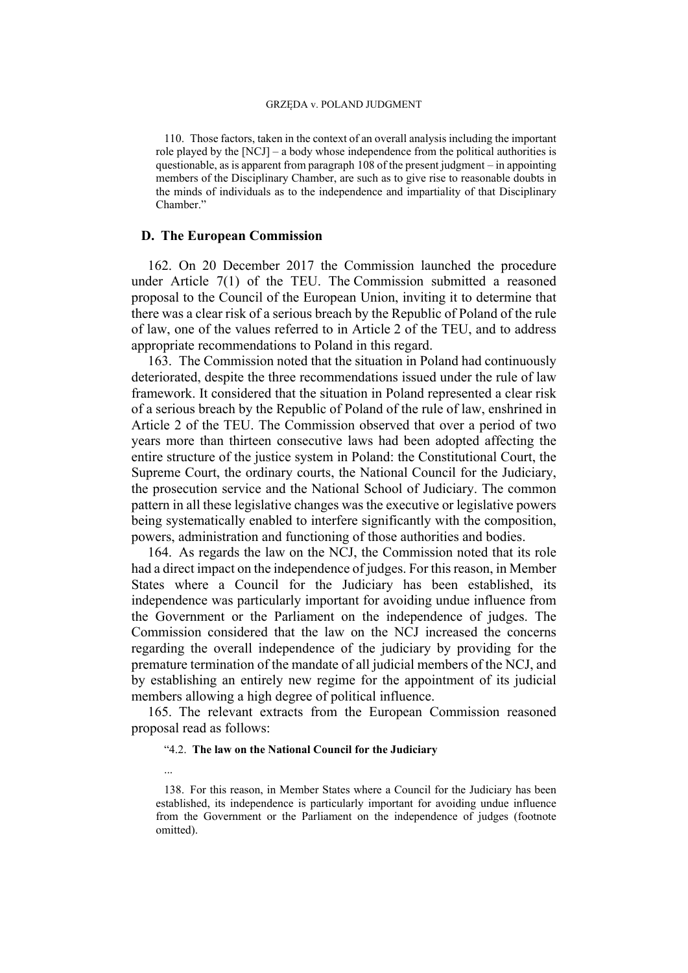110. Those factors, taken in the context of an overall analysis including the important role played by the  $[NCI] - a$  body whose independence from the political authorities is questionable, as is apparent from paragraph 108 of the present judgment – in appointing members of the Disciplinary Chamber, are such as to give rise to reasonable doubts in the minds of individuals as to the independence and impartiality of that Disciplinary Chamber."

# **D. The European Commission**

162. On 20 December 2017 the Commission launched the procedure under Article 7(1) of the TEU. The Commission submitted a reasoned proposal to the Council of the European Union, inviting it to determine that there was a clear risk of a serious breach by the Republic of Poland of the rule of law, one of the values referred to in Article 2 of the TEU, and to address appropriate recommendations to Poland in this regard.

163. The Commission noted that the situation in Poland had continuously deteriorated, despite the three recommendations issued under the rule of law framework. It considered that the situation in Poland represented a clear risk of a serious breach by the Republic of Poland of the rule of law, enshrined in Article 2 of the TEU. The Commission observed that over a period of two years more than thirteen consecutive laws had been adopted affecting the entire structure of the justice system in Poland: the Constitutional Court, the Supreme Court, the ordinary courts, the National Council for the Judiciary, the prosecution service and the National School of Judiciary. The common pattern in all these legislative changes was the executive or legislative powers being systematically enabled to interfere significantly with the composition, powers, administration and functioning of those authorities and bodies.

164. As regards the law on the NCJ, the Commission noted that its role had a direct impact on the independence of judges. For this reason, in Member States where a Council for the Judiciary has been established, its independence was particularly important for avoiding undue influence from the Government or the Parliament on the independence of judges. The Commission considered that the law on the NCJ increased the concerns regarding the overall independence of the judiciary by providing for the premature termination of the mandate of all judicial members of the NCJ, and by establishing an entirely new regime for the appointment of its judicial members allowing a high degree of political influence.

165. The relevant extracts from the European Commission reasoned proposal read as follows:

#### "4.2. **The law on the National Council for the Judiciary**

...

138. For this reason, in Member States where a Council for the Judiciary has been established, its independence is particularly important for avoiding undue influence from the Government or the Parliament on the independence of judges (footnote omitted).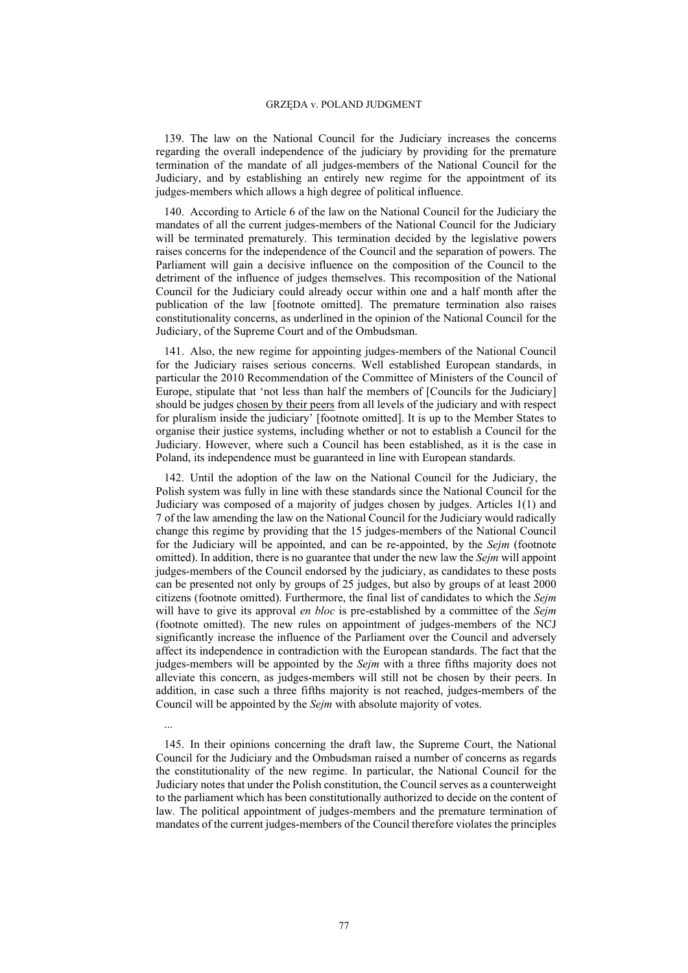139. The law on the National Council for the Judiciary increases the concerns regarding the overall independence of the judiciary by providing for the premature termination of the mandate of all judges-members of the National Council for the Judiciary, and by establishing an entirely new regime for the appointment of its judges-members which allows a high degree of political influence.

140. According to Article 6 of the law on the National Council for the Judiciary the mandates of all the current judges-members of the National Council for the Judiciary will be terminated prematurely. This termination decided by the legislative powers raises concerns for the independence of the Council and the separation of powers. The Parliament will gain a decisive influence on the composition of the Council to the detriment of the influence of judges themselves. This recomposition of the National Council for the Judiciary could already occur within one and a half month after the publication of the law [footnote omitted]. The premature termination also raises constitutionality concerns, as underlined in the opinion of the National Council for the Judiciary, of the Supreme Court and of the Ombudsman.

141. Also, the new regime for appointing judges-members of the National Council for the Judiciary raises serious concerns. Well established European standards, in particular the 2010 Recommendation of the Committee of Ministers of the Council of Europe, stipulate that 'not less than half the members of [Councils for the Judiciary] should be judges chosen by their peers from all levels of the judiciary and with respect for pluralism inside the judiciary' [footnote omitted]. It is up to the Member States to organise their justice systems, including whether or not to establish a Council for the Judiciary. However, where such a Council has been established, as it is the case in Poland, its independence must be guaranteed in line with European standards.

142. Until the adoption of the law on the National Council for the Judiciary, the Polish system was fully in line with these standards since the National Council for the Judiciary was composed of a majority of judges chosen by judges. Articles 1(1) and 7 of the law amending the law on the National Council for the Judiciary would radically change this regime by providing that the 15 judges-members of the National Council for the Judiciary will be appointed, and can be re-appointed, by the *Sejm* (footnote omitted). In addition, there is no guarantee that under the new law the *Sejm* will appoint judges-members of the Council endorsed by the judiciary, as candidates to these posts can be presented not only by groups of 25 judges, but also by groups of at least 2000 citizens (footnote omitted). Furthermore, the final list of candidates to which the *Sejm* will have to give its approval *en bloc* is pre-established by a committee of the *Sejm* (footnote omitted). The new rules on appointment of judges-members of the NCJ significantly increase the influence of the Parliament over the Council and adversely affect its independence in contradiction with the European standards. The fact that the judges-members will be appointed by the *Sejm* with a three fifths majority does not alleviate this concern, as judges-members will still not be chosen by their peers. In addition, in case such a three fifths majority is not reached, judges-members of the Council will be appointed by the *Sejm* with absolute majority of votes.

...

<sup>145.</sup> In their opinions concerning the draft law, the Supreme Court, the National Council for the Judiciary and the Ombudsman raised a number of concerns as regards the constitutionality of the new regime. In particular, the National Council for the Judiciary notes that under the Polish constitution, the Council serves as a counterweight to the parliament which has been constitutionally authorized to decide on the content of law. The political appointment of judges-members and the premature termination of mandates of the current judges-members of the Council therefore violates the principles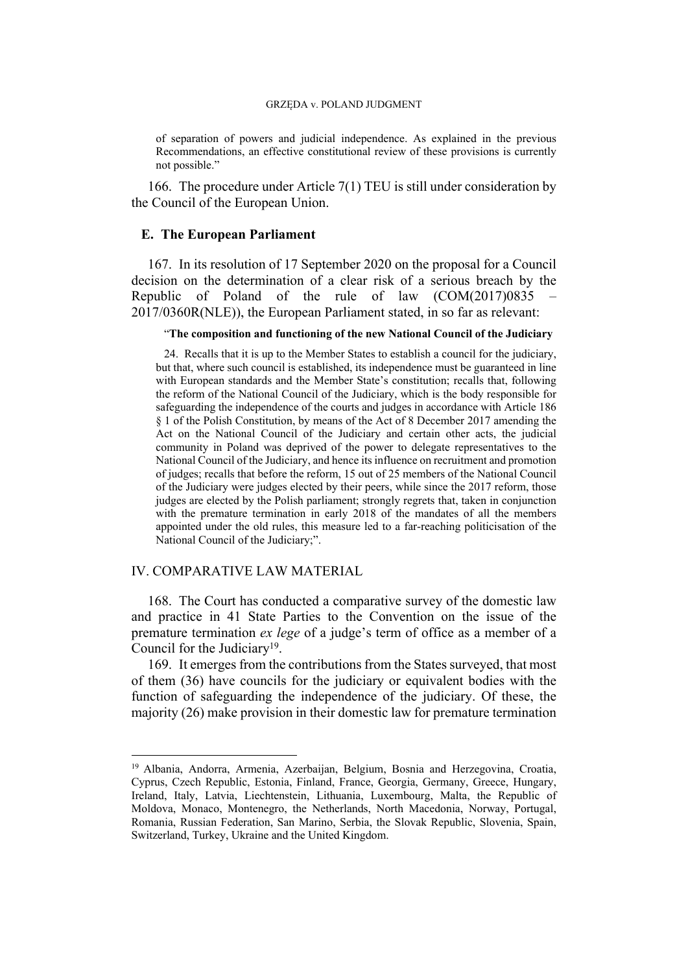of separation of powers and judicial independence. As explained in the previous Recommendations, an effective constitutional review of these provisions is currently not possible."

166. The procedure under Article 7(1) TEU is still under consideration by the Council of the European Union.

# **E. The European Parliament**

167. In its resolution of 17 September 2020 on the proposal for a Council decision on the determination of a clear risk of a serious breach by the Republic of Poland of the rule of law  $(COM(2017)0835)$ 2017/0360R(NLE)), the European Parliament stated, in so far as relevant:

## "**The composition and functioning of the new National Council of the Judiciary**

24. Recalls that it is up to the Member States to establish a council for the judiciary, but that, where such council is established, its independence must be guaranteed in line with European standards and the Member State's constitution; recalls that, following the reform of the National Council of the Judiciary, which is the body responsible for safeguarding the independence of the courts and judges in accordance with Article 186 § 1 of the Polish Constitution, by means of the Act of 8 December 2017 amending the Act on the National Council of the Judiciary and certain other acts, the judicial community in Poland was deprived of the power to delegate representatives to the National Council of the Judiciary, and hence its influence on recruitment and promotion of judges; recalls that before the reform, 15 out of 25 members of the National Council of the Judiciary were judges elected by their peers, while since the 2017 reform, those judges are elected by the Polish parliament; strongly regrets that, taken in conjunction with the premature termination in early 2018 of the mandates of all the members appointed under the old rules, this measure led to a far-reaching politicisation of the National Council of the Judiciary;".

# IV. COMPARATIVE LAW MATERIAL

168. The Court has conducted a comparative survey of the domestic law and practice in 41 State Parties to the Convention on the issue of the premature termination *ex lege* of a judge's term of office as a member of a Council for the Judiciary<sup>19</sup>.

169. It emerges from the contributions from the States surveyed, that most of them (36) have councils for the judiciary or equivalent bodies with the function of safeguarding the independence of the judiciary. Of these, the majority (26) make provision in their domestic law for premature termination

<sup>&</sup>lt;sup>19</sup> Albania, Andorra, Armenia, Azerbaijan, Belgium, Bosnia and Herzegovina, Croatia, Cyprus, Czech Republic, Estonia, Finland, France, Georgia, Germany, Greece, Hungary, Ireland, Italy, Latvia, Liechtenstein, Lithuania, Luxembourg, Malta, the Republic of Moldova, Monaco, Montenegro, the Netherlands, North Macedonia, Norway, Portugal, Romania, Russian Federation, San Marino, Serbia, the Slovak Republic, Slovenia, Spain, Switzerland, Turkey, Ukraine and the United Kingdom.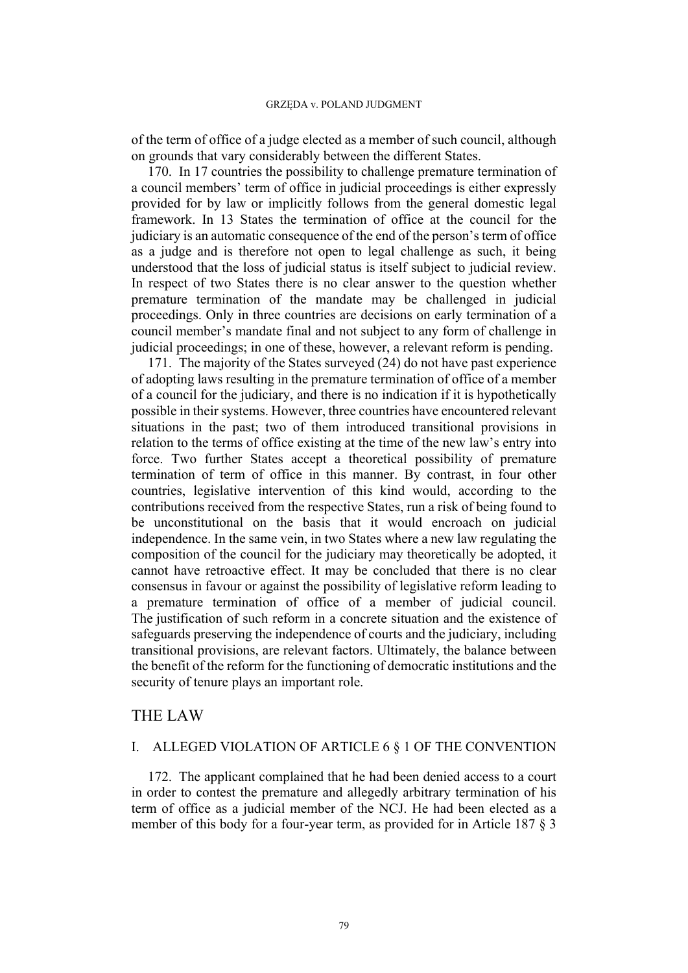of the term of office of a judge elected as a member of such council, although on grounds that vary considerably between the different States.

170. In 17 countries the possibility to challenge premature termination of a council members' term of office in judicial proceedings is either expressly provided for by law or implicitly follows from the general domestic legal framework. In 13 States the termination of office at the council for the judiciary is an automatic consequence of the end of the person's term of office as a judge and is therefore not open to legal challenge as such, it being understood that the loss of judicial status is itself subject to judicial review. In respect of two States there is no clear answer to the question whether premature termination of the mandate may be challenged in judicial proceedings. Only in three countries are decisions on early termination of a council member's mandate final and not subject to any form of challenge in judicial proceedings; in one of these, however, a relevant reform is pending.

171. The majority of the States surveyed (24) do not have past experience of adopting laws resulting in the premature termination of office of a member of a council for the judiciary, and there is no indication if it is hypothetically possible in their systems. However, three countries have encountered relevant situations in the past; two of them introduced transitional provisions in relation to the terms of office existing at the time of the new law's entry into force. Two further States accept a theoretical possibility of premature termination of term of office in this manner. By contrast, in four other countries, legislative intervention of this kind would, according to the contributions received from the respective States, run a risk of being found to be unconstitutional on the basis that it would encroach on judicial independence. In the same vein, in two States where a new law regulating the composition of the council for the judiciary may theoretically be adopted, it cannot have retroactive effect. It may be concluded that there is no clear consensus in favour or against the possibility of legislative reform leading to a premature termination of office of a member of judicial council. The justification of such reform in a concrete situation and the existence of safeguards preserving the independence of courts and the judiciary, including transitional provisions, are relevant factors. Ultimately, the balance between the benefit of the reform for the functioning of democratic institutions and the security of tenure plays an important role.

# THE LAW

# I. ALLEGED VIOLATION OF ARTICLE 6 § 1 OF THE CONVENTION

172. The applicant complained that he had been denied access to a court in order to contest the premature and allegedly arbitrary termination of his term of office as a judicial member of the NCJ. He had been elected as a member of this body for a four-year term, as provided for in Article 187 § 3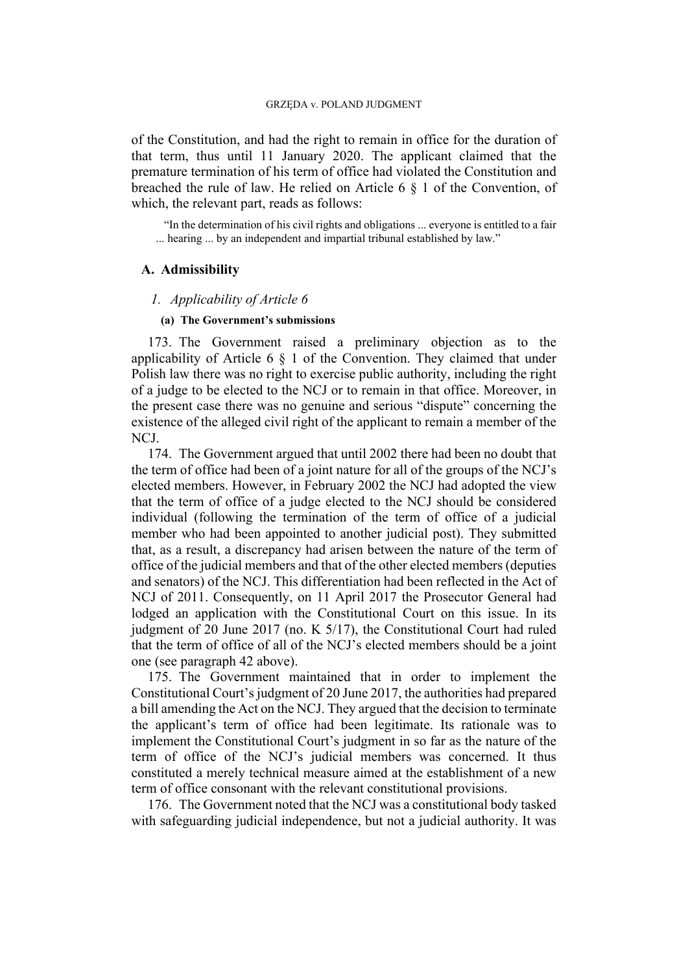of the Constitution, and had the right to remain in office for the duration of that term, thus until 11 January 2020. The applicant claimed that the premature termination of his term of office had violated the Constitution and breached the rule of law. He relied on Article 6 § 1 of the Convention, of which, the relevant part, reads as follows:

"In the determination of his civil rights and obligations ... everyone is entitled to a fair ... hearing ... by an independent and impartial tribunal established by law."

### **A. Admissibility**

# *1. Applicability of Article 6*

### **(a) The Government's submissions**

173. The Government raised a preliminary objection as to the applicability of Article 6  $\S$  1 of the Convention. They claimed that under Polish law there was no right to exercise public authority, including the right of a judge to be elected to the NCJ or to remain in that office. Moreover, in the present case there was no genuine and serious "dispute" concerning the existence of the alleged civil right of the applicant to remain a member of the NCJ.

174. The Government argued that until 2002 there had been no doubt that the term of office had been of a joint nature for all of the groups of the NCJ's elected members. However, in February 2002 the NCJ had adopted the view that the term of office of a judge elected to the NCJ should be considered individual (following the termination of the term of office of a judicial member who had been appointed to another judicial post). They submitted that, as a result, a discrepancy had arisen between the nature of the term of office of the judicial members and that of the other elected members (deputies and senators) of the NCJ. This differentiation had been reflected in the Act of NCJ of 2011. Consequently, on 11 April 2017 the Prosecutor General had lodged an application with the Constitutional Court on this issue. In its judgment of 20 June 2017 (no. K 5/17), the Constitutional Court had ruled that the term of office of all of the NCJ's elected members should be a joint one (see paragraph 42 above).

175. The Government maintained that in order to implement the Constitutional Court's judgment of 20 June 2017, the authorities had prepared a bill amending the Act on the NCJ. They argued that the decision to terminate the applicant's term of office had been legitimate. Its rationale was to implement the Constitutional Court's judgment in so far as the nature of the term of office of the NCJ's judicial members was concerned. It thus constituted a merely technical measure aimed at the establishment of a new term of office consonant with the relevant constitutional provisions.

176. The Government noted that the NCJ was a constitutional body tasked with safeguarding judicial independence, but not a judicial authority. It was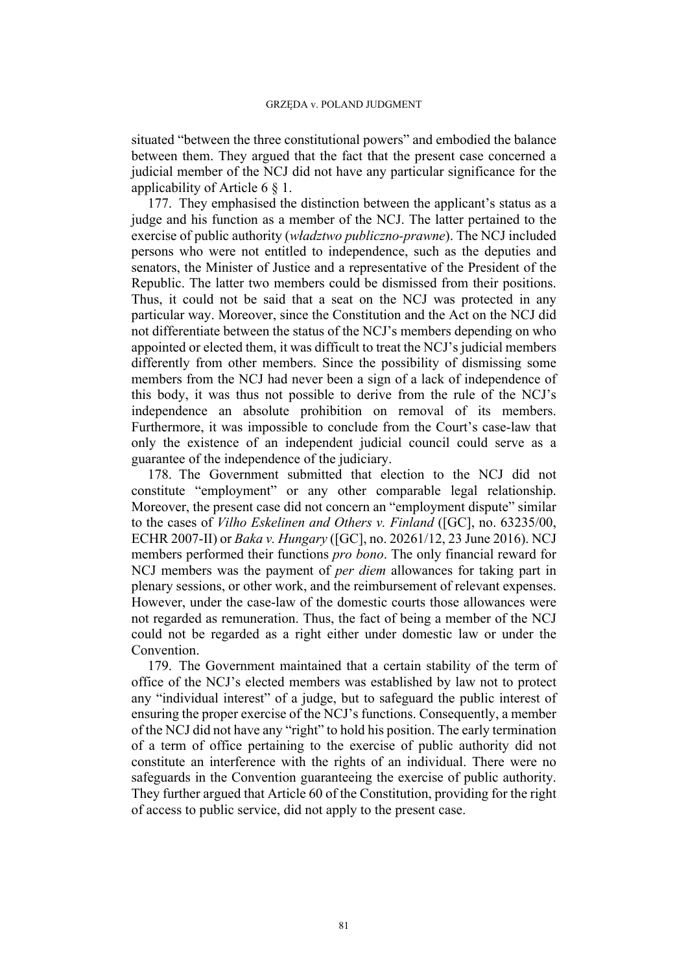situated "between the three constitutional powers" and embodied the balance between them. They argued that the fact that the present case concerned a judicial member of the NCJ did not have any particular significance for the applicability of Article 6 § 1.

177. They emphasised the distinction between the applicant's status as a judge and his function as a member of the NCJ. The latter pertained to the exercise of public authority (*władztwo publiczno-prawne*). The NCJ included persons who were not entitled to independence, such as the deputies and senators, the Minister of Justice and a representative of the President of the Republic. The latter two members could be dismissed from their positions. Thus, it could not be said that a seat on the NCJ was protected in any particular way. Moreover, since the Constitution and the Act on the NCJ did not differentiate between the status of the NCJ's members depending on who appointed or elected them, it was difficult to treat the NCJ's judicial members differently from other members. Since the possibility of dismissing some members from the NCJ had never been a sign of a lack of independence of this body, it was thus not possible to derive from the rule of the NCJ's independence an absolute prohibition on removal of its members. Furthermore, it was impossible to conclude from the Court's case-law that only the existence of an independent judicial council could serve as a guarantee of the independence of the judiciary.

178. The Government submitted that election to the NCJ did not constitute "employment" or any other comparable legal relationship. Moreover, the present case did not concern an "employment dispute" similar to the cases of *Vilho Eskelinen and Others v. Finland* ([GC], no. 63235/00, ECHR 2007-II) or *Baka v. Hungary* ([GC], no. 20261/12, 23 June 2016). NCJ members performed their functions *pro bono*. The only financial reward for NCJ members was the payment of *per diem* allowances for taking part in plenary sessions, or other work, and the reimbursement of relevant expenses. However, under the case-law of the domestic courts those allowances were not regarded as remuneration. Thus, the fact of being a member of the NCJ could not be regarded as a right either under domestic law or under the Convention.

179. The Government maintained that a certain stability of the term of office of the NCJ's elected members was established by law not to protect any "individual interest" of a judge, but to safeguard the public interest of ensuring the proper exercise of the NCJ's functions. Consequently, a member of the NCJ did not have any "right" to hold his position. The early termination of a term of office pertaining to the exercise of public authority did not constitute an interference with the rights of an individual. There were no safeguards in the Convention guaranteeing the exercise of public authority. They further argued that Article 60 of the Constitution, providing for the right of access to public service, did not apply to the present case.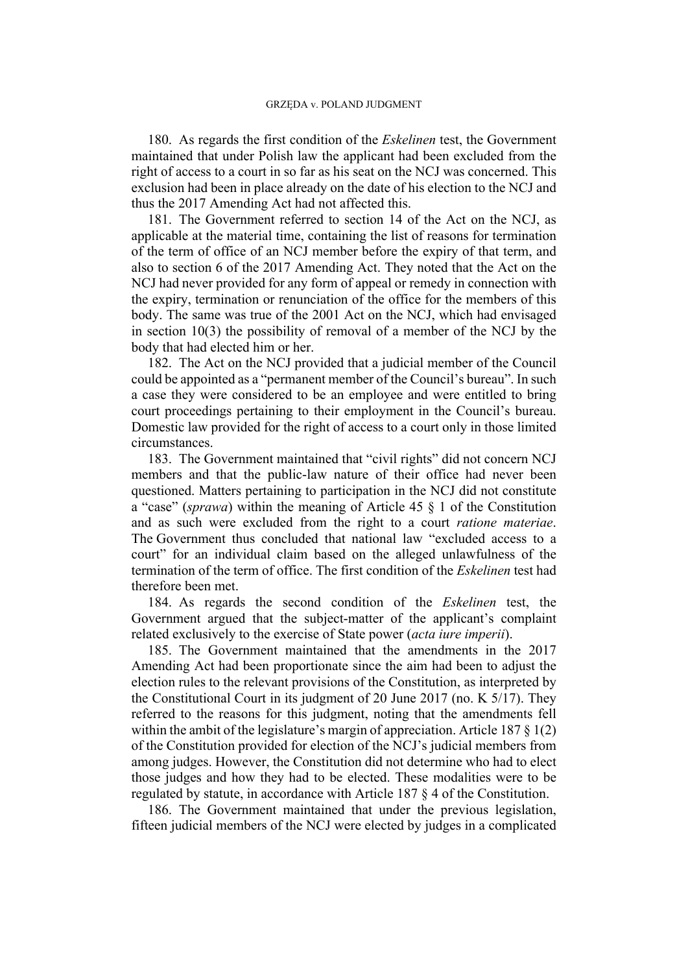180. As regards the first condition of the *Eskelinen* test, the Government maintained that under Polish law the applicant had been excluded from the right of access to a court in so far as his seat on the NCJ was concerned. This exclusion had been in place already on the date of his election to the NCJ and thus the 2017 Amending Act had not affected this.

181. The Government referred to section 14 of the Act on the NCJ, as applicable at the material time, containing the list of reasons for termination of the term of office of an NCJ member before the expiry of that term, and also to section 6 of the 2017 Amending Act. They noted that the Act on the NCJ had never provided for any form of appeal or remedy in connection with the expiry, termination or renunciation of the office for the members of this body. The same was true of the 2001 Act on the NCJ, which had envisaged in section 10(3) the possibility of removal of a member of the NCJ by the body that had elected him or her.

182. The Act on the NCJ provided that a judicial member of the Council could be appointed as a "permanent member of the Council's bureau". In such a case they were considered to be an employee and were entitled to bring court proceedings pertaining to their employment in the Council's bureau. Domestic law provided for the right of access to a court only in those limited circumstances.

183. The Government maintained that "civil rights" did not concern NCJ members and that the public-law nature of their office had never been questioned. Matters pertaining to participation in the NCJ did not constitute a "case" (*sprawa*) within the meaning of Article 45 § 1 of the Constitution and as such were excluded from the right to a court *ratione materiae*. The Government thus concluded that national law "excluded access to a court" for an individual claim based on the alleged unlawfulness of the termination of the term of office. The first condition of the *Eskelinen* test had therefore been met.

184. As regards the second condition of the *Eskelinen* test, the Government argued that the subject-matter of the applicant's complaint related exclusively to the exercise of State power (*acta iure imperii*).

185. The Government maintained that the amendments in the 2017 Amending Act had been proportionate since the aim had been to adjust the election rules to the relevant provisions of the Constitution, as interpreted by the Constitutional Court in its judgment of 20 June 2017 (no. K 5/17). They referred to the reasons for this judgment, noting that the amendments fell within the ambit of the legislature's margin of appreciation. Article 187  $\S$  1(2) of the Constitution provided for election of the NCJ's judicial members from among judges. However, the Constitution did not determine who had to elect those judges and how they had to be elected. These modalities were to be regulated by statute, in accordance with Article 187 § 4 of the Constitution.

186. The Government maintained that under the previous legislation, fifteen judicial members of the NCJ were elected by judges in a complicated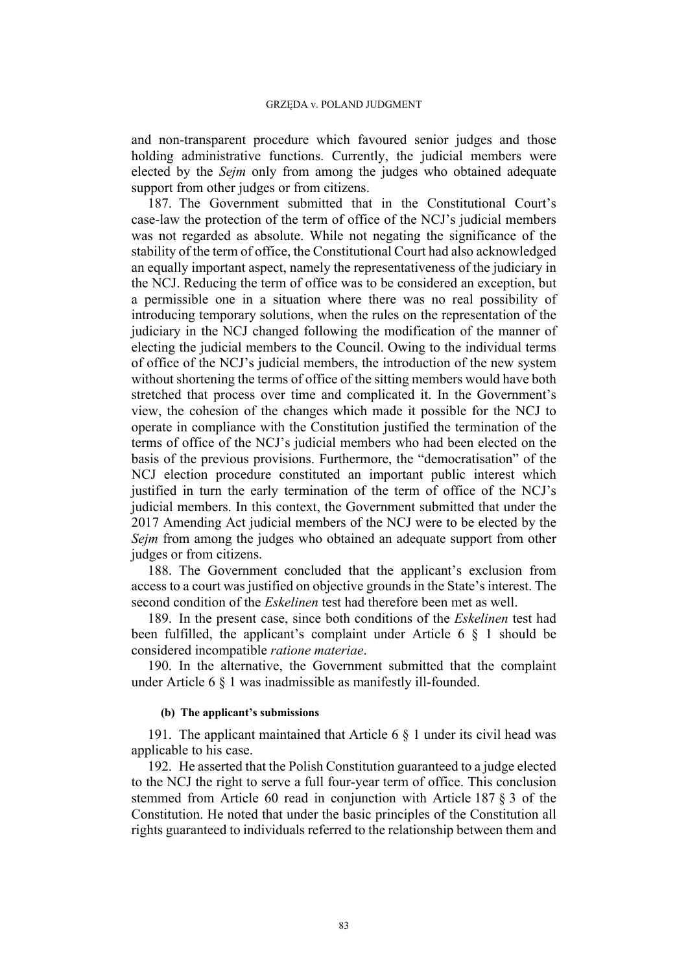and non-transparent procedure which favoured senior judges and those holding administrative functions. Currently, the judicial members were elected by the *Sejm* only from among the judges who obtained adequate support from other judges or from citizens.

187. The Government submitted that in the Constitutional Court's case-law the protection of the term of office of the NCJ's judicial members was not regarded as absolute. While not negating the significance of the stability of the term of office, the Constitutional Court had also acknowledged an equally important aspect, namely the representativeness of the judiciary in the NCJ. Reducing the term of office was to be considered an exception, but a permissible one in a situation where there was no real possibility of introducing temporary solutions, when the rules on the representation of the judiciary in the NCJ changed following the modification of the manner of electing the judicial members to the Council. Owing to the individual terms of office of the NCJ's judicial members, the introduction of the new system without shortening the terms of office of the sitting members would have both stretched that process over time and complicated it. In the Government's view, the cohesion of the changes which made it possible for the NCJ to operate in compliance with the Constitution justified the termination of the terms of office of the NCJ's judicial members who had been elected on the basis of the previous provisions. Furthermore, the "democratisation" of the NCJ election procedure constituted an important public interest which justified in turn the early termination of the term of office of the NCJ's judicial members. In this context, the Government submitted that under the 2017 Amending Act judicial members of the NCJ were to be elected by the *Sejm* from among the judges who obtained an adequate support from other judges or from citizens.

188. The Government concluded that the applicant's exclusion from access to a court was justified on objective grounds in the State's interest. The second condition of the *Eskelinen* test had therefore been met as well.

189. In the present case, since both conditions of the *Eskelinen* test had been fulfilled, the applicant's complaint under Article 6 § 1 should be considered incompatible *ratione materiae*.

190. In the alternative, the Government submitted that the complaint under Article 6 § 1 was inadmissible as manifestly ill-founded.

## **(b) The applicant's submissions**

191. The applicant maintained that Article 6 § 1 under its civil head was applicable to his case.

192. He asserted that the Polish Constitution guaranteed to a judge elected to the NCJ the right to serve a full four-year term of office. This conclusion stemmed from Article 60 read in conjunction with Article 187 § 3 of the Constitution. He noted that under the basic principles of the Constitution all rights guaranteed to individuals referred to the relationship between them and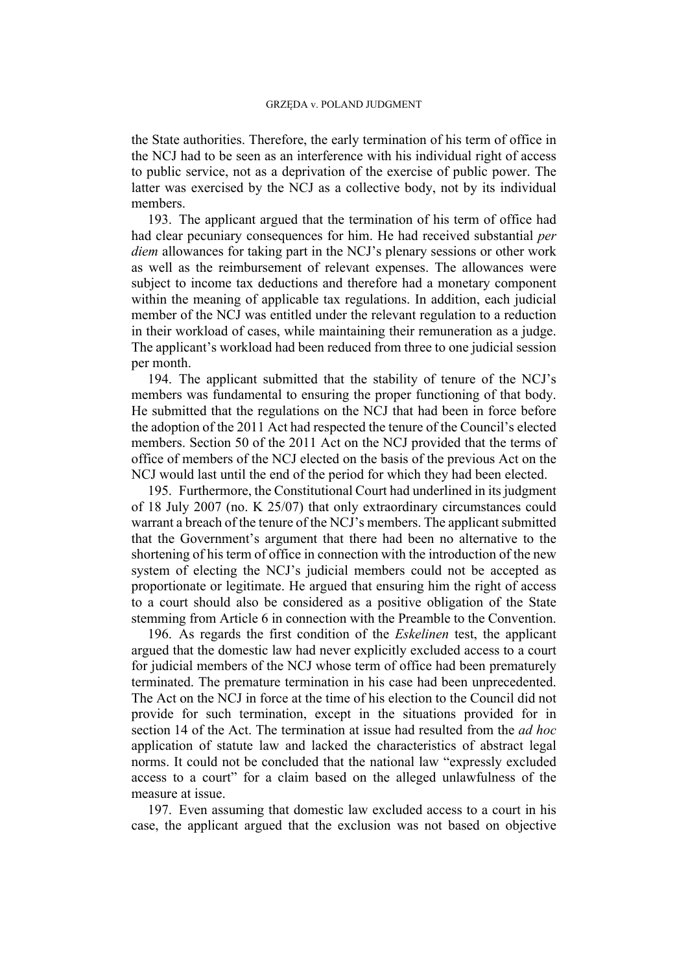the State authorities. Therefore, the early termination of his term of office in the NCJ had to be seen as an interference with his individual right of access to public service, not as a deprivation of the exercise of public power. The latter was exercised by the NCJ as a collective body, not by its individual members.

193. The applicant argued that the termination of his term of office had had clear pecuniary consequences for him. He had received substantial *per diem* allowances for taking part in the NCJ's plenary sessions or other work as well as the reimbursement of relevant expenses. The allowances were subject to income tax deductions and therefore had a monetary component within the meaning of applicable tax regulations. In addition, each judicial member of the NCJ was entitled under the relevant regulation to a reduction in their workload of cases, while maintaining their remuneration as a judge. The applicant's workload had been reduced from three to one judicial session per month.

194. The applicant submitted that the stability of tenure of the NCJ's members was fundamental to ensuring the proper functioning of that body. He submitted that the regulations on the NCJ that had been in force before the adoption of the 2011 Act had respected the tenure of the Council's elected members. Section 50 of the 2011 Act on the NCJ provided that the terms of office of members of the NCJ elected on the basis of the previous Act on the NCJ would last until the end of the period for which they had been elected.

195. Furthermore, the Constitutional Court had underlined in its judgment of 18 July 2007 (no. K 25/07) that only extraordinary circumstances could warrant a breach of the tenure of the NCJ's members. The applicant submitted that the Government's argument that there had been no alternative to the shortening of his term of office in connection with the introduction of the new system of electing the NCJ's judicial members could not be accepted as proportionate or legitimate. He argued that ensuring him the right of access to a court should also be considered as a positive obligation of the State stemming from Article 6 in connection with the Preamble to the Convention.

196. As regards the first condition of the *Eskelinen* test, the applicant argued that the domestic law had never explicitly excluded access to a court for judicial members of the NCJ whose term of office had been prematurely terminated. The premature termination in his case had been unprecedented. The Act on the NCJ in force at the time of his election to the Council did not provide for such termination, except in the situations provided for in section 14 of the Act. The termination at issue had resulted from the *ad hoc* application of statute law and lacked the characteristics of abstract legal norms. It could not be concluded that the national law "expressly excluded access to a court" for a claim based on the alleged unlawfulness of the measure at issue.

197. Even assuming that domestic law excluded access to a court in his case, the applicant argued that the exclusion was not based on objective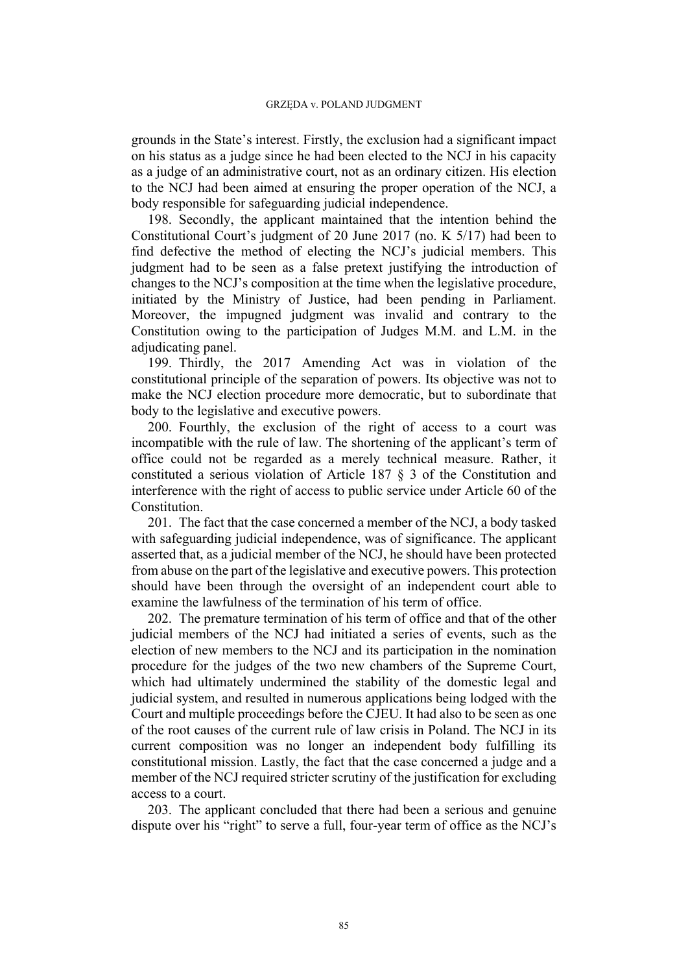grounds in the State's interest. Firstly, the exclusion had a significant impact on his status as a judge since he had been elected to the NCJ in his capacity as a judge of an administrative court, not as an ordinary citizen. His election to the NCJ had been aimed at ensuring the proper operation of the NCJ, a body responsible for safeguarding judicial independence.

198. Secondly, the applicant maintained that the intention behind the Constitutional Court's judgment of 20 June 2017 (no. K 5/17) had been to find defective the method of electing the NCJ's judicial members. This judgment had to be seen as a false pretext justifying the introduction of changes to the NCJ's composition at the time when the legislative procedure, initiated by the Ministry of Justice, had been pending in Parliament. Moreover, the impugned judgment was invalid and contrary to the Constitution owing to the participation of Judges M.M. and L.M. in the adjudicating panel.

199. Thirdly, the 2017 Amending Act was in violation of the constitutional principle of the separation of powers. Its objective was not to make the NCJ election procedure more democratic, but to subordinate that body to the legislative and executive powers.

200. Fourthly, the exclusion of the right of access to a court was incompatible with the rule of law. The shortening of the applicant's term of office could not be regarded as a merely technical measure. Rather, it constituted a serious violation of Article 187 § 3 of the Constitution and interference with the right of access to public service under Article 60 of the Constitution.

201. The fact that the case concerned a member of the NCJ, a body tasked with safeguarding judicial independence, was of significance. The applicant asserted that, as a judicial member of the NCJ, he should have been protected from abuse on the part of the legislative and executive powers. This protection should have been through the oversight of an independent court able to examine the lawfulness of the termination of his term of office.

202. The premature termination of his term of office and that of the other judicial members of the NCJ had initiated a series of events, such as the election of new members to the NCJ and its participation in the nomination procedure for the judges of the two new chambers of the Supreme Court, which had ultimately undermined the stability of the domestic legal and judicial system, and resulted in numerous applications being lodged with the Court and multiple proceedings before the CJEU. It had also to be seen as one of the root causes of the current rule of law crisis in Poland. The NCJ in its current composition was no longer an independent body fulfilling its constitutional mission. Lastly, the fact that the case concerned a judge and a member of the NCJ required stricter scrutiny of the justification for excluding access to a court.

203. The applicant concluded that there had been a serious and genuine dispute over his "right" to serve a full, four-year term of office as the NCJ's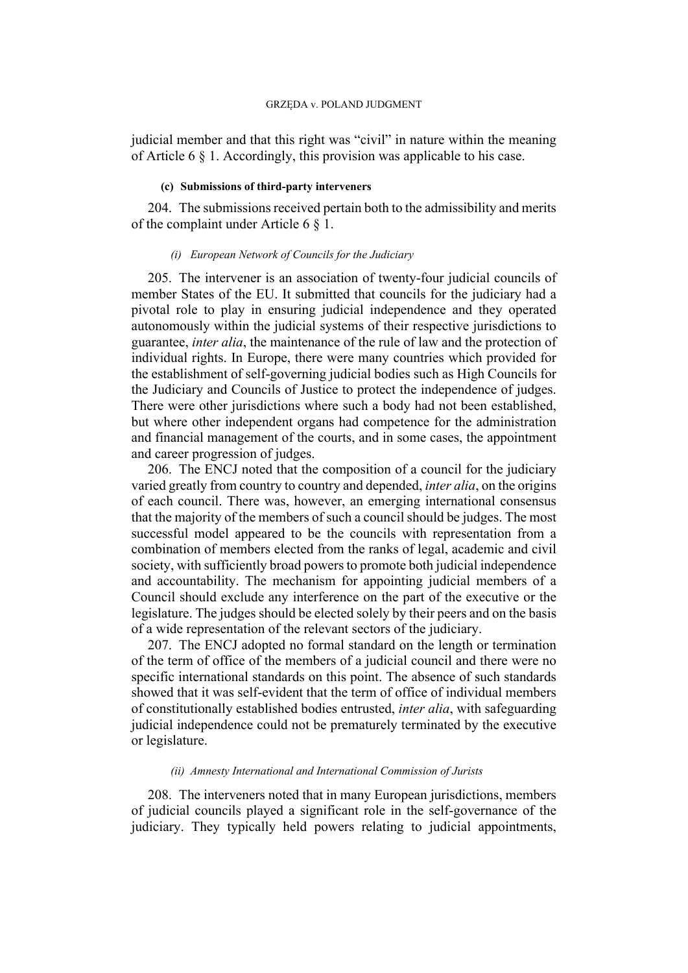judicial member and that this right was "civil" in nature within the meaning of Article 6 § 1. Accordingly, this provision was applicable to his case.

### **(c) Submissions of third-party interveners**

204. The submissions received pertain both to the admissibility and merits of the complaint under Article 6 § 1.

## *(i) European Network of Councils for the Judiciary*

205. The intervener is an association of twenty-four judicial councils of member States of the EU. It submitted that councils for the judiciary had a pivotal role to play in ensuring judicial independence and they operated autonomously within the judicial systems of their respective jurisdictions to guarantee, *inter alia*, the maintenance of the rule of law and the protection of individual rights. In Europe, there were many countries which provided for the establishment of self-governing judicial bodies such as High Councils for the Judiciary and Councils of Justice to protect the independence of judges. There were other jurisdictions where such a body had not been established, but where other independent organs had competence for the administration and financial management of the courts, and in some cases, the appointment and career progression of judges.

206. The ENCJ noted that the composition of a council for the judiciary varied greatly from country to country and depended, *inter alia*, on the origins of each council. There was, however, an emerging international consensus that the majority of the members of such a council should be judges. The most successful model appeared to be the councils with representation from a combination of members elected from the ranks of legal, academic and civil society, with sufficiently broad powers to promote both judicial independence and accountability. The mechanism for appointing judicial members of a Council should exclude any interference on the part of the executive or the legislature. The judges should be elected solely by their peers and on the basis of a wide representation of the relevant sectors of the judiciary.

207. The ENCJ adopted no formal standard on the length or termination of the term of office of the members of a judicial council and there were no specific international standards on this point. The absence of such standards showed that it was self-evident that the term of office of individual members of constitutionally established bodies entrusted, *inter alia*, with safeguarding judicial independence could not be prematurely terminated by the executive or legislature.

# *(ii) Amnesty International and International Commission of Jurists*

208. The interveners noted that in many European jurisdictions, members of judicial councils played a significant role in the self-governance of the judiciary. They typically held powers relating to judicial appointments,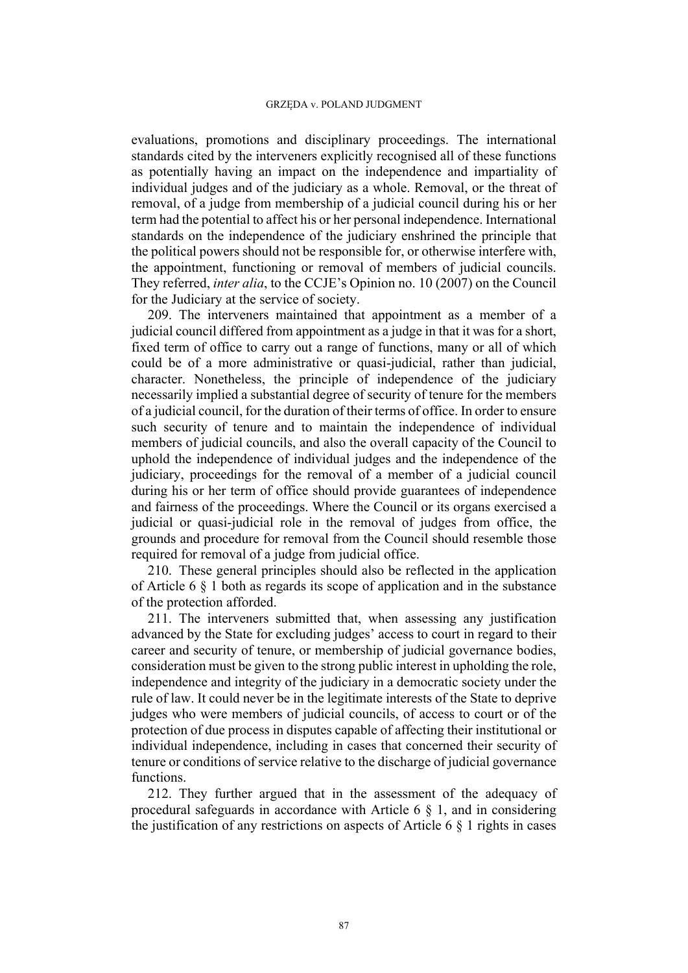evaluations, promotions and disciplinary proceedings. The international standards cited by the interveners explicitly recognised all of these functions as potentially having an impact on the independence and impartiality of individual judges and of the judiciary as a whole. Removal, or the threat of removal, of a judge from membership of a judicial council during his or her term had the potential to affect his or her personal independence. International standards on the independence of the judiciary enshrined the principle that the political powers should not be responsible for, or otherwise interfere with, the appointment, functioning or removal of members of judicial councils. They referred, *inter alia*, to the CCJE's Opinion no. 10 (2007) on the Council for the Judiciary at the service of society.

209. The interveners maintained that appointment as a member of a judicial council differed from appointment as a judge in that it was for a short, fixed term of office to carry out a range of functions, many or all of which could be of a more administrative or quasi-judicial, rather than judicial, character. Nonetheless, the principle of independence of the judiciary necessarily implied a substantial degree of security of tenure for the members of a judicial council, for the duration of their terms of office. In order to ensure such security of tenure and to maintain the independence of individual members of judicial councils, and also the overall capacity of the Council to uphold the independence of individual judges and the independence of the judiciary, proceedings for the removal of a member of a judicial council during his or her term of office should provide guarantees of independence and fairness of the proceedings. Where the Council or its organs exercised a judicial or quasi-judicial role in the removal of judges from office, the grounds and procedure for removal from the Council should resemble those required for removal of a judge from judicial office.

210. These general principles should also be reflected in the application of Article 6 § 1 both as regards its scope of application and in the substance of the protection afforded.

211. The interveners submitted that, when assessing any justification advanced by the State for excluding judges' access to court in regard to their career and security of tenure, or membership of judicial governance bodies, consideration must be given to the strong public interest in upholding the role, independence and integrity of the judiciary in a democratic society under the rule of law. It could never be in the legitimate interests of the State to deprive judges who were members of judicial councils, of access to court or of the protection of due process in disputes capable of affecting their institutional or individual independence, including in cases that concerned their security of tenure or conditions of service relative to the discharge of judicial governance functions.

212. They further argued that in the assessment of the adequacy of procedural safeguards in accordance with Article 6 § 1, and in considering the justification of any restrictions on aspects of Article 6 § 1 rights in cases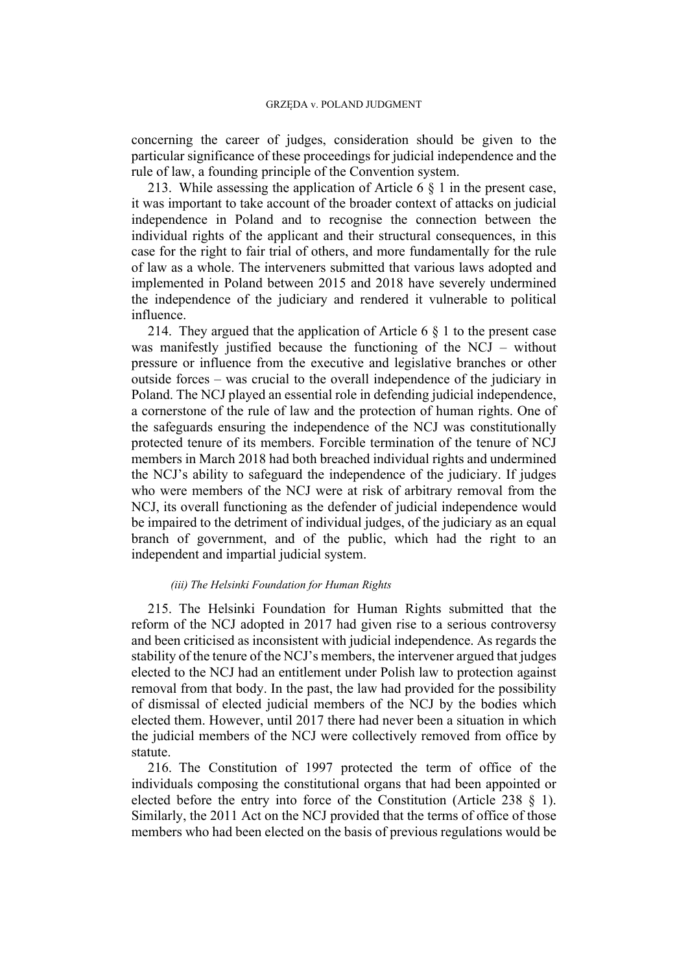concerning the career of judges, consideration should be given to the particular significance of these proceedings for judicial independence and the rule of law, a founding principle of the Convention system.

213. While assessing the application of Article 6  $\S$  1 in the present case, it was important to take account of the broader context of attacks on judicial independence in Poland and to recognise the connection between the individual rights of the applicant and their structural consequences, in this case for the right to fair trial of others, and more fundamentally for the rule of law as a whole. The interveners submitted that various laws adopted and implemented in Poland between 2015 and 2018 have severely undermined the independence of the judiciary and rendered it vulnerable to political influence.

214. They argued that the application of Article 6 § 1 to the present case was manifestly justified because the functioning of the NCJ – without pressure or influence from the executive and legislative branches or other outside forces – was crucial to the overall independence of the judiciary in Poland. The NCJ played an essential role in defending judicial independence, a cornerstone of the rule of law and the protection of human rights. One of the safeguards ensuring the independence of the NCJ was constitutionally protected tenure of its members. Forcible termination of the tenure of NCJ members in March 2018 had both breached individual rights and undermined the NCJ's ability to safeguard the independence of the judiciary. If judges who were members of the NCJ were at risk of arbitrary removal from the NCJ, its overall functioning as the defender of judicial independence would be impaired to the detriment of individual judges, of the judiciary as an equal branch of government, and of the public, which had the right to an independent and impartial judicial system.

## *(iii) The Helsinki Foundation for Human Rights*

215. The Helsinki Foundation for Human Rights submitted that the reform of the NCJ adopted in 2017 had given rise to a serious controversy and been criticised as inconsistent with judicial independence. As regards the stability of the tenure of the NCJ's members, the intervener argued that judges elected to the NCJ had an entitlement under Polish law to protection against removal from that body. In the past, the law had provided for the possibility of dismissal of elected judicial members of the NCJ by the bodies which elected them. However, until 2017 there had never been a situation in which the judicial members of the NCJ were collectively removed from office by statute.

216. The Constitution of 1997 protected the term of office of the individuals composing the constitutional organs that had been appointed or elected before the entry into force of the Constitution (Article 238 § 1). Similarly, the 2011 Act on the NCJ provided that the terms of office of those members who had been elected on the basis of previous regulations would be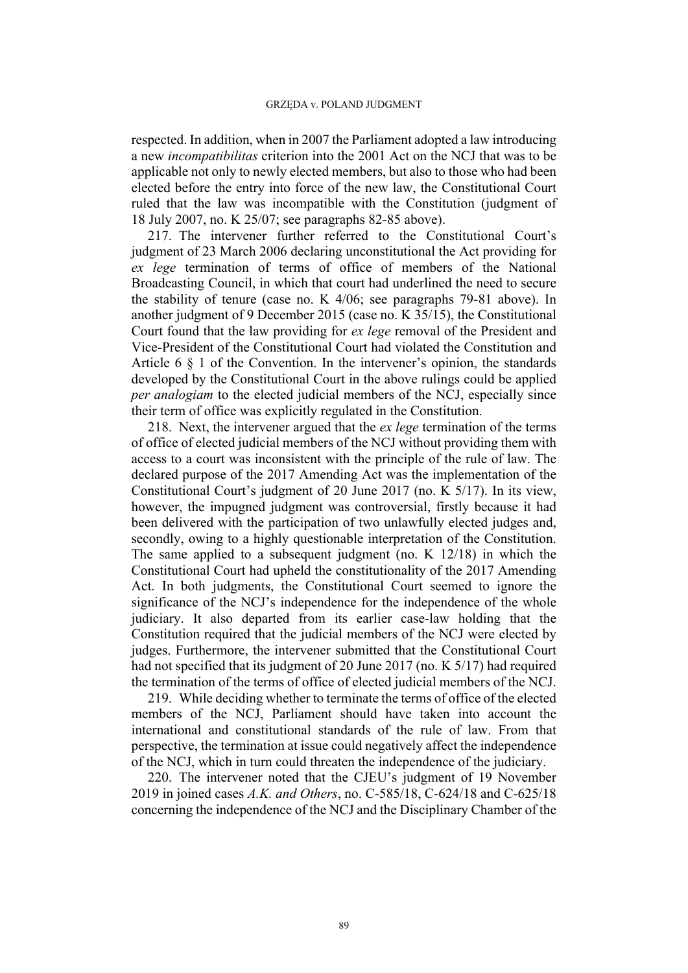respected. In addition, when in 2007 the Parliament adopted a law introducing a new *incompatibilitas* criterion into the 2001 Act on the NCJ that was to be applicable not only to newly elected members, but also to those who had been elected before the entry into force of the new law, the Constitutional Court ruled that the law was incompatible with the Constitution (judgment of 18 July 2007, no. K 25/07; see paragraphs 82-85 above).

217. The intervener further referred to the Constitutional Court's judgment of 23 March 2006 declaring unconstitutional the Act providing for *ex lege* termination of terms of office of members of the National Broadcasting Council, in which that court had underlined the need to secure the stability of tenure (case no. K 4/06; see paragraphs 79-81 above). In another judgment of 9 December 2015 (case no. K 35/15), the Constitutional Court found that the law providing for *ex lege* removal of the President and Vice-President of the Constitutional Court had violated the Constitution and Article 6 § 1 of the Convention. In the intervener's opinion, the standards developed by the Constitutional Court in the above rulings could be applied *per analogiam* to the elected judicial members of the NCJ, especially since their term of office was explicitly regulated in the Constitution.

218. Next, the intervener argued that the *ex lege* termination of the terms of office of elected judicial members of the NCJ without providing them with access to a court was inconsistent with the principle of the rule of law. The declared purpose of the 2017 Amending Act was the implementation of the Constitutional Court's judgment of 20 June 2017 (no. K 5/17). In its view, however, the impugned judgment was controversial, firstly because it had been delivered with the participation of two unlawfully elected judges and, secondly, owing to a highly questionable interpretation of the Constitution. The same applied to a subsequent judgment (no. K 12/18) in which the Constitutional Court had upheld the constitutionality of the 2017 Amending Act. In both judgments, the Constitutional Court seemed to ignore the significance of the NCJ's independence for the independence of the whole judiciary. It also departed from its earlier case-law holding that the Constitution required that the judicial members of the NCJ were elected by judges. Furthermore, the intervener submitted that the Constitutional Court had not specified that its judgment of 20 June 2017 (no. K 5/17) had required the termination of the terms of office of elected judicial members of the NCJ.

219. While deciding whether to terminate the terms of office of the elected members of the NCJ, Parliament should have taken into account the international and constitutional standards of the rule of law. From that perspective, the termination at issue could negatively affect the independence of the NCJ, which in turn could threaten the independence of the judiciary.

220. The intervener noted that the CJEU's judgment of 19 November 2019 in joined cases *A.K. and Others*, no. C-585/18, C-624/18 and C-625/18 concerning the independence of the NCJ and the Disciplinary Chamber of the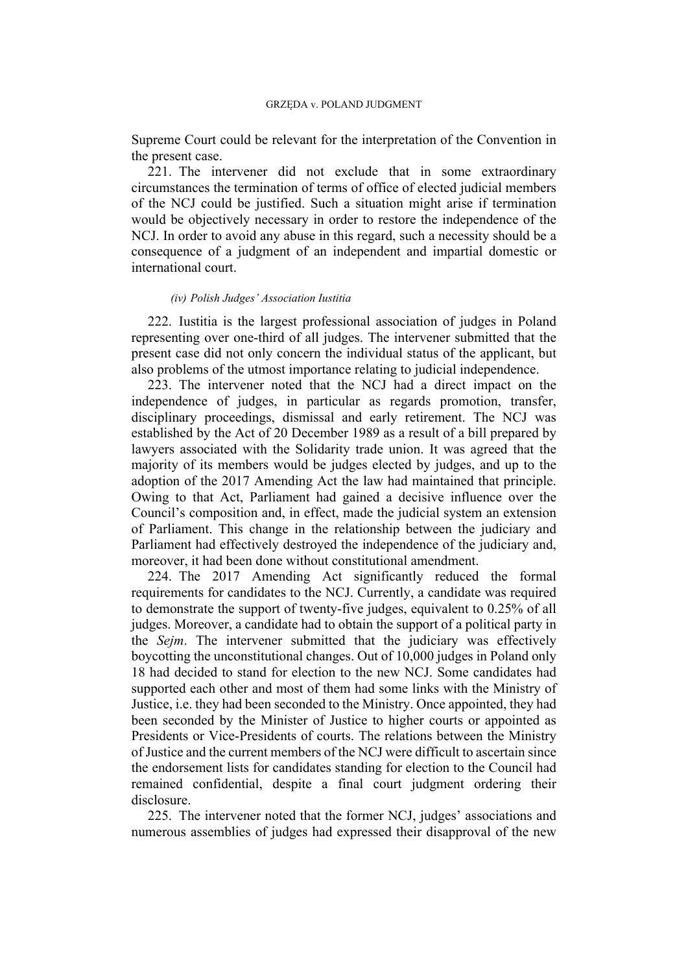Supreme Court could be relevant for the interpretation of the Convention in the present case.

221. The intervener did not exclude that in some extraordinary circumstances the termination of terms of office of elected judicial members of the NCJ could be justified. Such a situation might arise if termination would be objectively necessary in order to restore the independence of the NCJ. In order to avoid any abuse in this regard, such a necessity should be a consequence of a judgment of an independent and impartial domestic or international court.

# *(iv) Polish Judges' Association Iustitia*

222. Iustitia is the largest professional association of judges in Poland representing over one-third of all judges. The intervener submitted that the present case did not only concern the individual status of the applicant, but also problems of the utmost importance relating to judicial independence.

223. The intervener noted that the NCJ had a direct impact on the independence of judges, in particular as regards promotion, transfer, disciplinary proceedings, dismissal and early retirement. The NCJ was established by the Act of 20 December 1989 as a result of a bill prepared by lawyers associated with the Solidarity trade union. It was agreed that the majority of its members would be judges elected by judges, and up to the adoption of the 2017 Amending Act the law had maintained that principle. Owing to that Act, Parliament had gained a decisive influence over the Council's composition and, in effect, made the judicial system an extension of Parliament. This change in the relationship between the judiciary and Parliament had effectively destroyed the independence of the judiciary and, moreover, it had been done without constitutional amendment.

224. The 2017 Amending Act significantly reduced the formal requirements for candidates to the NCJ. Currently, a candidate was required to demonstrate the support of twenty-five judges, equivalent to 0.25% of all judges. Moreover, a candidate had to obtain the support of a political party in the *Sejm*. The intervener submitted that the judiciary was effectively boycotting the unconstitutional changes. Out of 10,000 judges in Poland only 18 had decided to stand for election to the new NCJ. Some candidates had supported each other and most of them had some links with the Ministry of Justice, i.e. they had been seconded to the Ministry. Once appointed, they had been seconded by the Minister of Justice to higher courts or appointed as Presidents or Vice-Presidents of courts. The relations between the Ministry of Justice and the current members of the NCJ were difficult to ascertain since the endorsement lists for candidates standing for election to the Council had remained confidential, despite a final court judgment ordering their disclosure.

225. The intervener noted that the former NCJ, judges' associations and numerous assemblies of judges had expressed their disapproval of the new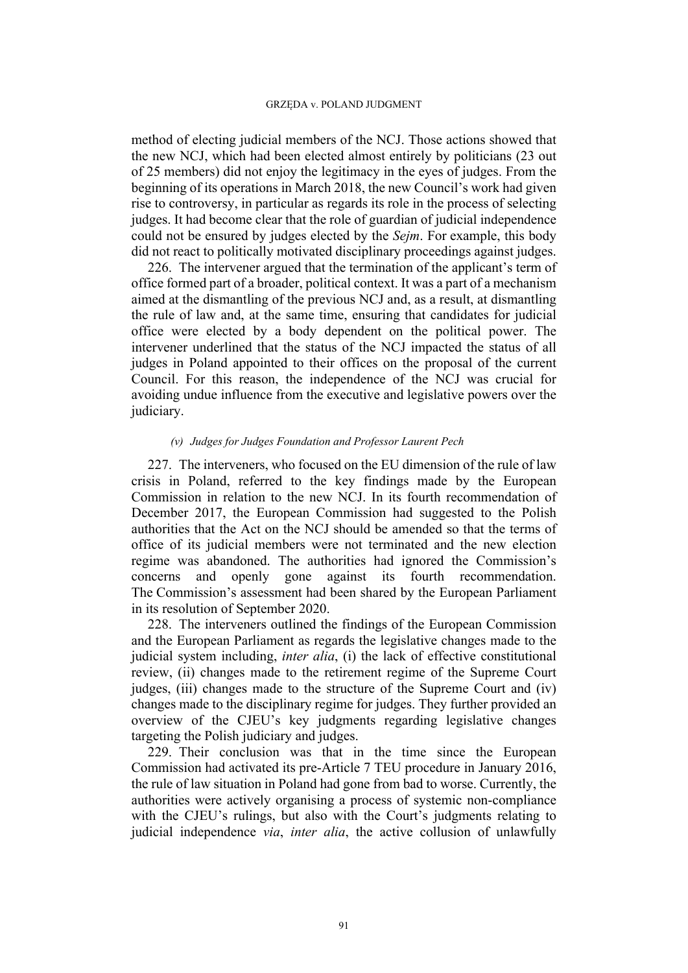method of electing judicial members of the NCJ. Those actions showed that the new NCJ, which had been elected almost entirely by politicians (23 out of 25 members) did not enjoy the legitimacy in the eyes of judges. From the beginning of its operations in March 2018, the new Council's work had given rise to controversy, in particular as regards its role in the process of selecting judges. It had become clear that the role of guardian of judicial independence could not be ensured by judges elected by the *Sejm*. For example, this body did not react to politically motivated disciplinary proceedings against judges.

226. The intervener argued that the termination of the applicant's term of office formed part of a broader, political context. It was a part of a mechanism aimed at the dismantling of the previous NCJ and, as a result, at dismantling the rule of law and, at the same time, ensuring that candidates for judicial office were elected by a body dependent on the political power. The intervener underlined that the status of the NCJ impacted the status of all judges in Poland appointed to their offices on the proposal of the current Council. For this reason, the independence of the NCJ was crucial for avoiding undue influence from the executive and legislative powers over the judiciary.

## *(v) Judges for Judges Foundation and Professor Laurent Pech*

227. The interveners, who focused on the EU dimension of the rule of law crisis in Poland, referred to the key findings made by the European Commission in relation to the new NCJ. In its fourth recommendation of December 2017, the European Commission had suggested to the Polish authorities that the Act on the NCJ should be amended so that the terms of office of its judicial members were not terminated and the new election regime was abandoned. The authorities had ignored the Commission's concerns and openly gone against its fourth recommendation. The Commission's assessment had been shared by the European Parliament in its resolution of September 2020.

228. The interveners outlined the findings of the European Commission and the European Parliament as regards the legislative changes made to the judicial system including, *inter alia*, (i) the lack of effective constitutional review, (ii) changes made to the retirement regime of the Supreme Court judges, (iii) changes made to the structure of the Supreme Court and (iv) changes made to the disciplinary regime for judges. They further provided an overview of the CJEU's key judgments regarding legislative changes targeting the Polish judiciary and judges.

229. Their conclusion was that in the time since the European Commission had activated its pre-Article 7 TEU procedure in January 2016, the rule of law situation in Poland had gone from bad to worse. Currently, the authorities were actively organising a process of systemic non-compliance with the CJEU's rulings, but also with the Court's judgments relating to judicial independence *via*, *inter alia*, the active collusion of unlawfully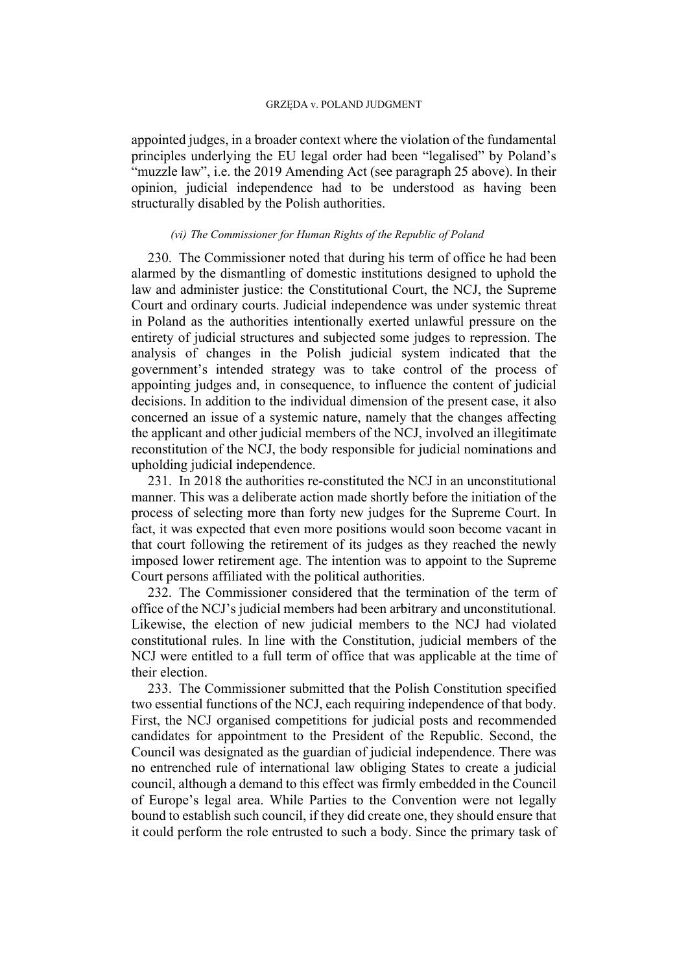appointed judges, in a broader context where the violation of the fundamental principles underlying the EU legal order had been "legalised" by Poland's "muzzle law", i.e. the 2019 Amending Act (see paragraph 25 above). In their opinion, judicial independence had to be understood as having been structurally disabled by the Polish authorities.

# *(vi) The Commissioner for Human Rights of the Republic of Poland*

230. The Commissioner noted that during his term of office he had been alarmed by the dismantling of domestic institutions designed to uphold the law and administer justice: the Constitutional Court, the NCJ, the Supreme Court and ordinary courts. Judicial independence was under systemic threat in Poland as the authorities intentionally exerted unlawful pressure on the entirety of judicial structures and subjected some judges to repression. The analysis of changes in the Polish judicial system indicated that the government's intended strategy was to take control of the process of appointing judges and, in consequence, to influence the content of judicial decisions. In addition to the individual dimension of the present case, it also concerned an issue of a systemic nature, namely that the changes affecting the applicant and other judicial members of the NCJ, involved an illegitimate reconstitution of the NCJ, the body responsible for judicial nominations and upholding judicial independence.

231. In 2018 the authorities re-constituted the NCJ in an unconstitutional manner. This was a deliberate action made shortly before the initiation of the process of selecting more than forty new judges for the Supreme Court. In fact, it was expected that even more positions would soon become vacant in that court following the retirement of its judges as they reached the newly imposed lower retirement age. The intention was to appoint to the Supreme Court persons affiliated with the political authorities.

232. The Commissioner considered that the termination of the term of office of the NCJ's judicial members had been arbitrary and unconstitutional. Likewise, the election of new judicial members to the NCJ had violated constitutional rules. In line with the Constitution, judicial members of the NCJ were entitled to a full term of office that was applicable at the time of their election.

233. The Commissioner submitted that the Polish Constitution specified two essential functions of the NCJ, each requiring independence of that body. First, the NCJ organised competitions for judicial posts and recommended candidates for appointment to the President of the Republic. Second, the Council was designated as the guardian of judicial independence. There was no entrenched rule of international law obliging States to create a judicial council, although a demand to this effect was firmly embedded in the Council of Europe's legal area. While Parties to the Convention were not legally bound to establish such council, if they did create one, they should ensure that it could perform the role entrusted to such a body. Since the primary task of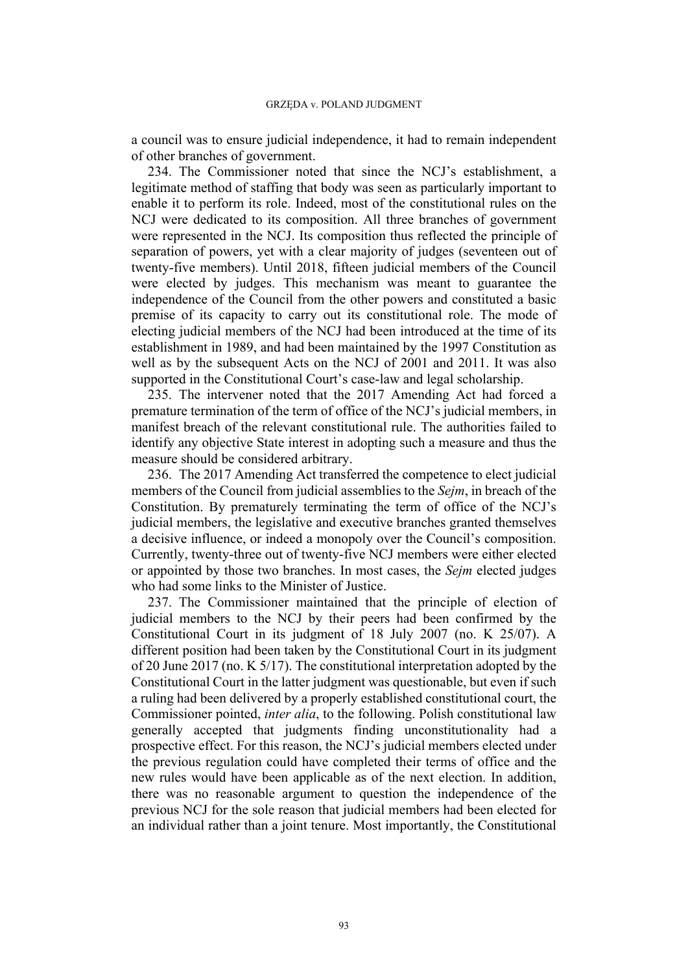a council was to ensure judicial independence, it had to remain independent of other branches of government.

234. The Commissioner noted that since the NCJ's establishment, a legitimate method of staffing that body was seen as particularly important to enable it to perform its role. Indeed, most of the constitutional rules on the NCJ were dedicated to its composition. All three branches of government were represented in the NCJ. Its composition thus reflected the principle of separation of powers, yet with a clear majority of judges (seventeen out of twenty-five members). Until 2018, fifteen judicial members of the Council were elected by judges. This mechanism was meant to guarantee the independence of the Council from the other powers and constituted a basic premise of its capacity to carry out its constitutional role. The mode of electing judicial members of the NCJ had been introduced at the time of its establishment in 1989, and had been maintained by the 1997 Constitution as well as by the subsequent Acts on the NCJ of 2001 and 2011. It was also supported in the Constitutional Court's case-law and legal scholarship.

235. The intervener noted that the 2017 Amending Act had forced a premature termination of the term of office of the NCJ's judicial members, in manifest breach of the relevant constitutional rule. The authorities failed to identify any objective State interest in adopting such a measure and thus the measure should be considered arbitrary.

236. The 2017 Amending Act transferred the competence to elect judicial members of the Council from judicial assemblies to the *Sejm*, in breach of the Constitution. By prematurely terminating the term of office of the NCJ's judicial members, the legislative and executive branches granted themselves a decisive influence, or indeed a monopoly over the Council's composition. Currently, twenty-three out of twenty-five NCJ members were either elected or appointed by those two branches. In most cases, the *Sejm* elected judges who had some links to the Minister of Justice.

237. The Commissioner maintained that the principle of election of judicial members to the NCJ by their peers had been confirmed by the Constitutional Court in its judgment of 18 July 2007 (no. K 25/07). A different position had been taken by the Constitutional Court in its judgment of 20 June 2017 (no. K 5/17). The constitutional interpretation adopted by the Constitutional Court in the latter judgment was questionable, but even if such a ruling had been delivered by a properly established constitutional court, the Commissioner pointed, *inter alia*, to the following. Polish constitutional law generally accepted that judgments finding unconstitutionality had a prospective effect. For this reason, the NCJ's judicial members elected under the previous regulation could have completed their terms of office and the new rules would have been applicable as of the next election. In addition, there was no reasonable argument to question the independence of the previous NCJ for the sole reason that judicial members had been elected for an individual rather than a joint tenure. Most importantly, the Constitutional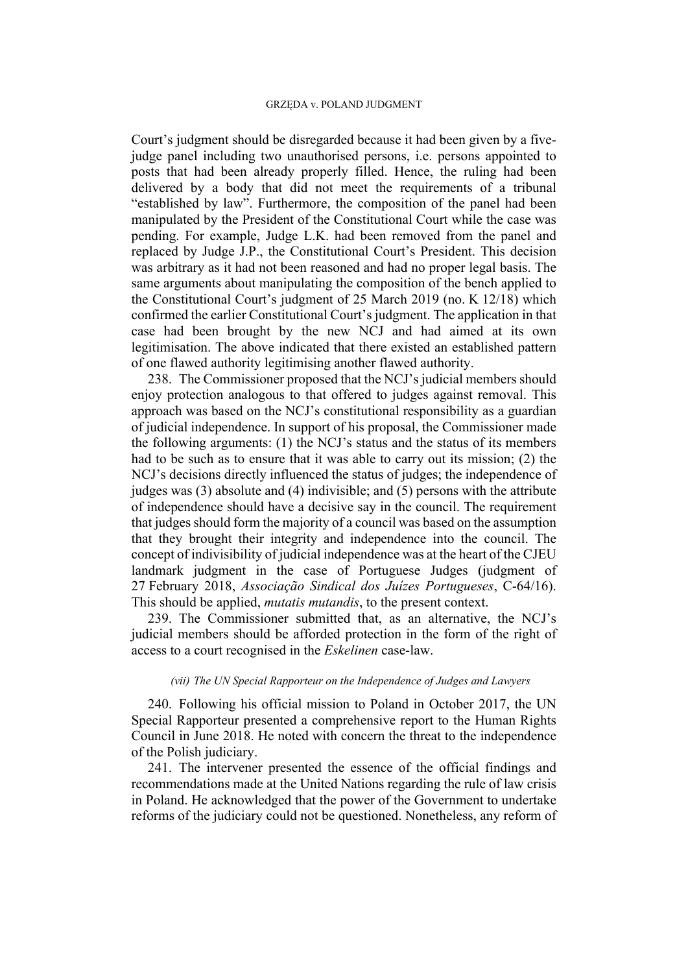Court's judgment should be disregarded because it had been given by a fivejudge panel including two unauthorised persons, i.e. persons appointed to posts that had been already properly filled. Hence, the ruling had been delivered by a body that did not meet the requirements of a tribunal "established by law". Furthermore, the composition of the panel had been manipulated by the President of the Constitutional Court while the case was pending. For example, Judge L.K. had been removed from the panel and replaced by Judge J.P., the Constitutional Court's President. This decision was arbitrary as it had not been reasoned and had no proper legal basis. The same arguments about manipulating the composition of the bench applied to the Constitutional Court's judgment of 25 March 2019 (no. K 12/18) which confirmed the earlier Constitutional Court's judgment. The application in that case had been brought by the new NCJ and had aimed at its own legitimisation. The above indicated that there existed an established pattern of one flawed authority legitimising another flawed authority.

238. The Commissioner proposed that the NCJ's judicial members should enjoy protection analogous to that offered to judges against removal. This approach was based on the NCJ's constitutional responsibility as a guardian of judicial independence. In support of his proposal, the Commissioner made the following arguments: (1) the NCJ's status and the status of its members had to be such as to ensure that it was able to carry out its mission; (2) the NCJ's decisions directly influenced the status of judges; the independence of judges was (3) absolute and (4) indivisible; and (5) persons with the attribute of independence should have a decisive say in the council. The requirement that judges should form the majority of a council was based on the assumption that they brought their integrity and independence into the council. The concept of indivisibility of judicial independence was at the heart of the CJEU landmark judgment in the case of Portuguese Judges (judgment of 27 February 2018, *Associação Sindical dos Juízes Portugueses*, C-64/16). This should be applied, *mutatis mutandis*, to the present context.

239. The Commissioner submitted that, as an alternative, the NCJ's judicial members should be afforded protection in the form of the right of access to a court recognised in the *Eskelinen* case-law.

## *(vii) The UN Special Rapporteur on the Independence of Judges and Lawyers*

240. Following his official mission to Poland in October 2017, the UN Special Rapporteur presented a comprehensive report to the Human Rights Council in June 2018. He noted with concern the threat to the independence of the Polish judiciary.

241. The intervener presented the essence of the official findings and recommendations made at the United Nations regarding the rule of law crisis in Poland. He acknowledged that the power of the Government to undertake reforms of the judiciary could not be questioned. Nonetheless, any reform of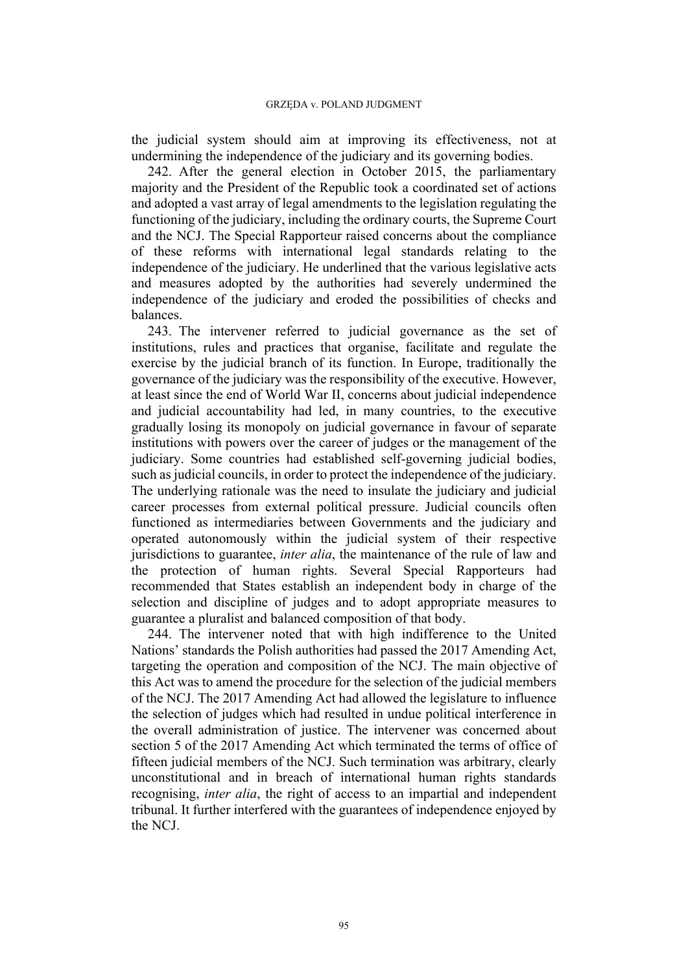the judicial system should aim at improving its effectiveness, not at undermining the independence of the judiciary and its governing bodies.

242. After the general election in October 2015, the parliamentary majority and the President of the Republic took a coordinated set of actions and adopted a vast array of legal amendments to the legislation regulating the functioning of the judiciary, including the ordinary courts, the Supreme Court and the NCJ. The Special Rapporteur raised concerns about the compliance of these reforms with international legal standards relating to the independence of the judiciary. He underlined that the various legislative acts and measures adopted by the authorities had severely undermined the independence of the judiciary and eroded the possibilities of checks and balances.

243. The intervener referred to judicial governance as the set of institutions, rules and practices that organise, facilitate and regulate the exercise by the judicial branch of its function. In Europe, traditionally the governance of the judiciary was the responsibility of the executive. However, at least since the end of World War II, concerns about judicial independence and judicial accountability had led, in many countries, to the executive gradually losing its monopoly on judicial governance in favour of separate institutions with powers over the career of judges or the management of the judiciary. Some countries had established self-governing judicial bodies, such as judicial councils, in order to protect the independence of the judiciary. The underlying rationale was the need to insulate the judiciary and judicial career processes from external political pressure. Judicial councils often functioned as intermediaries between Governments and the judiciary and operated autonomously within the judicial system of their respective jurisdictions to guarantee, *inter alia*, the maintenance of the rule of law and the protection of human rights. Several Special Rapporteurs had recommended that States establish an independent body in charge of the selection and discipline of judges and to adopt appropriate measures to guarantee a pluralist and balanced composition of that body.

244. The intervener noted that with high indifference to the United Nations' standards the Polish authorities had passed the 2017 Amending Act, targeting the operation and composition of the NCJ. The main objective of this Act was to amend the procedure for the selection of the judicial members of the NCJ. The 2017 Amending Act had allowed the legislature to influence the selection of judges which had resulted in undue political interference in the overall administration of justice. The intervener was concerned about section 5 of the 2017 Amending Act which terminated the terms of office of fifteen judicial members of the NCJ. Such termination was arbitrary, clearly unconstitutional and in breach of international human rights standards recognising, *inter alia*, the right of access to an impartial and independent tribunal. It further interfered with the guarantees of independence enjoyed by the NCJ.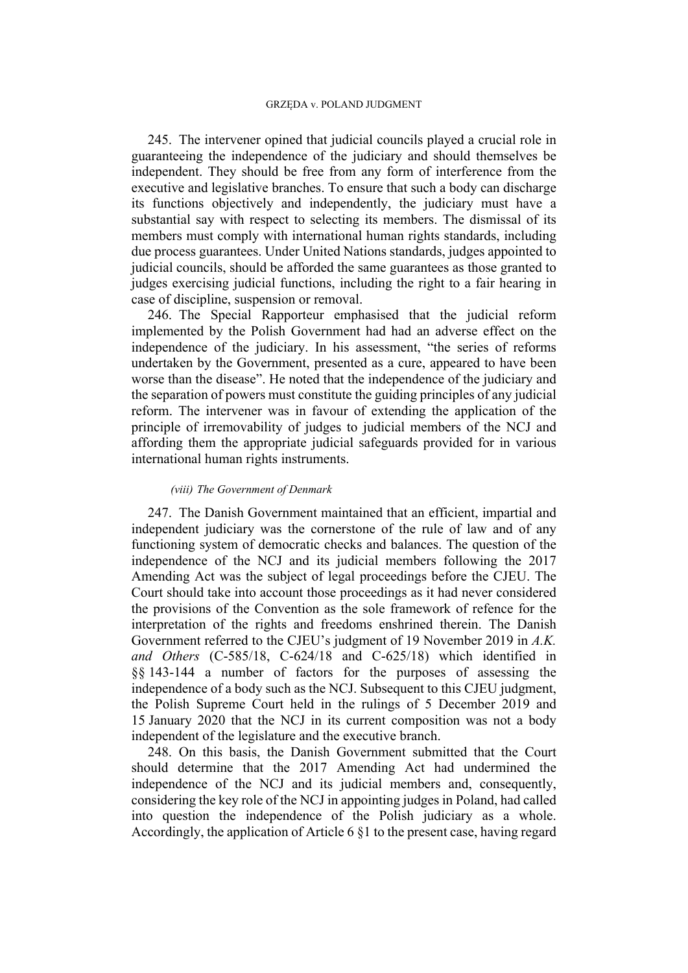245. The intervener opined that judicial councils played a crucial role in guaranteeing the independence of the judiciary and should themselves be independent. They should be free from any form of interference from the executive and legislative branches. To ensure that such a body can discharge its functions objectively and independently, the judiciary must have a substantial say with respect to selecting its members. The dismissal of its members must comply with international human rights standards, including due process guarantees. Under United Nations standards, judges appointed to judicial councils, should be afforded the same guarantees as those granted to judges exercising judicial functions, including the right to a fair hearing in case of discipline, suspension or removal.

246. The Special Rapporteur emphasised that the judicial reform implemented by the Polish Government had had an adverse effect on the independence of the judiciary. In his assessment, "the series of reforms undertaken by the Government, presented as a cure, appeared to have been worse than the disease". He noted that the independence of the judiciary and the separation of powers must constitute the guiding principles of any judicial reform. The intervener was in favour of extending the application of the principle of irremovability of judges to judicial members of the NCJ and affording them the appropriate judicial safeguards provided for in various international human rights instruments.

#### *(viii) The Government of Denmark*

247. The Danish Government maintained that an efficient, impartial and independent judiciary was the cornerstone of the rule of law and of any functioning system of democratic checks and balances. The question of the independence of the NCJ and its judicial members following the 2017 Amending Act was the subject of legal proceedings before the CJEU. The Court should take into account those proceedings as it had never considered the provisions of the Convention as the sole framework of refence for the interpretation of the rights and freedoms enshrined therein. The Danish Government referred to the CJEU's judgment of 19 November 2019 in *A.K. and Others* (C-585/18, C-624/18 and C-625/18) which identified in §§ 143-144 a number of factors for the purposes of assessing the independence of a body such as the NCJ. Subsequent to this CJEU judgment, the Polish Supreme Court held in the rulings of 5 December 2019 and 15 January 2020 that the NCJ in its current composition was not a body independent of the legislature and the executive branch.

248. On this basis, the Danish Government submitted that the Court should determine that the 2017 Amending Act had undermined the independence of the NCJ and its judicial members and, consequently, considering the key role of the NCJ in appointing judges in Poland, had called into question the independence of the Polish judiciary as a whole. Accordingly, the application of Article 6 §1 to the present case, having regard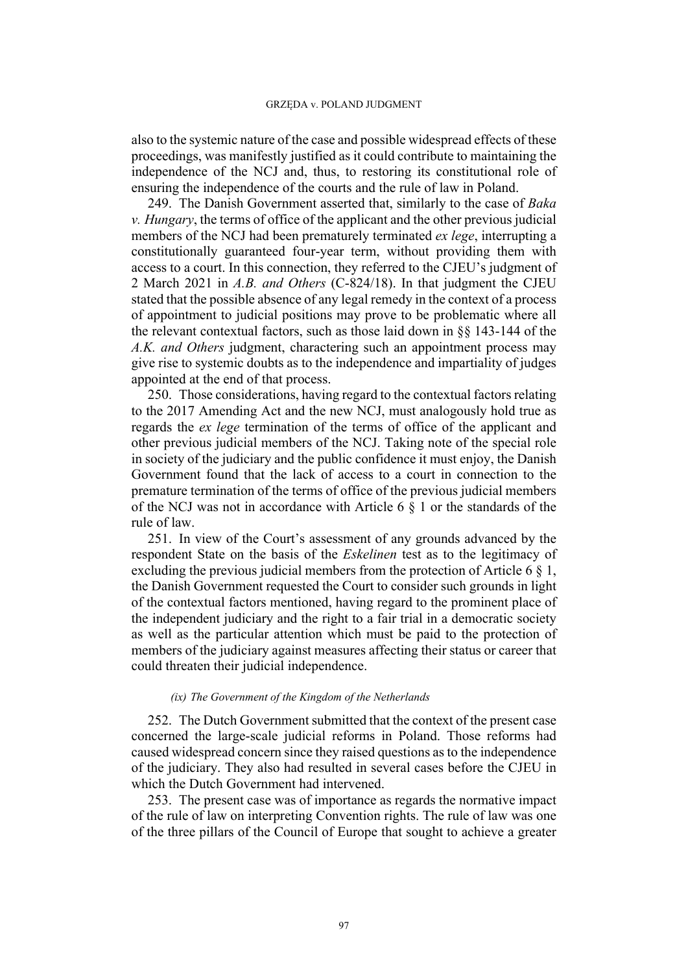also to the systemic nature of the case and possible widespread effects of these proceedings, was manifestly justified as it could contribute to maintaining the independence of the NCJ and, thus, to restoring its constitutional role of ensuring the independence of the courts and the rule of law in Poland.

249. The Danish Government asserted that, similarly to the case of *Baka v. Hungary*, the terms of office of the applicant and the other previous judicial members of the NCJ had been prematurely terminated *ex lege*, interrupting a constitutionally guaranteed four-year term, without providing them with access to a court. In this connection, they referred to the CJEU's judgment of 2 March 2021 in *A.B. and Others* (C-824/18). In that judgment the CJEU stated that the possible absence of any legal remedy in the context of a process of appointment to judicial positions may prove to be problematic where all the relevant contextual factors, such as those laid down in §§ 143-144 of the *A.K. and Others* judgment, charactering such an appointment process may give rise to systemic doubts as to the independence and impartiality of judges appointed at the end of that process.

250. Those considerations, having regard to the contextual factors relating to the 2017 Amending Act and the new NCJ, must analogously hold true as regards the *ex lege* termination of the terms of office of the applicant and other previous judicial members of the NCJ. Taking note of the special role in society of the judiciary and the public confidence it must enjoy, the Danish Government found that the lack of access to a court in connection to the premature termination of the terms of office of the previous judicial members of the NCJ was not in accordance with Article 6 § 1 or the standards of the rule of law.

251. In view of the Court's assessment of any grounds advanced by the respondent State on the basis of the *Eskelinen* test as to the legitimacy of excluding the previous judicial members from the protection of Article 6 § 1, the Danish Government requested the Court to consider such grounds in light of the contextual factors mentioned, having regard to the prominent place of the independent judiciary and the right to a fair trial in a democratic society as well as the particular attention which must be paid to the protection of members of the judiciary against measures affecting their status or career that could threaten their judicial independence.

## *(ix) The Government of the Kingdom of the Netherlands*

252. The Dutch Government submitted that the context of the present case concerned the large-scale judicial reforms in Poland. Those reforms had caused widespread concern since they raised questions as to the independence of the judiciary. They also had resulted in several cases before the CJEU in which the Dutch Government had intervened.

253. The present case was of importance as regards the normative impact of the rule of law on interpreting Convention rights. The rule of law was one of the three pillars of the Council of Europe that sought to achieve a greater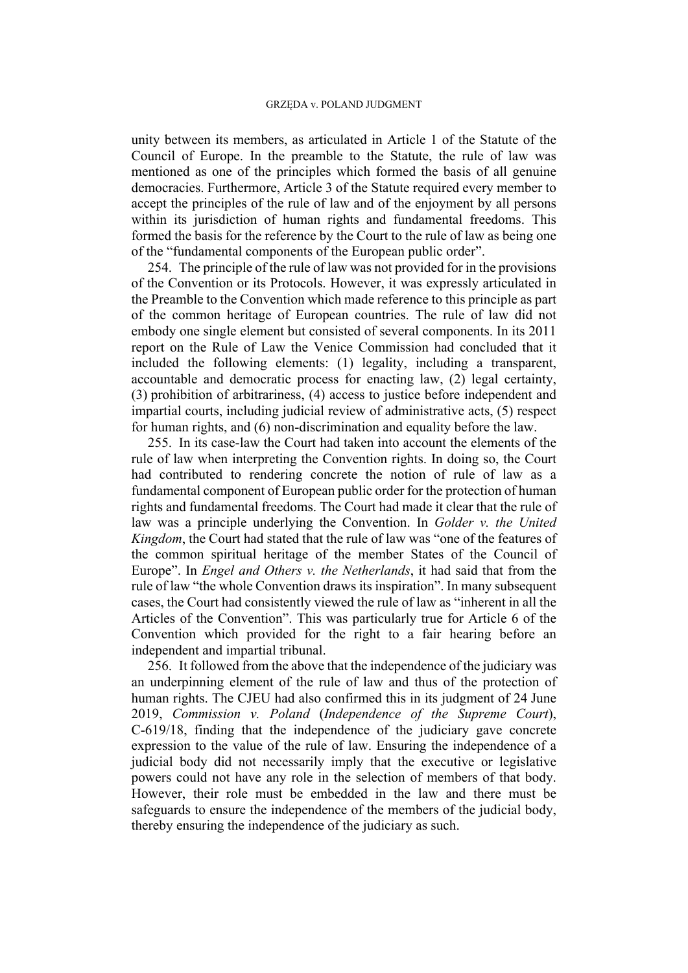unity between its members, as articulated in Article 1 of the Statute of the Council of Europe. In the preamble to the Statute, the rule of law was mentioned as one of the principles which formed the basis of all genuine democracies. Furthermore, Article 3 of the Statute required every member to accept the principles of the rule of law and of the enjoyment by all persons within its jurisdiction of human rights and fundamental freedoms. This formed the basis for the reference by the Court to the rule of law as being one of the "fundamental components of the European public order".

254. The principle of the rule of law was not provided for in the provisions of the Convention or its Protocols. However, it was expressly articulated in the Preamble to the Convention which made reference to this principle as part of the common heritage of European countries. The rule of law did not embody one single element but consisted of several components. In its 2011 report on the Rule of Law the Venice Commission had concluded that it included the following elements: (1) legality, including a transparent, accountable and democratic process for enacting law, (2) legal certainty, (3) prohibition of arbitrariness, (4) access to justice before independent and impartial courts, including judicial review of administrative acts, (5) respect for human rights, and (6) non-discrimination and equality before the law.

255. In its case-law the Court had taken into account the elements of the rule of law when interpreting the Convention rights. In doing so, the Court had contributed to rendering concrete the notion of rule of law as a fundamental component of European public order for the protection of human rights and fundamental freedoms. The Court had made it clear that the rule of law was a principle underlying the Convention. In *Golder v. the United Kingdom*, the Court had stated that the rule of law was "one of the features of the common spiritual heritage of the member States of the Council of Europe". In *Engel and Others v. the Netherlands*, it had said that from the rule of law "the whole Convention draws its inspiration". In many subsequent cases, the Court had consistently viewed the rule of law as "inherent in all the Articles of the Convention". This was particularly true for Article 6 of the Convention which provided for the right to a fair hearing before an independent and impartial tribunal.

256. It followed from the above that the independence of the judiciary was an underpinning element of the rule of law and thus of the protection of human rights. The CJEU had also confirmed this in its judgment of 24 June 2019, *Commission v. Poland* (*Independence of the Supreme Court*), C-619/18, finding that the independence of the judiciary gave concrete expression to the value of the rule of law. Ensuring the independence of a judicial body did not necessarily imply that the executive or legislative powers could not have any role in the selection of members of that body. However, their role must be embedded in the law and there must be safeguards to ensure the independence of the members of the judicial body, thereby ensuring the independence of the judiciary as such.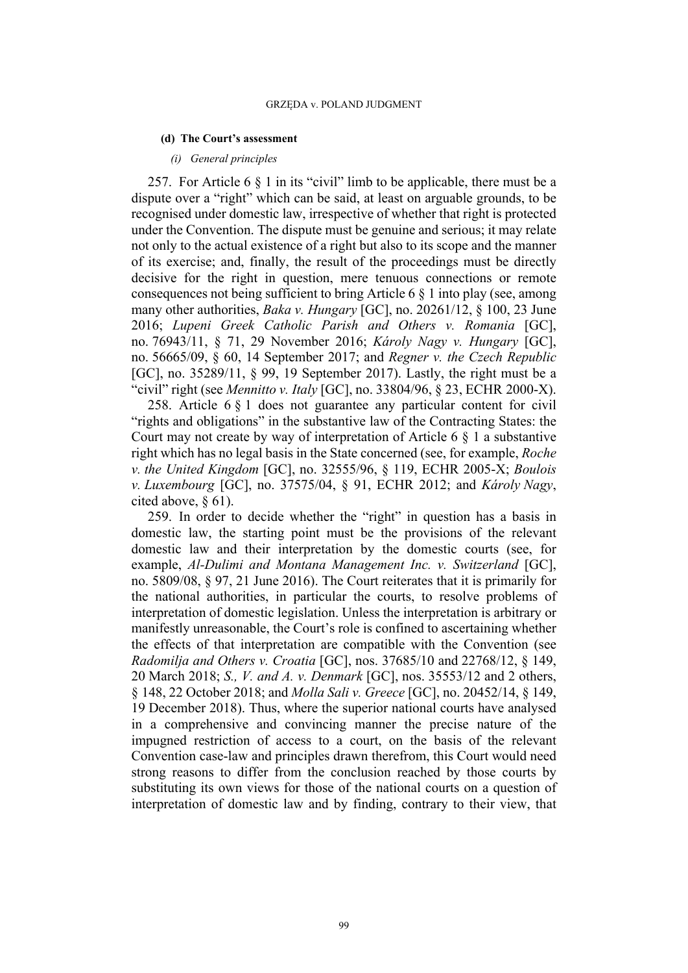#### **(d) The Court's assessment**

# *(i) General principles*

257. For Article 6 § 1 in its "civil" limb to be applicable, there must be a dispute over a "right" which can be said, at least on arguable grounds, to be recognised under domestic law, irrespective of whether that right is protected under the Convention. The dispute must be genuine and serious; it may relate not only to the actual existence of a right but also to its scope and the manner of its exercise; and, finally, the result of the proceedings must be directly decisive for the right in question, mere tenuous connections or remote consequences not being sufficient to bring Article 6 § 1 into play (see, among many other authorities, *Baka v. Hungary* [GC], no. 20261/12, § 100, 23 June 2016; *Lupeni Greek Catholic Parish and Others v. Romania* [GC], no. 76943/11, § 71, 29 November 2016; *Károly Nagy v. Hungary* [GC], no. 56665/09, § 60, 14 September 2017; and *Regner v. the Czech Republic* [GC], no. 35289/11, § 99, 19 September 2017). Lastly, the right must be a "civil" right (see *Mennitto v. Italy* [GC], no. 33804/96, § 23, ECHR 2000-X).

258. Article 6 § 1 does not guarantee any particular content for civil "rights and obligations" in the substantive law of the Contracting States: the Court may not create by way of interpretation of Article 6 § 1 a substantive right which has no legal basis in the State concerned (see, for example, *Roche v. the United Kingdom* [GC], no. [32555/96,](http://hudoc.echr.coe.int/eng#%7B) § 119, ECHR 2005-X; *Boulois v. Luxembourg* [GC], no. 37575/04, § 91, ECHR 2012; and *Károly Nagy*, cited above, § 61).

259. In order to decide whether the "right" in question has a basis in domestic law, the starting point must be the provisions of the relevant domestic law and their interpretation by the domestic courts (see, for example, *Al-Dulimi and Montana Management Inc. v. Switzerland* [GC], no. 5809/08, § 97, 21 June 2016). The Court reiterates that it is primarily for the national authorities, in particular the courts, to resolve problems of interpretation of domestic legislation. Unless the interpretation is arbitrary or manifestly unreasonable, the Court's role is confined to ascertaining whether the effects of that interpretation are compatible with the Convention (see *Radomilja and Others v. Croatia* [GC], nos. 37685/10 and 22768/12, § 149, 20 March 2018; *S., V. and A. v. Denmark* [GC], nos. 35553/12 and 2 others, § 148, 22 October 2018; and *Molla Sali v. Greece* [GC], no. 20452/14, § 149, 19 December 2018). Thus, where the superior national courts have analysed in a comprehensive and convincing manner the precise nature of the impugned restriction of access to a court, on the basis of the relevant Convention case-law and principles drawn therefrom, this Court would need strong reasons to differ from the conclusion reached by those courts by substituting its own views for those of the national courts on a question of interpretation of domestic law and by finding, contrary to their view, that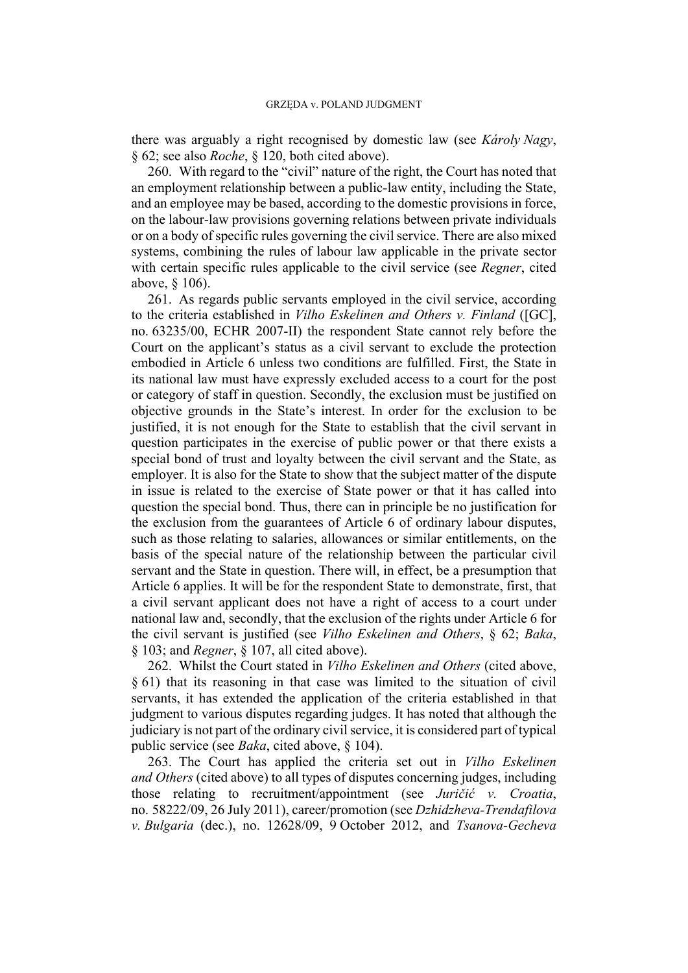there was arguably a right recognised by domestic law (see *Károly Nagy*, § 62; see also *Roche*, § 120, both cited above).

260. With regard to the "civil" nature of the right, the Court has noted that an employment relationship between a public-law entity, including the State, and an employee may be based, according to the domestic provisions in force, on the labour-law provisions governing relations between private individuals or on a body of specific rules governing the civil service. There are also mixed systems, combining the rules of labour law applicable in the private sector with certain specific rules applicable to the civil service (see *Regner*, cited above, § 106).

261. As regards public servants employed in the civil service, according to the criteria established in *Vilho Eskelinen and Others v. Finland* ([GC], no. 63235/00, ECHR 2007-II) the respondent State cannot rely before the Court on the applicant's status as a civil servant to exclude the protection embodied in Article 6 unless two conditions are fulfilled. First, the State in its national law must have expressly excluded access to a court for the post or category of staff in question. Secondly, the exclusion must be justified on objective grounds in the State's interest. In order for the exclusion to be justified, it is not enough for the State to establish that the civil servant in question participates in the exercise of public power or that there exists a special bond of trust and loyalty between the civil servant and the State, as employer. It is also for the State to show that the subject matter of the dispute in issue is related to the exercise of State power or that it has called into question the special bond. Thus, there can in principle be no justification for the exclusion from the guarantees of Article 6 of ordinary labour disputes, such as those relating to salaries, allowances or similar entitlements, on the basis of the special nature of the relationship between the particular civil servant and the State in question. There will, in effect, be a presumption that Article 6 applies. It will be for the respondent State to demonstrate, first, that a civil servant applicant does not have a right of access to a court under national law and, secondly, that the exclusion of the rights under Article 6 for the civil servant is justified (see *Vilho Eskelinen and Others*, § 62; *Baka*, § 103; and *Regner*, § 107, all cited above).

262. Whilst the Court stated in *Vilho Eskelinen and Others* (cited above, § 61) that its reasoning in that case was limited to the situation of civil servants, it has extended the application of the criteria established in that judgment to various disputes regarding judges. It has noted that although the judiciary is not part of the ordinary civil service, it is considered part of typical public service (see *Baka*, cited above, § 104).

263. The Court has applied the criteria set out in *Vilho Eskelinen and Others* (cited above) to all types of disputes concerning judges, including those relating to recruitment/appointment (see *Juričić v. Croatia*, no. 58222/09, 26 July 2011), career/promotion (see *Dzhidzheva-Trendafilova v. Bulgaria* (dec.), no. 12628/09, 9 October 2012, and *Tsanova-Gecheva*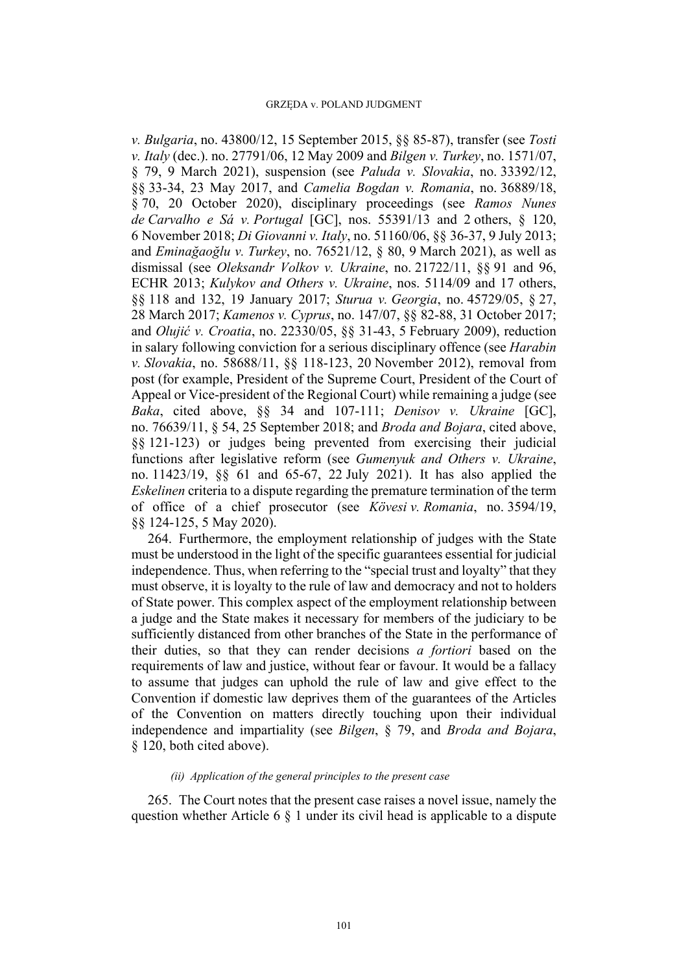*v. Bulgaria*, no. 43800/12, 15 September 2015, §§ 85-87), transfer (see *Tosti v. Italy* (dec.). no. 27791/06, 12 May 2009 and *Bilgen v. Turkey*, no. 1571/07, § 79, 9 March 2021), suspension (see *Paluda v. Slovakia*, no. 33392/12, §§ 33-34, 23 May 2017, and *Camelia Bogdan v. Romania*, no. 36889/18, § 70, 20 October 2020), disciplinary proceedings (see *Ramos Nunes de Carvalho e Sá v. Portugal* [GC], nos. 55391/13 and 2 others, § 120, 6 November 2018; *Di Giovanni v. Italy*, no. 51160/06, §§ 36-37, 9 July 2013; and *Eminağaoğlu v. Turkey*, no. 76521/12, § 80, 9 March 2021), as well as dismissal (see *Oleksandr Volkov v. Ukraine*, no. 21722/11, §§ 91 and 96, ECHR 2013; *Kulykov and Others v. Ukraine*, nos. 5114/09 and 17 others, §§ 118 and 132, 19 January 2017; *Sturua v. Georgia*, no. 45729/05, § 27, 28 March 2017; *Kamenos v. Cyprus*, no. 147/07, §§ 82-88, 31 October 2017; and *Olujić v. Croatia*, no. 22330/05, §§ 31-43, 5 February 2009), reduction in salary following conviction for a serious disciplinary offence (see *Harabin v. Slovakia*, no. 58688/11, §§ 118-123, 20 November 2012), removal from post (for example, President of the Supreme Court, President of the Court of Appeal or Vice-president of the Regional Court) while remaining a judge (see *Baka*, cited above, §§ 34 and 107-111; *Denisov v. Ukraine* [GC], no. 76639/11, § 54, 25 September 2018; and *Broda and Bojara*, cited above, §§ 121-123) or judges being prevented from exercising their judicial functions after legislative reform (see *Gumenyuk and Others v. Ukraine*, no. 11423/19, §§ 61 and 65-67, 22 July 2021). It has also applied the *Eskelinen* criteria to a dispute regarding the premature termination of the term of office of a chief prosecutor (see *Kövesi v. Romania*, no. 3594/19, §§ 124-125, 5 May 2020).

264. Furthermore, the employment relationship of judges with the State must be understood in the light of the specific guarantees essential for judicial independence. Thus, when referring to the "special trust and loyalty" that they must observe, it is loyalty to the rule of law and democracy and not to holders of State power. This complex aspect of the employment relationship between a judge and the State makes it necessary for members of the judiciary to be sufficiently distanced from other branches of the State in the performance of their duties, so that they can render decisions *a fortiori* based on the requirements of law and justice, without fear or favour. It would be a fallacy to assume that judges can uphold the rule of law and give effect to the Convention if domestic law deprives them of the guarantees of the Articles of the Convention on matters directly touching upon their individual independence and impartiality (see *Bilgen*, § 79, and *Broda and Bojara*, § 120, both cited above).

# *(ii) Application of the general principles to the present case*

265. The Court notes that the present case raises a novel issue, namely the question whether Article 6 § 1 under its civil head is applicable to a dispute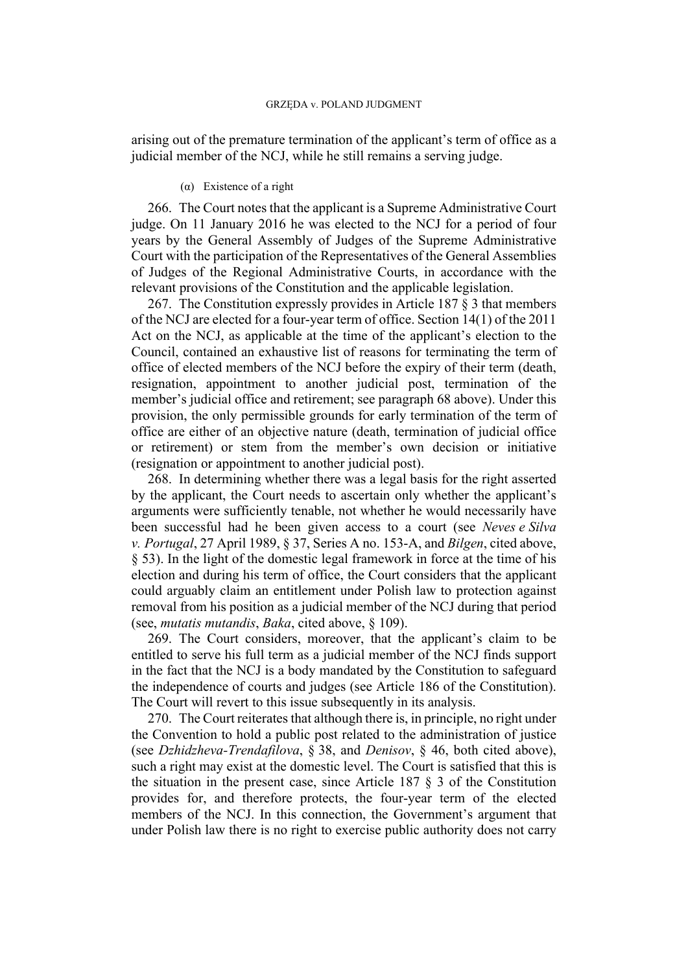arising out of the premature termination of the applicant's term of office as a judicial member of the NCJ, while he still remains a serving judge.

# (α) Existence of a right

266. The Court notes that the applicant is a Supreme Administrative Court judge. On 11 January 2016 he was elected to the NCJ for a period of four years by the General Assembly of Judges of the Supreme Administrative Court with the participation of the Representatives of the General Assemblies of Judges of the Regional Administrative Courts, in accordance with the relevant provisions of the Constitution and the applicable legislation.

267. The Constitution expressly provides in Article 187 § 3 that members of the NCJ are elected for a four-year term of office. Section 14(1) of the 2011 Act on the NCJ, as applicable at the time of the applicant's election to the Council, contained an exhaustive list of reasons for terminating the term of office of elected members of the NCJ before the expiry of their term (death, resignation, appointment to another judicial post, termination of the member's judicial office and retirement; see paragraph 68 above). Under this provision, the only permissible grounds for early termination of the term of office are either of an objective nature (death, termination of judicial office or retirement) or stem from the member's own decision or initiative (resignation or appointment to another judicial post).

268. In determining whether there was a legal basis for the right asserted by the applicant, the Court needs to ascertain only whether the applicant's arguments were sufficiently tenable, not whether he would necessarily have been successful had he been given access to a court (see *Neves e Silva v. Portugal*, 27 April 1989, § 37, Series A no. 153-A, and *Bilgen*, cited above, § 53). In the light of the domestic legal framework in force at the time of his election and during his term of office, the Court considers that the applicant could arguably claim an entitlement under Polish law to protection against removal from his position as a judicial member of the NCJ during that period (see, *mutatis mutandis*, *Baka*, cited above, § 109).

269. The Court considers, moreover, that the applicant's claim to be entitled to serve his full term as a judicial member of the NCJ finds support in the fact that the NCJ is a body mandated by the Constitution to safeguard the independence of courts and judges (see Article 186 of the Constitution). The Court will revert to this issue subsequently in its analysis.

270. The Court reiterates that although there is, in principle, no right under the Convention to hold a public post related to the administration of justice (see *Dzhidzheva-Trendafilova*, § 38, and *Denisov*, § 46, both cited above), such a right may exist at the domestic level. The Court is satisfied that this is the situation in the present case, since Article 187 § 3 of the Constitution provides for, and therefore protects, the four-year term of the elected members of the NCJ. In this connection, the Government's argument that under Polish law there is no right to exercise public authority does not carry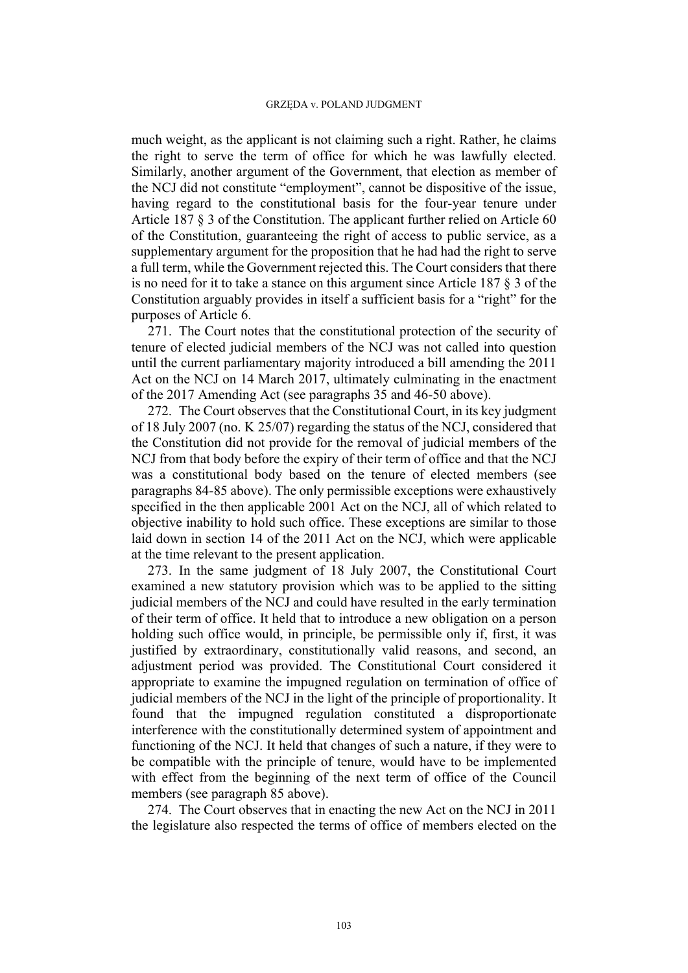much weight, as the applicant is not claiming such a right. Rather, he claims the right to serve the term of office for which he was lawfully elected. Similarly, another argument of the Government, that election as member of the NCJ did not constitute "employment", cannot be dispositive of the issue, having regard to the constitutional basis for the four-year tenure under Article 187 § 3 of the Constitution. The applicant further relied on Article 60 of the Constitution, guaranteeing the right of access to public service, as a supplementary argument for the proposition that he had had the right to serve a full term, while the Government rejected this. The Court considers that there is no need for it to take a stance on this argument since Article 187 § 3 of the Constitution arguably provides in itself a sufficient basis for a "right" for the purposes of Article 6.

271. The Court notes that the constitutional protection of the security of tenure of elected judicial members of the NCJ was not called into question until the current parliamentary majority introduced a bill amending the 2011 Act on the NCJ on 14 March 2017, ultimately culminating in the enactment of the 2017 Amending Act (see paragraphs 35 and 46-50 above).

272. The Court observes that the Constitutional Court, in its key judgment of 18 July 2007 (no. K 25/07) regarding the status of the NCJ, considered that the Constitution did not provide for the removal of judicial members of the NCJ from that body before the expiry of their term of office and that the NCJ was a constitutional body based on the tenure of elected members (see paragraphs 84-85 above). The only permissible exceptions were exhaustively specified in the then applicable 2001 Act on the NCJ, all of which related to objective inability to hold such office. These exceptions are similar to those laid down in section 14 of the 2011 Act on the NCJ, which were applicable at the time relevant to the present application.

273. In the same judgment of 18 July 2007, the Constitutional Court examined a new statutory provision which was to be applied to the sitting judicial members of the NCJ and could have resulted in the early termination of their term of office. It held that to introduce a new obligation on a person holding such office would, in principle, be permissible only if, first, it was justified by extraordinary, constitutionally valid reasons, and second, an adjustment period was provided. The Constitutional Court considered it appropriate to examine the impugned regulation on termination of office of judicial members of the NCJ in the light of the principle of proportionality. It found that the impugned regulation constituted a disproportionate interference with the constitutionally determined system of appointment and functioning of the NCJ. It held that changes of such a nature, if they were to be compatible with the principle of tenure, would have to be implemented with effect from the beginning of the next term of office of the Council members (see paragraph 85 above).

274. The Court observes that in enacting the new Act on the NCJ in 2011 the legislature also respected the terms of office of members elected on the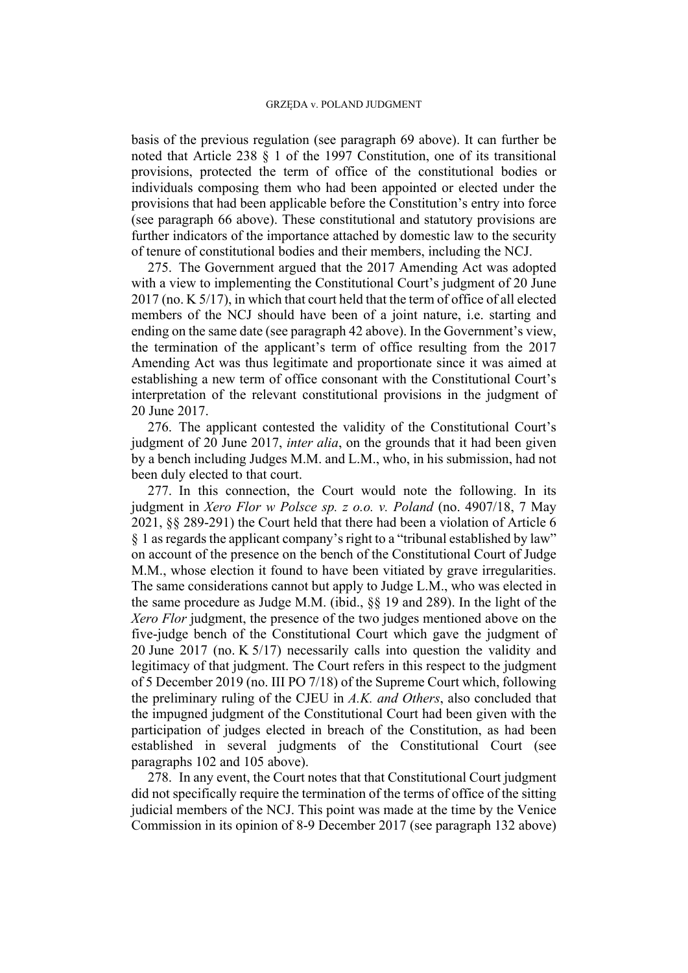basis of the previous regulation (see paragraph 69 above). It can further be noted that Article 238 § 1 of the 1997 Constitution, one of its transitional provisions, protected the term of office of the constitutional bodies or individuals composing them who had been appointed or elected under the provisions that had been applicable before the Constitution's entry into force (see paragraph 66 above). These constitutional and statutory provisions are further indicators of the importance attached by domestic law to the security of tenure of constitutional bodies and their members, including the NCJ.

275. The Government argued that the 2017 Amending Act was adopted with a view to implementing the Constitutional Court's judgment of 20 June 2017 (no. K 5/17), in which that court held that the term of office of all elected members of the NCJ should have been of a joint nature, i.e. starting and ending on the same date (see paragraph 42 above). In the Government's view, the termination of the applicant's term of office resulting from the 2017 Amending Act was thus legitimate and proportionate since it was aimed at establishing a new term of office consonant with the Constitutional Court's interpretation of the relevant constitutional provisions in the judgment of 20 June 2017.

276. The applicant contested the validity of the Constitutional Court's judgment of 20 June 2017, *inter alia*, on the grounds that it had been given by a bench including Judges M.M. and L.M., who, in his submission, had not been duly elected to that court.

277. In this connection, the Court would note the following. In its judgment in *Xero Flor w Polsce sp. z o.o. v. Poland* (no. 4907/18, 7 May 2021, §§ 289-291) the Court held that there had been a violation of Article 6 § 1 as regards the applicant company's right to a "tribunal established by law" on account of the presence on the bench of the Constitutional Court of Judge M.M., whose election it found to have been vitiated by grave irregularities. The same considerations cannot but apply to Judge L.M., who was elected in the same procedure as Judge M.M. (ibid., §§ 19 and 289). In the light of the *Xero Flor* judgment, the presence of the two judges mentioned above on the five-judge bench of the Constitutional Court which gave the judgment of 20 June 2017 (no. K 5/17) necessarily calls into question the validity and legitimacy of that judgment. The Court refers in this respect to the judgment of 5 December 2019 (no. III PO 7/18) of the Supreme Court which, following the preliminary ruling of the CJEU in *A.K. and Others*, also concluded that the impugned judgment of the Constitutional Court had been given with the participation of judges elected in breach of the Constitution, as had been established in several judgments of the Constitutional Court (see paragraphs 102 and 105 above).

278. In any event, the Court notes that that Constitutional Court judgment did not specifically require the termination of the terms of office of the sitting judicial members of the NCJ. This point was made at the time by the Venice Commission in its opinion of 8-9 December 2017 (see paragraph 132 above)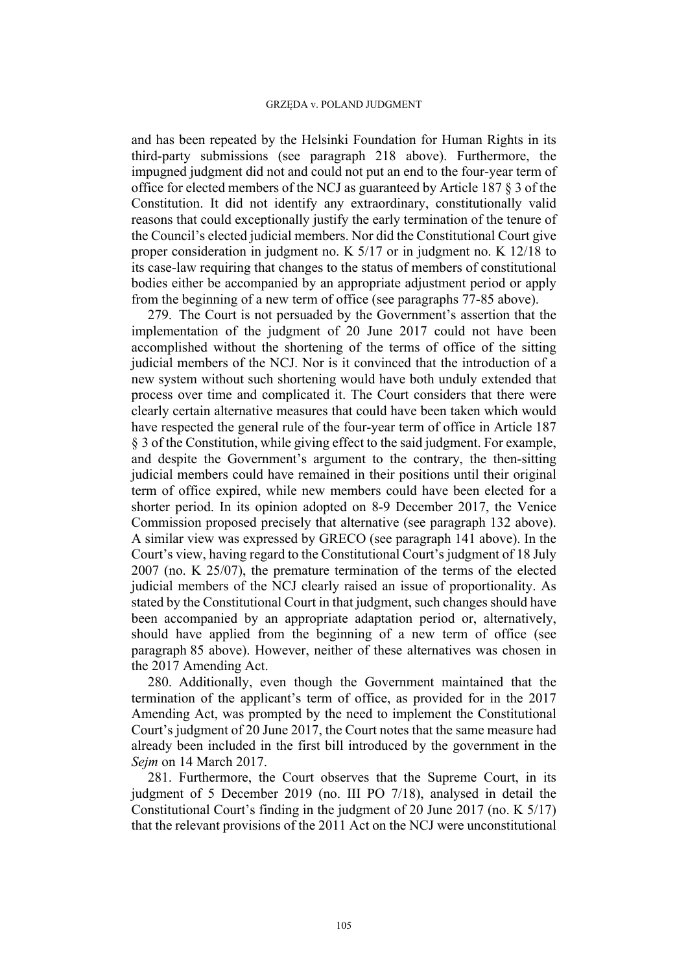and has been repeated by the Helsinki Foundation for Human Rights in its third-party submissions (see paragraph 218 above). Furthermore, the impugned judgment did not and could not put an end to the four-year term of office for elected members of the NCJ as guaranteed by Article 187 § 3 of the Constitution. It did not identify any extraordinary, constitutionally valid reasons that could exceptionally justify the early termination of the tenure of the Council's elected judicial members. Nor did the Constitutional Court give proper consideration in judgment no. K 5/17 or in judgment no. K 12/18 to its case-law requiring that changes to the status of members of constitutional bodies either be accompanied by an appropriate adjustment period or apply from the beginning of a new term of office (see paragraphs 77-85 above).

279. The Court is not persuaded by the Government's assertion that the implementation of the judgment of 20 June 2017 could not have been accomplished without the shortening of the terms of office of the sitting judicial members of the NCJ. Nor is it convinced that the introduction of a new system without such shortening would have both unduly extended that process over time and complicated it. The Court considers that there were clearly certain alternative measures that could have been taken which would have respected the general rule of the four-year term of office in Article 187 § 3 of the Constitution, while giving effect to the said judgment. For example, and despite the Government's argument to the contrary, the then-sitting judicial members could have remained in their positions until their original term of office expired, while new members could have been elected for a shorter period. In its opinion adopted on 8-9 December 2017, the Venice Commission proposed precisely that alternative (see paragraph 132 above). A similar view was expressed by GRECO (see paragraph 141 above). In the Court's view, having regard to the Constitutional Court's judgment of 18 July 2007 (no. K 25/07), the premature termination of the terms of the elected judicial members of the NCJ clearly raised an issue of proportionality. As stated by the Constitutional Court in that judgment, such changes should have been accompanied by an appropriate adaptation period or, alternatively, should have applied from the beginning of a new term of office (see paragraph 85 above). However, neither of these alternatives was chosen in the 2017 Amending Act.

280. Additionally, even though the Government maintained that the termination of the applicant's term of office, as provided for in the 2017 Amending Act, was prompted by the need to implement the Constitutional Court's judgment of 20 June 2017, the Court notes that the same measure had already been included in the first bill introduced by the government in the *Sejm* on 14 March 2017.

281. Furthermore, the Court observes that the Supreme Court, in its judgment of 5 December 2019 (no. III PO 7/18), analysed in detail the Constitutional Court's finding in the judgment of 20 June 2017 (no. K 5/17) that the relevant provisions of the 2011 Act on the NCJ were unconstitutional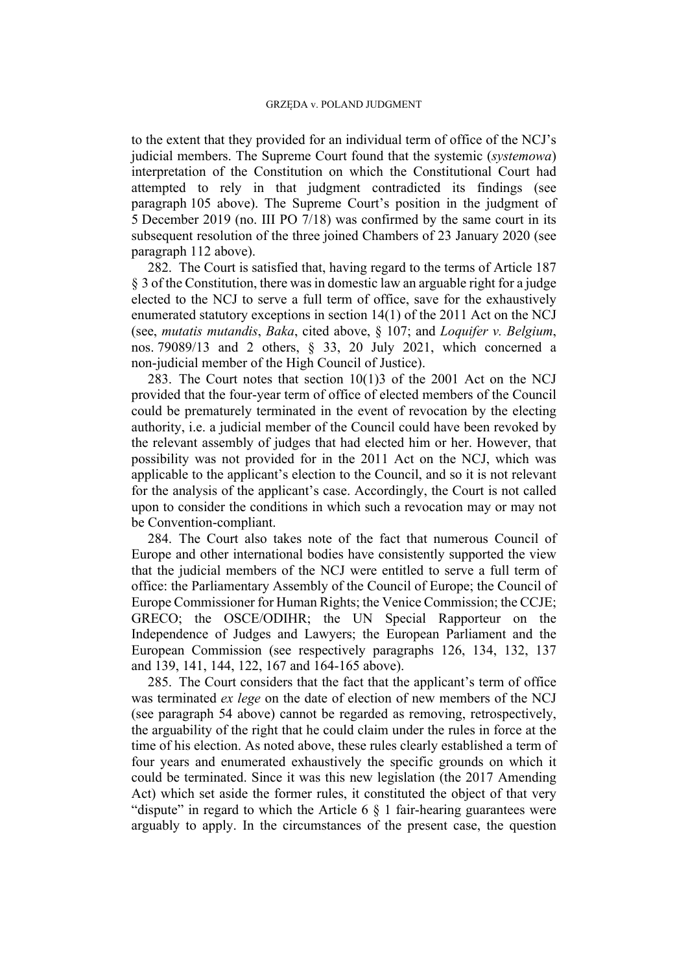to the extent that they provided for an individual term of office of the NCJ's judicial members. The Supreme Court found that the systemic (*systemowa*) interpretation of the Constitution on which the Constitutional Court had attempted to rely in that judgment contradicted its findings (see paragraph 105 above). The Supreme Court's position in the judgment of 5 December 2019 (no. III PO 7/18) was confirmed by the same court in its subsequent resolution of the three joined Chambers of 23 January 2020 (see paragraph 112 above).

282. The Court is satisfied that, having regard to the terms of Article 187 § 3 of the Constitution, there was in domestic law an arguable right for a judge elected to the NCJ to serve a full term of office, save for the exhaustively enumerated statutory exceptions in section 14(1) of the 2011 Act on the NCJ (see, *mutatis mutandis*, *Baka*, cited above, § 107; and *Loquifer v. Belgium*, nos. 79089/13 and 2 others, § 33, 20 July 2021, which concerned a non-judicial member of the High Council of Justice).

283.The Court notes that section 10(1)3 of the 2001 Act on the NCJ provided that the four-year term of office of elected members of the Council could be prematurely terminated in the event of revocation by the electing authority, i.e. a judicial member of the Council could have been revoked by the relevant assembly of judges that had elected him or her. However, that possibility was not provided for in the 2011 Act on the NCJ, which was applicable to the applicant's election to the Council, and so it is not relevant for the analysis of the applicant's case. Accordingly, the Court is not called upon to consider the conditions in which such a revocation may or may not be Convention-compliant.

284. The Court also takes note of the fact that numerous Council of Europe and other international bodies have consistently supported the view that the judicial members of the NCJ were entitled to serve a full term of office: the Parliamentary Assembly of the Council of Europe; the Council of Europe Commissioner for Human Rights; the Venice Commission; the CCJE; GRECO; the OSCE/ODIHR; the UN Special Rapporteur on the Independence of Judges and Lawyers; the European Parliament and the European Commission (see respectively paragraphs 126, 134, 132, 137 and 139, 141, 144, 122, 167 and 164-165 above).

285. The Court considers that the fact that the applicant's term of office was terminated *ex lege* on the date of election of new members of the NCJ (see paragraph 54 above) cannot be regarded as removing, retrospectively, the arguability of the right that he could claim under the rules in force at the time of his election. As noted above, these rules clearly established a term of four years and enumerated exhaustively the specific grounds on which it could be terminated. Since it was this new legislation (the 2017 Amending Act) which set aside the former rules, it constituted the object of that very "dispute" in regard to which the Article  $6 \hat{\ } 1$  fair-hearing guarantees were arguably to apply. In the circumstances of the present case, the question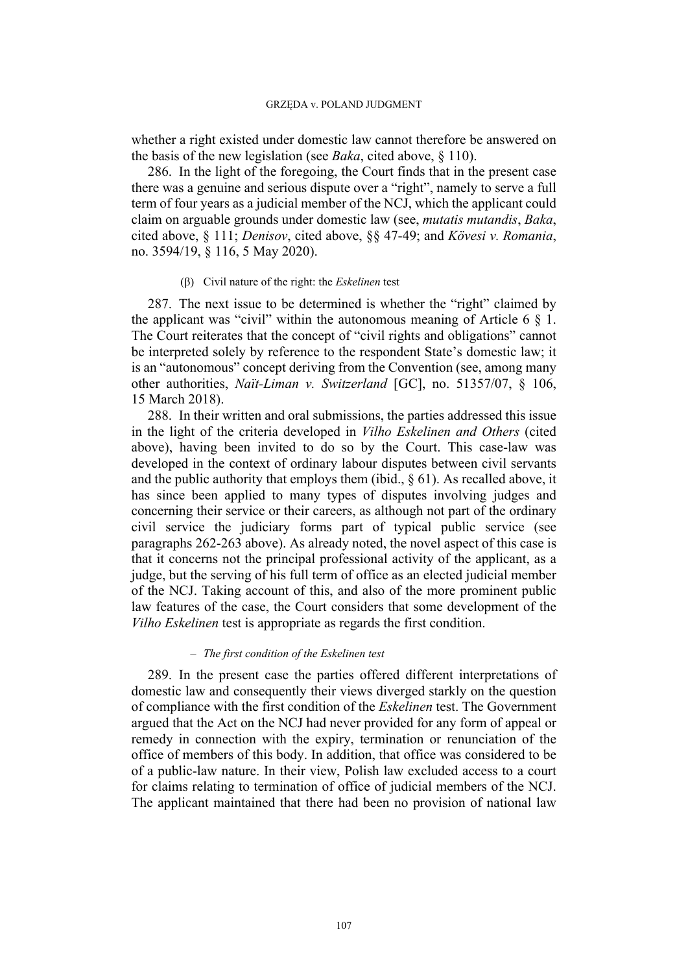whether a right existed under domestic law cannot therefore be answered on the basis of the new legislation (see *Baka*, cited above, § 110).

286. In the light of the foregoing, the Court finds that in the present case there was a genuine and serious dispute over a "right", namely to serve a full term of four years as a judicial member of the NCJ, which the applicant could claim on arguable grounds under domestic law (see, *mutatis mutandis*, *Baka*, cited above, § 111; *Denisov*, cited above, §§ 47-49; and *Kövesi v. Romania*, no. 3594/19, § 116, 5 May 2020).

#### (β) Civil nature of the right: the *Eskelinen* test

287. The next issue to be determined is whether the "right" claimed by the applicant was "civil" within the autonomous meaning of Article 6  $\S$  1. The Court reiterates that the concept of "civil rights and obligations" cannot be interpreted solely by reference to the respondent State's domestic law; it is an "autonomous" concept deriving from the Convention (see, among many other authorities, *Naït-Liman v. Switzerland* [GC], no. 51357/07, § 106, 15 March 2018).

288. In their written and oral submissions, the parties addressed this issue in the light of the criteria developed in *Vilho Eskelinen and Others* (cited above), having been invited to do so by the Court. This case-law was developed in the context of ordinary labour disputes between civil servants and the public authority that employs them (ibid.,  $\S$  61). As recalled above, it has since been applied to many types of disputes involving judges and concerning their service or their careers, as although not part of the ordinary civil service the judiciary forms part of typical public service (see paragraphs 262-263 above). As already noted, the novel aspect of this case is that it concerns not the principal professional activity of the applicant, as a judge, but the serving of his full term of office as an elected judicial member of the NCJ. Taking account of this, and also of the more prominent public law features of the case, the Court considers that some development of the *Vilho Eskelinen* test is appropriate as regards the first condition.

### ‒ *The first condition of the Eskelinen test*

289. In the present case the parties offered different interpretations of domestic law and consequently their views diverged starkly on the question of compliance with the first condition of the *Eskelinen* test. The Government argued that the Act on the NCJ had never provided for any form of appeal or remedy in connection with the expiry, termination or renunciation of the office of members of this body. In addition, that office was considered to be of a public-law nature. In their view, Polish law excluded access to a court for claims relating to termination of office of judicial members of the NCJ. The applicant maintained that there had been no provision of national law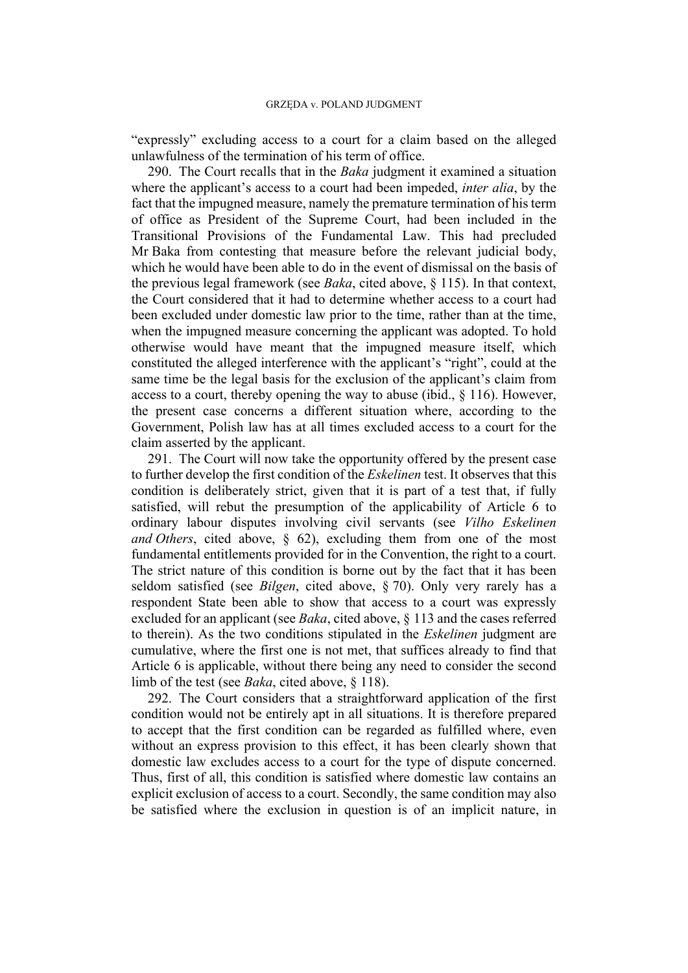"expressly" excluding access to a court for a claim based on the alleged unlawfulness of the termination of his term of office.

290. The Court recalls that in the *Baka* judgment it examined a situation where the applicant's access to a court had been impeded, *inter alia*, by the fact that the impugned measure, namely the premature termination of his term of office as President of the Supreme Court, had been included in the Transitional Provisions of the Fundamental Law. This had precluded Mr Baka from contesting that measure before the relevant judicial body, which he would have been able to do in the event of dismissal on the basis of the previous legal framework (see *Baka*, cited above, § 115). In that context, the Court considered that it had to determine whether access to a court had been excluded under domestic law prior to the time, rather than at the time, when the impugned measure concerning the applicant was adopted. To hold otherwise would have meant that the impugned measure itself, which constituted the alleged interference with the applicant's "right", could at the same time be the legal basis for the exclusion of the applicant's claim from access to a court, thereby opening the way to abuse (ibid., § 116). However, the present case concerns a different situation where, according to the Government, Polish law has at all times excluded access to a court for the claim asserted by the applicant.

291. The Court will now take the opportunity offered by the present case to further develop the first condition of the *Eskelinen* test. It observes that this condition is deliberately strict, given that it is part of a test that, if fully satisfied, will rebut the presumption of the applicability of Article 6 to ordinary labour disputes involving civil servants (see *Vilho Eskelinen and Others*, cited above, § 62), excluding them from one of the most fundamental entitlements provided for in the Convention, the right to a court. The strict nature of this condition is borne out by the fact that it has been seldom satisfied (see *Bilgen*, cited above, § 70). Only very rarely has a respondent State been able to show that access to a court was expressly excluded for an applicant (see *Baka*, cited above, § 113 and the cases referred to therein). As the two conditions stipulated in the *Eskelinen* judgment are cumulative, where the first one is not met, that suffices already to find that Article 6 is applicable, without there being any need to consider the second limb of the test (see *Baka*, cited above, § 118).

292. The Court considers that a straightforward application of the first condition would not be entirely apt in all situations. It is therefore prepared to accept that the first condition can be regarded as fulfilled where, even without an express provision to this effect, it has been clearly shown that domestic law excludes access to a court for the type of dispute concerned. Thus, first of all, this condition is satisfied where domestic law contains an explicit exclusion of access to a court. Secondly, the same condition may also be satisfied where the exclusion in question is of an implicit nature, in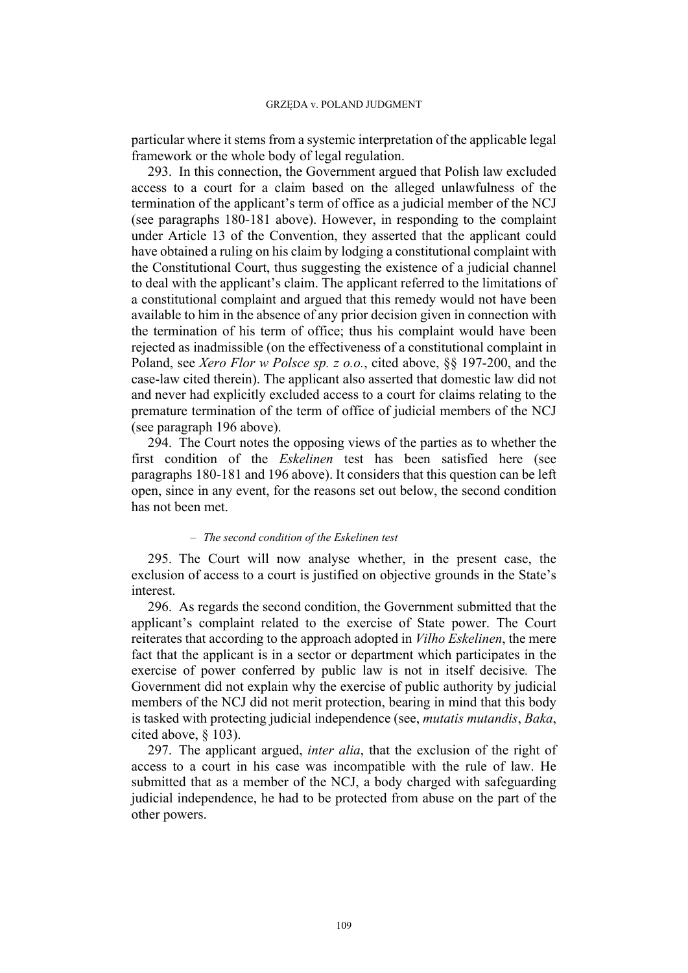particular where it stems from a systemic interpretation of the applicable legal framework or the whole body of legal regulation.

293. In this connection, the Government argued that Polish law excluded access to a court for a claim based on the alleged unlawfulness of the termination of the applicant's term of office as a judicial member of the NCJ (see paragraphs 180-181 above). However, in responding to the complaint under Article 13 of the Convention, they asserted that the applicant could have obtained a ruling on his claim by lodging a constitutional complaint with the Constitutional Court, thus suggesting the existence of a judicial channel to deal with the applicant's claim. The applicant referred to the limitations of a constitutional complaint and argued that this remedy would not have been available to him in the absence of any prior decision given in connection with the termination of his term of office; thus his complaint would have been rejected as inadmissible (on the effectiveness of a constitutional complaint in Poland, see *Xero Flor w Polsce sp. z o.o.*, cited above, §§ 197-200, and the case-law cited therein). The applicant also asserted that domestic law did not and never had explicitly excluded access to a court for claims relating to the premature termination of the term of office of judicial members of the NCJ (see paragraph 196 above).

294. The Court notes the opposing views of the parties as to whether the first condition of the *Eskelinen* test has been satisfied here (see paragraphs 180-181 and 196 above). It considers that this question can be left open, since in any event, for the reasons set out below, the second condition has not been met.

### ‒ *The second condition of the Eskelinen test*

295. The Court will now analyse whether, in the present case, the exclusion of access to a court is justified on objective grounds in the State's interest.

296. As regards the second condition, the Government submitted that the applicant's complaint related to the exercise of State power. The Court reiterates that according to the approach adopted in *Vilho Eskelinen*, the mere fact that the applicant is in a sector or department which participates in the exercise of power conferred by public law is not in itself decisive*.* The Government did not explain why the exercise of public authority by judicial members of the NCJ did not merit protection, bearing in mind that this body is tasked with protecting judicial independence (see, *mutatis mutandis*, *Baka*, cited above, § 103).

297. The applicant argued, *inter alia*, that the exclusion of the right of access to a court in his case was incompatible with the rule of law. He submitted that as a member of the NCJ, a body charged with safeguarding judicial independence, he had to be protected from abuse on the part of the other powers.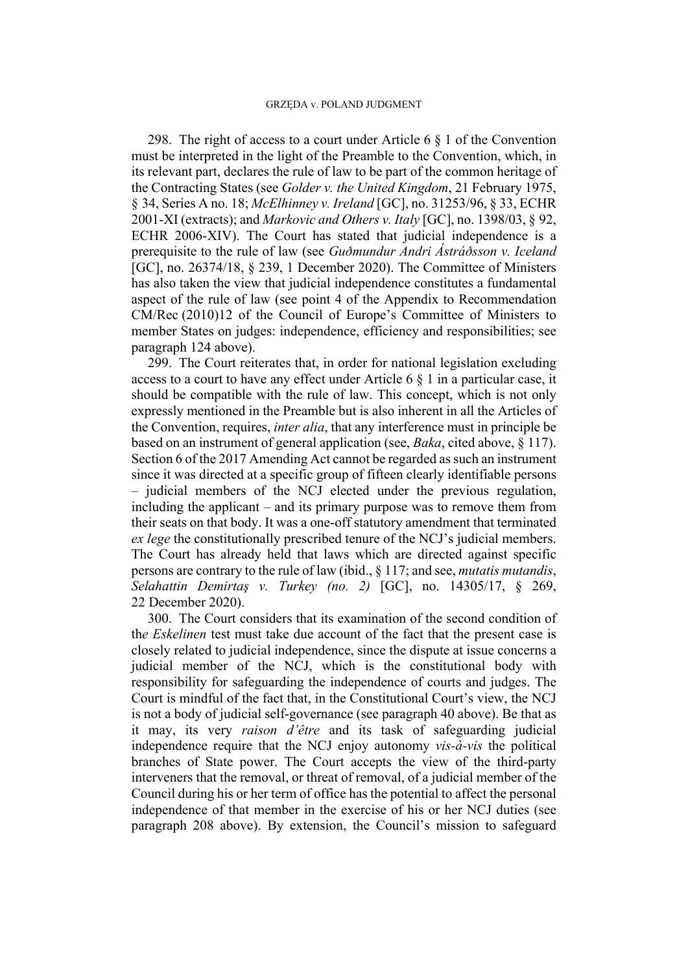298. The right of access to a court under Article 6 § 1 of the Convention must be interpreted in the light of the Preamble to the Convention, which, in its relevant part, declares the rule of law to be part of the common heritage of the Contracting States (see *Golder v. the United Kingdom*, 21 February 1975, § 34, Series A no. 18; *McElhinney v. Ireland* [GC], no. 31253/96, § 33, ECHR 2001-XI (extracts); and *Markovic and Others v. Italy* [GC], no. 1398/03, § 92, ECHR 2006-XIV). The Court has stated that judicial independence is a prerequisite to the rule of law (see *Guðmundur Andri Ástráðsson v. Iceland* [GC], no. 26374/18, § 239, 1 December 2020). The Committee of Ministers has also taken the view that judicial independence constitutes a fundamental aspect of the rule of law (see point 4 of the Appendix to Recommendation CM/Rec (2010)12 of the Council of Europe's Committee of Ministers to member States on judges: independence, efficiency and responsibilities; see paragraph 124 above).

299. The Court reiterates that, in order for national legislation excluding access to a court to have any effect under Article 6 § 1 in a particular case, it should be compatible with the rule of law. This concept, which is not only expressly mentioned in the Preamble but is also inherent in all the Articles of the Convention, requires, *inter alia*, that any interference must in principle be based on an instrument of general application (see, *Baka*, cited above, § 117). Section 6 of the 2017 Amending Act cannot be regarded as such an instrument since it was directed at a specific group of fifteen clearly identifiable persons – judicial members of the NCJ elected under the previous regulation, including the applicant – and its primary purpose was to remove them from their seats on that body. It was a one-off statutory amendment that terminated *ex lege* the constitutionally prescribed tenure of the NCJ's judicial members. The Court has already held that laws which are directed against specific persons are contrary to the rule of law (ibid., § 117; and see, *mutatis mutandis*, *Selahattin Demirtaş v. Turkey (no. 2)* [GC], no. 14305/17, § 269, 22 December 2020).

300. The Court considers that its examination of the second condition of th*e Eskelinen* test must take due account of the fact that the present case is closely related to judicial independence, since the dispute at issue concerns a judicial member of the NCJ, which is the constitutional body with responsibility for safeguarding the independence of courts and judges. The Court is mindful of the fact that, in the Constitutional Court's view, the NCJ is not a body of judicial self-governance (see paragraph 40 above). Be that as it may, its very *raison d'être* and its task of safeguarding judicial independence require that the NCJ enjoy autonomy *vis-à-vis* the political branches of State power. The Court accepts the view of the third-party interveners that the removal, or threat of removal, of a judicial member of the Council during his or her term of office has the potential to affect the personal independence of that member in the exercise of his or her NCJ duties (see paragraph 208 above). By extension, the Council's mission to safeguard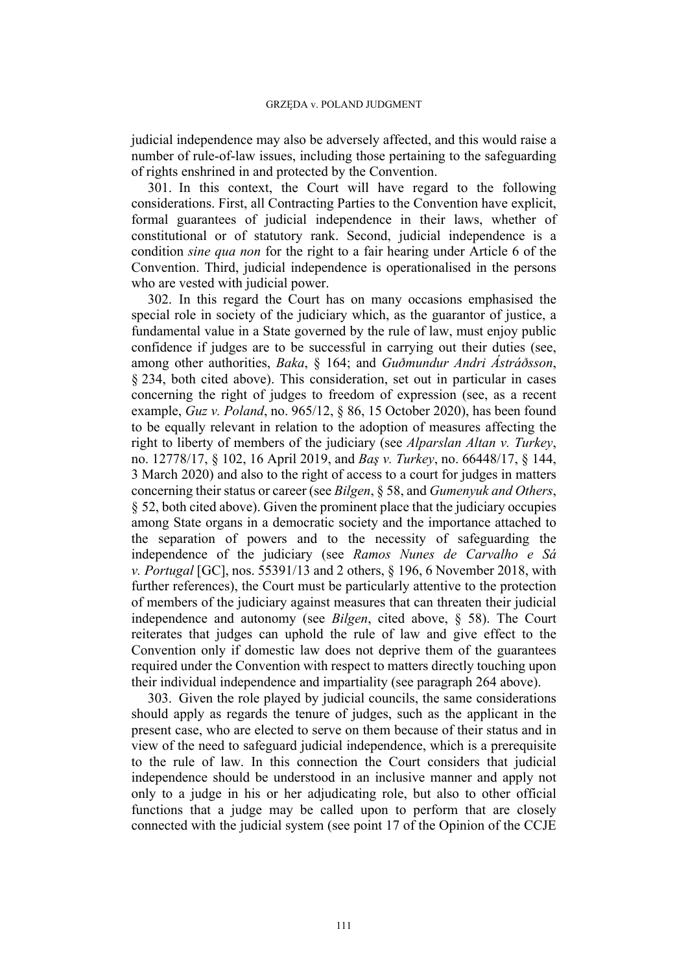judicial independence may also be adversely affected, and this would raise a number of rule-of-law issues, including those pertaining to the safeguarding of rights enshrined in and protected by the Convention.

301. In this context, the Court will have regard to the following considerations. First, all Contracting Parties to the Convention have explicit, formal guarantees of judicial independence in their laws, whether of constitutional or of statutory rank. Second, judicial independence is a condition *sine qua non* for the right to a fair hearing under Article 6 of the Convention. Third, judicial independence is operationalised in the persons who are vested with judicial power.

302. In this regard the Court has on many occasions emphasised the special role in society of the judiciary which, as the guarantor of justice, a fundamental value in a State governed by the rule of law, must enjoy public confidence if judges are to be successful in carrying out their duties (see, among other authorities, *Baka*, § 164; and *Guðmundur Andri Ástráðsson*, § 234, both cited above). This consideration, set out in particular in cases concerning the right of judges to freedom of expression (see, as a recent example, *Guz v. Poland*, no. 965/12, § 86, 15 October 2020), has been found to be equally relevant in relation to the adoption of measures affecting the right to liberty of members of the judiciary (see *Alparslan Altan v. Turkey*, no. 12778/17, § 102, 16 April 2019, and *Baş v. Turkey*, no. 66448/17, § 144, 3 March 2020) and also to the right of access to a court for judges in matters concerning their status or career (see *Bilgen*, § 58, and *Gumenyuk and Others*, § 52, both cited above). Given the prominent place that the judiciary occupies among State organs in a democratic society and the importance attached to the separation of powers and to the necessity of safeguarding the independence of the judiciary (see *Ramos Nunes de Carvalho e Sá v. Portugal* [GC], nos. 55391/13 and 2 others, § 196, 6 November 2018, with further references), the Court must be particularly attentive to the protection of members of the judiciary against measures that can threaten their judicial independence and autonomy (see *Bilgen*, cited above, § 58). The Court reiterates that judges can uphold the rule of law and give effect to the Convention only if domestic law does not deprive them of the guarantees required under the Convention with respect to matters directly touching upon their individual independence and impartiality (see paragraph 264 above).

303. Given the role played by judicial councils, the same considerations should apply as regards the tenure of judges, such as the applicant in the present case, who are elected to serve on them because of their status and in view of the need to safeguard judicial independence, which is a prerequisite to the rule of law. In this connection the Court considers that judicial independence should be understood in an inclusive manner and apply not only to a judge in his or her adjudicating role, but also to other official functions that a judge may be called upon to perform that are closely connected with the judicial system (see point 17 of the Opinion of the CCJE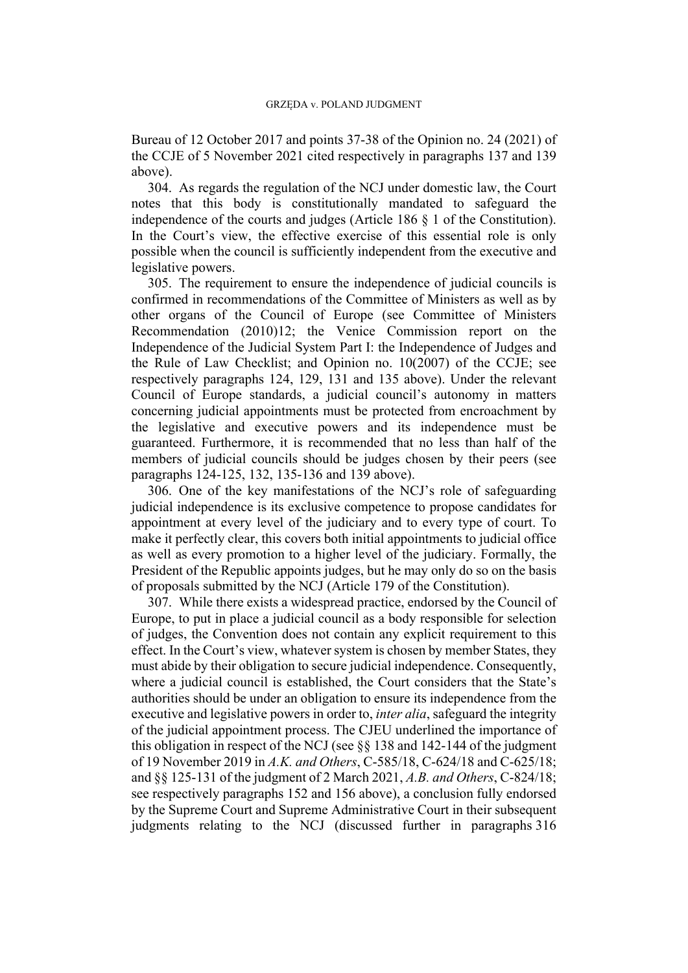Bureau of 12 October 2017 and points 37-38 of the Opinion no. 24 (2021) of the CCJE of 5 November 2021 cited respectively in paragraphs 137 and 139 above).

304. As regards the regulation of the NCJ under domestic law, the Court notes that this body is constitutionally mandated to safeguard the independence of the courts and judges (Article 186 § 1 of the Constitution). In the Court's view, the effective exercise of this essential role is only possible when the council is sufficiently independent from the executive and legislative powers.

305. The requirement to ensure the independence of judicial councils is confirmed in recommendations of the Committee of Ministers as well as by other organs of the Council of Europe (see Committee of Ministers Recommendation (2010)12; the Venice Commission report on the Independence of the Judicial System Part I: the Independence of Judges and the Rule of Law Checklist; and Opinion no. 10(2007) of the CCJE; see respectively paragraphs 124, 129, 131 and 135 above). Under the relevant Council of Europe standards, a judicial council's autonomy in matters concerning judicial appointments must be protected from encroachment by the legislative and executive powers and its independence must be guaranteed. Furthermore, it is recommended that no less than half of the members of judicial councils should be judges chosen by their peers (see paragraphs 124-125, 132, 135-136 and 139 above).

306. One of the key manifestations of the NCJ's role of safeguarding judicial independence is its exclusive competence to propose candidates for appointment at every level of the judiciary and to every type of court. To make it perfectly clear, this covers both initial appointments to judicial office as well as every promotion to a higher level of the judiciary. Formally, the President of the Republic appoints judges, but he may only do so on the basis of proposals submitted by the NCJ (Article 179 of the Constitution).

307. While there exists a widespread practice, endorsed by the Council of Europe, to put in place a judicial council as a body responsible for selection of judges, the Convention does not contain any explicit requirement to this effect. In the Court's view, whatever system is chosen by member States, they must abide by their obligation to secure judicial independence. Consequently, where a judicial council is established, the Court considers that the State's authorities should be under an obligation to ensure its independence from the executive and legislative powers in order to, *inter alia*, safeguard the integrity of the judicial appointment process. The CJEU underlined the importance of this obligation in respect of the NCJ (see §§ 138 and 142-144 of the judgment of 19 November 2019 in *A.K. and Others*, C-585/18, C-624/18 and C-625/18; and §§ 125-131 of the judgment of 2 March 2021, *A.B. and Others*, C-824/18; see respectively paragraphs 152 and 156 above), a conclusion fully endorsed by the Supreme Court and Supreme Administrative Court in their subsequent judgments relating to the NCJ (discussed further in paragraphs 316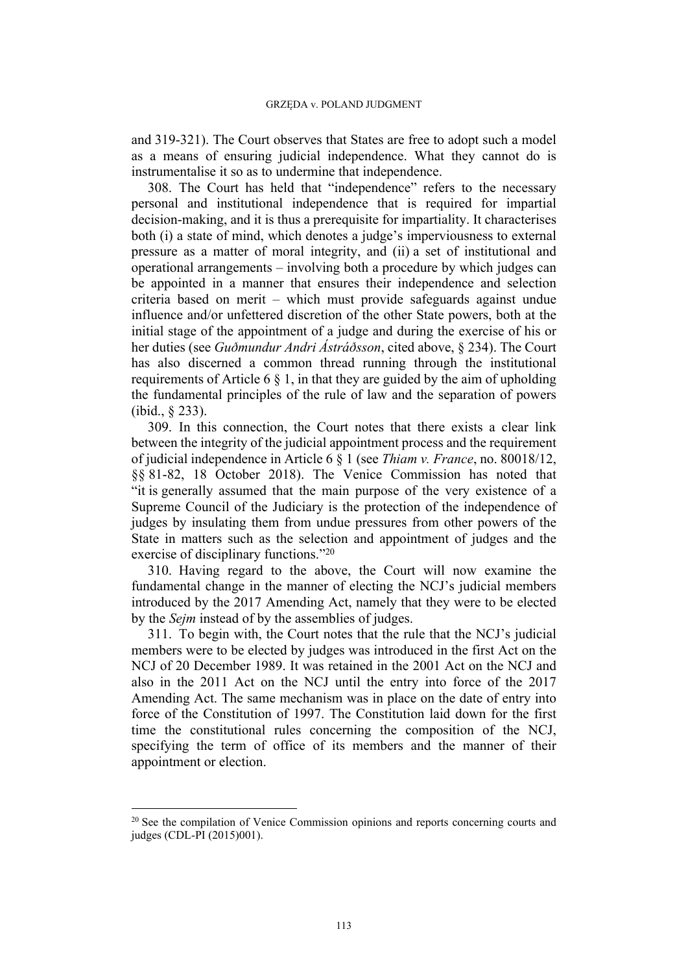and 319-321). The Court observes that States are free to adopt such a model as a means of ensuring judicial independence. What they cannot do is instrumentalise it so as to undermine that independence.

308. The Court has held that "independence" refers to the necessary personal and institutional independence that is required for impartial decision-making, and it is thus a prerequisite for impartiality. It characterises both (i) a state of mind, which denotes a judge's imperviousness to external pressure as a matter of moral integrity, and (ii) a set of institutional and operational arrangements – involving both a procedure by which judges can be appointed in a manner that ensures their independence and selection criteria based on merit – which must provide safeguards against undue influence and/or unfettered discretion of the other State powers, both at the initial stage of the appointment of a judge and during the exercise of his or her duties (see *Guðmundur Andri Ástráðsson*, cited above, § 234). The Court has also discerned a common thread running through the institutional requirements of Article 6  $\S$  1, in that they are guided by the aim of upholding the fundamental principles of the rule of law and the separation of powers (ibid., § 233).

309. In this connection, the Court notes that there exists a clear link between the integrity of the judicial appointment process and the requirement of judicial independence in Article 6 § 1 (see *Thiam v. France*, no. 80018/12, §§ 81-82, 18 October 2018). The Venice Commission has noted that "it is generally assumed that the main purpose of the very existence of a Supreme Council of the Judiciary is the protection of the independence of judges by insulating them from undue pressures from other powers of the State in matters such as the selection and appointment of judges and the exercise of disciplinary functions."<sup>20</sup>

310. Having regard to the above, the Court will now examine the fundamental change in the manner of electing the NCJ's judicial members introduced by the 2017 Amending Act, namely that they were to be elected by the *Sejm* instead of by the assemblies of judges.

311. To begin with, the Court notes that the rule that the NCJ's judicial members were to be elected by judges was introduced in the first Act on the NCJ of 20 December 1989. It was retained in the 2001 Act on the NCJ and also in the 2011 Act on the NCJ until the entry into force of the 2017 Amending Act. The same mechanism was in place on the date of entry into force of the Constitution of 1997. The Constitution laid down for the first time the constitutional rules concerning the composition of the NCJ, specifying the term of office of its members and the manner of their appointment or election.

<sup>&</sup>lt;sup>20</sup> See the compilation of Venice Commission opinions and reports concerning courts and judges (CDL-PI (2015)001).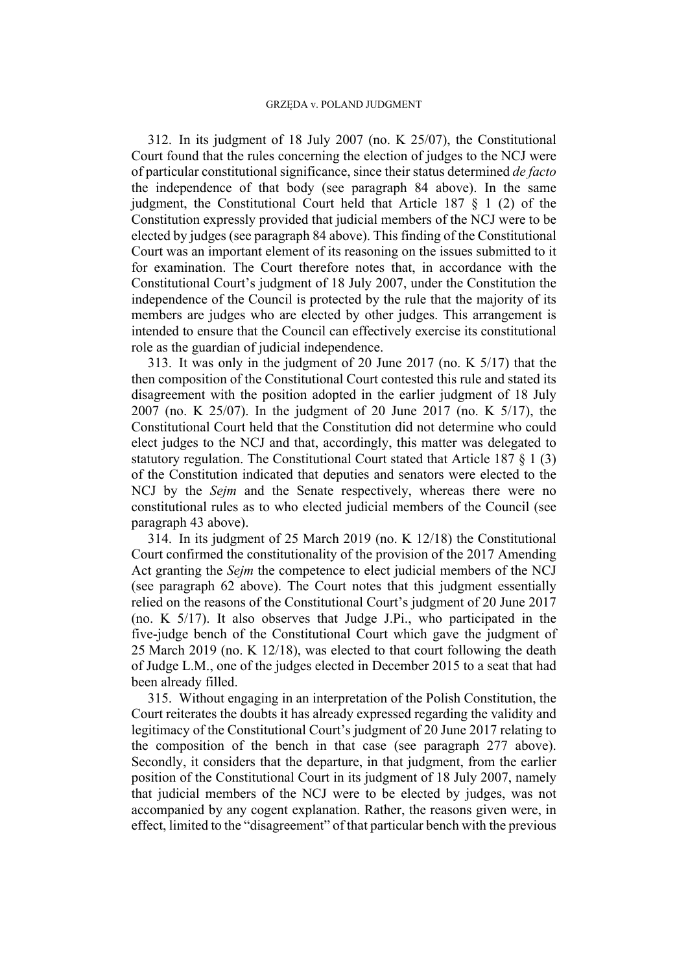312. In its judgment of 18 July 2007 (no. K 25/07), the Constitutional Court found that the rules concerning the election of judges to the NCJ were of particular constitutional significance, since their status determined *de facto* the independence of that body (see paragraph 84 above). In the same judgment, the Constitutional Court held that Article 187 § 1 (2) of the Constitution expressly provided that judicial members of the NCJ were to be elected by judges (see paragraph 84 above). This finding of the Constitutional Court was an important element of its reasoning on the issues submitted to it for examination. The Court therefore notes that, in accordance with the Constitutional Court's judgment of 18 July 2007, under the Constitution the independence of the Council is protected by the rule that the majority of its members are judges who are elected by other judges. This arrangement is intended to ensure that the Council can effectively exercise its constitutional role as the guardian of judicial independence.

313. It was only in the judgment of 20 June 2017 (no. K 5/17) that the then composition of the Constitutional Court contested this rule and stated its disagreement with the position adopted in the earlier judgment of 18 July 2007 (no. K 25/07). In the judgment of 20 June 2017 (no. K 5/17), the Constitutional Court held that the Constitution did not determine who could elect judges to the NCJ and that, accordingly, this matter was delegated to statutory regulation. The Constitutional Court stated that Article 187 § 1 (3) of the Constitution indicated that deputies and senators were elected to the NCJ by the *Sejm* and the Senate respectively, whereas there were no constitutional rules as to who elected judicial members of the Council (see paragraph 43 above).

314. In its judgment of 25 March 2019 (no. K 12/18) the Constitutional Court confirmed the constitutionality of the provision of the 2017 Amending Act granting the *Sejm* the competence to elect judicial members of the NCJ (see paragraph 62 above). The Court notes that this judgment essentially relied on the reasons of the Constitutional Court's judgment of 20 June 2017 (no. K 5/17). It also observes that Judge J.Pi., who participated in the five-judge bench of the Constitutional Court which gave the judgment of 25 March 2019 (no. K 12/18), was elected to that court following the death of Judge L.M., one of the judges elected in December 2015 to a seat that had been already filled.

315. Without engaging in an interpretation of the Polish Constitution, the Court reiterates the doubts it has already expressed regarding the validity and legitimacy of the Constitutional Court's judgment of 20 June 2017 relating to the composition of the bench in that case (see paragraph 277 above). Secondly, it considers that the departure, in that judgment, from the earlier position of the Constitutional Court in its judgment of 18 July 2007, namely that judicial members of the NCJ were to be elected by judges, was not accompanied by any cogent explanation. Rather, the reasons given were, in effect, limited to the "disagreement" of that particular bench with the previous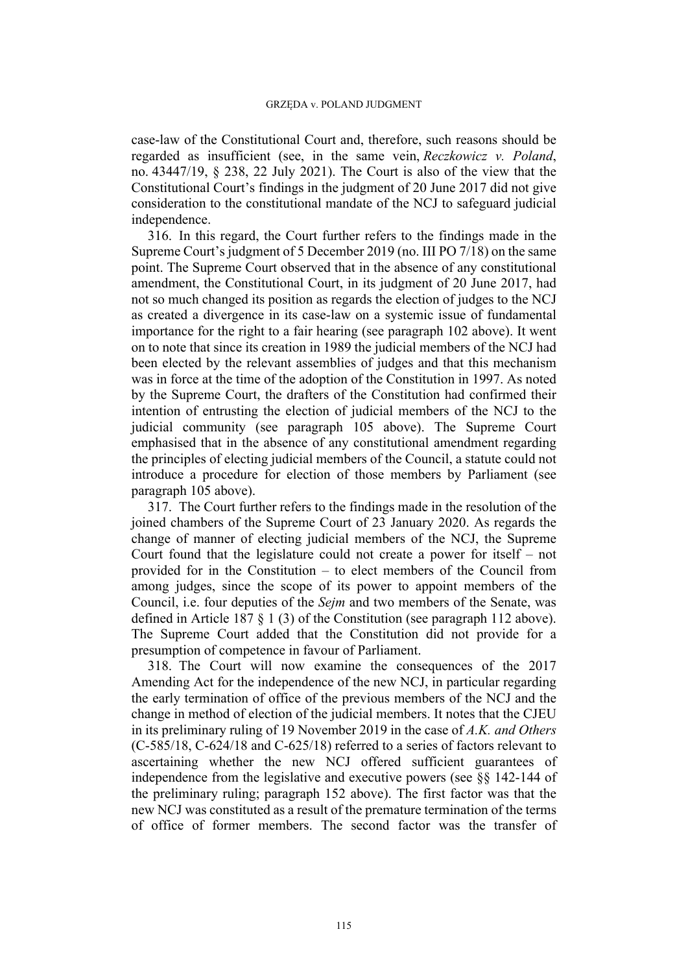#### GRZĘDA v. POLAND JUDGMENT

case-law of the Constitutional Court and, therefore, such reasons should be regarded as insufficient (see, in the same vein, *Reczkowicz v. Poland*, no. 43447/19, § 238, 22 July 2021). The Court is also of the view that the Constitutional Court's findings in the judgment of 20 June 2017 did not give consideration to the constitutional mandate of the NCJ to safeguard judicial independence.

316. In this regard, the Court further refers to the findings made in the Supreme Court's judgment of 5 December 2019 (no. III PO 7/18) on the same point. The Supreme Court observed that in the absence of any constitutional amendment, the Constitutional Court, in its judgment of 20 June 2017, had not so much changed its position as regards the election of judges to the NCJ as created a divergence in its case-law on a systemic issue of fundamental importance for the right to a fair hearing (see paragraph 102 above). It went on to note that since its creation in 1989 the judicial members of the NCJ had been elected by the relevant assemblies of judges and that this mechanism was in force at the time of the adoption of the Constitution in 1997. As noted by the Supreme Court, the drafters of the Constitution had confirmed their intention of entrusting the election of judicial members of the NCJ to the judicial community (see paragraph 105 above). The Supreme Court emphasised that in the absence of any constitutional amendment regarding the principles of electing judicial members of the Council, a statute could not introduce a procedure for election of those members by Parliament (see paragraph 105 above).

317. The Court further refers to the findings made in the resolution of the joined chambers of the Supreme Court of 23 January 2020. As regards the change of manner of electing judicial members of the NCJ, the Supreme Court found that the legislature could not create a power for itself – not provided for in the Constitution – to elect members of the Council from among judges, since the scope of its power to appoint members of the Council, i.e. four deputies of the *Sejm* and two members of the Senate, was defined in Article 187 § 1 (3) of the Constitution (see paragraph 112 above). The Supreme Court added that the Constitution did not provide for a presumption of competence in favour of Parliament.

318. The Court will now examine the consequences of the 2017 Amending Act for the independence of the new NCJ, in particular regarding the early termination of office of the previous members of the NCJ and the change in method of election of the judicial members. It notes that the CJEU in its preliminary ruling of 19 November 2019 in the case of *A.K. and Others* (C-585/18, C-624/18 and C-625/18) referred to a series of factors relevant to ascertaining whether the new NCJ offered sufficient guarantees of independence from the legislative and executive powers (see §§ 142-144 of the preliminary ruling; paragraph 152 above). The first factor was that the new NCJ was constituted as a result of the premature termination of the terms of office of former members. The second factor was the transfer of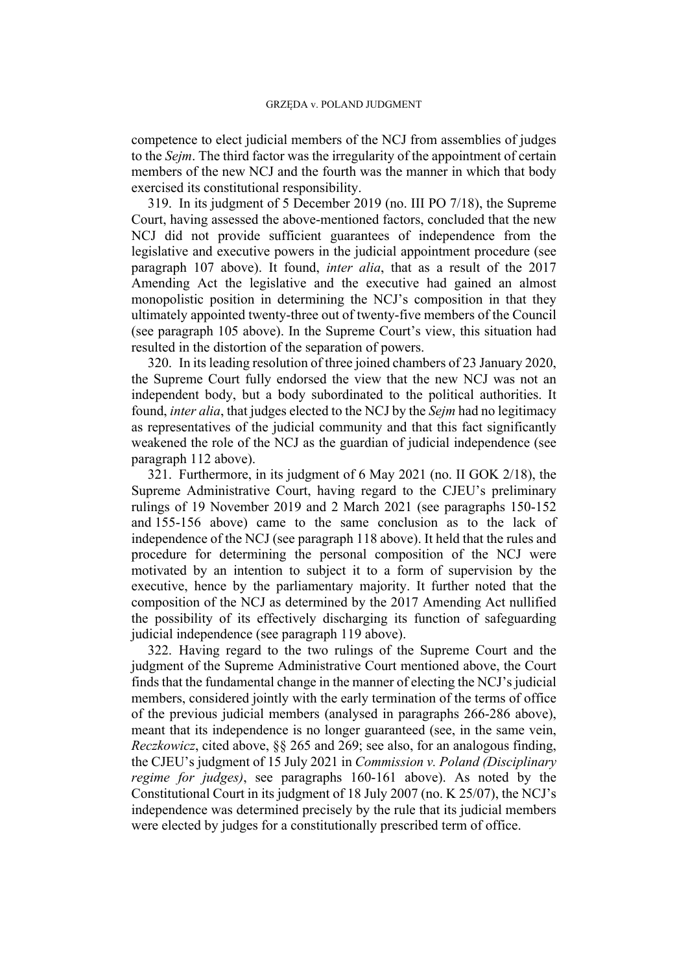competence to elect judicial members of the NCJ from assemblies of judges to the *Sejm*. The third factor was the irregularity of the appointment of certain members of the new NCJ and the fourth was the manner in which that body exercised its constitutional responsibility.

319. In its judgment of 5 December 2019 (no. III PO 7/18), the Supreme Court, having assessed the above-mentioned factors, concluded that the new NCJ did not provide sufficient guarantees of independence from the legislative and executive powers in the judicial appointment procedure (see paragraph 107 above). It found, *inter alia*, that as a result of the 2017 Amending Act the legislative and the executive had gained an almost monopolistic position in determining the NCJ's composition in that they ultimately appointed twenty-three out of twenty-five members of the Council (see paragraph 105 above). In the Supreme Court's view, this situation had resulted in the distortion of the separation of powers.

320. In its leading resolution of three joined chambers of 23 January 2020, the Supreme Court fully endorsed the view that the new NCJ was not an independent body, but a body subordinated to the political authorities. It found, *inter alia*, that judges elected to the NCJ by the *Sejm* had no legitimacy as representatives of the judicial community and that this fact significantly weakened the role of the NCJ as the guardian of judicial independence (see paragraph 112 above).

321. Furthermore, in its judgment of 6 May 2021 (no. II GOK 2/18), the Supreme Administrative Court, having regard to the CJEU's preliminary rulings of 19 November 2019 and 2 March 2021 (see paragraphs 150-152 and 155-156 above) came to the same conclusion as to the lack of independence of the NCJ (see paragraph 118 above). It held that the rules and procedure for determining the personal composition of the NCJ were motivated by an intention to subject it to a form of supervision by the executive, hence by the parliamentary majority. It further noted that the composition of the NCJ as determined by the 2017 Amending Act nullified the possibility of its effectively discharging its function of safeguarding judicial independence (see paragraph 119 above).

322. Having regard to the two rulings of the Supreme Court and the judgment of the Supreme Administrative Court mentioned above, the Court finds that the fundamental change in the manner of electing the NCJ's judicial members, considered jointly with the early termination of the terms of office of the previous judicial members (analysed in paragraphs 266-286 above), meant that its independence is no longer guaranteed (see, in the same vein, *Reczkowicz*, cited above, §§ 265 and 269; see also, for an analogous finding, the CJEU's judgment of 15 July 2021 in *Commission v. Poland (Disciplinary regime for judges)*, see paragraphs 160-161 above). As noted by the Constitutional Court in its judgment of 18 July 2007 (no. K 25/07), the NCJ's independence was determined precisely by the rule that its judicial members were elected by judges for a constitutionally prescribed term of office.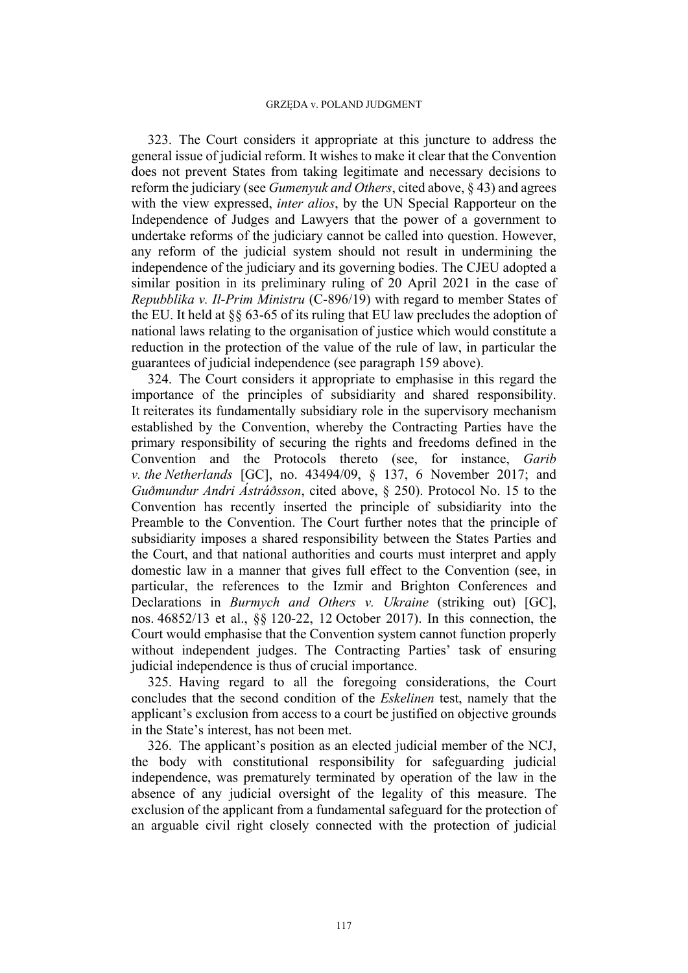323. The Court considers it appropriate at this juncture to address the general issue of judicial reform. It wishes to make it clear that the Convention does not prevent States from taking legitimate and necessary decisions to reform the judiciary (see *Gumenyuk and Others*, cited above, § 43) and agrees with the view expressed, *inter alios*, by the UN Special Rapporteur on the Independence of Judges and Lawyers that the power of a government to undertake reforms of the judiciary cannot be called into question. However, any reform of the judicial system should not result in undermining the independence of the judiciary and its governing bodies. The CJEU adopted a similar position in its preliminary ruling of 20 April 2021 in the case of *Repubblika v. Il-Prim Ministru* (C-896/19) with regard to member States of the EU. It held at §§ 63-65 of its ruling that EU law precludes the adoption of national laws relating to the organisation of justice which would constitute a reduction in the protection of the value of the rule of law, in particular the guarantees of judicial independence (see paragraph 159 above).

324. The Court considers it appropriate to emphasise in this regard the importance of the principles of subsidiarity and shared responsibility. It reiterates its fundamentally subsidiary role in the supervisory mechanism established by the Convention, whereby the Contracting Parties have the primary responsibility of securing the rights and freedoms defined in the Convention and the Protocols thereto (see, for instance, *Garib v. the Netherlands* [GC], no. 43494/09, § 137, 6 November 2017; and *Guðmundur Andri Ástráðsson*, cited above, § 250). Protocol No. 15 to the Convention has recently inserted the principle of subsidiarity into the Preamble to the Convention. The Court further notes that the principle of subsidiarity imposes a shared responsibility between the States Parties and the Court, and that national authorities and courts must interpret and apply domestic law in a manner that gives full effect to the Convention (see, in particular, the references to the Izmir and Brighton Conferences and Declarations in *Burmych and Others v. Ukraine* (striking out) [GC], nos. 46852/13 et al., §§ 120-22, 12 October 2017). In this connection, the Court would emphasise that the Convention system cannot function properly without independent judges. The Contracting Parties' task of ensuring judicial independence is thus of crucial importance.

325. Having regard to all the foregoing considerations, the Court concludes that the second condition of the *Eskelinen* test, namely that the applicant's exclusion from access to a court be justified on objective grounds in the State's interest, has not been met.

326. The applicant's position as an elected judicial member of the NCJ, the body with constitutional responsibility for safeguarding judicial independence, was prematurely terminated by operation of the law in the absence of any judicial oversight of the legality of this measure. The exclusion of the applicant from a fundamental safeguard for the protection of an arguable civil right closely connected with the protection of judicial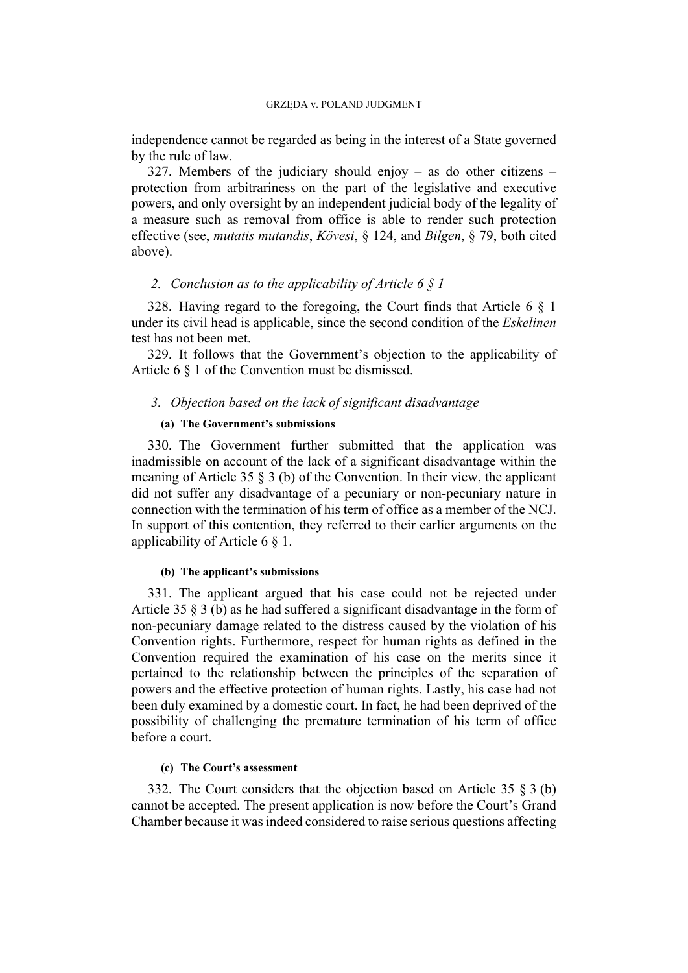independence cannot be regarded as being in the interest of a State governed by the rule of law.

327. Members of the judiciary should enjoy – as do other citizens – protection from arbitrariness on the part of the legislative and executive powers, and only oversight by an independent judicial body of the legality of a measure such as removal from office is able to render such protection effective (see, *mutatis mutandis*, *Kövesi*, § 124, and *Bilgen*, § 79, both cited above).

## *2. Conclusion as to the applicability of Article 6 § 1*

328. Having regard to the foregoing, the Court finds that Article 6 § 1 under its civil head is applicable, since the second condition of the *Eskelinen* test has not been met.

329. It follows that the Government's objection to the applicability of Article 6 § 1 of the Convention must be dismissed.

## *3. Objection based on the lack of significant disadvantage*

#### **(a) The Government's submissions**

330. The Government further submitted that the application was inadmissible on account of the lack of a significant disadvantage within the meaning of Article 35 § 3 (b) of the Convention. In their view, the applicant did not suffer any disadvantage of a pecuniary or non-pecuniary nature in connection with the termination of his term of office as a member of the NCJ. In support of this contention, they referred to their earlier arguments on the applicability of Article 6 § 1.

### **(b) The applicant's submissions**

331. The applicant argued that his case could not be rejected under Article 35 § 3 (b) as he had suffered a significant disadvantage in the form of non-pecuniary damage related to the distress caused by the violation of his Convention rights. Furthermore, respect for human rights as defined in the Convention required the examination of his case on the merits since it pertained to the relationship between the principles of the separation of powers and the effective protection of human rights. Lastly, his case had not been duly examined by a domestic court. In fact, he had been deprived of the possibility of challenging the premature termination of his term of office before a court.

## **(c) The Court's assessment**

332. The Court considers that the objection based on Article 35 § 3 (b) cannot be accepted. The present application is now before the Court's Grand Chamber because it was indeed considered to raise serious questions affecting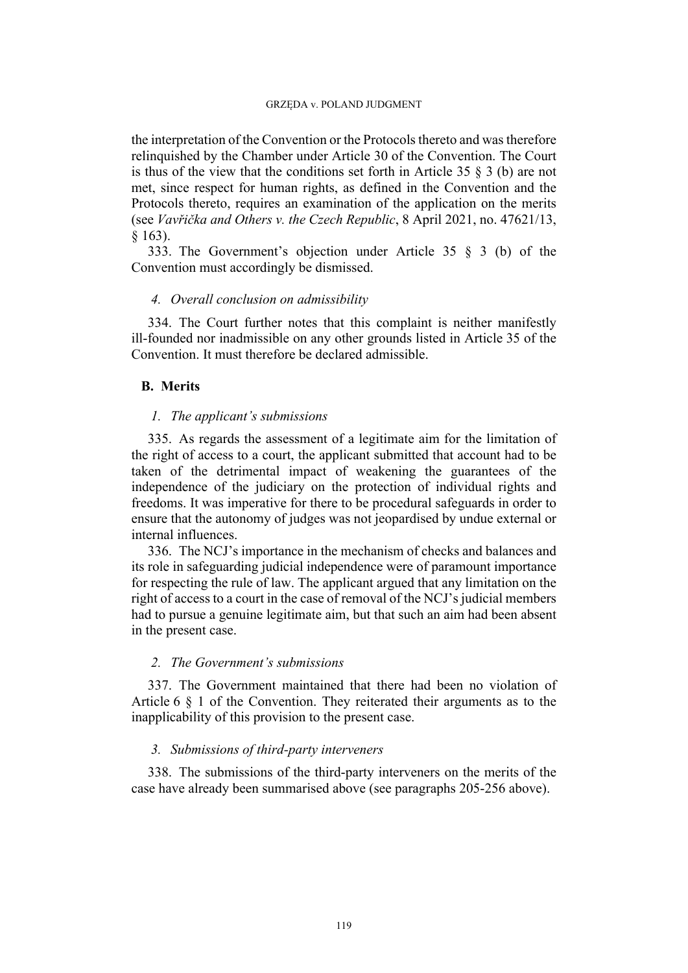#### GRZĘDA v. POLAND JUDGMENT

the interpretation of the Convention or the Protocols thereto and was therefore relinquished by the Chamber under Article 30 of the Convention. The Court is thus of the view that the conditions set forth in Article 35  $\S$  3 (b) are not met, since respect for human rights, as defined in the Convention and the Protocols thereto, requires an examination of the application on the merits (see *Vavřička and Others v. the Czech Republic*, 8 April 2021, no. 47621/13, § 163).

333. The Government's objection under Article 35 § 3 (b) of the Convention must accordingly be dismissed.

## *4. Overall conclusion on admissibility*

334. The Court further notes that this complaint is neither manifestly ill-founded nor inadmissible on any other grounds listed in Article 35 of the Convention. It must therefore be declared admissible.

## **B. Merits**

### *1. The applicant's submissions*

335. As regards the assessment of a legitimate aim for the limitation of the right of access to a court, the applicant submitted that account had to be taken of the detrimental impact of weakening the guarantees of the independence of the judiciary on the protection of individual rights and freedoms. It was imperative for there to be procedural safeguards in order to ensure that the autonomy of judges was not jeopardised by undue external or internal influences.

336. The NCJ's importance in the mechanism of checks and balances and its role in safeguarding judicial independence were of paramount importance for respecting the rule of law. The applicant argued that any limitation on the right of access to a court in the case of removal of the NCJ's judicial members had to pursue a genuine legitimate aim, but that such an aim had been absent in the present case.

## *2. The Government's submissions*

337. The Government maintained that there had been no violation of Article 6 § 1 of the Convention. They reiterated their arguments as to the inapplicability of this provision to the present case.

### *3. Submissions of third-party interveners*

338. The submissions of the third-party interveners on the merits of the case have already been summarised above (see paragraphs 205-256 above).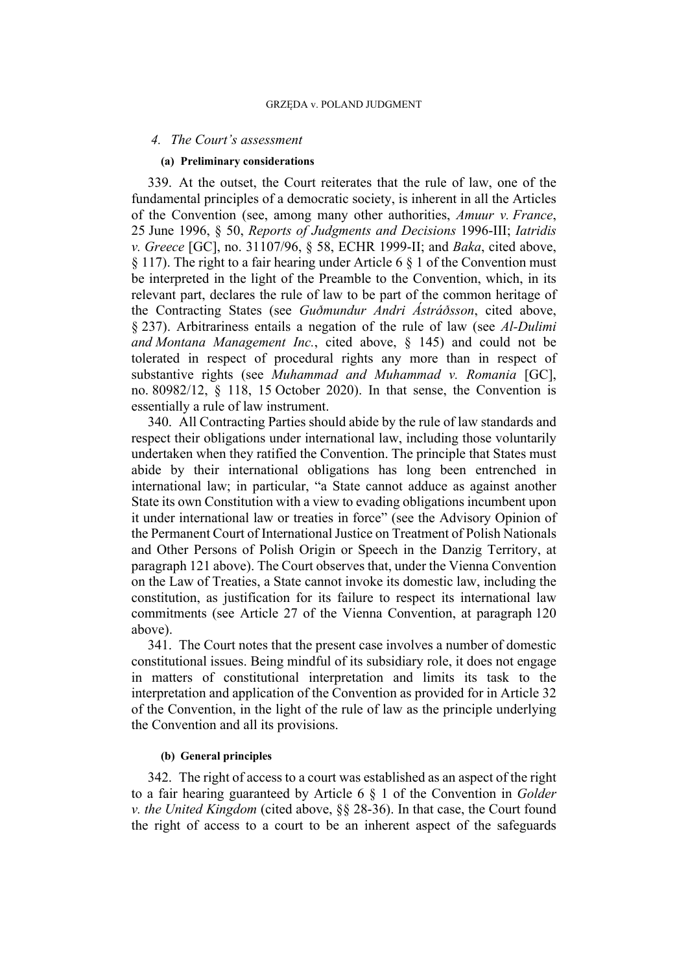### *4. The Court's assessment*

#### **(a) Preliminary considerations**

339. At the outset, the Court reiterates that the rule of law, one of the fundamental principles of a democratic society, is inherent in all the Articles of the Convention (see, among many other authorities, *Amuur v. France*, 25 June 1996, § 50, *Reports of Judgments and Decisions* 1996-III; *Iatridis v. Greece* [GC], no. 31107/96, § 58, ECHR 1999-II; and *Baka*, cited above, § 117). The right to a fair hearing under Article 6 § 1 of the Convention must be interpreted in the light of the Preamble to the Convention, which, in its relevant part, declares the rule of law to be part of the common heritage of the Contracting States (see *Guðmundur Andri Ástráðsson*, cited above, § 237). Arbitrariness entails a negation of the rule of law (see *Al-Dulimi and Montana Management Inc.*, cited above, § 145) and could not be tolerated in respect of procedural rights any more than in respect of substantive rights (see *Muhammad and Muhammad v. Romania* [GC], no. 80982/12, § 118, 15 October 2020). In that sense, the Convention is essentially a rule of law instrument.

340.All Contracting Parties should abide by the rule of law standards and respect their obligations under international law, including those voluntarily undertaken when they ratified the Convention. The principle that States must abide by their international obligations has long been entrenched in international law; in particular, "a State cannot adduce as against another State its own Constitution with a view to evading obligations incumbent upon it under international law or treaties in force" (see the Advisory Opinion of the Permanent Court of International Justice on Treatment of Polish Nationals and Other Persons of Polish Origin or Speech in the Danzig Territory, at paragraph 121 above). The Court observes that, under the Vienna Convention on the Law of Treaties, a State cannot invoke its domestic law, including the constitution, as justification for its failure to respect its international law commitments (see Article 27 of the Vienna Convention, at paragraph 120 above).

341. The Court notes that the present case involves a number of domestic constitutional issues. Being mindful of its subsidiary role, it does not engage in matters of constitutional interpretation and limits its task to the interpretation and application of the Convention as provided for in Article 32 of the Convention, in the light of the rule of law as the principle underlying the Convention and all its provisions.

## **(b) General principles**

342. The right of access to a court was established as an aspect of the right to a fair hearing guaranteed by Article 6 § 1 of the Convention in *Golder v. the United Kingdom* (cited above, §§ 28-36). In that case, the Court found the right of access to a court to be an inherent aspect of the safeguards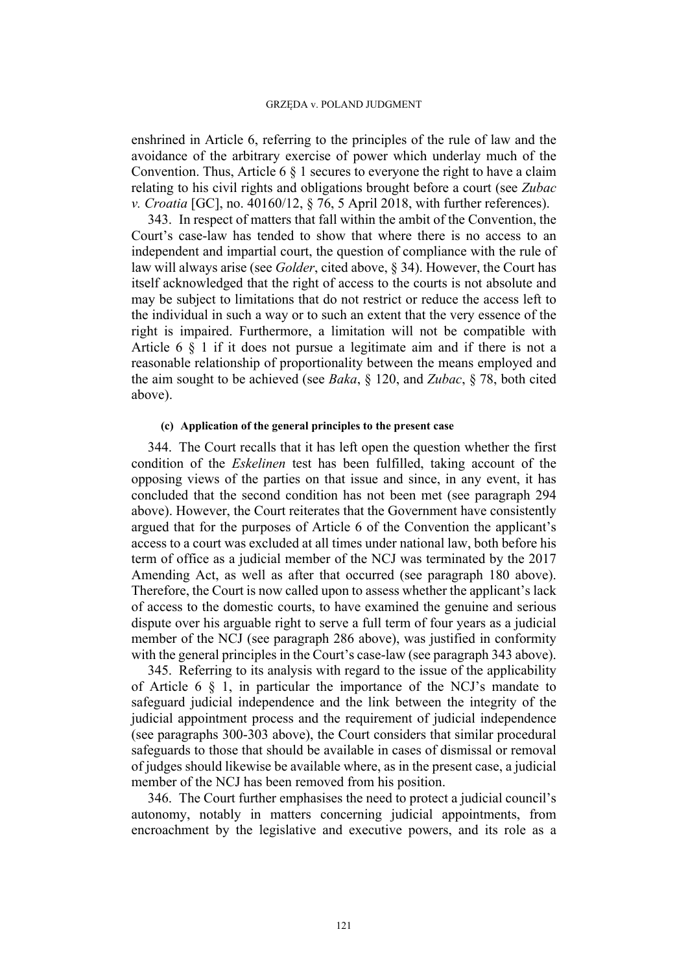enshrined in Article 6, referring to the principles of the rule of law and the avoidance of the arbitrary exercise of power which underlay much of the Convention. Thus, Article 6  $\S$  1 secures to everyone the right to have a claim relating to his civil rights and obligations brought before a court (see *Zubac v. Croatia* [GC], no. 40160/12, § 76, 5 April 2018, with further references).

343. In respect of matters that fall within the ambit of the Convention, the Court's case-law has tended to show that where there is no access to an independent and impartial court, the question of compliance with the rule of law will always arise (see *Golder*, cited above, § 34). However, the Court has itself acknowledged that the right of access to the courts is not absolute and may be subject to limitations that do not restrict or reduce the access left to the individual in such a way or to such an extent that the very essence of the right is impaired. Furthermore, a limitation will not be compatible with Article 6 § 1 if it does not pursue a legitimate aim and if there is not a reasonable relationship of proportionality between the means employed and the aim sought to be achieved (see *Baka*, § 120, and *Zubac*, § 78, both cited above).

### **(c) Application of the general principles to the present case**

344. The Court recalls that it has left open the question whether the first condition of the *Eskelinen* test has been fulfilled, taking account of the opposing views of the parties on that issue and since, in any event, it has concluded that the second condition has not been met (see paragraph 294 above). However, the Court reiterates that the Government have consistently argued that for the purposes of Article 6 of the Convention the applicant's access to a court was excluded at all times under national law, both before his term of office as a judicial member of the NCJ was terminated by the 2017 Amending Act, as well as after that occurred (see paragraph 180 above). Therefore, the Court is now called upon to assess whether the applicant's lack of access to the domestic courts, to have examined the genuine and serious dispute over his arguable right to serve a full term of four years as a judicial member of the NCJ (see paragraph 286 above), was justified in conformity with the general principles in the Court's case-law (see paragraph 343 above).

345. Referring to its analysis with regard to the issue of the applicability of Article 6 § 1, in particular the importance of the NCJ's mandate to safeguard judicial independence and the link between the integrity of the judicial appointment process and the requirement of judicial independence (see paragraphs 300-303 above), the Court considers that similar procedural safeguards to those that should be available in cases of dismissal or removal of judges should likewise be available where, as in the present case, a judicial member of the NCJ has been removed from his position.

346. The Court further emphasises the need to protect a judicial council's autonomy, notably in matters concerning judicial appointments, from encroachment by the legislative and executive powers, and its role as a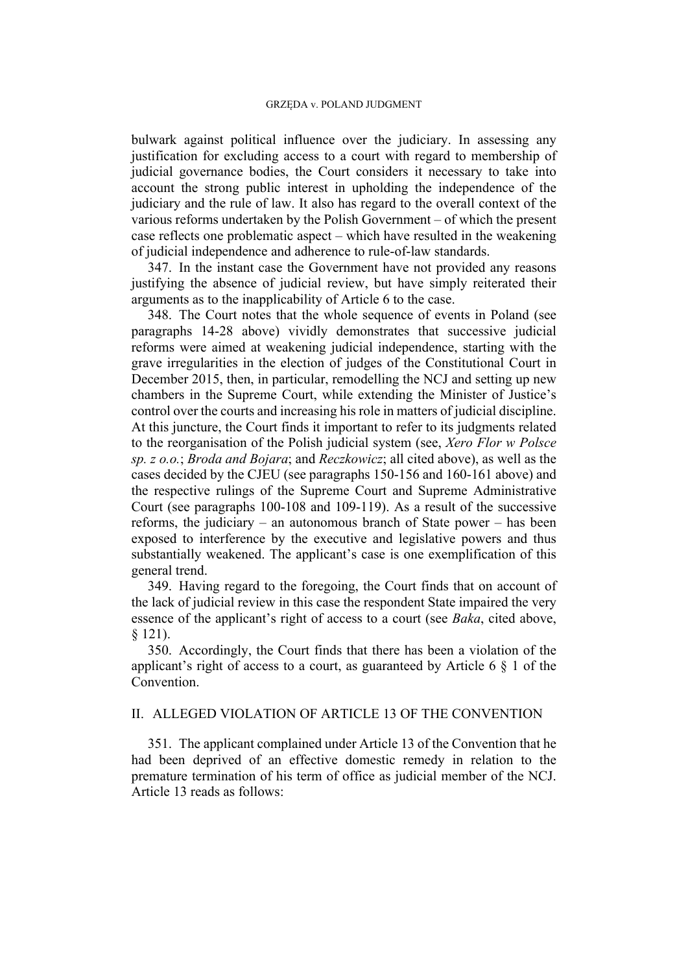bulwark against political influence over the judiciary. In assessing any justification for excluding access to a court with regard to membership of judicial governance bodies, the Court considers it necessary to take into account the strong public interest in upholding the independence of the judiciary and the rule of law. It also has regard to the overall context of the various reforms undertaken by the Polish Government – of which the present case reflects one problematic aspect – which have resulted in the weakening of judicial independence and adherence to rule-of-law standards.

347. In the instant case the Government have not provided any reasons justifying the absence of judicial review, but have simply reiterated their arguments as to the inapplicability of Article 6 to the case.

348. The Court notes that the whole sequence of events in Poland (see paragraphs 14-28 above) vividly demonstrates that successive judicial reforms were aimed at weakening judicial independence, starting with the grave irregularities in the election of judges of the Constitutional Court in December 2015, then, in particular, remodelling the NCJ and setting up new chambers in the Supreme Court, while extending the Minister of Justice's control over the courts and increasing his role in matters of judicial discipline. At this juncture, the Court finds it important to refer to its judgments related to the reorganisation of the Polish judicial system (see, *Xero Flor w Polsce sp. z o.o.*; *Broda and Bojara*; and *Reczkowicz*; all cited above), as well as the cases decided by the CJEU (see paragraphs 150-156 and 160-161 above) and the respective rulings of the Supreme Court and Supreme Administrative Court (see paragraphs 100-108 and 109-119). As a result of the successive reforms, the judiciary – an autonomous branch of State power – has been exposed to interference by the executive and legislative powers and thus substantially weakened. The applicant's case is one exemplification of this general trend.

349. Having regard to the foregoing, the Court finds that on account of the lack of judicial review in this case the respondent State impaired the very essence of the applicant's right of access to a court (see *Baka*, cited above, § 121).

350. Accordingly, the Court finds that there has been a violation of the applicant's right of access to a court, as guaranteed by Article 6 § 1 of the **Convention** 

## II. ALLEGED VIOLATION OF ARTICLE 13 OF THE CONVENTION

351. The applicant complained under Article 13 of the Convention that he had been deprived of an effective domestic remedy in relation to the premature termination of his term of office as judicial member of the NCJ. Article 13 reads as follows: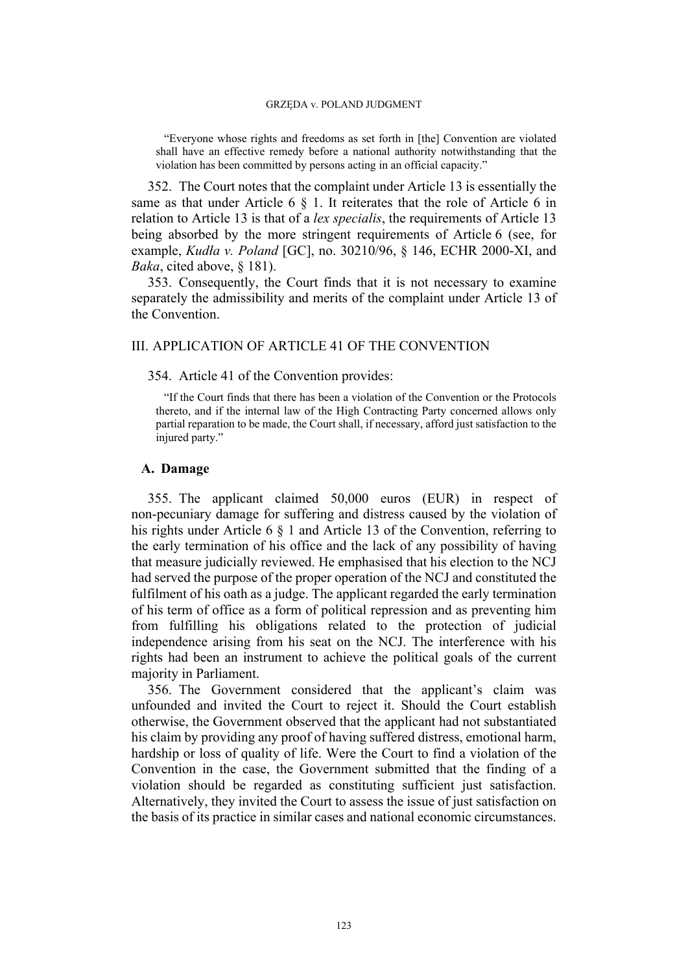#### GRZĘDA v. POLAND JUDGMENT

"Everyone whose rights and freedoms as set forth in [the] Convention are violated shall have an effective remedy before a national authority notwithstanding that the violation has been committed by persons acting in an official capacity."

352. The Court notes that the complaint under Article 13 is essentially the same as that under Article  $6 \S 1$ . It reiterates that the role of Article 6 in relation to Article 13 is that of a *lex specialis*, the requirements of Article 13 being absorbed by the more stringent requirements of Article 6 (see, for example, *Kudła v. Poland* [GC], no. 30210/96, § 146, ECHR 2000-XI, and *Baka*, cited above, § 181).

353. Consequently, the Court finds that it is not necessary to examine separately the admissibility and merits of the complaint under Article 13 of the Convention.

### III. APPLICATION OF ARTICLE 41 OF THE CONVENTION

### 354. Article 41 of the Convention provides:

"If the Court finds that there has been a violation of the Convention or the Protocols thereto, and if the internal law of the High Contracting Party concerned allows only partial reparation to be made, the Court shall, if necessary, afford just satisfaction to the injured party."

### **A. Damage**

355. The applicant claimed 50,000 euros (EUR) in respect of non-pecuniary damage for suffering and distress caused by the violation of his rights under Article 6  $\S$  1 and Article 13 of the Convention, referring to the early termination of his office and the lack of any possibility of having that measure judicially reviewed. He emphasised that his election to the NCJ had served the purpose of the proper operation of the NCJ and constituted the fulfilment of his oath as a judge. The applicant regarded the early termination of his term of office as a form of political repression and as preventing him from fulfilling his obligations related to the protection of judicial independence arising from his seat on the NCJ. The interference with his rights had been an instrument to achieve the political goals of the current majority in Parliament.

356. The Government considered that the applicant's claim was unfounded and invited the Court to reject it. Should the Court establish otherwise, the Government observed that the applicant had not substantiated his claim by providing any proof of having suffered distress, emotional harm, hardship or loss of quality of life. Were the Court to find a violation of the Convention in the case, the Government submitted that the finding of a violation should be regarded as constituting sufficient just satisfaction. Alternatively, they invited the Court to assess the issue of just satisfaction on the basis of its practice in similar cases and national economic circumstances.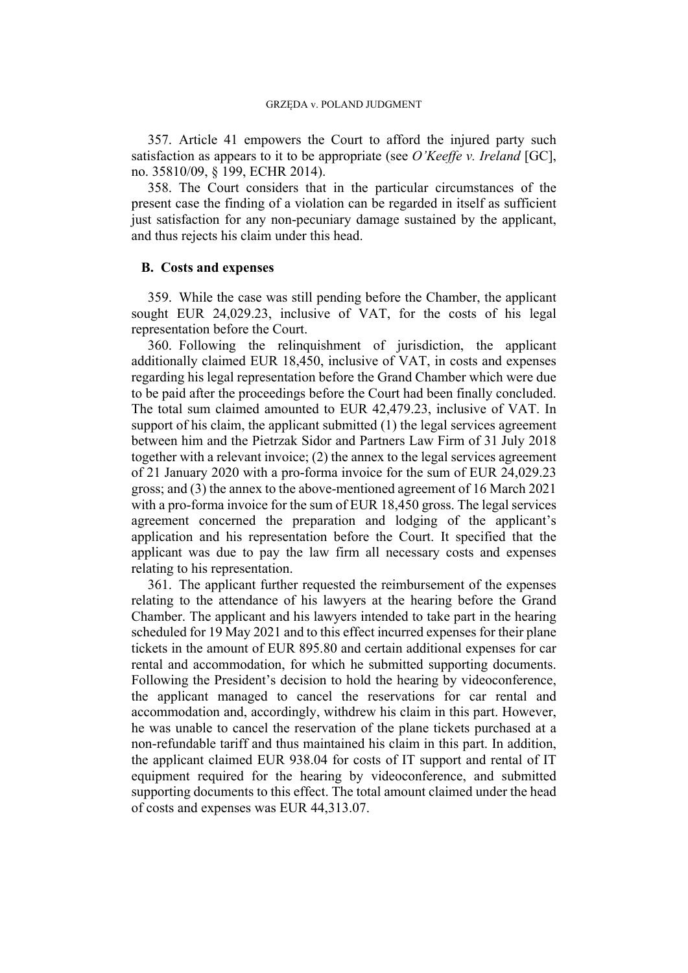357. Article 41 empowers the Court to afford the injured party such satisfaction as appears to it to be appropriate (see *O'Keeffe v. Ireland* [GC], no. 35810/09, § 199, ECHR 2014).

358. The Court considers that in the particular circumstances of the present case the finding of a violation can be regarded in itself as sufficient just satisfaction for any non-pecuniary damage sustained by the applicant, and thus rejects his claim under this head.

## **B. Costs and expenses**

359. While the case was still pending before the Chamber, the applicant sought EUR 24,029.23, inclusive of VAT, for the costs of his legal representation before the Court.

360. Following the relinquishment of jurisdiction, the applicant additionally claimed EUR 18,450, inclusive of VAT, in costs and expenses regarding his legal representation before the Grand Chamber which were due to be paid after the proceedings before the Court had been finally concluded. The total sum claimed amounted to EUR 42,479.23, inclusive of VAT. In support of his claim, the applicant submitted (1) the legal services agreement between him and the Pietrzak Sidor and Partners Law Firm of 31 July 2018 together with a relevant invoice; (2) the annex to the legal services agreement of 21 January 2020 with a pro-forma invoice for the sum of EUR 24,029.23 gross; and (3) the annex to the above-mentioned agreement of 16 March 2021 with a pro-forma invoice for the sum of EUR 18,450 gross. The legal services agreement concerned the preparation and lodging of the applicant's application and his representation before the Court. It specified that the applicant was due to pay the law firm all necessary costs and expenses relating to his representation.

361. The applicant further requested the reimbursement of the expenses relating to the attendance of his lawyers at the hearing before the Grand Chamber. The applicant and his lawyers intended to take part in the hearing scheduled for 19 May 2021 and to this effect incurred expenses for their plane tickets in the amount of EUR 895.80 and certain additional expenses for car rental and accommodation, for which he submitted supporting documents. Following the President's decision to hold the hearing by videoconference, the applicant managed to cancel the reservations for car rental and accommodation and, accordingly, withdrew his claim in this part. However, he was unable to cancel the reservation of the plane tickets purchased at a non-refundable tariff and thus maintained his claim in this part. In addition, the applicant claimed EUR 938.04 for costs of IT support and rental of IT equipment required for the hearing by videoconference, and submitted supporting documents to this effect. The total amount claimed under the head of costs and expenses was EUR 44,313.07.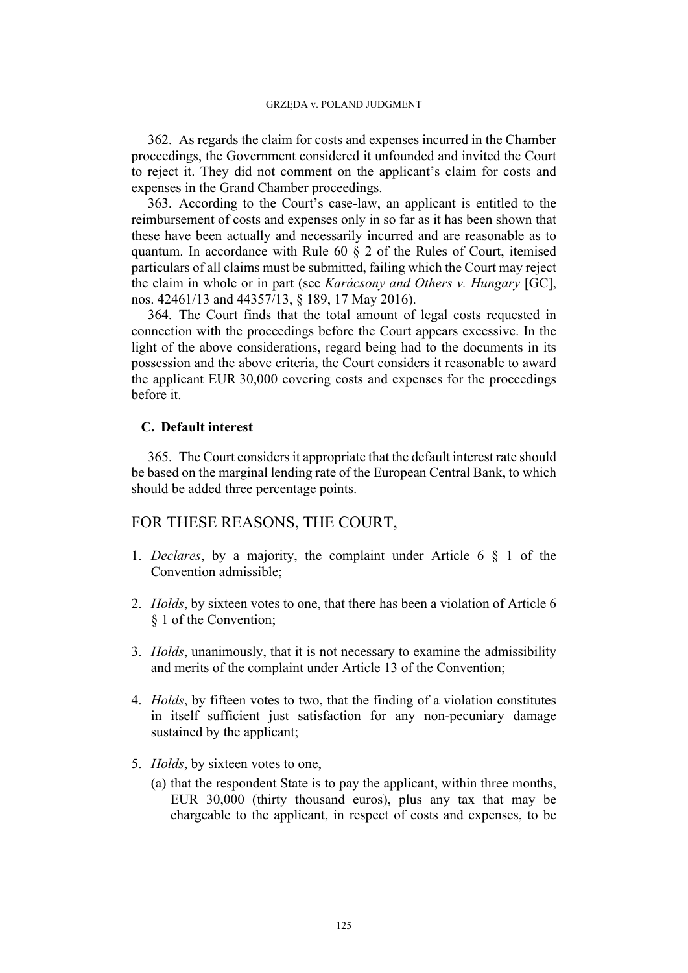362. As regards the claim for costs and expenses incurred in the Chamber proceedings, the Government considered it unfounded and invited the Court to reject it. They did not comment on the applicant's claim for costs and expenses in the Grand Chamber proceedings.

363. According to the Court's case-law, an applicant is entitled to the reimbursement of costs and expenses only in so far as it has been shown that these have been actually and necessarily incurred and are reasonable as to quantum. In accordance with Rule 60 § 2 of the Rules of Court, itemised particulars of all claims must be submitted, failing which the Court may reject the claim in whole or in part (see *Karácsony and Others v. Hungary* [GC], nos. 42461/13 and 44357/13, § 189, 17 May 2016).

364. The Court finds that the total amount of legal costs requested in connection with the proceedings before the Court appears excessive. In the light of the above considerations, regard being had to the documents in its possession and the above criteria, the Court considers it reasonable to award the applicant EUR 30,000 covering costs and expenses for the proceedings before it.

## **C. Default interest**

365. The Court considers it appropriate that the default interest rate should be based on the marginal lending rate of the European Central Bank, to which should be added three percentage points.

## FOR THESE REASONS, THE COURT,

- 1. *Declares*, by a majority, the complaint under Article 6 § 1 of the Convention admissible;
- 2. *Holds*, by sixteen votes to one, that there has been a violation of Article 6 § 1 of the Convention;
- 3. *Holds*, unanimously, that it is not necessary to examine the admissibility and merits of the complaint under Article 13 of the Convention;
- 4. *Holds*, by fifteen votes to two, that the finding of a violation constitutes in itself sufficient just satisfaction for any non-pecuniary damage sustained by the applicant;
- 5. *Holds*, by sixteen votes to one,
	- (a) that the respondent State is to pay the applicant, within three months, EUR 30,000 (thirty thousand euros), plus any tax that may be chargeable to the applicant, in respect of costs and expenses, to be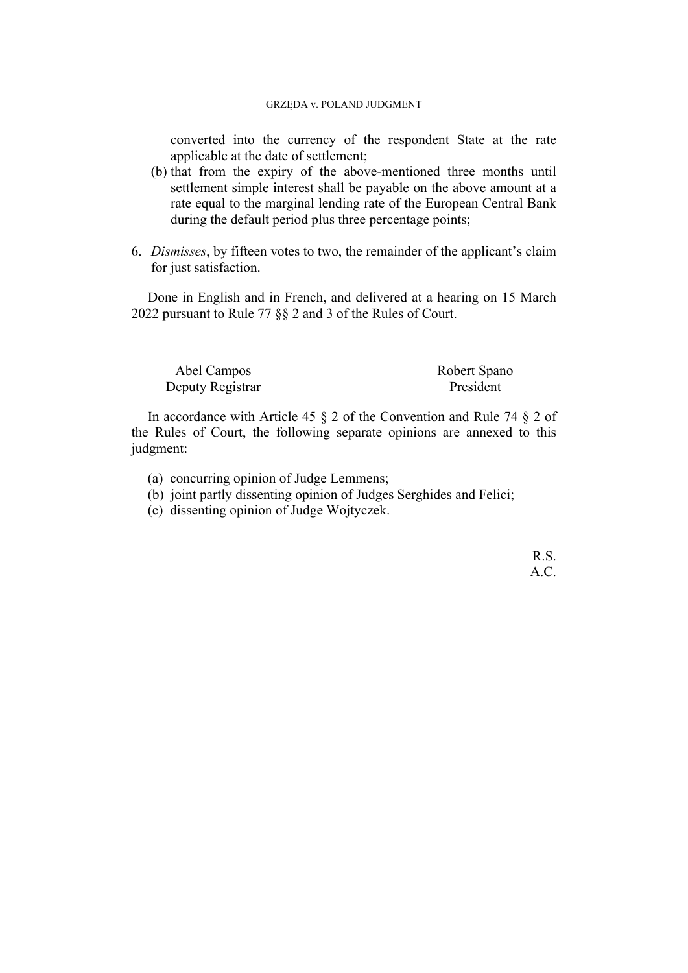### GRZĘDA v. POLAND JUDGMENT

converted into the currency of the respondent State at the rate applicable at the date of settlement;

- (b) that from the expiry of the above-mentioned three months until settlement simple interest shall be payable on the above amount at a rate equal to the marginal lending rate of the European Central Bank during the default period plus three percentage points;
- 6. *Dismisses*, by fifteen votes to two, the remainder of the applicant's claim for just satisfaction.

Done in English and in French, and delivered at a hearing on 15 March 2022 pursuant to Rule 77 §§ 2 and 3 of the Rules of Court.

| Abel Campos      | Robert Spano |
|------------------|--------------|
| Deputy Registrar | President    |

In accordance with Article 45 § 2 of the Convention and Rule 74 § 2 of the Rules of Court, the following separate opinions are annexed to this judgment:

- (a) concurring opinion of Judge Lemmens;
- (b) joint partly dissenting opinion of Judges Serghides and Felici;
- (c) dissenting opinion of Judge Wojtyczek.

R.S. A.C.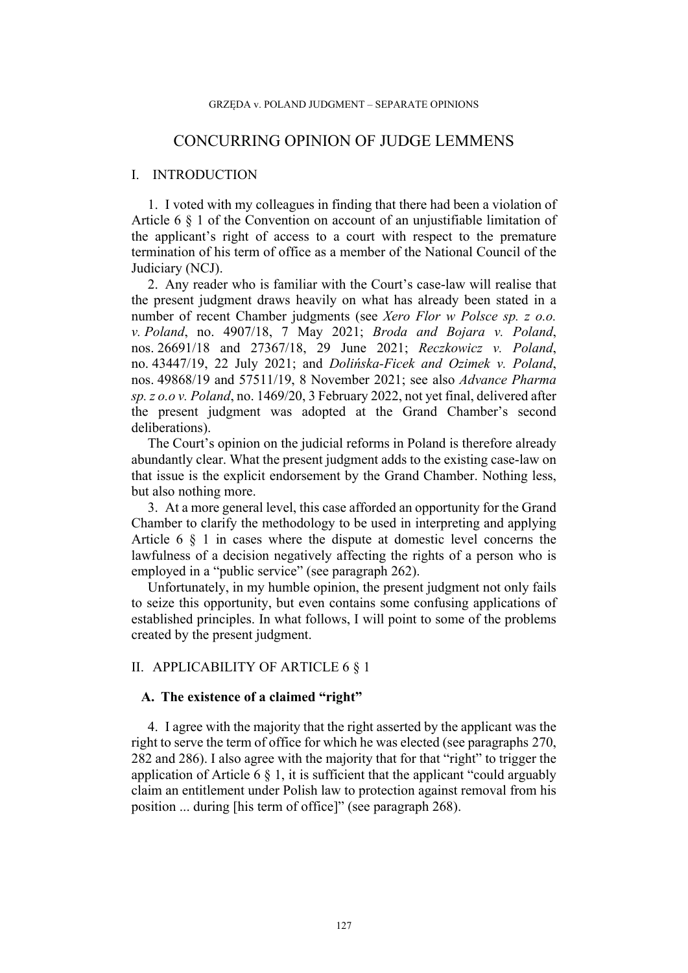# CONCURRING OPINION OF JUDGE LEMMENS

### I. INTRODUCTION

1. I voted with my colleagues in finding that there had been a violation of Article 6 § 1 of the Convention on account of an unjustifiable limitation of the applicant's right of access to a court with respect to the premature termination of his term of office as a member of the National Council of the Judiciary (NCJ).

2. Any reader who is familiar with the Court's case-law will realise that the present judgment draws heavily on what has already been stated in a number of recent Chamber judgments (see *Xero Flor w Polsce sp. z o.o. v. Poland*, no. 4907/18, 7 May 2021; *Broda and Bojara v. Poland*, nos. 26691/18 and 27367/18, 29 June 2021; *Reczkowicz v. Poland*, no. 43447/19, 22 July 2021; and *Dolińska-Ficek and Ozimek v. Poland*, nos. 49868/19 and 57511/19, 8 November 2021; see also *Advance Pharma sp. z o.o v. Poland*, no. 1469/20, 3 February 2022, not yet final, delivered after the present judgment was adopted at the Grand Chamber's second deliberations).

The Court's opinion on the judicial reforms in Poland is therefore already abundantly clear. What the present judgment adds to the existing case-law on that issue is the explicit endorsement by the Grand Chamber. Nothing less, but also nothing more.

3. At a more general level, this case afforded an opportunity for the Grand Chamber to clarify the methodology to be used in interpreting and applying Article 6 § 1 in cases where the dispute at domestic level concerns the lawfulness of a decision negatively affecting the rights of a person who is employed in a "public service" (see paragraph 262).

Unfortunately, in my humble opinion, the present judgment not only fails to seize this opportunity, but even contains some confusing applications of established principles. In what follows, I will point to some of the problems created by the present judgment.

## II. APPLICABILITY OF ARTICLE 6 § 1

## **A. The existence of a claimed "right"**

4. I agree with the majority that the right asserted by the applicant was the right to serve the term of office for which he was elected (see paragraphs 270, 282 and 286). I also agree with the majority that for that "right" to trigger the application of Article 6  $\S$  1, it is sufficient that the applicant "could arguably claim an entitlement under Polish law to protection against removal from his position ... during [his term of office]" (see paragraph 268).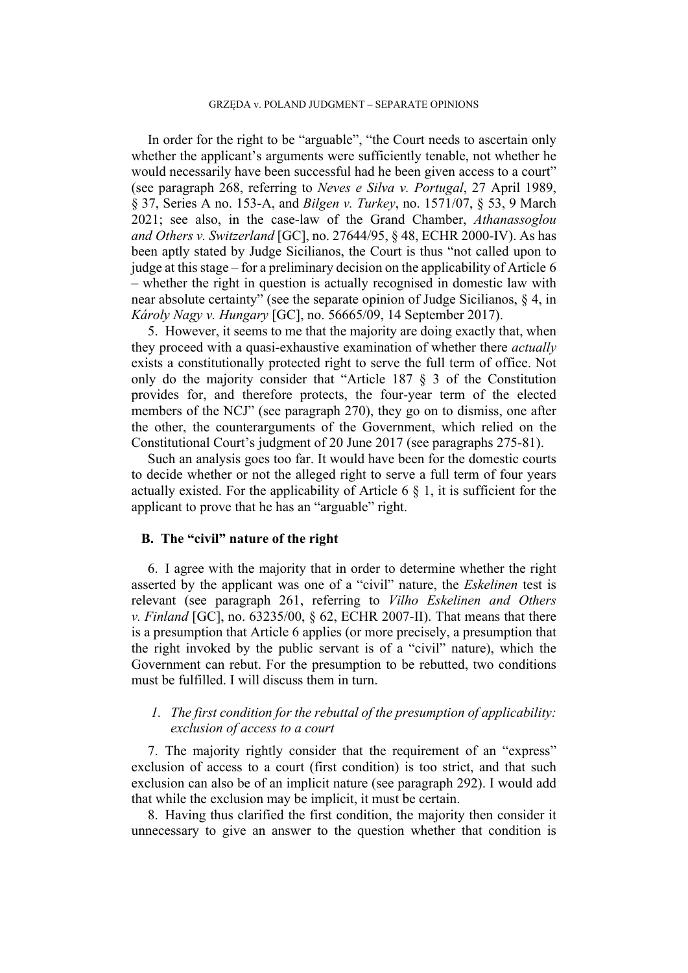In order for the right to be "arguable", "the Court needs to ascertain only whether the applicant's arguments were sufficiently tenable, not whether he would necessarily have been successful had he been given access to a court" (see paragraph 268, referring to *Neves e Silva v. Portugal*, 27 April 1989, § 37, Series A no. 153-A, and *Bilgen v. Turkey*, no. 1571/07, § 53, 9 March 2021; see also, in the case-law of the Grand Chamber, *Athanassoglou and Others v. Switzerland* [GC], no. 27644/95, § 48, ECHR 2000-IV). As has been aptly stated by Judge Sicilianos, the Court is thus "not called upon to judge at this stage – for a preliminary decision on the applicability of Article 6 – whether the right in question is actually recognised in domestic law with near absolute certainty" (see the separate opinion of Judge Sicilianos, § 4, in *Károly Nagy v. Hungary* [GC], no. 56665/09, 14 September 2017).

5. However, it seems to me that the majority are doing exactly that, when they proceed with a quasi-exhaustive examination of whether there *actually* exists a constitutionally protected right to serve the full term of office. Not only do the majority consider that "Article 187 § 3 of the Constitution provides for, and therefore protects, the four-year term of the elected members of the NCJ" (see paragraph 270), they go on to dismiss, one after the other, the counterarguments of the Government, which relied on the Constitutional Court's judgment of 20 June 2017 (see paragraphs 275-81).

Such an analysis goes too far. It would have been for the domestic courts to decide whether or not the alleged right to serve a full term of four years actually existed. For the applicability of Article 6  $\S$  1, it is sufficient for the applicant to prove that he has an "arguable" right.

## **B. The "civil" nature of the right**

6. I agree with the majority that in order to determine whether the right asserted by the applicant was one of a "civil" nature, the *Eskelinen* test is relevant (see paragraph 261, referring to *Vilho Eskelinen and Others v. Finland* [GC], no. 63235/00, § 62, ECHR 2007-II). That means that there is a presumption that Article 6 applies (or more precisely, a presumption that the right invoked by the public servant is of a "civil" nature), which the Government can rebut. For the presumption to be rebutted, two conditions must be fulfilled. I will discuss them in turn.

## *1. The first condition for the rebuttal of the presumption of applicability: exclusion of access to a court*

7. The majority rightly consider that the requirement of an "express" exclusion of access to a court (first condition) is too strict, and that such exclusion can also be of an implicit nature (see paragraph 292). I would add that while the exclusion may be implicit, it must be certain.

8. Having thus clarified the first condition, the majority then consider it unnecessary to give an answer to the question whether that condition is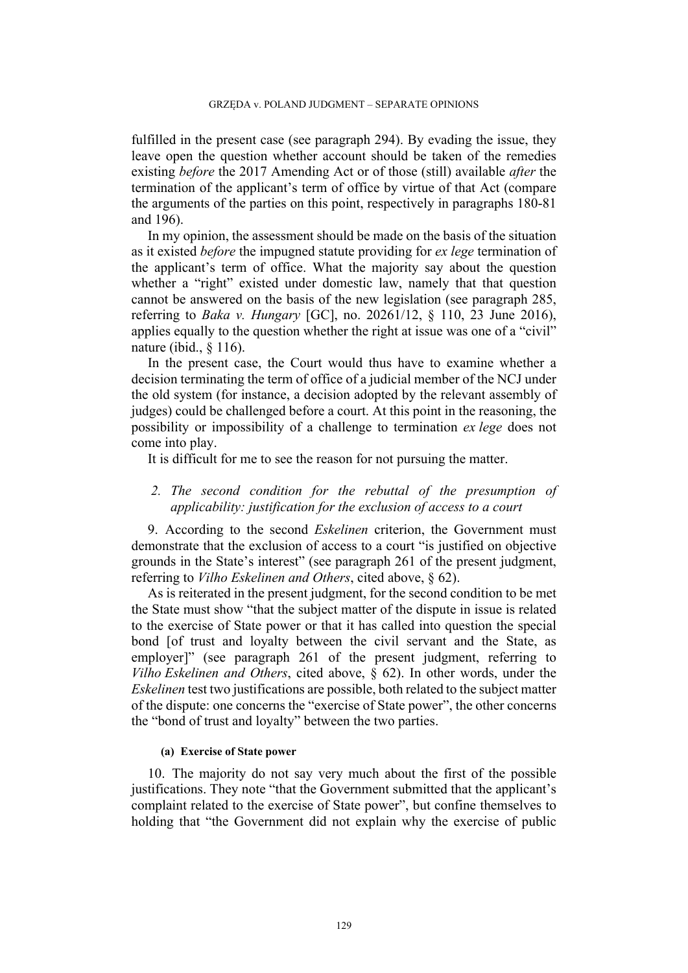fulfilled in the present case (see paragraph 294). By evading the issue, they leave open the question whether account should be taken of the remedies existing *before* the 2017 Amending Act or of those (still) available *after* the termination of the applicant's term of office by virtue of that Act (compare the arguments of the parties on this point, respectively in paragraphs 180-81 and 196).

In my opinion, the assessment should be made on the basis of the situation as it existed *before* the impugned statute providing for *ex lege* termination of the applicant's term of office. What the majority say about the question whether a "right" existed under domestic law, namely that that question cannot be answered on the basis of the new legislation (see paragraph 285, referring to *Baka v. Hungary* [GC], no. 20261/12, § 110, 23 June 2016), applies equally to the question whether the right at issue was one of a "civil" nature (ibid., § 116).

In the present case, the Court would thus have to examine whether a decision terminating the term of office of a judicial member of the NCJ under the old system (for instance, a decision adopted by the relevant assembly of judges) could be challenged before a court. At this point in the reasoning, the possibility or impossibility of a challenge to termination *ex lege* does not come into play.

It is difficult for me to see the reason for not pursuing the matter.

## *2. The second condition for the rebuttal of the presumption of applicability: justification for the exclusion of access to a court*

9. According to the second *Eskelinen* criterion, the Government must demonstrate that the exclusion of access to a court "is justified on objective grounds in the State's interest" (see paragraph 261 of the present judgment, referring to *Vilho Eskelinen and Others*, cited above, § 62).

As is reiterated in the present judgment, for the second condition to be met the State must show "that the subject matter of the dispute in issue is related to the exercise of State power or that it has called into question the special bond [of trust and loyalty between the civil servant and the State, as employer]" (see paragraph 261 of the present judgment, referring to *Vilho Eskelinen and Others*, cited above, § 62). In other words, under the *Eskelinen* test two justifications are possible, both related to the subject matter of the dispute: one concerns the "exercise of State power", the other concerns the "bond of trust and loyalty" between the two parties.

### **(a) Exercise of State power**

10. The majority do not say very much about the first of the possible justifications. They note "that the Government submitted that the applicant's complaint related to the exercise of State power", but confine themselves to holding that "the Government did not explain why the exercise of public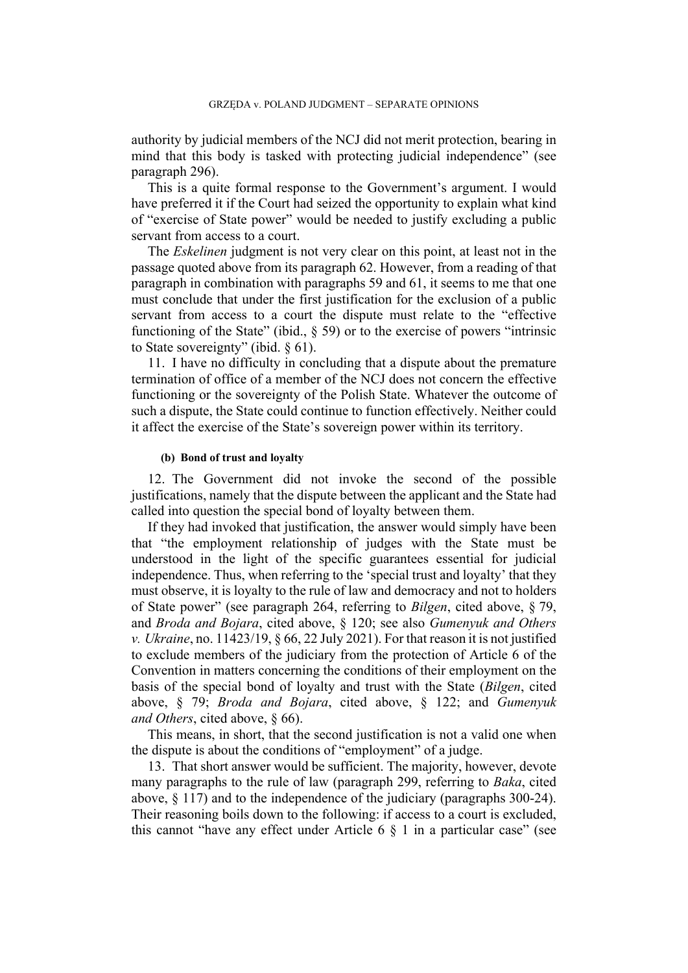authority by judicial members of the NCJ did not merit protection, bearing in mind that this body is tasked with protecting judicial independence" (see paragraph 296).

This is a quite formal response to the Government's argument. I would have preferred it if the Court had seized the opportunity to explain what kind of "exercise of State power" would be needed to justify excluding a public servant from access to a court.

The *Eskelinen* judgment is not very clear on this point, at least not in the passage quoted above from its paragraph 62. However, from a reading of that paragraph in combination with paragraphs 59 and 61, it seems to me that one must conclude that under the first justification for the exclusion of a public servant from access to a court the dispute must relate to the "effective functioning of the State" (ibid.,  $\S$  59) or to the exercise of powers "intrinsic to State sovereignty" (ibid. § 61).

11. I have no difficulty in concluding that a dispute about the premature termination of office of a member of the NCJ does not concern the effective functioning or the sovereignty of the Polish State. Whatever the outcome of such a dispute, the State could continue to function effectively. Neither could it affect the exercise of the State's sovereign power within its territory.

### **(b) Bond of trust and loyalty**

12. The Government did not invoke the second of the possible justifications, namely that the dispute between the applicant and the State had called into question the special bond of loyalty between them.

If they had invoked that justification, the answer would simply have been that "the employment relationship of judges with the State must be understood in the light of the specific guarantees essential for judicial independence. Thus, when referring to the 'special trust and loyalty' that they must observe, it is loyalty to the rule of law and democracy and not to holders of State power" (see paragraph 264, referring to *Bilgen*, cited above, § 79, and *Broda and Bojara*, cited above, § 120; see also *Gumenyuk and Others v. Ukraine*, no. 11423/19, § 66, 22 July 2021). For that reason it is not justified to exclude members of the judiciary from the protection of Article 6 of the Convention in matters concerning the conditions of their employment on the basis of the special bond of loyalty and trust with the State (*Bilgen*, cited above, § 79; *Broda and Bojara*, cited above, § 122; and *Gumenyuk and Others*, cited above, § 66).

This means, in short, that the second justification is not a valid one when the dispute is about the conditions of "employment" of a judge.

13. That short answer would be sufficient. The majority, however, devote many paragraphs to the rule of law (paragraph 299, referring to *Baka*, cited above, § 117) and to the independence of the judiciary (paragraphs 300-24). Their reasoning boils down to the following: if access to a court is excluded, this cannot "have any effect under Article  $6 \tS 1$  in a particular case" (see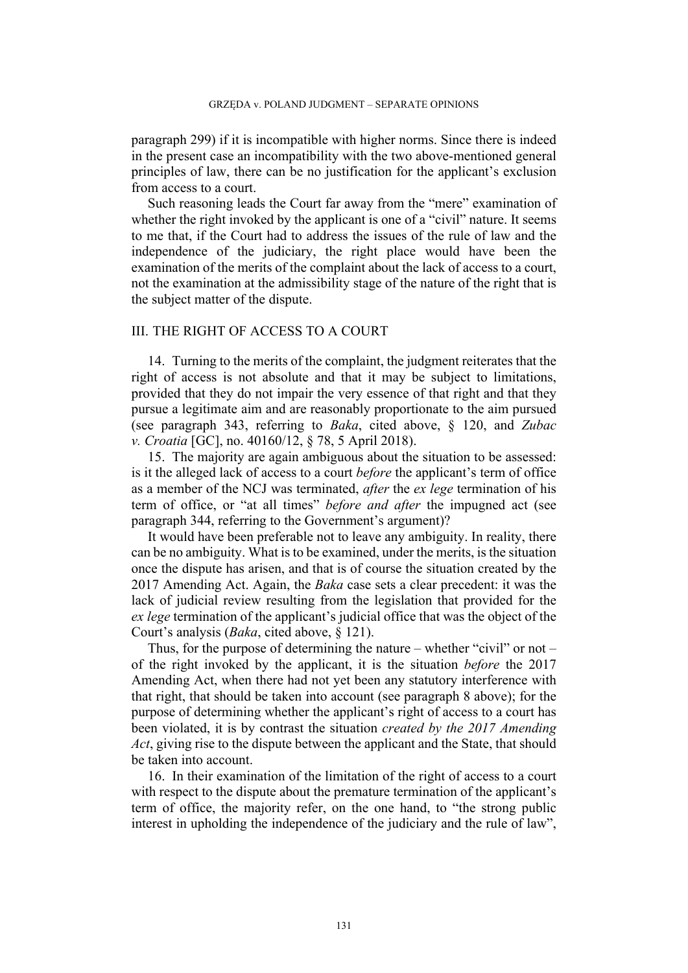paragraph 299) if it is incompatible with higher norms. Since there is indeed in the present case an incompatibility with the two above-mentioned general principles of law, there can be no justification for the applicant's exclusion from access to a court.

Such reasoning leads the Court far away from the "mere" examination of whether the right invoked by the applicant is one of a "civil" nature. It seems to me that, if the Court had to address the issues of the rule of law and the independence of the judiciary, the right place would have been the examination of the merits of the complaint about the lack of access to a court, not the examination at the admissibility stage of the nature of the right that is the subject matter of the dispute.

## III. THE RIGHT OF ACCESS TO A COURT

14. Turning to the merits of the complaint, the judgment reiterates that the right of access is not absolute and that it may be subject to limitations, provided that they do not impair the very essence of that right and that they pursue a legitimate aim and are reasonably proportionate to the aim pursued (see paragraph 343, referring to *Baka*, cited above, § 120, and *Zubac v. Croatia* [GC], no. 40160/12, § 78, 5 April 2018).

15. The majority are again ambiguous about the situation to be assessed: is it the alleged lack of access to a court *before* the applicant's term of office as a member of the NCJ was terminated, *after* the *ex lege* termination of his term of office, or "at all times" *before and after* the impugned act (see paragraph 344, referring to the Government's argument)?

It would have been preferable not to leave any ambiguity. In reality, there can be no ambiguity. What is to be examined, under the merits, is the situation once the dispute has arisen, and that is of course the situation created by the 2017 Amending Act. Again, the *Baka* case sets a clear precedent: it was the lack of judicial review resulting from the legislation that provided for the *ex lege* termination of the applicant's judicial office that was the object of the Court's analysis (*Baka*, cited above, § 121).

Thus, for the purpose of determining the nature – whether "civil" or not – of the right invoked by the applicant, it is the situation *before* the 2017 Amending Act, when there had not yet been any statutory interference with that right, that should be taken into account (see paragraph 8 above); for the purpose of determining whether the applicant's right of access to a court has been violated, it is by contrast the situation *created by the 2017 Amending Act*, giving rise to the dispute between the applicant and the State, that should be taken into account.

16. In their examination of the limitation of the right of access to a court with respect to the dispute about the premature termination of the applicant's term of office, the majority refer, on the one hand, to "the strong public interest in upholding the independence of the judiciary and the rule of law",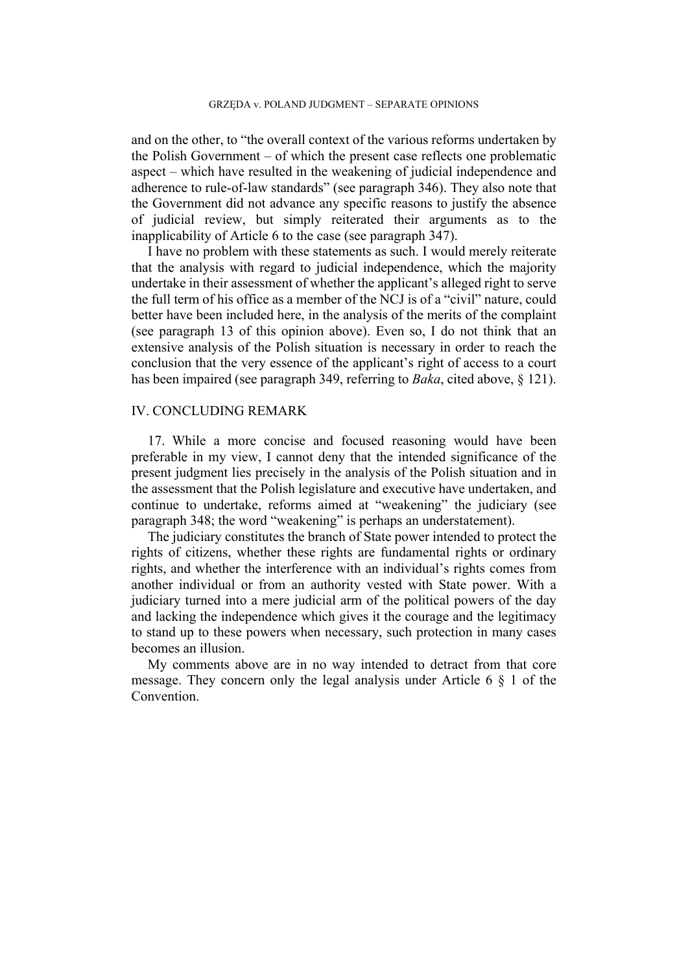and on the other, to "the overall context of the various reforms undertaken by the Polish Government – of which the present case reflects one problematic aspect – which have resulted in the weakening of judicial independence and adherence to rule-of-law standards" (see paragraph 346). They also note that the Government did not advance any specific reasons to justify the absence of judicial review, but simply reiterated their arguments as to the inapplicability of Article 6 to the case (see paragraph 347).

I have no problem with these statements as such. I would merely reiterate that the analysis with regard to judicial independence, which the majority undertake in their assessment of whether the applicant's alleged right to serve the full term of his office as a member of the NCJ is of a "civil" nature, could better have been included here, in the analysis of the merits of the complaint (see paragraph 13 of this opinion above). Even so, I do not think that an extensive analysis of the Polish situation is necessary in order to reach the conclusion that the very essence of the applicant's right of access to a court has been impaired (see paragraph 349, referring to *Baka*, cited above, § 121).

# IV. CONCLUDING REMARK

17. While a more concise and focused reasoning would have been preferable in my view, I cannot deny that the intended significance of the present judgment lies precisely in the analysis of the Polish situation and in the assessment that the Polish legislature and executive have undertaken, and continue to undertake, reforms aimed at "weakening" the judiciary (see paragraph 348; the word "weakening" is perhaps an understatement).

The judiciary constitutes the branch of State power intended to protect the rights of citizens, whether these rights are fundamental rights or ordinary rights, and whether the interference with an individual's rights comes from another individual or from an authority vested with State power. With a judiciary turned into a mere judicial arm of the political powers of the day and lacking the independence which gives it the courage and the legitimacy to stand up to these powers when necessary, such protection in many cases becomes an illusion.

My comments above are in no way intended to detract from that core message. They concern only the legal analysis under Article 6  $\S$  1 of the Convention.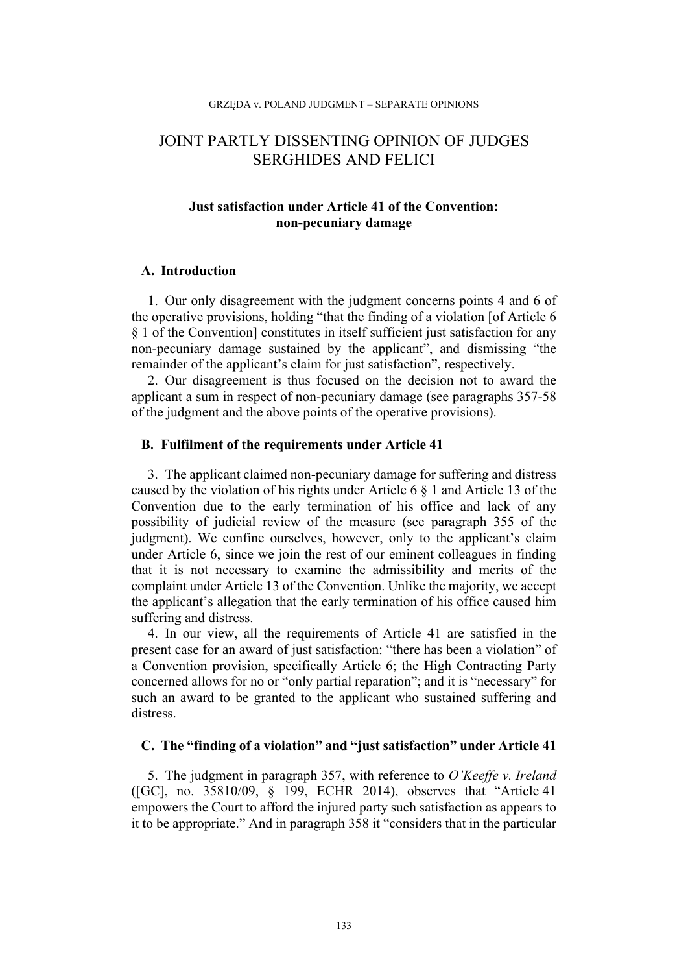#### GRZĘDA v. POLAND JUDGMENT – SEPARATE OPINIONS

# JOINT PARTLY DISSENTING OPINION OF JUDGES SERGHIDES AND FELICI

## **Just satisfaction under Article 41 of the Convention: non-pecuniary damage**

## **A. Introduction**

1. Our only disagreement with the judgment concerns points 4 and 6 of the operative provisions, holding "that the finding of a violation [of Article 6 § 1 of the Convention] constitutes in itself sufficient just satisfaction for any non-pecuniary damage sustained by the applicant", and dismissing "the remainder of the applicant's claim for just satisfaction", respectively.

2. Our disagreement is thus focused on the decision not to award the applicant a sum in respect of non-pecuniary damage (see paragraphs 357-58 of the judgment and the above points of the operative provisions).

### **B. Fulfilment of the requirements under Article 41**

3. The applicant claimed non-pecuniary damage for suffering and distress caused by the violation of his rights under Article 6 § 1 and Article 13 of the Convention due to the early termination of his office and lack of any possibility of judicial review of the measure (see paragraph 355 of the judgment). We confine ourselves, however, only to the applicant's claim under Article 6, since we join the rest of our eminent colleagues in finding that it is not necessary to examine the admissibility and merits of the complaint under Article 13 of the Convention. Unlike the majority, we accept the applicant's allegation that the early termination of his office caused him suffering and distress.

4. In our view, all the requirements of Article 41 are satisfied in the present case for an award of just satisfaction: "there has been a violation" of a Convention provision, specifically Article 6; the High Contracting Party concerned allows for no or "only partial reparation"; and it is "necessary" for such an award to be granted to the applicant who sustained suffering and distress.

## **C. The "finding of a violation" and "just satisfaction" under Article 41**

5. The judgment in paragraph 357, with reference to *O'Keeffe v. Ireland*  ([GC], no. 35810/09, § 199, ECHR 2014), observes that "Article 41 empowers the Court to afford the injured party such satisfaction as appears to it to be appropriate." And in paragraph 358 it "considers that in the particular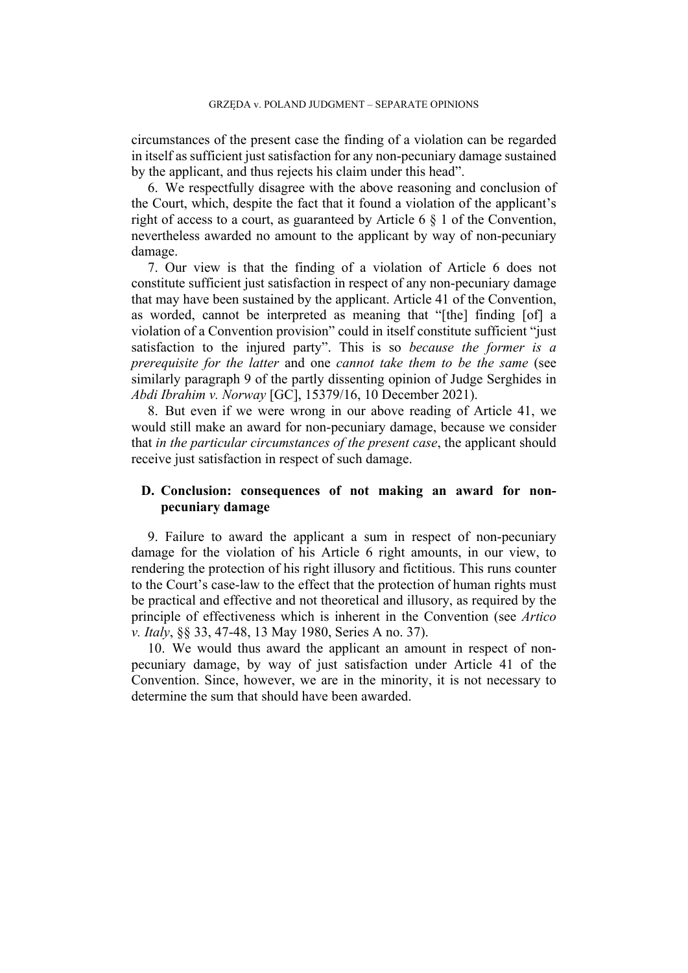circumstances of the present case the finding of a violation can be regarded in itself as sufficient just satisfaction for any non-pecuniary damage sustained by the applicant, and thus rejects his claim under this head".

6. We respectfully disagree with the above reasoning and conclusion of the Court, which, despite the fact that it found a violation of the applicant's right of access to a court, as guaranteed by Article 6 § 1 of the Convention, nevertheless awarded no amount to the applicant by way of non-pecuniary damage.

7. Our view is that the finding of a violation of Article 6 does not constitute sufficient just satisfaction in respect of any non-pecuniary damage that may have been sustained by the applicant. Article 41 of the Convention, as worded, cannot be interpreted as meaning that "[the] finding [of] a violation of a Convention provision" could in itself constitute sufficient "just satisfaction to the injured party". This is so *because the former is a prerequisite for the latter* and one *cannot take them to be the same* (see similarly paragraph 9 of the partly dissenting opinion of Judge Serghides in *Abdi Ibrahim v. Norway* [GC], 15379/16, 10 December 2021).

8. But even if we were wrong in our above reading of Article 41, we would still make an award for non-pecuniary damage, because we consider that *in the particular circumstances of the present case*, the applicant should receive just satisfaction in respect of such damage.

# **D. Conclusion: consequences of not making an award for nonpecuniary damage**

9. Failure to award the applicant a sum in respect of non-pecuniary damage for the violation of his Article 6 right amounts, in our view, to rendering the protection of his right illusory and fictitious. This runs counter to the Court's case-law to the effect that the protection of human rights must be practical and effective and not theoretical and illusory, as required by the principle of effectiveness which is inherent in the Convention (see *Artico v. Italy*, §§ 33, 47-48, 13 May 1980, Series A no. 37).

10. We would thus award the applicant an amount in respect of nonpecuniary damage, by way of just satisfaction under Article 41 of the Convention. Since, however, we are in the minority, it is not necessary to determine the sum that should have been awarded.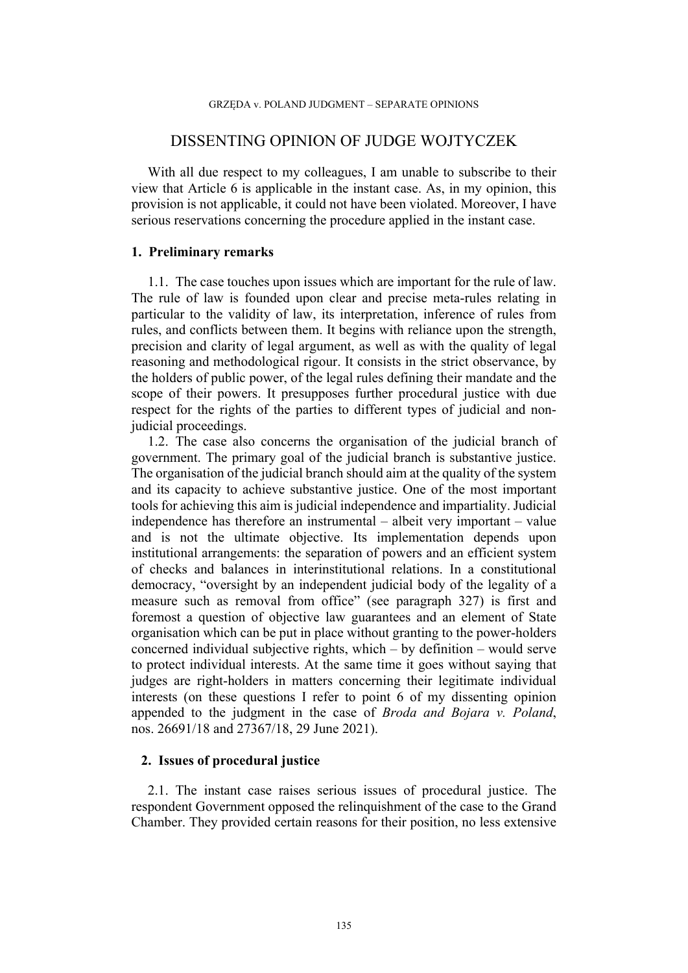# DISSENTING OPINION OF JUDGE WOJTYCZEK

With all due respect to my colleagues, I am unable to subscribe to their view that Article 6 is applicable in the instant case. As, in my opinion, this provision is not applicable, it could not have been violated. Moreover, I have serious reservations concerning the procedure applied in the instant case.

## **1. Preliminary remarks**

1.1. The case touches upon issues which are important for the rule of law. The rule of law is founded upon clear and precise meta-rules relating in particular to the validity of law, its interpretation, inference of rules from rules, and conflicts between them. It begins with reliance upon the strength, precision and clarity of legal argument, as well as with the quality of legal reasoning and methodological rigour. It consists in the strict observance, by the holders of public power, of the legal rules defining their mandate and the scope of their powers. It presupposes further procedural justice with due respect for the rights of the parties to different types of judicial and nonjudicial proceedings.

1.2. The case also concerns the organisation of the judicial branch of government. The primary goal of the judicial branch is substantive justice. The organisation of the judicial branch should aim at the quality of the system and its capacity to achieve substantive justice. One of the most important tools for achieving this aim is judicial independence and impartiality. Judicial independence has therefore an instrumental – albeit very important – value and is not the ultimate objective. Its implementation depends upon institutional arrangements: the separation of powers and an efficient system of checks and balances in interinstitutional relations. In a constitutional democracy, "oversight by an independent judicial body of the legality of a measure such as removal from office" (see paragraph 327) is first and foremost a question of objective law guarantees and an element of State organisation which can be put in place without granting to the power-holders concerned individual subjective rights, which – by definition – would serve to protect individual interests. At the same time it goes without saying that judges are right-holders in matters concerning their legitimate individual interests (on these questions I refer to point 6 of my dissenting opinion appended to the judgment in the case of *Broda and Bojara v. Poland*, nos. 26691/18 and 27367/18, 29 June 2021).

## **2. Issues of procedural justice**

2.1. The instant case raises serious issues of procedural justice. The respondent Government opposed the relinquishment of the case to the Grand Chamber. They provided certain reasons for their position, no less extensive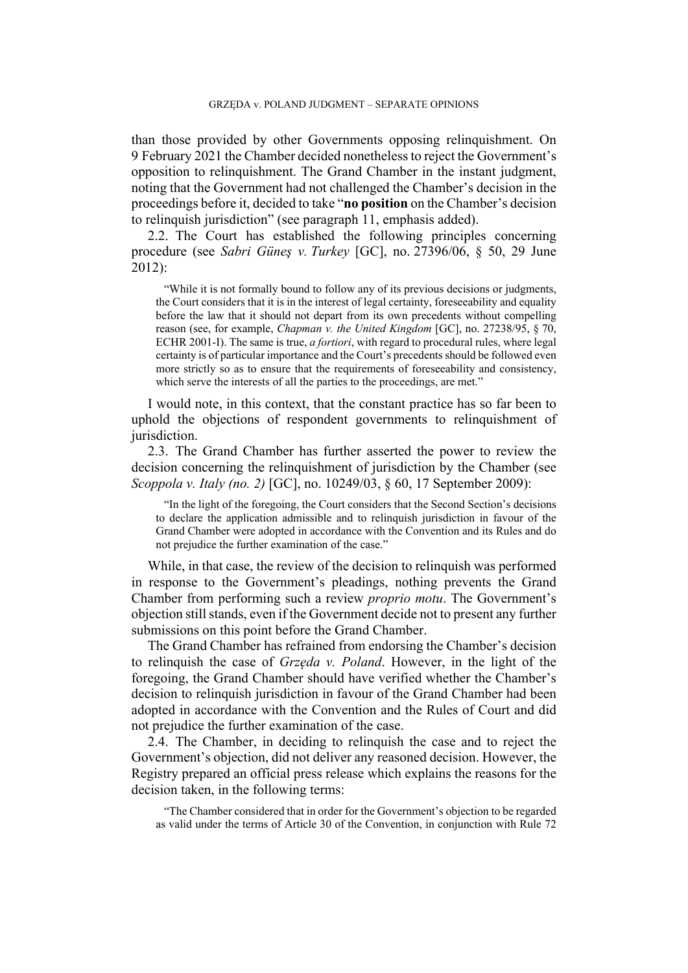than those provided by other Governments opposing relinquishment. On 9 February 2021 the Chamber decided nonetheless to reject the Government's opposition to relinquishment. The Grand Chamber in the instant judgment, noting that the Government had not challenged the Chamber's decision in the proceedings before it, decided to take "**no position** on the Chamber's decision to relinquish jurisdiction" (see paragraph 11, emphasis added).

2.2. The Court has established the following principles concerning procedure (see *Sabri Güneş v. Turkey* [GC], no. 27396/06, § 50, 29 June 2012):

"While it is not formally bound to follow any of its previous decisions or judgments, the Court considers that it is in the interest of legal certainty, foreseeability and equality before the law that it should not depart from its own precedents without compelling reason (see, for example, *Chapman v. the United Kingdom* [GC], no. 27238/95, § 70, ECHR 2001-I). The same is true, *a fortiori*, with regard to procedural rules, where legal certainty is of particular importance and the Court's precedents should be followed even more strictly so as to ensure that the requirements of foreseeability and consistency, which serve the interests of all the parties to the proceedings, are met."

I would note, in this context, that the constant practice has so far been to uphold the objections of respondent governments to relinquishment of jurisdiction.

2.3. The Grand Chamber has further asserted the power to review the decision concerning the relinquishment of jurisdiction by the Chamber (see *Scoppola v. Italy (no. 2)* [GC], no. 10249/03, § 60, 17 September 2009):

"In the light of the foregoing, the Court considers that the Second Section's decisions to declare the application admissible and to relinquish jurisdiction in favour of the Grand Chamber were adopted in accordance with the Convention and its Rules and do not prejudice the further examination of the case."

While, in that case, the review of the decision to relinquish was performed in response to the Government's pleadings, nothing prevents the Grand Chamber from performing such a review *proprio motu*. The Government's objection still stands, even if the Government decide not to present any further submissions on this point before the Grand Chamber.

The Grand Chamber has refrained from endorsing the Chamber's decision to relinquish the case of *Grzęda v. Poland*. However, in the light of the foregoing, the Grand Chamber should have verified whether the Chamber's decision to relinquish jurisdiction in favour of the Grand Chamber had been adopted in accordance with the Convention and the Rules of Court and did not prejudice the further examination of the case.

2.4. The Chamber, in deciding to relinquish the case and to reject the Government's objection, did not deliver any reasoned decision. However, the Registry prepared an official press release which explains the reasons for the decision taken, in the following terms:

"The Chamber considered that in order for the Government's objection to be regarded as valid under the terms of Article 30 of the Convention, in conjunction with Rule 72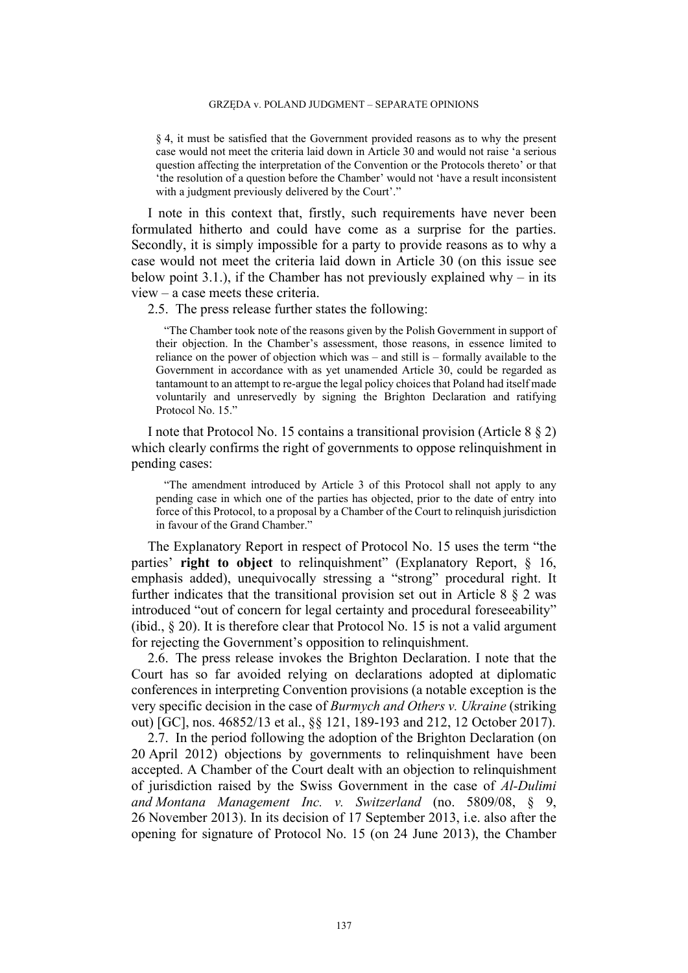§ 4, it must be satisfied that the Government provided reasons as to why the present case would not meet the criteria laid down in Article 30 and would not raise 'a serious question affecting the interpretation of the Convention or the Protocols thereto' or that 'the resolution of a question before the Chamber' would not 'have a result inconsistent with a judgment previously delivered by the Court'."

I note in this context that, firstly, such requirements have never been formulated hitherto and could have come as a surprise for the parties. Secondly, it is simply impossible for a party to provide reasons as to why a case would not meet the criteria laid down in Article 30 (on this issue see below point 3.1.), if the Chamber has not previously explained why – in its view – a case meets these criteria.

2.5. The press release further states the following:

"The Chamber took note of the reasons given by the Polish Government in support of their objection. In the Chamber's assessment, those reasons, in essence limited to reliance on the power of objection which was – and still is – formally available to the Government in accordance with as yet unamended Article 30, could be regarded as tantamount to an attempt to re-argue the legal policy choices that Poland had itself made voluntarily and unreservedly by signing the Brighton Declaration and ratifying Protocol No. 15."

I note that Protocol No. 15 contains a transitional provision (Article 8 § 2) which clearly confirms the right of governments to oppose relinquishment in pending cases:

"The amendment introduced by Article 3 of this Protocol shall not apply to any pending case in which one of the parties has objected, prior to the date of entry into force of this Protocol, to a proposal by a Chamber of the Court to relinquish jurisdiction in favour of the Grand Chamber."

The Explanatory Report in respect of Protocol No. 15 uses the term "the parties' **right to object** to relinquishment" (Explanatory Report, § 16, emphasis added), unequivocally stressing a "strong" procedural right. It further indicates that the transitional provision set out in Article 8 § 2 was introduced "out of concern for legal certainty and procedural foreseeability" (ibid., § 20). It is therefore clear that Protocol No. 15 is not a valid argument for rejecting the Government's opposition to relinquishment.

2.6. The press release invokes the Brighton Declaration. I note that the Court has so far avoided relying on declarations adopted at diplomatic conferences in interpreting Convention provisions (a notable exception is the very specific decision in the case of *Burmych and Others v. Ukraine* (striking out) [GC], nos. 46852/13 et al., §§ 121, 189-193 and 212, 12 October 2017).

2.7. In the period following the adoption of the Brighton Declaration (on 20 April 2012) objections by governments to relinquishment have been accepted. A Chamber of the Court dealt with an objection to relinquishment of jurisdiction raised by the Swiss Government in the case of *Al-Dulimi and Montana Management Inc. v. Switzerland* (no. 5809/08, § 9, 26 November 2013). In its decision of 17 September 2013, i.e. also after the opening for signature of Protocol No. 15 (on 24 June 2013), the Chamber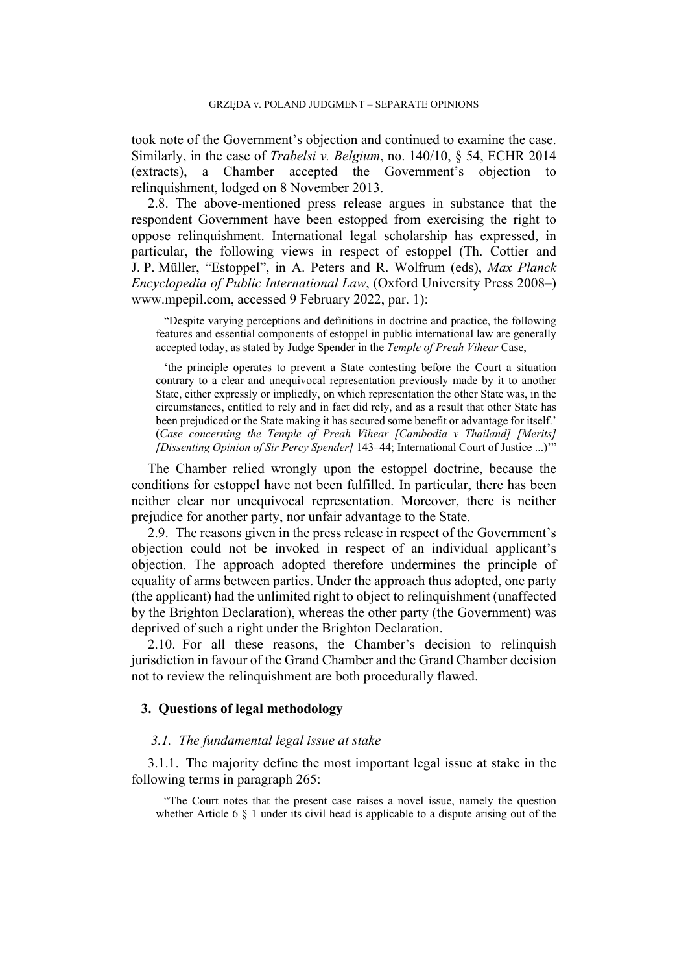took note of the Government's objection and continued to examine the case. Similarly, in the case of *Trabelsi v. Belgium*, no. 140/10, § 54, ECHR 2014 (extracts), a Chamber accepted the Government's objection to relinquishment, lodged on 8 November 2013.

2.8. The above-mentioned press release argues in substance that the respondent Government have been estopped from exercising the right to oppose relinquishment. International legal scholarship has expressed, in particular, the following views in respect of estoppel (Th. Cottier and J. P. Müller, "Estoppel", in A. Peters and R. Wolfrum (eds), *Max Planck Encyclopedia of Public International Law*, (Oxford University Press 2008–) www.mpepil.com, accessed 9 February 2022, par. 1):

"Despite varying perceptions and definitions in doctrine and practice, the following features and essential components of estoppel in public international law are generally accepted today, as stated by Judge Spender in the *Temple of Preah Vihear* Case,

'the principle operates to prevent a State contesting before the Court a situation contrary to a clear and unequivocal representation previously made by it to another State, either expressly or impliedly, on which representation the other State was, in the circumstances, entitled to rely and in fact did rely, and as a result that other State has been prejudiced or the State making it has secured some benefit or advantage for itself.' (*Case concerning the Temple of Preah Vihear [Cambodia v Thailand] [Merits] [Dissenting Opinion of Sir Percy Spender]* 143–44; International Court of Justice ...)'"

The Chamber relied wrongly upon the estoppel doctrine, because the conditions for estoppel have not been fulfilled. In particular, there has been neither clear nor unequivocal representation. Moreover, there is neither prejudice for another party, nor unfair advantage to the State.

2.9. The reasons given in the press release in respect of the Government's objection could not be invoked in respect of an individual applicant's objection. The approach adopted therefore undermines the principle of equality of arms between parties. Under the approach thus adopted, one party (the applicant) had the unlimited right to object to relinquishment (unaffected by the Brighton Declaration), whereas the other party (the Government) was deprived of such a right under the Brighton Declaration.

2.10. For all these reasons, the Chamber's decision to relinquish jurisdiction in favour of the Grand Chamber and the Grand Chamber decision not to review the relinquishment are both procedurally flawed.

## **3. Questions of legal methodology**

### *3.1. The fundamental legal issue at stake*

3.1.1. The majority define the most important legal issue at stake in the following terms in paragraph 265:

"The Court notes that the present case raises a novel issue, namely the question whether Article 6 § 1 under its civil head is applicable to a dispute arising out of the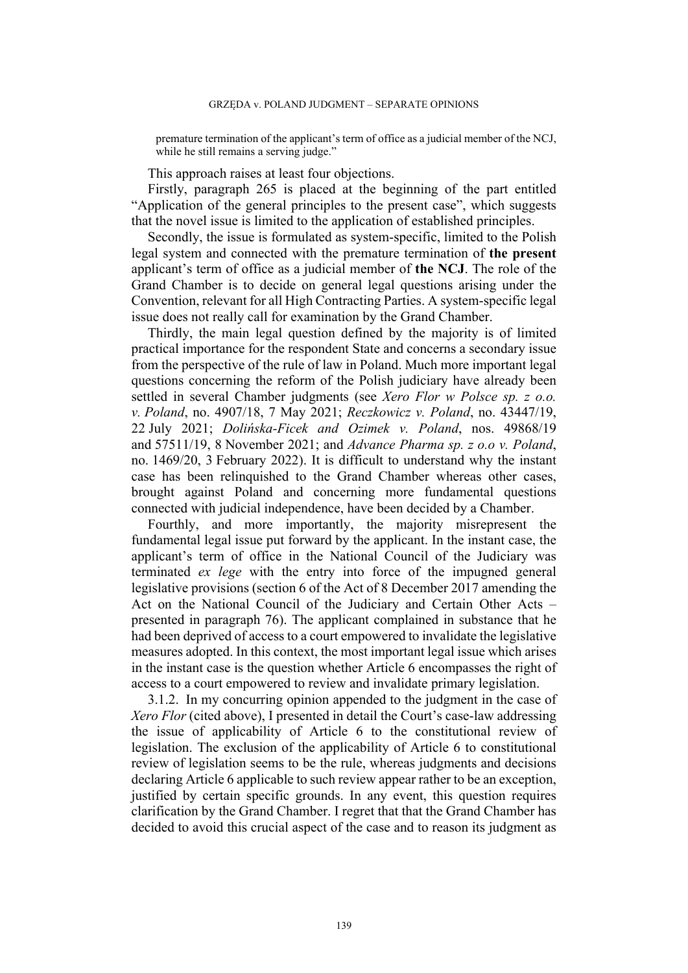premature termination of the applicant's term of office as a judicial member of the NCJ, while he still remains a serving judge."

This approach raises at least four objections.

Firstly, paragraph 265 is placed at the beginning of the part entitled "Application of the general principles to the present case", which suggests that the novel issue is limited to the application of established principles.

Secondly, the issue is formulated as system-specific, limited to the Polish legal system and connected with the premature termination of **the present**  applicant's term of office as a judicial member of **the NCJ**. The role of the Grand Chamber is to decide on general legal questions arising under the Convention, relevant for all High Contracting Parties. A system-specific legal issue does not really call for examination by the Grand Chamber.

Thirdly, the main legal question defined by the majority is of limited practical importance for the respondent State and concerns a secondary issue from the perspective of the rule of law in Poland. Much more important legal questions concerning the reform of the Polish judiciary have already been settled in several Chamber judgments (see *Xero Flor w Polsce sp. z o.o. v. Poland*, no. 4907/18, 7 May 2021; *Reczkowicz v. Poland*, no. 43447/19, 22 July 2021; *Dolińska-Ficek and Ozimek v. Poland*, nos. 49868/19 and 57511/19, 8 November 2021; and *Advance Pharma sp. z o.o v. Poland*, no. 1469/20, 3 February 2022). It is difficult to understand why the instant case has been relinquished to the Grand Chamber whereas other cases, brought against Poland and concerning more fundamental questions connected with judicial independence, have been decided by a Chamber.

Fourthly, and more importantly, the majority misrepresent the fundamental legal issue put forward by the applicant. In the instant case, the applicant's term of office in the National Council of the Judiciary was terminated *ex lege* with the entry into force of the impugned general legislative provisions (section 6 of the Act of 8 December 2017 amending the Act on the National Council of the Judiciary and Certain Other Acts – presented in paragraph 76). The applicant complained in substance that he had been deprived of access to a court empowered to invalidate the legislative measures adopted. In this context, the most important legal issue which arises in the instant case is the question whether Article 6 encompasses the right of access to a court empowered to review and invalidate primary legislation.

3.1.2. In my concurring opinion appended to the judgment in the case of *Xero Flor* (cited above), I presented in detail the Court's case-law addressing the issue of applicability of Article 6 to the constitutional review of legislation. The exclusion of the applicability of Article 6 to constitutional review of legislation seems to be the rule, whereas judgments and decisions declaring Article 6 applicable to such review appear rather to be an exception, justified by certain specific grounds. In any event, this question requires clarification by the Grand Chamber. I regret that that the Grand Chamber has decided to avoid this crucial aspect of the case and to reason its judgment as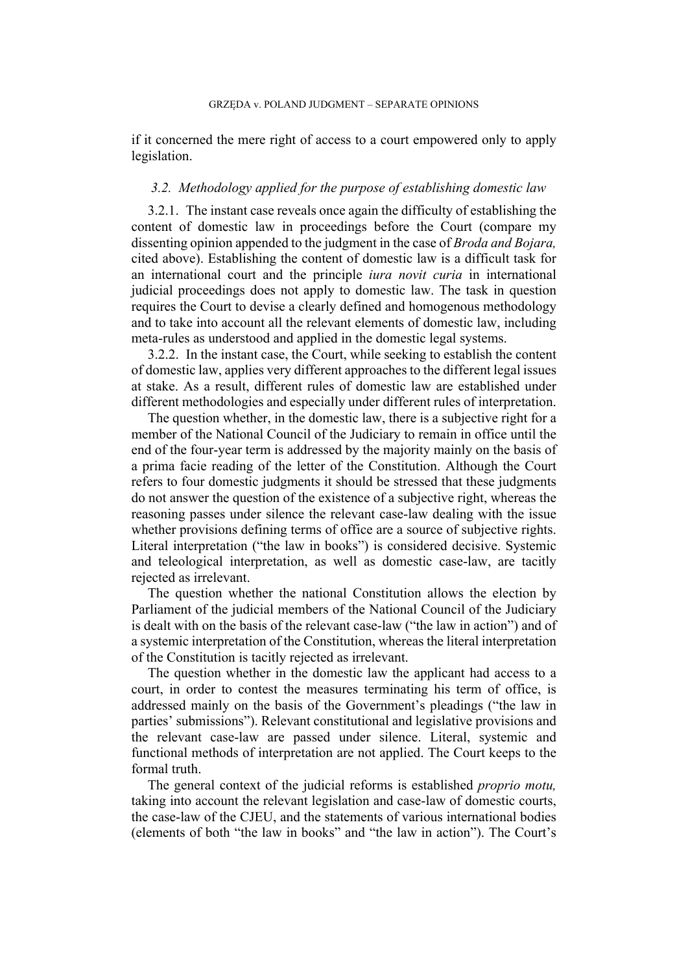if it concerned the mere right of access to a court empowered only to apply legislation.

## *3.2. Methodology applied for the purpose of establishing domestic law*

3.2.1. The instant case reveals once again the difficulty of establishing the content of domestic law in proceedings before the Court (compare my dissenting opinion appended to the judgment in the case of *Broda and Bojara,*  cited above). Establishing the content of domestic law is a difficult task for an international court and the principle *iura novit curia* in international judicial proceedings does not apply to domestic law. The task in question requires the Court to devise a clearly defined and homogenous methodology and to take into account all the relevant elements of domestic law, including meta-rules as understood and applied in the domestic legal systems.

3.2.2. In the instant case, the Court, while seeking to establish the content of domestic law, applies very different approaches to the different legal issues at stake. As a result, different rules of domestic law are established under different methodologies and especially under different rules of interpretation.

The question whether, in the domestic law, there is a subjective right for a member of the National Council of the Judiciary to remain in office until the end of the four-year term is addressed by the majority mainly on the basis of a prima facie reading of the letter of the Constitution. Although the Court refers to four domestic judgments it should be stressed that these judgments do not answer the question of the existence of a subjective right, whereas the reasoning passes under silence the relevant case-law dealing with the issue whether provisions defining terms of office are a source of subjective rights. Literal interpretation ("the law in books") is considered decisive. Systemic and teleological interpretation, as well as domestic case-law, are tacitly rejected as irrelevant.

The question whether the national Constitution allows the election by Parliament of the judicial members of the National Council of the Judiciary is dealt with on the basis of the relevant case-law ("the law in action") and of a systemic interpretation of the Constitution, whereas the literal interpretation of the Constitution is tacitly rejected as irrelevant.

The question whether in the domestic law the applicant had access to a court, in order to contest the measures terminating his term of office, is addressed mainly on the basis of the Government's pleadings ("the law in parties' submissions"). Relevant constitutional and legislative provisions and the relevant case-law are passed under silence. Literal, systemic and functional methods of interpretation are not applied. The Court keeps to the formal truth.

The general context of the judicial reforms is established *proprio motu,* taking into account the relevant legislation and case-law of domestic courts, the case-law of the CJEU, and the statements of various international bodies (elements of both "the law in books" and "the law in action"). The Court's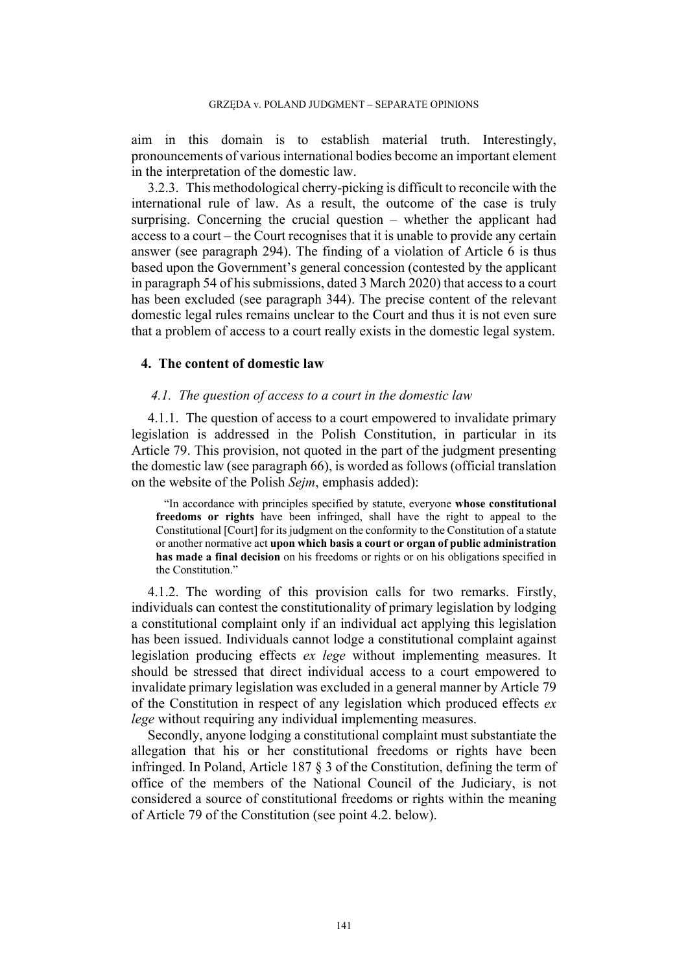aim in this domain is to establish material truth. Interestingly, pronouncements of various international bodies become an important element in the interpretation of the domestic law.

3.2.3. This methodological cherry-picking is difficult to reconcile with the international rule of law. As a result, the outcome of the case is truly surprising. Concerning the crucial question – whether the applicant had access to a court – the Court recognises that it is unable to provide any certain answer (see paragraph 294). The finding of a violation of Article 6 is thus based upon the Government's general concession (contested by the applicant in paragraph 54 of his submissions, dated 3 March 2020) that access to a court has been excluded (see paragraph 344). The precise content of the relevant domestic legal rules remains unclear to the Court and thus it is not even sure that a problem of access to a court really exists in the domestic legal system.

## **4. The content of domestic law**

### *4.1. The question of access to a court in the domestic law*

4.1.1. The question of access to a court empowered to invalidate primary legislation is addressed in the Polish Constitution, in particular in its Article 79. This provision, not quoted in the part of the judgment presenting the domestic law (see paragraph 66), is worded as follows (official translation on the website of the Polish *Sejm*, emphasis added):

"In accordance with principles specified by statute, everyone **whose constitutional freedoms or rights** have been infringed, shall have the right to appeal to the Constitutional [Court] for its judgment on the conformity to the Constitution of a statute or another normative act **upon which basis a court or organ of public administration has made a final decision** on his freedoms or rights or on his obligations specified in the Constitution."

4.1.2. The wording of this provision calls for two remarks. Firstly, individuals can contest the constitutionality of primary legislation by lodging a constitutional complaint only if an individual act applying this legislation has been issued. Individuals cannot lodge a constitutional complaint against legislation producing effects *ex lege* without implementing measures. It should be stressed that direct individual access to a court empowered to invalidate primary legislation was excluded in a general manner by Article 79 of the Constitution in respect of any legislation which produced effects *ex lege* without requiring any individual implementing measures.

Secondly, anyone lodging a constitutional complaint must substantiate the allegation that his or her constitutional freedoms or rights have been infringed. In Poland, Article 187 § 3 of the Constitution, defining the term of office of the members of the National Council of the Judiciary, is not considered a source of constitutional freedoms or rights within the meaning of Article 79 of the Constitution (see point 4.2. below).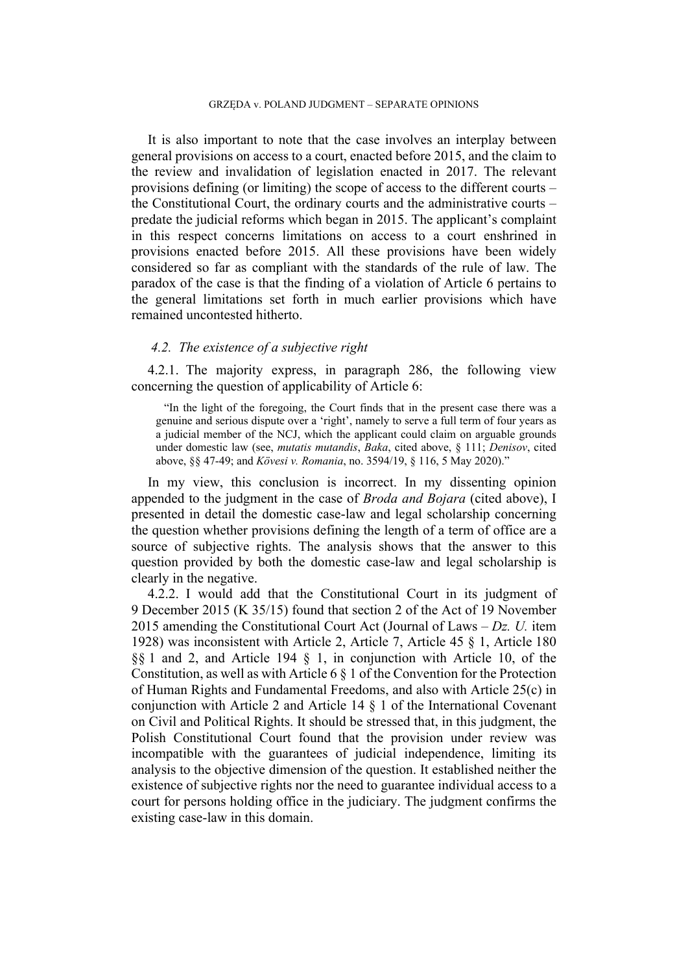It is also important to note that the case involves an interplay between general provisions on access to a court, enacted before 2015, and the claim to the review and invalidation of legislation enacted in 2017. The relevant provisions defining (or limiting) the scope of access to the different courts – the Constitutional Court, the ordinary courts and the administrative courts – predate the judicial reforms which began in 2015. The applicant's complaint in this respect concerns limitations on access to a court enshrined in provisions enacted before 2015. All these provisions have been widely considered so far as compliant with the standards of the rule of law. The paradox of the case is that the finding of a violation of Article 6 pertains to the general limitations set forth in much earlier provisions which have remained uncontested hitherto.

### *4.2. The existence of a subjective right*

4.2.1. The majority express, in paragraph 286, the following view concerning the question of applicability of Article 6:

"In the light of the foregoing, the Court finds that in the present case there was a genuine and serious dispute over a 'right', namely to serve a full term of four years as a judicial member of the NCJ, which the applicant could claim on arguable grounds under domestic law (see, *mutatis mutandis*, *Baka*, cited above, § 111; *Denisov*, cited above, §§ 47-49; and *Kövesi v. Romania*, no. 3594/19, § 116, 5 May 2020)."

In my view, this conclusion is incorrect. In my dissenting opinion appended to the judgment in the case of *Broda and Bojara* (cited above), I presented in detail the domestic case-law and legal scholarship concerning the question whether provisions defining the length of a term of office are a source of subjective rights. The analysis shows that the answer to this question provided by both the domestic case-law and legal scholarship is clearly in the negative.

4.2.2. I would add that the Constitutional Court in its judgment of 9 December 2015 (K 35/15) found that section 2 of the Act of 19 November 2015 amending the Constitutional Court Act (Journal of Laws – *Dz. U.* item 1928) was inconsistent with Article 2, Article 7, Article 45 § 1, Article 180 §§ 1 and 2, and Article 194 § 1, in conjunction with Article 10, of the Constitution, as well as with Article 6 § 1 of the Convention for the Protection of Human Rights and Fundamental Freedoms, and also with Article 25(c) in conjunction with Article 2 and Article 14 § 1 of the International Covenant on Civil and Political Rights. It should be stressed that, in this judgment, the Polish Constitutional Court found that the provision under review was incompatible with the guarantees of judicial independence, limiting its analysis to the objective dimension of the question. It established neither the existence of subjective rights nor the need to guarantee individual access to a court for persons holding office in the judiciary. The judgment confirms the existing case-law in this domain.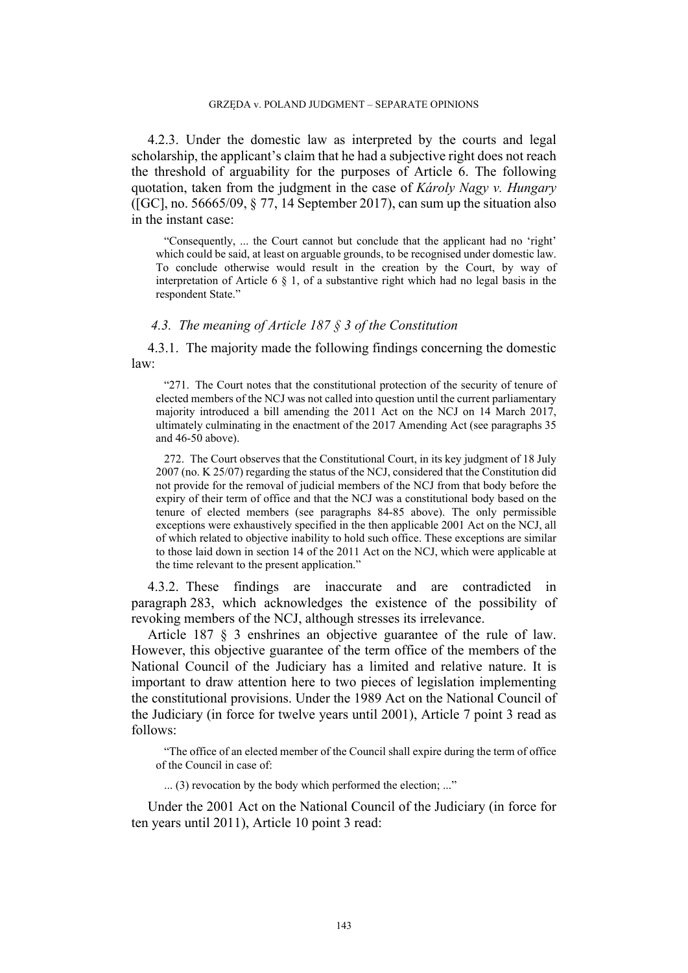4.2.3. Under the domestic law as interpreted by the courts and legal scholarship, the applicant's claim that he had a subjective right does not reach the threshold of arguability for the purposes of Article 6. The following quotation, taken from the judgment in the case of *Károly Nagy v. Hungary* ([GC], no. 56665/09,  $\S$  77, 14 September 2017), can sum up the situation also in the instant case:

"Consequently, ... the Court cannot but conclude that the applicant had no 'right' which could be said, at least on arguable grounds, to be recognised under domestic law. To conclude otherwise would result in the creation by the Court, by way of interpretation of Article 6 § 1, of a substantive right which had no legal basis in the respondent State."

## *4.3. The meaning of Article 187 § 3 of the Constitution*

4.3.1. The majority made the following findings concerning the domestic law:

"271. The Court notes that the constitutional protection of the security of tenure of elected members of the NCJ was not called into question until the current parliamentary majority introduced a bill amending the 2011 Act on the NCJ on 14 March 2017, ultimately culminating in the enactment of the 2017 Amending Act (see paragraphs 35 and 46-50 above).

272. The Court observes that the Constitutional Court, in its key judgment of 18 July 2007 (no. K 25/07) regarding the status of the NCJ, considered that the Constitution did not provide for the removal of judicial members of the NCJ from that body before the expiry of their term of office and that the NCJ was a constitutional body based on the tenure of elected members (see paragraphs 84-85 above). The only permissible exceptions were exhaustively specified in the then applicable 2001 Act on the NCJ, all of which related to objective inability to hold such office. These exceptions are similar to those laid down in section 14 of the 2011 Act on the NCJ, which were applicable at the time relevant to the present application."

4.3.2. These findings are inaccurate and are contradicted in paragraph 283, which acknowledges the existence of the possibility of revoking members of the NCJ, although stresses its irrelevance.

Article 187 § 3 enshrines an objective guarantee of the rule of law. However, this objective guarantee of the term office of the members of the National Council of the Judiciary has a limited and relative nature. It is important to draw attention here to two pieces of legislation implementing the constitutional provisions. Under the 1989 Act on the National Council of the Judiciary (in force for twelve years until 2001), Article 7 point 3 read as follows:

"The office of an elected member of the Council shall expire during the term of office of the Council in case of:

... (3) revocation by the body which performed the election; ..."

Under the 2001 Act on the National Council of the Judiciary (in force for ten years until 2011), Article 10 point 3 read: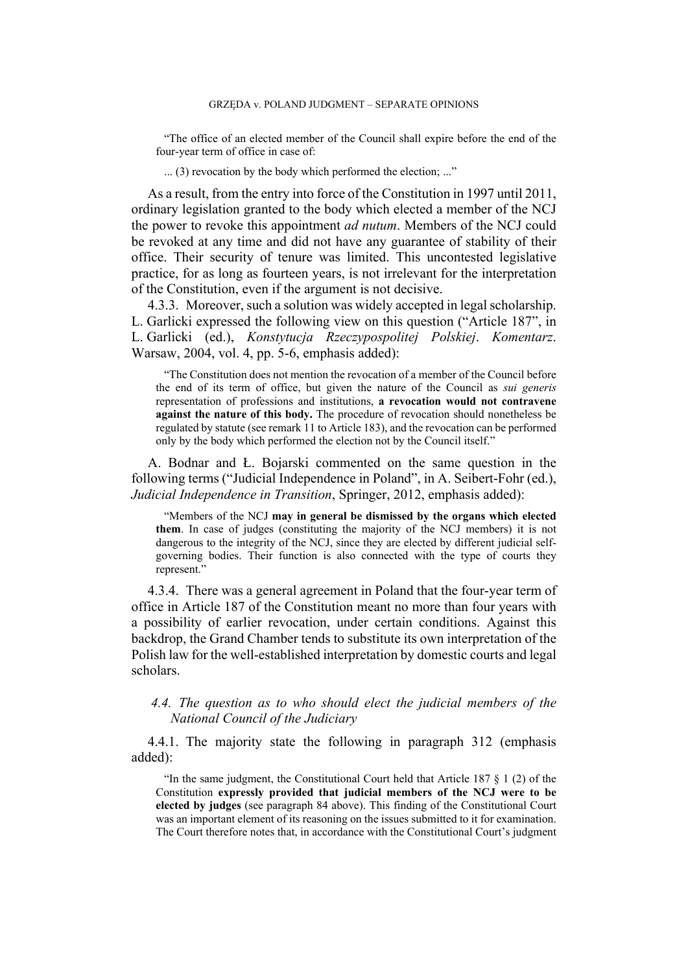"The office of an elected member of the Council shall expire before the end of the four-year term of office in case of:

... (3) revocation by the body which performed the election; ..."

As a result, from the entry into force of the Constitution in 1997 until 2011, ordinary legislation granted to the body which elected a member of the NCJ the power to revoke this appointment *ad nutum*. Members of the NCJ could be revoked at any time and did not have any guarantee of stability of their office. Their security of tenure was limited. This uncontested legislative practice, for as long as fourteen years, is not irrelevant for the interpretation of the Constitution, even if the argument is not decisive.

4.3.3. Moreover, such a solution was widely accepted in legal scholarship. L. Garlicki expressed the following view on this question ("Article 187", in L. Garlicki (ed.), *Konstytucja Rzeczypospolitej Polskiej*. *Komentarz*. Warsaw, 2004, vol. 4, pp. 5-6, emphasis added):

"The Constitution does not mention the revocation of a member of the Council before the end of its term of office, but given the nature of the Council as *sui generis* representation of professions and institutions, **a revocation would not contravene against the nature of this body.** The procedure of revocation should nonetheless be regulated by statute (see remark 11 to Article 183), and the revocation can be performed only by the body which performed the election not by the Council itself."

A. Bodnar and Ł. Bojarski commented on the same question in the following terms ("Judicial Independence in Poland", in A. Seibert-Fohr (ed.), *Judicial Independence in Transition*, Springer, 2012, emphasis added):

"Members of the NCJ **may in general be dismissed by the organs which elected them**. In case of judges (constituting the majority of the NCJ members) it is not dangerous to the integrity of the NCJ, since they are elected by different judicial selfgoverning bodies. Their function is also connected with the type of courts they represent."

4.3.4. There was a general agreement in Poland that the four-year term of office in Article 187 of the Constitution meant no more than four years with a possibility of earlier revocation, under certain conditions. Against this backdrop, the Grand Chamber tends to substitute its own interpretation of the Polish law for the well-established interpretation by domestic courts and legal scholars.

# *4.4. The question as to who should elect the judicial members of the National Council of the Judiciary*

4.4.1. The majority state the following in paragraph 312 (emphasis added):

"In the same judgment, the Constitutional Court held that Article 187 § 1 (2) of the Constitution **expressly provided that judicial members of the NCJ were to be elected by judges** (see paragraph 84 above). This finding of the Constitutional Court was an important element of its reasoning on the issues submitted to it for examination. The Court therefore notes that, in accordance with the Constitutional Court's judgment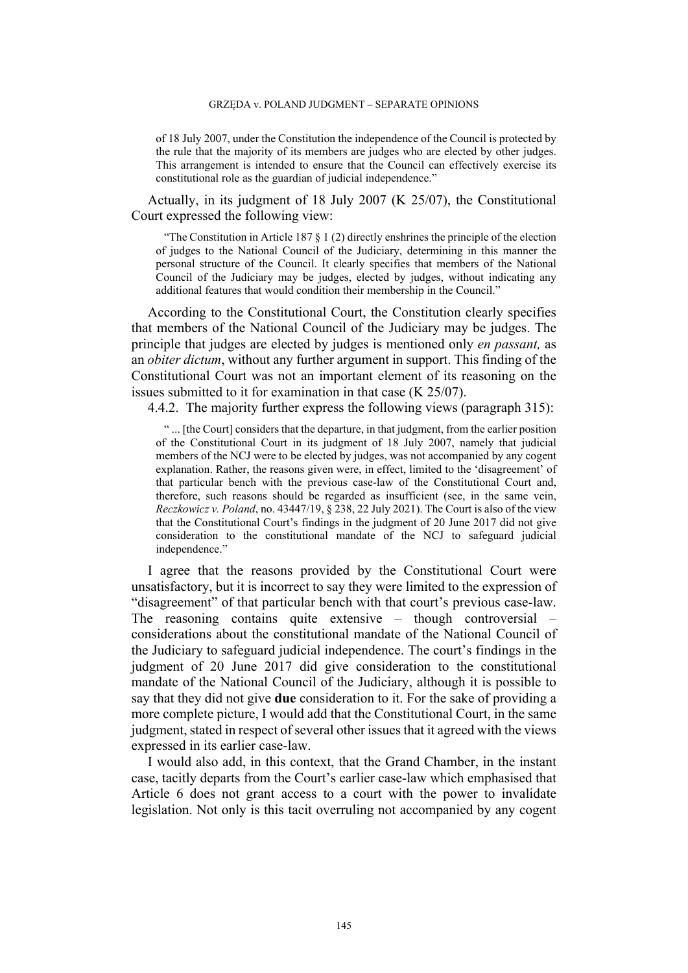of 18 July 2007, under the Constitution the independence of the Council is protected by the rule that the majority of its members are judges who are elected by other judges. This arrangement is intended to ensure that the Council can effectively exercise its constitutional role as the guardian of judicial independence."

Actually, in its judgment of 18 July 2007 (K 25/07), the Constitutional Court expressed the following view:

"The Constitution in Article 187  $\S$  1 (2) directly enshrines the principle of the election of judges to the National Council of the Judiciary, determining in this manner the personal structure of the Council. It clearly specifies that members of the National Council of the Judiciary may be judges, elected by judges, without indicating any additional features that would condition their membership in the Council."

According to the Constitutional Court, the Constitution clearly specifies that members of the National Council of the Judiciary may be judges. The principle that judges are elected by judges is mentioned only *en passant,* as an *obiter dictum*, without any further argument in support. This finding of the Constitutional Court was not an important element of its reasoning on the issues submitted to it for examination in that case (K 25/07).

4.4.2. The majority further express the following views (paragraph 315):

" ... [the Court] considers that the departure, in that judgment, from the earlier position of the Constitutional Court in its judgment of 18 July 2007, namely that judicial members of the NCJ were to be elected by judges, was not accompanied by any cogent explanation. Rather, the reasons given were, in effect, limited to the 'disagreement' of that particular bench with the previous case-law of the Constitutional Court and, therefore, such reasons should be regarded as insufficient (see, in the same vein, *Reczkowicz v. Poland*, no. 43447/19, § 238, 22 July 2021). The Court is also of the view that the Constitutional Court's findings in the judgment of 20 June 2017 did not give consideration to the constitutional mandate of the NCJ to safeguard judicial independence."

I agree that the reasons provided by the Constitutional Court were unsatisfactory, but it is incorrect to say they were limited to the expression of "disagreement" of that particular bench with that court's previous case-law. The reasoning contains quite extensive – though controversial – considerations about the constitutional mandate of the National Council of the Judiciary to safeguard judicial independence. The court's findings in the judgment of 20 June 2017 did give consideration to the constitutional mandate of the National Council of the Judiciary, although it is possible to say that they did not give **due** consideration to it. For the sake of providing a more complete picture, I would add that the Constitutional Court, in the same judgment, stated in respect of several other issues that it agreed with the views expressed in its earlier case-law.

I would also add, in this context, that the Grand Chamber, in the instant case, tacitly departs from the Court's earlier case-law which emphasised that Article 6 does not grant access to a court with the power to invalidate legislation. Not only is this tacit overruling not accompanied by any cogent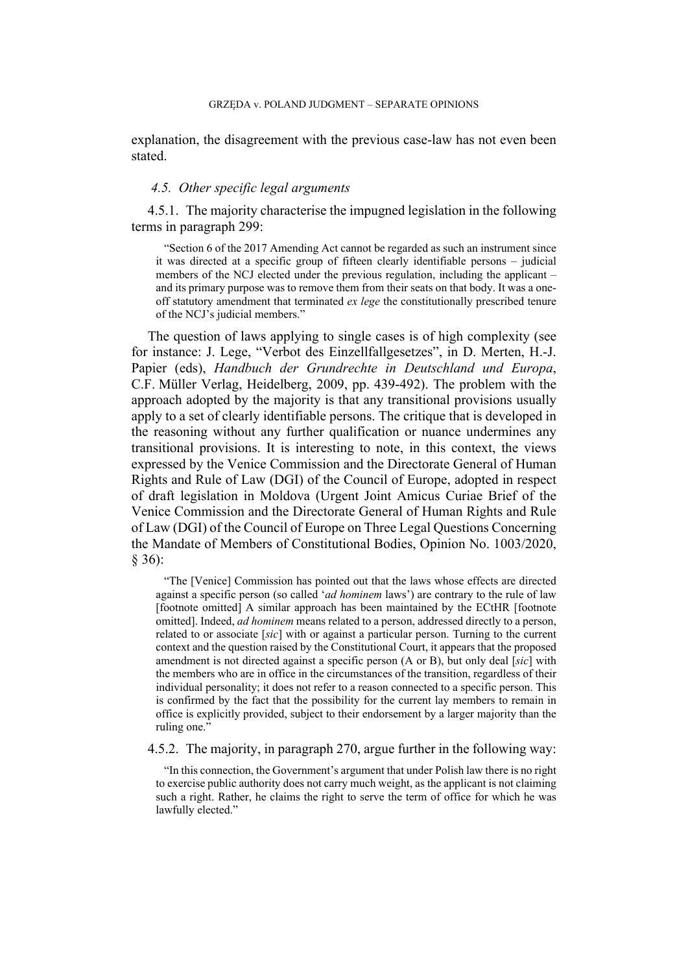explanation, the disagreement with the previous case-law has not even been stated.

### *4.5. Other specific legal arguments*

4.5.1. The majority characterise the impugned legislation in the following terms in paragraph 299:

"Section 6 of the 2017 Amending Act cannot be regarded as such an instrument since it was directed at a specific group of fifteen clearly identifiable persons – judicial members of the NCJ elected under the previous regulation, including the applicant – and its primary purpose was to remove them from their seats on that body. It was a oneoff statutory amendment that terminated *ex lege* the constitutionally prescribed tenure of the NCJ's judicial members."

The question of laws applying to single cases is of high complexity (see for instance: J. Lege, "Verbot des Einzellfallgesetzes", in D. Merten, H.-J. Papier (eds), *Handbuch der Grundrechte in Deutschland und Europa*, C.F. Müller Verlag, Heidelberg, 2009, pp. 439-492). The problem with the approach adopted by the majority is that any transitional provisions usually apply to a set of clearly identifiable persons. The critique that is developed in the reasoning without any further qualification or nuance undermines any transitional provisions. It is interesting to note, in this context, the views expressed by the Venice Commission and the Directorate General of Human Rights and Rule of Law (DGI) of the Council of Europe, adopted in respect of draft legislation in Moldova (Urgent Joint Amicus Curiae Brief of the Venice Commission and the Directorate General of Human Rights and Rule of Law (DGI) of the Council of Europe on Three Legal Questions Concerning the Mandate of Members of Constitutional Bodies, Opinion No. 1003/2020, § 36):

"The [Venice] Commission has pointed out that the laws whose effects are directed against a specific person (so called '*ad hominem* laws') are contrary to the rule of law [footnote omitted] A similar approach has been maintained by the ECtHR [footnote omitted]. Indeed, *ad hominem* means related to a person, addressed directly to a person, related to or associate [*sic*] with or against a particular person. Turning to the current context and the question raised by the Constitutional Court, it appears that the proposed amendment is not directed against a specific person (A or B), but only deal [*sic*] with the members who are in office in the circumstances of the transition, regardless of their individual personality; it does not refer to a reason connected to a specific person. This is confirmed by the fact that the possibility for the current lay members to remain in office is explicitly provided, subject to their endorsement by a larger majority than the ruling one."

#### 4.5.2. The majority, in paragraph 270, argue further in the following way:

"In this connection, the Government's argument that under Polish law there is no right to exercise public authority does not carry much weight, as the applicant is not claiming such a right. Rather, he claims the right to serve the term of office for which he was lawfully elected."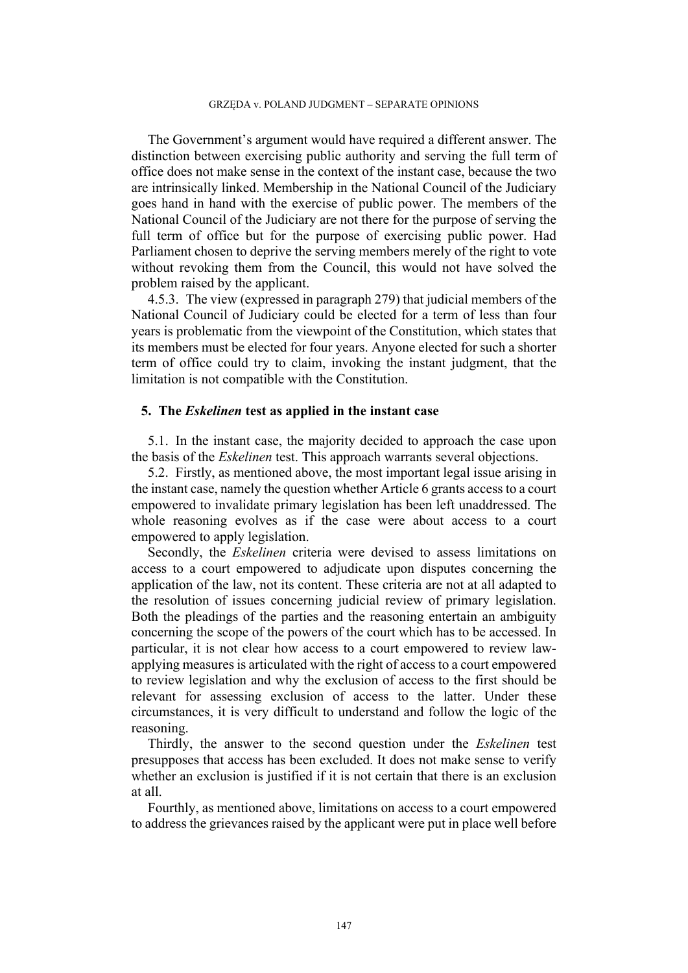The Government's argument would have required a different answer. The distinction between exercising public authority and serving the full term of office does not make sense in the context of the instant case, because the two are intrinsically linked. Membership in the National Council of the Judiciary goes hand in hand with the exercise of public power. The members of the National Council of the Judiciary are not there for the purpose of serving the full term of office but for the purpose of exercising public power. Had Parliament chosen to deprive the serving members merely of the right to vote without revoking them from the Council, this would not have solved the problem raised by the applicant.

4.5.3. The view (expressed in paragraph 279) that judicial members of the National Council of Judiciary could be elected for a term of less than four years is problematic from the viewpoint of the Constitution, which states that its members must be elected for four years. Anyone elected for such a shorter term of office could try to claim, invoking the instant judgment, that the limitation is not compatible with the Constitution.

### **5. The** *Eskelinen* **test as applied in the instant case**

5.1. In the instant case, the majority decided to approach the case upon the basis of the *Eskelinen* test. This approach warrants several objections.

5.2. Firstly, as mentioned above, the most important legal issue arising in the instant case, namely the question whether Article 6 grants access to a court empowered to invalidate primary legislation has been left unaddressed. The whole reasoning evolves as if the case were about access to a court empowered to apply legislation.

Secondly, the *Eskelinen* criteria were devised to assess limitations on access to a court empowered to adjudicate upon disputes concerning the application of the law, not its content. These criteria are not at all adapted to the resolution of issues concerning judicial review of primary legislation. Both the pleadings of the parties and the reasoning entertain an ambiguity concerning the scope of the powers of the court which has to be accessed. In particular, it is not clear how access to a court empowered to review lawapplying measures is articulated with the right of access to a court empowered to review legislation and why the exclusion of access to the first should be relevant for assessing exclusion of access to the latter. Under these circumstances, it is very difficult to understand and follow the logic of the reasoning.

Thirdly, the answer to the second question under the *Eskelinen* test presupposes that access has been excluded. It does not make sense to verify whether an exclusion is justified if it is not certain that there is an exclusion at all.

Fourthly, as mentioned above, limitations on access to a court empowered to address the grievances raised by the applicant were put in place well before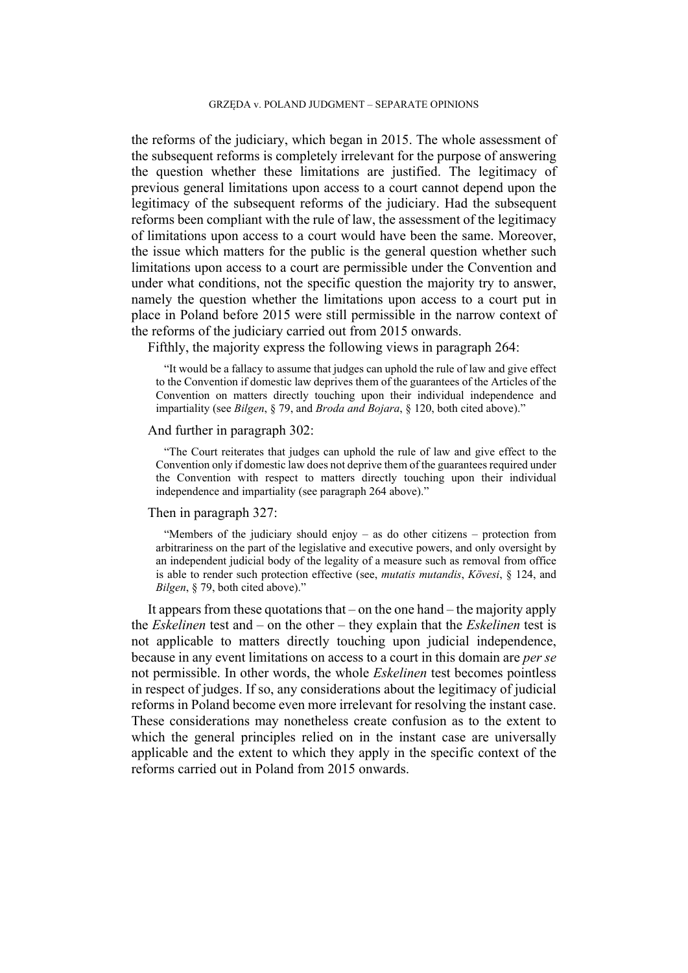the reforms of the judiciary, which began in 2015. The whole assessment of the subsequent reforms is completely irrelevant for the purpose of answering the question whether these limitations are justified. The legitimacy of previous general limitations upon access to a court cannot depend upon the legitimacy of the subsequent reforms of the judiciary. Had the subsequent reforms been compliant with the rule of law, the assessment of the legitimacy of limitations upon access to a court would have been the same. Moreover, the issue which matters for the public is the general question whether such limitations upon access to a court are permissible under the Convention and under what conditions, not the specific question the majority try to answer, namely the question whether the limitations upon access to a court put in place in Poland before 2015 were still permissible in the narrow context of the reforms of the judiciary carried out from 2015 onwards.

Fifthly, the majority express the following views in paragraph 264:

"It would be a fallacy to assume that judges can uphold the rule of law and give effect to the Convention if domestic law deprives them of the guarantees of the Articles of the Convention on matters directly touching upon their individual independence and impartiality (see *Bilgen*, § 79, and *Broda and Bojara*, § 120, both cited above)."

#### And further in paragraph 302:

"The Court reiterates that judges can uphold the rule of law and give effect to the Convention only if domestic law does not deprive them of the guarantees required under the Convention with respect to matters directly touching upon their individual independence and impartiality (see paragraph 264 above)."

#### Then in paragraph 327:

"Members of the judiciary should enjoy – as do other citizens – protection from arbitrariness on the part of the legislative and executive powers, and only oversight by an independent judicial body of the legality of a measure such as removal from office is able to render such protection effective (see, *mutatis mutandis*, *Kövesi*, § 124, and *Bilgen*, § 79, both cited above)."

It appears from these quotations that – on the one hand – the majority apply the *Eskelinen* test and – on the other – they explain that the *Eskelinen* test is not applicable to matters directly touching upon judicial independence, because in any event limitations on access to a court in this domain are *per se* not permissible. In other words, the whole *Eskelinen* test becomes pointless in respect of judges. If so, any considerations about the legitimacy of judicial reforms in Poland become even more irrelevant for resolving the instant case. These considerations may nonetheless create confusion as to the extent to which the general principles relied on in the instant case are universally applicable and the extent to which they apply in the specific context of the reforms carried out in Poland from 2015 onwards.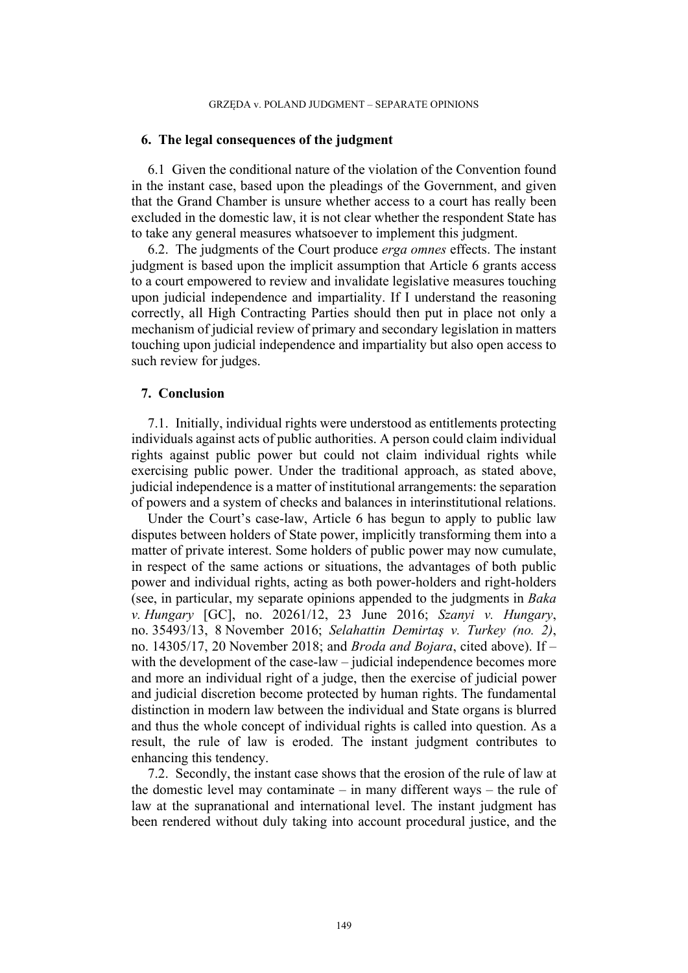### **6. The legal consequences of the judgment**

6.1 Given the conditional nature of the violation of the Convention found in the instant case, based upon the pleadings of the Government, and given that the Grand Chamber is unsure whether access to a court has really been excluded in the domestic law, it is not clear whether the respondent State has to take any general measures whatsoever to implement this judgment.

6.2. The judgments of the Court produce *erga omnes* effects. The instant judgment is based upon the implicit assumption that Article 6 grants access to a court empowered to review and invalidate legislative measures touching upon judicial independence and impartiality. If I understand the reasoning correctly, all High Contracting Parties should then put in place not only a mechanism of judicial review of primary and secondary legislation in matters touching upon judicial independence and impartiality but also open access to such review for judges.

### **7. Conclusion**

7.1. Initially, individual rights were understood as entitlements protecting individuals against acts of public authorities. A person could claim individual rights against public power but could not claim individual rights while exercising public power. Under the traditional approach, as stated above, judicial independence is a matter of institutional arrangements: the separation of powers and a system of checks and balances in interinstitutional relations.

Under the Court's case-law, Article 6 has begun to apply to public law disputes between holders of State power, implicitly transforming them into a matter of private interest. Some holders of public power may now cumulate, in respect of the same actions or situations, the advantages of both public power and individual rights, acting as both power-holders and right-holders (see, in particular, my separate opinions appended to the judgments in *Baka v. Hungary* [GC], no. 20261/12, 23 June 2016; *Szanyi v. Hungary*, no. 35493/13, 8 November 2016; *Selahattin Demirtaş v. Turkey (no. 2)*, no. 14305/17, 20 November 2018; and *Broda and Bojara*, cited above). If – with the development of the case-law – judicial independence becomes more and more an individual right of a judge, then the exercise of judicial power and judicial discretion become protected by human rights. The fundamental distinction in modern law between the individual and State organs is blurred and thus the whole concept of individual rights is called into question. As a result, the rule of law is eroded. The instant judgment contributes to enhancing this tendency.

7.2. Secondly, the instant case shows that the erosion of the rule of law at the domestic level may contaminate – in many different ways – the rule of law at the supranational and international level. The instant judgment has been rendered without duly taking into account procedural justice, and the